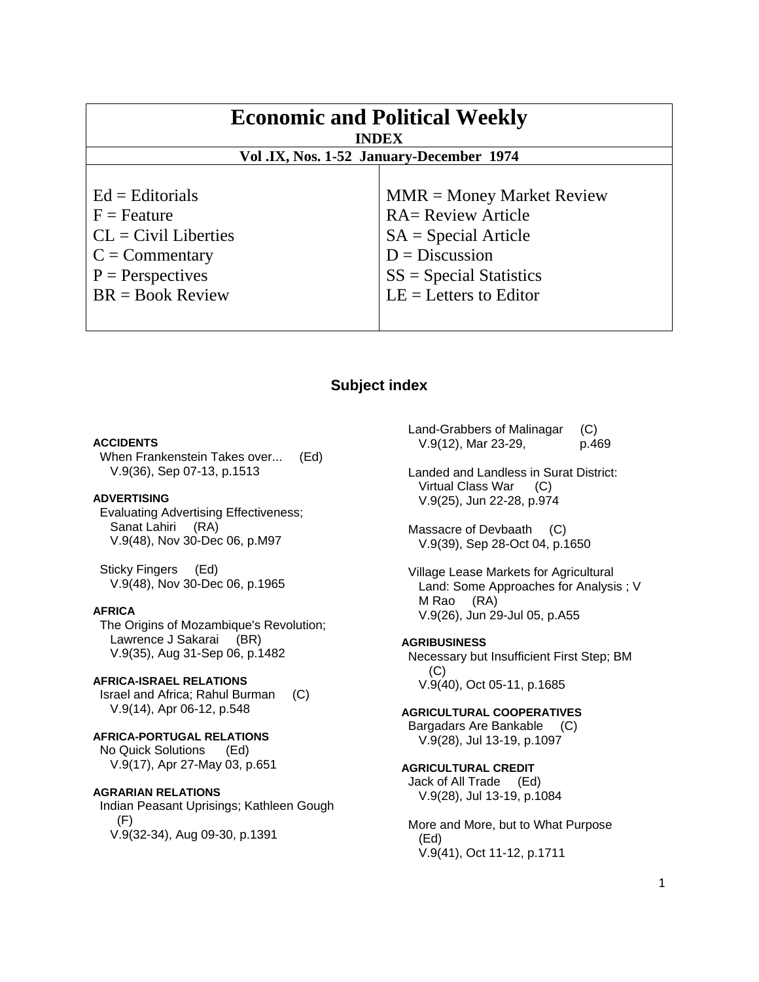| <b>Economic and Political Weekly</b><br><b>INDEX</b>                                                            |                                                                                                                                     |
|-----------------------------------------------------------------------------------------------------------------|-------------------------------------------------------------------------------------------------------------------------------------|
| Vol.IX, Nos. 1-52 January-December 1974                                                                         |                                                                                                                                     |
| $Ed =$ Editorials<br>$F =$ Feature<br>$CL = Civil\:$ Liberties<br>$C = \text{Commentary}$<br>$P =$ Perspectives | $MMR = Money Market Review$<br><b>RA= Review Article</b><br>$SA = Special Article$<br>$D = Discussion$<br>$SS = Special Statistics$ |
| $BR = Book Review$                                                                                              | $LE = Letters to Editor$                                                                                                            |

# **Subject index**

### **ACCIDENTS**

 When Frankenstein Takes over... (Ed) V.9(36), Sep 07-13, p.1513

# **ADVERTISING**

 Evaluating Advertising Effectiveness; Sanat Lahiri (RA) V.9(48), Nov 30-Dec 06, p.M97

 Sticky Fingers (Ed) V.9(48), Nov 30-Dec 06, p.1965

### **AFRICA**

 The Origins of Mozambique's Revolution; Lawrence J Sakarai (BR) V.9(35), Aug 31-Sep 06, p.1482

#### **AFRICA-ISRAEL RELATIONS**  Israel and Africa; Rahul Burman (C) V.9(14), Apr 06-12, p.548

### **AFRICA-PORTUGAL RELATIONS**  No Quick Solutions (Ed) V.9(17), Apr 27-May 03, p.651

#### **AGRARIAN RELATIONS**

 Indian Peasant Uprisings; Kathleen Gough  $(F)$ V.9(32-34), Aug 09-30, p.1391

 Land-Grabbers of Malinagar (C) V.9(12), Mar 23-29, p.469

 Landed and Landless in Surat District: Virtual Class War (C) V.9(25), Jun 22-28, p.974

 Massacre of Devbaath (C) V.9(39), Sep 28-Oct 04, p.1650

 Village Lease Markets for Agricultural Land: Some Approaches for Analysis ; V M Rao (RA) V.9(26), Jun 29-Jul 05, p.A55

### **AGRIBUSINESS**

 Necessary but Insufficient First Step; BM  $(C)$ V.9(40), Oct 05-11, p.1685

#### **AGRICULTURAL COOPERATIVES**

 Bargadars Are Bankable (C) V.9(28), Jul 13-19, p.1097

**AGRICULTURAL CREDIT**  Jack of All Trade (Ed) V.9(28), Jul 13-19, p.1084

 More and More, but to What Purpose (Ed) V.9(41), Oct 11-12, p.1711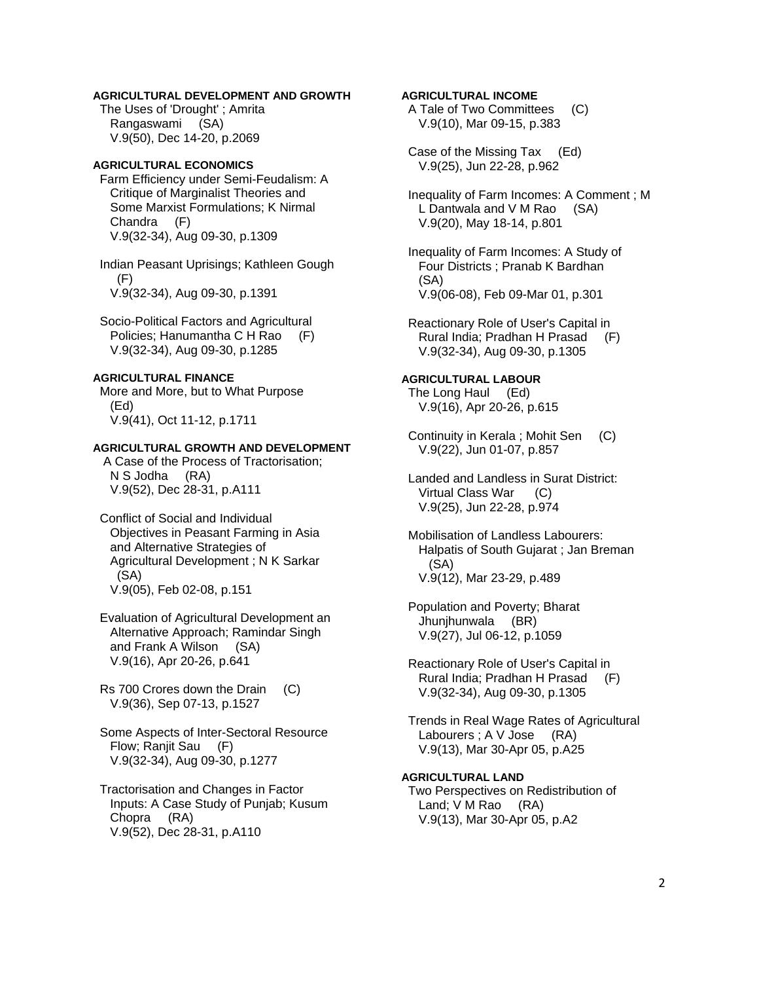### **AGRICULTURAL DEVELOPMENT AND GROWTH**

 The Uses of 'Drought' ; Amrita Rangaswami (SA) V.9(50), Dec 14-20, p.2069

### **AGRICULTURAL ECONOMICS**

 Farm Efficiency under Semi-Feudalism: A Critique of Marginalist Theories and Some Marxist Formulations; K Nirmal Chandra (F) V.9(32-34), Aug 09-30, p.1309

 Indian Peasant Uprisings; Kathleen Gough (F) V.9(32-34), Aug 09-30, p.1391

 Socio-Political Factors and Agricultural Policies; Hanumantha C H Rao (F) V.9(32-34), Aug 09-30, p.1285

# **AGRICULTURAL FINANCE**

 More and More, but to What Purpose (Ed) V.9(41), Oct 11-12, p.1711

#### **AGRICULTURAL GROWTH AND DEVELOPMENT**

 A Case of the Process of Tractorisation; N S Jodha (RA) V.9(52), Dec 28-31, p.A111

- Conflict of Social and Individual Objectives in Peasant Farming in Asia and Alternative Strategies of Agricultural Development ; N K Sarkar (SA) V.9(05), Feb 02-08, p.151
- Evaluation of Agricultural Development an Alternative Approach; Ramindar Singh and Frank A Wilson (SA) V.9(16), Apr 20-26, p.641
- Rs 700 Crores down the Drain (C) V.9(36), Sep 07-13, p.1527
- Some Aspects of Inter-Sectoral Resource Flow; Ranjit Sau (F) V.9(32-34), Aug 09-30, p.1277
- Tractorisation and Changes in Factor Inputs: A Case Study of Punjab; Kusum Chopra (RA) V.9(52), Dec 28-31, p.A110

### **AGRICULTURAL INCOME**

 A Tale of Two Committees (C) V.9(10), Mar 09-15, p.383

 Case of the Missing Tax (Ed) V.9(25), Jun 22-28, p.962

 Inequality of Farm Incomes: A Comment ; M L Dantwala and V M Rao (SA) V.9(20), May 18-14, p.801

 Inequality of Farm Incomes: A Study of Four Districts ; Pranab K Bardhan (SA) V.9(06-08), Feb 09-Mar 01, p.301

 Reactionary Role of User's Capital in Rural India; Pradhan H Prasad (F) V.9(32-34), Aug 09-30, p.1305

#### **AGRICULTURAL LABOUR**

 The Long Haul (Ed) V.9(16), Apr 20-26, p.615

 Continuity in Kerala ; Mohit Sen (C) V.9(22), Jun 01-07, p.857

 Landed and Landless in Surat District: Virtual Class War (C) V.9(25), Jun 22-28, p.974

 Mobilisation of Landless Labourers: Halpatis of South Gujarat ; Jan Breman (SA) V.9(12), Mar 23-29, p.489

 Population and Poverty; Bharat Jhunjhunwala (BR) V.9(27), Jul 06-12, p.1059

 Reactionary Role of User's Capital in Rural India; Pradhan H Prasad (F) V.9(32-34), Aug 09-30, p.1305

 Trends in Real Wage Rates of Agricultural Labourers ; A V Jose (RA) V.9(13), Mar 30-Apr 05, p.A25

### **AGRICULTURAL LAND**

 Two Perspectives on Redistribution of Land; V M Rao (RA) V.9(13), Mar 30-Apr 05, p.A2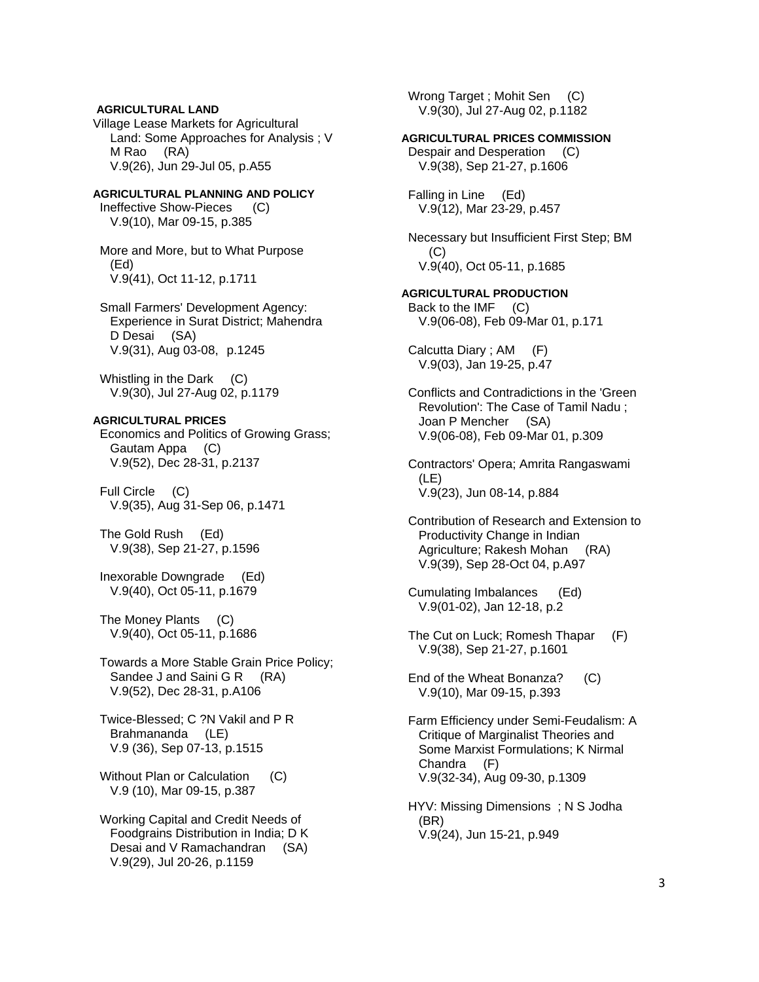## **AGRICULTURAL LAND**

Village Lease Markets for Agricultural Land: Some Approaches for Analysis ; V M Rao (RA) V.9(26), Jun 29-Jul 05, p.A55

# **AGRICULTURAL PLANNING AND POLICY**

 Ineffective Show-Pieces (C) V.9(10), Mar 09-15, p.385

 More and More, but to What Purpose (Ed) V.9(41), Oct 11-12, p.1711

 Small Farmers' Development Agency: Experience in Surat District; Mahendra D Desai (SA) V.9(31), Aug 03-08, p.1245

 Whistling in the Dark (C) V.9(30), Jul 27-Aug 02, p.1179

### **AGRICULTURAL PRICES**

 Economics and Politics of Growing Grass; Gautam Appa (C) V.9(52), Dec 28-31, p.2137

 Full Circle (C) V.9(35), Aug 31-Sep 06, p.1471

 The Gold Rush (Ed) V.9(38), Sep 21-27, p.1596

 Inexorable Downgrade (Ed) V.9(40), Oct 05-11, p.1679

 The Money Plants (C) V.9(40), Oct 05-11, p.1686

 Towards a More Stable Grain Price Policy; Sandee J and Saini G R (RA) V.9(52), Dec 28-31, p.A106

 Twice-Blessed; C ?N Vakil and P R Brahmananda (LE) V.9 (36), Sep 07-13, p.1515

Without Plan or Calculation (C) V.9 (10), Mar 09-15, p.387

 Working Capital and Credit Needs of Foodgrains Distribution in India; D K Desai and V Ramachandran (SA) V.9(29), Jul 20-26, p.1159

Wrong Target ; Mohit Sen (C) V.9(30), Jul 27-Aug 02, p.1182

# **AGRICULTURAL PRICES COMMISSION**

 Despair and Desperation (C) V.9(38), Sep 21-27, p.1606

 Falling in Line (Ed) V.9(12), Mar 23-29, p.457

 Necessary but Insufficient First Step; BM (C) V.9(40), Oct 05-11, p.1685

**AGRICULTURAL PRODUCTION**  Back to the IMF (C) V.9(06-08), Feb 09-Mar 01, p.171

 Calcutta Diary ; AM (F) V.9(03), Jan 19-25, p.47

 Conflicts and Contradictions in the 'Green Revolution': The Case of Tamil Nadu ; Joan P Mencher (SA) V.9(06-08), Feb 09-Mar 01, p.309

 Contractors' Opera; Amrita Rangaswami (LE) V.9(23), Jun 08-14, p.884

 Contribution of Research and Extension to Productivity Change in Indian Agriculture; Rakesh Mohan (RA) V.9(39), Sep 28-Oct 04, p.A97

 Cumulating Imbalances (Ed) V.9(01-02), Jan 12-18, p.2

 The Cut on Luck; Romesh Thapar (F) V.9(38), Sep 21-27, p.1601

 End of the Wheat Bonanza? (C) V.9(10), Mar 09-15, p.393

 Farm Efficiency under Semi-Feudalism: A Critique of Marginalist Theories and Some Marxist Formulations; K Nirmal Chandra (F) V.9(32-34), Aug 09-30, p.1309

 HYV: Missing Dimensions ; N S Jodha (BR) V.9(24), Jun 15-21, p.949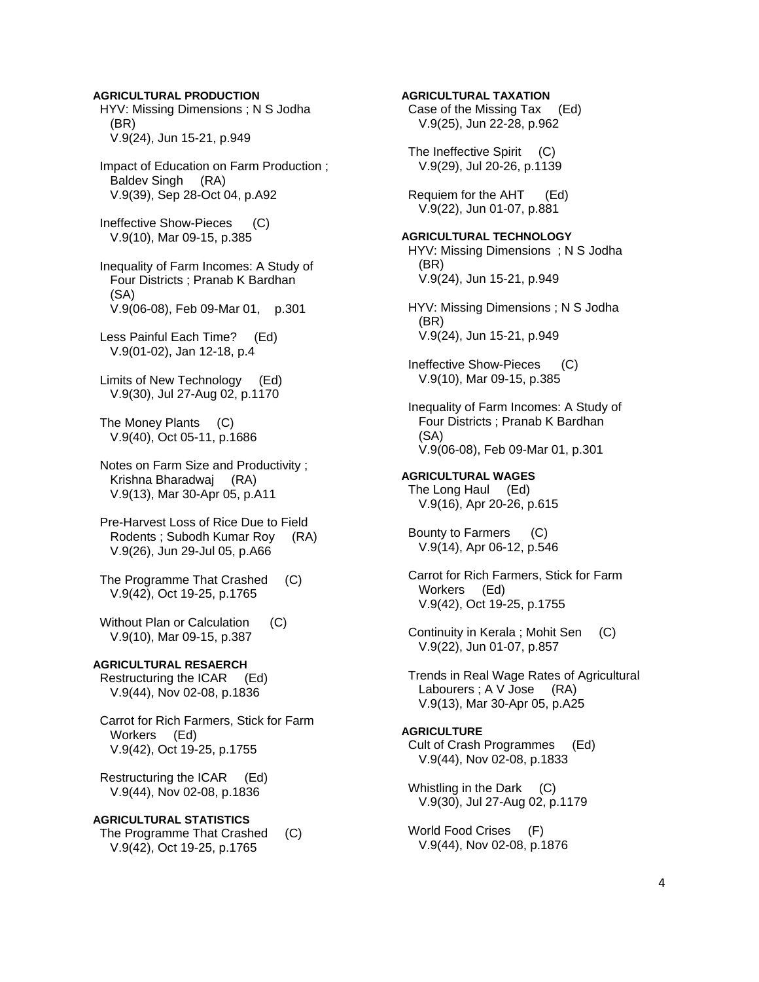#### **AGRICULTURAL PRODUCTION**

 HYV: Missing Dimensions ; N S Jodha (BR) V.9(24), Jun 15-21, p.949

 Impact of Education on Farm Production ; Baldev Singh (RA) V.9(39), Sep 28-Oct 04, p.A92

 Ineffective Show-Pieces (C) V.9(10), Mar 09-15, p.385

 Inequality of Farm Incomes: A Study of Four Districts ; Pranab K Bardhan (SA) V.9(06-08), Feb 09-Mar 01, p.301

 Less Painful Each Time? (Ed) V.9(01-02), Jan 12-18, p.4

 Limits of New Technology (Ed) V.9(30), Jul 27-Aug 02, p.1170

 The Money Plants (C) V.9(40), Oct 05-11, p.1686

 Notes on Farm Size and Productivity ; Krishna Bharadwaj (RA) V.9(13), Mar 30-Apr 05, p.A11

 Pre-Harvest Loss of Rice Due to Field Rodents ; Subodh Kumar Roy (RA) V.9(26), Jun 29-Jul 05, p.A66

 The Programme That Crashed (C) V.9(42), Oct 19-25, p.1765

Without Plan or Calculation (C) V.9(10), Mar 09-15, p.387

# **AGRICULTURAL RESAERCH**  Restructuring the ICAR (Ed)

V.9(44), Nov 02-08, p.1836

 Carrot for Rich Farmers, Stick for Farm Workers (Ed) V.9(42), Oct 19-25, p.1755

 Restructuring the ICAR (Ed) V.9(44), Nov 02-08, p.1836

**AGRICULTURAL STATISTICS**  The Programme That Crashed (C) V.9(42), Oct 19-25, p.1765

**AGRICULTURAL TAXATION**  Case of the Missing Tax (Ed) V.9(25), Jun 22-28, p.962 The Ineffective Spirit (C) V.9(29), Jul 20-26, p.1139 Requiem for the AHT (Ed) V.9(22), Jun 01-07, p.881 **AGRICULTURAL TECHNOLOGY**  HYV: Missing Dimensions ; N S Jodha (BR) V.9(24), Jun 15-21, p.949 HYV: Missing Dimensions ; N S Jodha (BR) V.9(24), Jun 15-21, p.949 Ineffective Show-Pieces (C) V.9(10), Mar 09-15, p.385 Inequality of Farm Incomes: A Study of Four Districts ; Pranab K Bardhan (SA) V.9(06-08), Feb 09-Mar 01, p.301 **AGRICULTURAL WAGES**  The Long Haul (Ed) V.9(16), Apr 20-26, p.615 Bounty to Farmers (C) V.9(14), Apr 06-12, p.546 Carrot for Rich Farmers, Stick for Farm Workers (Ed) V.9(42), Oct 19-25, p.1755 Continuity in Kerala ; Mohit Sen (C) V.9(22), Jun 01-07, p.857 Trends in Real Wage Rates of Agricultural Labourers ; A V Jose (RA) V.9(13), Mar 30-Apr 05, p.A25 **AGRICULTURE**  Cult of Crash Programmes (Ed) V.9(44), Nov 02-08, p.1833 Whistling in the Dark (C) V.9(30), Jul 27-Aug 02, p.1179 World Food Crises (F)

V.9(44), Nov 02-08, p.1876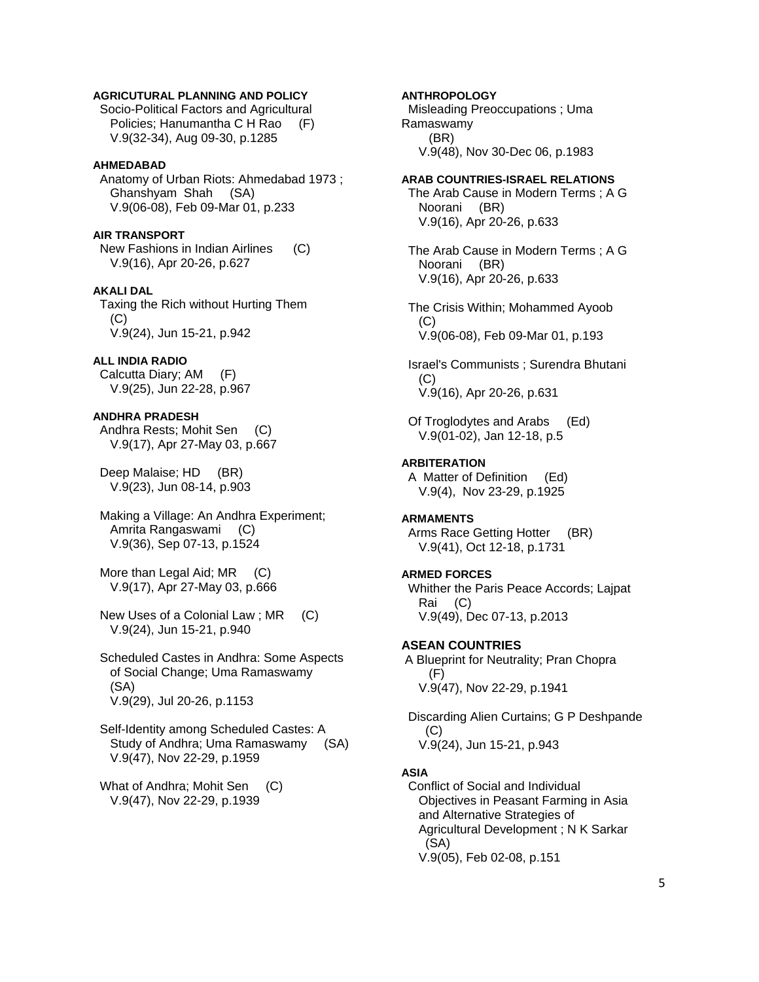### **AGRICUTURAL PLANNING AND POLICY**

 Socio-Political Factors and Agricultural Policies; Hanumantha C H Rao (F) V.9(32-34), Aug 09-30, p.1285

#### **AHMEDABAD**

 Anatomy of Urban Riots: Ahmedabad 1973 ; Ghanshyam Shah (SA) V.9(06-08), Feb 09-Mar 01, p.233

**AIR TRANSPORT** 

 New Fashions in Indian Airlines (C) V.9(16), Apr 20-26, p.627

#### **AKALI DAL**

 Taxing the Rich without Hurting Them (C) V.9(24), Jun 15-21, p.942

### **ALL INDIA RADIO**

 Calcutta Diary; AM (F) V.9(25), Jun 22-28, p.967

# **ANDHRA PRADESH**

 Andhra Rests; Mohit Sen (C) V.9(17), Apr 27-May 03, p.667

 Deep Malaise; HD (BR) V.9(23), Jun 08-14, p.903

 Making a Village: An Andhra Experiment; Amrita Rangaswami (C) V.9(36), Sep 07-13, p.1524

More than Legal Aid; MR (C) V.9(17), Apr 27-May 03, p.666

 New Uses of a Colonial Law ; MR (C) V.9(24), Jun 15-21, p.940

 Scheduled Castes in Andhra: Some Aspects of Social Change; Uma Ramaswamy (SA) V.9(29), Jul 20-26, p.1153

 Self-Identity among Scheduled Castes: A Study of Andhra; Uma Ramaswamy (SA) V.9(47), Nov 22-29, p.1959

What of Andhra: Mohit Sen (C) V.9(47), Nov 22-29, p.1939

### **ANTHROPOLOGY**

 Misleading Preoccupations ; Uma Ramaswamy (BR) V.9(48), Nov 30-Dec 06, p.1983

#### **ARAB COUNTRIES-ISRAEL RELATIONS**

 The Arab Cause in Modern Terms ; A G Noorani (BR) V.9(16), Apr 20-26, p.633

 The Arab Cause in Modern Terms ; A G Noorani (BR) V.9(16), Apr 20-26, p.633

 The Crisis Within; Mohammed Ayoob (C) V.9(06-08), Feb 09-Mar 01, p.193

 Israel's Communists ; Surendra Bhutani (C) V.9(16), Apr 20-26, p.631

 Of Troglodytes and Arabs (Ed) V.9(01-02), Jan 12-18, p.5

### **ARBITERATION**

 A Matter of Definition (Ed) V.9(4), Nov 23-29, p.1925

### **ARMAMENTS**

 Arms Race Getting Hotter (BR) V.9(41), Oct 12-18, p.1731

### **ARMED FORCES**

 Whither the Paris Peace Accords; Lajpat Rai (C) V.9(49), Dec 07-13, p.2013

### **ASEAN COUNTRIES**

 A Blueprint for Neutrality; Pran Chopra (F) V.9(47), Nov 22-29, p.1941

 Discarding Alien Curtains; G P Deshpande (C) V.9(24), Jun 15-21, p.943

#### **ASIA**

 Conflict of Social and Individual Objectives in Peasant Farming in Asia and Alternative Strategies of Agricultural Development ; N K Sarkar (SA) V.9(05), Feb 02-08, p.151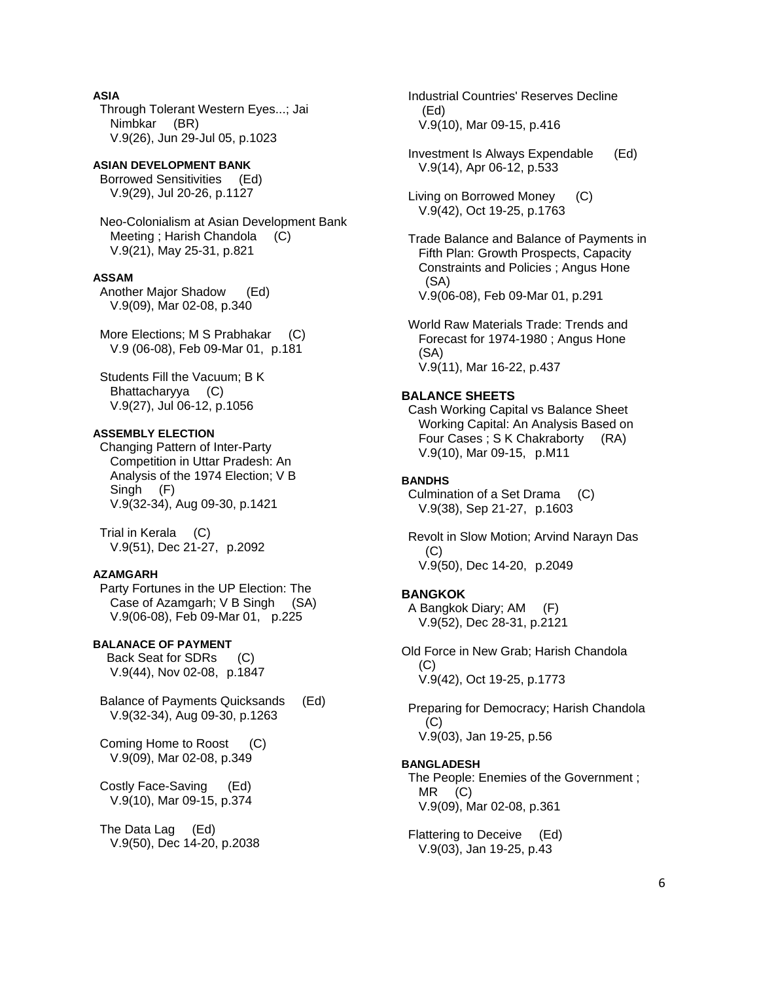# **ASIA**

 Through Tolerant Western Eyes...; Jai Nimbkar (BR) V.9(26), Jun 29-Jul 05, p.1023

# **ASIAN DEVELOPMENT BANK**

 Borrowed Sensitivities (Ed) V.9(29), Jul 20-26, p.1127

 Neo-Colonialism at Asian Development Bank Meeting ; Harish Chandola (C) V.9(21), May 25-31, p.821

#### **ASSAM**

 Another Major Shadow (Ed) V.9(09), Mar 02-08, p.340

More Elections; M S Prabhakar (C) V.9 (06-08), Feb 09-Mar 01, p.181

 Students Fill the Vacuum; B K Bhattacharyya (C) V.9(27), Jul 06-12, p.1056

### **ASSEMBLY ELECTION**

 Changing Pattern of Inter-Party Competition in Uttar Pradesh: An Analysis of the 1974 Election; V B Singh (F) V.9(32-34), Aug 09-30, p.1421

 Trial in Kerala (C) V.9(51), Dec 21-27, p.2092

### **AZAMGARH**

 Party Fortunes in the UP Election: The Case of Azamgarh; V B Singh (SA) V.9(06-08), Feb 09-Mar 01, p.225

### **BALANACE OF PAYMENT**

 Back Seat for SDRs (C) V.9(44), Nov 02-08, p.1847

 Balance of Payments Quicksands (Ed) V.9(32-34), Aug 09-30, p.1263

 Coming Home to Roost (C) V.9(09), Mar 02-08, p.349

 Costly Face-Saving (Ed) V.9(10), Mar 09-15, p.374

 The Data Lag (Ed) V.9(50), Dec 14-20, p.2038  Industrial Countries' Reserves Decline (Ed) V.9(10), Mar 09-15, p.416

 Investment Is Always Expendable (Ed) V.9(14), Apr 06-12, p.533

 Living on Borrowed Money (C) V.9(42), Oct 19-25, p.1763

 Trade Balance and Balance of Payments in Fifth Plan: Growth Prospects, Capacity Constraints and Policies ; Angus Hone (SA) V.9(06-08), Feb 09-Mar 01, p.291

 World Raw Materials Trade: Trends and Forecast for 1974-1980 ; Angus Hone (SA) V.9(11), Mar 16-22, p.437

### **BALANCE SHEETS**

 Cash Working Capital vs Balance Sheet Working Capital: An Analysis Based on Four Cases ; S K Chakraborty (RA) V.9(10), Mar 09-15, p.M11

#### **BANDHS**

 Culmination of a Set Drama (C) V.9(38), Sep 21-27, p.1603

 Revolt in Slow Motion; Arvind Narayn Das  $(C)$ V.9(50), Dec 14-20, p.2049

#### **BANGKOK**

 A Bangkok Diary; AM (F) V.9(52), Dec 28-31, p.2121

Old Force in New Grab; Harish Chandola  $(C)$ V.9(42), Oct 19-25, p.1773

 Preparing for Democracy; Harish Chandola  $(C)$ V.9(03), Jan 19-25, p.56

#### **BANGLADESH**

 The People: Enemies of the Government ; MR (C) V.9(09), Mar 02-08, p.361

 Flattering to Deceive (Ed) V.9(03), Jan 19-25, p.43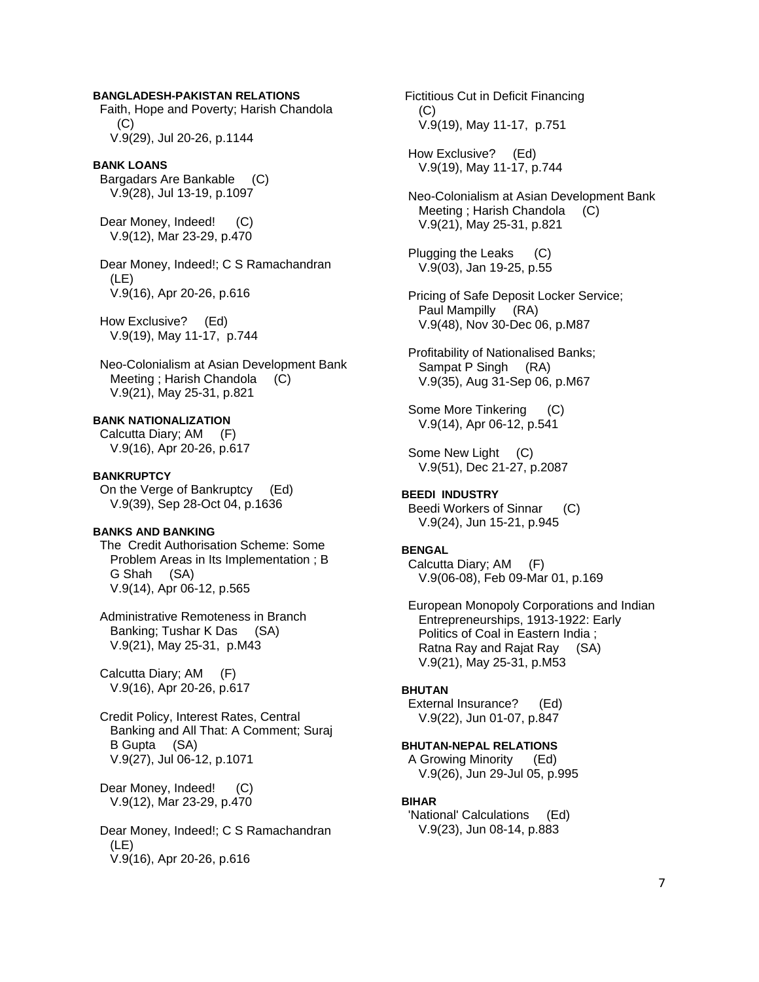### **BANGLADESH-PAKISTAN RELATIONS**

 Faith, Hope and Poverty; Harish Chandola  $(C)$ V.9(29), Jul 20-26, p.1144

#### **BANK LOANS**

 Bargadars Are Bankable (C) V.9(28), Jul 13-19, p.1097

Dear Money, Indeed! (C) V.9(12), Mar 23-29, p.470

 Dear Money, Indeed!; C S Ramachandran (LE) V.9(16), Apr 20-26, p.616

 How Exclusive? (Ed) V.9(19), May 11-17, p.744

 Neo-Colonialism at Asian Development Bank Meeting ; Harish Chandola (C) V.9(21), May 25-31, p.821

#### **BANK NATIONALIZATION**

 Calcutta Diary; AM (F) V.9(16), Apr 20-26, p.617

#### **BANKRUPTCY**

 On the Verge of Bankruptcy (Ed) V.9(39), Sep 28-Oct 04, p.1636

### **BANKS AND BANKING**

 The Credit Authorisation Scheme: Some Problem Areas in Its Implementation ; B G Shah (SA) V.9(14), Apr 06-12, p.565

 Administrative Remoteness in Branch Banking; Tushar K Das (SA) V.9(21), May 25-31, p.M43

 Calcutta Diary; AM (F) V.9(16), Apr 20-26, p.617

 Credit Policy, Interest Rates, Central Banking and All That: A Comment; Suraj B Gupta (SA) V.9(27), Jul 06-12, p.1071

Dear Money, Indeed! (C) V.9(12), Mar 23-29, p.470

 Dear Money, Indeed!; C S Ramachandran (LE) V.9(16), Apr 20-26, p.616

 Fictitious Cut in Deficit Financing (C) V.9(19), May 11-17, p.751

 How Exclusive? (Ed) V.9(19), May 11-17, p.744

 Neo-Colonialism at Asian Development Bank Meeting ; Harish Chandola (C) V.9(21), May 25-31, p.821

 Plugging the Leaks (C) V.9(03), Jan 19-25, p.55

 Pricing of Safe Deposit Locker Service; Paul Mampilly (RA) V.9(48), Nov 30-Dec 06, p.M87

 Profitability of Nationalised Banks; Sampat P Singh (RA) V.9(35), Aug 31-Sep 06, p.M67

 Some More Tinkering (C) V.9(14), Apr 06-12, p.541

 Some New Light (C) V.9(51), Dec 21-27, p.2087

#### **BEEDI INDUSTRY**  Beedi Workers of Sinnar (C) V.9(24), Jun 15-21, p.945

#### **BENGAL**

 Calcutta Diary; AM (F) V.9(06-08), Feb 09-Mar 01, p.169

 European Monopoly Corporations and Indian Entrepreneurships, 1913-1922: Early Politics of Coal in Eastern India ; Ratna Ray and Rajat Ray (SA) V.9(21), May 25-31, p.M53

#### **BHUTAN**

 External Insurance? (Ed) V.9(22), Jun 01-07, p.847

### **BHUTAN-NEPAL RELATIONS**

 A Growing Minority (Ed) V.9(26), Jun 29-Jul 05, p.995

#### **BIHAR**

 'National' Calculations (Ed) V.9(23), Jun 08-14, p.883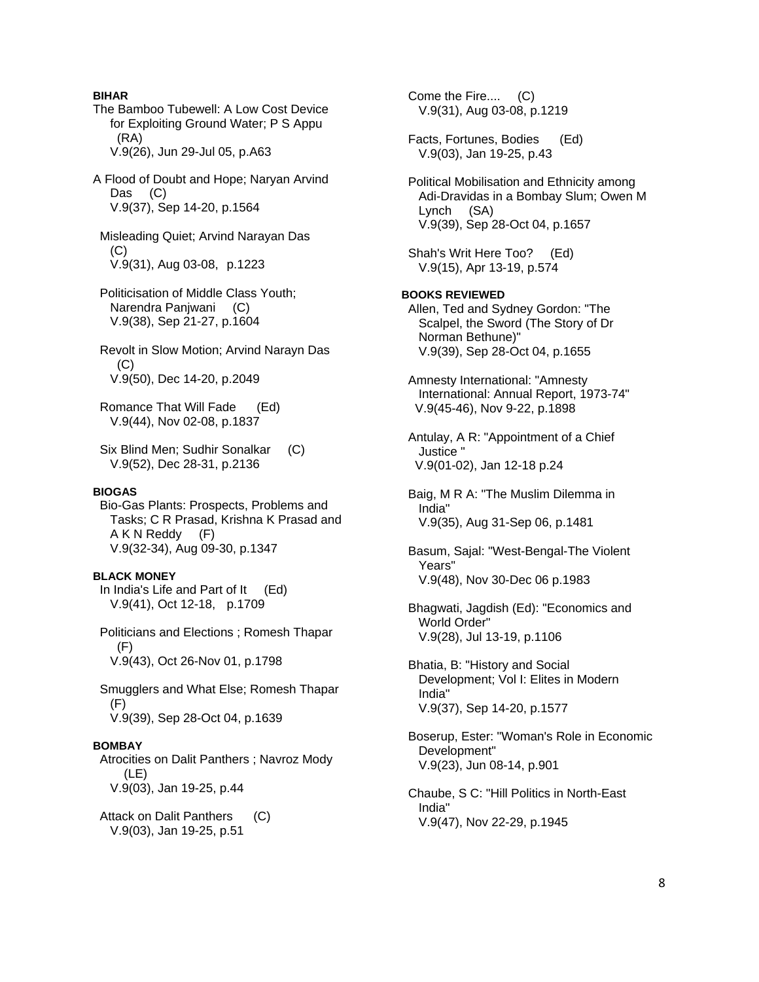**BIHAR**  The Bamboo Tubewell: A Low Cost Device for Exploiting Ground Water; P S Appu (RA) V.9(26), Jun 29-Jul 05, p.A63 A Flood of Doubt and Hope; Naryan Arvind Das (C) V.9(37), Sep 14-20, p.1564 Misleading Quiet; Arvind Narayan Das (C) V.9(31), Aug 03-08, p.1223 Politicisation of Middle Class Youth; Narendra Panjwani (C) V.9(38), Sep 21-27, p.1604 Revolt in Slow Motion; Arvind Narayn Das (C) V.9(50), Dec 14-20, p.2049 Romance That Will Fade (Ed) V.9(44), Nov 02-08, p.1837 Six Blind Men; Sudhir Sonalkar (C) V.9(52), Dec 28-31, p.2136 **BIOGAS**  Bio-Gas Plants: Prospects, Problems and Tasks; C R Prasad, Krishna K Prasad and A K N Reddy (F) V.9(32-34), Aug 09-30, p.1347 **BLACK MONEY**  In India's Life and Part of It (Ed) V.9(41), Oct 12-18, p.1709 Politicians and Elections ; Romesh Thapar (F) V.9(43), Oct 26-Nov 01, p.1798 Smugglers and What Else; Romesh Thapar (F) V.9(39), Sep 28-Oct 04, p.1639 **BOMBAY**  Atrocities on Dalit Panthers ; Navroz Mody (LE) V.9(03), Jan 19-25, p.44 Attack on Dalit Panthers (C) V.9(03), Jan 19-25, p.51

 Come the Fire.... (C) V.9(31), Aug 03-08, p.1219 Facts, Fortunes, Bodies (Ed) V.9(03), Jan 19-25, p.43 Political Mobilisation and Ethnicity among Adi-Dravidas in a Bombay Slum; Owen M Lynch (SA) V.9(39), Sep 28-Oct 04, p.1657 Shah's Writ Here Too? (Ed) V.9(15), Apr 13-19, p.574 **BOOKS REVIEWED**  Allen, Ted and Sydney Gordon: "The Scalpel, the Sword (The Story of Dr Norman Bethune)" V.9(39), Sep 28-Oct 04, p.1655 Amnesty International: "Amnesty International: Annual Report, 1973-74" V.9(45-46), Nov 9-22, p.1898 Antulay, A R: "Appointment of a Chief Justice " V.9(01-02), Jan 12-18 p.24 Baig, M R A: "The Muslim Dilemma in India" V.9(35), Aug 31-Sep 06, p.1481 Basum, Sajal: "West-Bengal-The Violent Years" V.9(48), Nov 30-Dec 06 p.1983 Bhagwati, Jagdish (Ed): "Economics and World Order" V.9(28), Jul 13-19, p.1106 Bhatia, B: "History and Social Development; Vol I: Elites in Modern India" V.9(37), Sep 14-20, p.1577 Boserup, Ester: "Woman's Role in Economic Development" V.9(23), Jun 08-14, p.901 Chaube, S C: "Hill Politics in North-East India" V.9(47), Nov 22-29, p.1945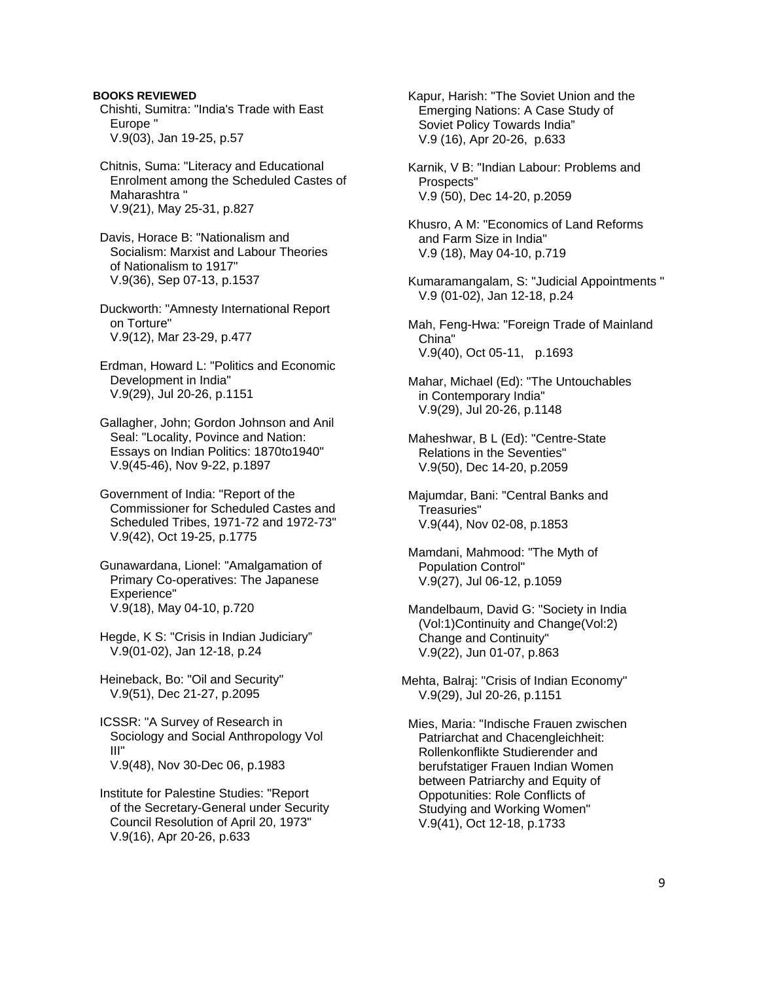**BOOKS REVIEWED**  Chishti, Sumitra: "India's Trade with East Europe " V.9(03), Jan 19-25, p.57

 Chitnis, Suma: "Literacy and Educational Enrolment among the Scheduled Castes of Maharashtra " V.9(21), May 25-31, p.827

 Davis, Horace B: "Nationalism and Socialism: Marxist and Labour Theories of Nationalism to 1917" V.9(36), Sep 07-13, p.1537

 Duckworth: "Amnesty International Report on Torture" V.9(12), Mar 23-29, p.477

 Erdman, Howard L: "Politics and Economic Development in India" V.9(29), Jul 20-26, p.1151

 Gallagher, John; Gordon Johnson and Anil Seal: "Locality, Povince and Nation: Essays on Indian Politics: 1870to1940" V.9(45-46), Nov 9-22, p.1897

 Government of India: "Report of the Commissioner for Scheduled Castes and Scheduled Tribes, 1971-72 and 1972-73" V.9(42), Oct 19-25, p.1775

 Gunawardana, Lionel: "Amalgamation of Primary Co-operatives: The Japanese Experience" V.9(18), May 04-10, p.720

 Hegde, K S: "Crisis in Indian Judiciary" V.9(01-02), Jan 12-18, p.24

 Heineback, Bo: "Oil and Security" V.9(51), Dec 21-27, p.2095

 ICSSR: "A Survey of Research in Sociology and Social Anthropology Vol III" V.9(48), Nov 30-Dec 06, p.1983

 Institute for Palestine Studies: "Report of the Secretary-General under Security Council Resolution of April 20, 1973" V.9(16), Apr 20-26, p.633

 Kapur, Harish: "The Soviet Union and the Emerging Nations: A Case Study of Soviet Policy Towards India" V.9 (16), Apr 20-26, p.633

 Karnik, V B: "Indian Labour: Problems and Prospects" V.9 (50), Dec 14-20, p.2059

 Khusro, A M: "Economics of Land Reforms and Farm Size in India" V.9 (18), May 04-10, p.719

 Kumaramangalam, S: "Judicial Appointments " V.9 (01-02), Jan 12-18, p.24

 Mah, Feng-Hwa: "Foreign Trade of Mainland China" V.9(40), Oct 05-11, p.1693

 Mahar, Michael (Ed): "The Untouchables in Contemporary India" V.9(29), Jul 20-26, p.1148

 Maheshwar, B L (Ed): "Centre-State Relations in the Seventies" V.9(50), Dec 14-20, p.2059

 Majumdar, Bani: "Central Banks and Treasuries" V.9(44), Nov 02-08, p.1853

 Mamdani, Mahmood: "The Myth of Population Control" V.9(27), Jul 06-12, p.1059

 Mandelbaum, David G: "Society in India (Vol:1)Continuity and Change(Vol:2) Change and Continuity" V.9(22), Jun 01-07, p.863

Mehta, Balraj: "Crisis of Indian Economy" V.9(29), Jul 20-26, p.1151

 Mies, Maria: "Indische Frauen zwischen Patriarchat and Chacengleichheit: Rollenkonflikte Studierender and berufstatiger Frauen Indian Women between Patriarchy and Equity of Oppotunities: Role Conflicts of Studying and Working Women" V.9(41), Oct 12-18, p.1733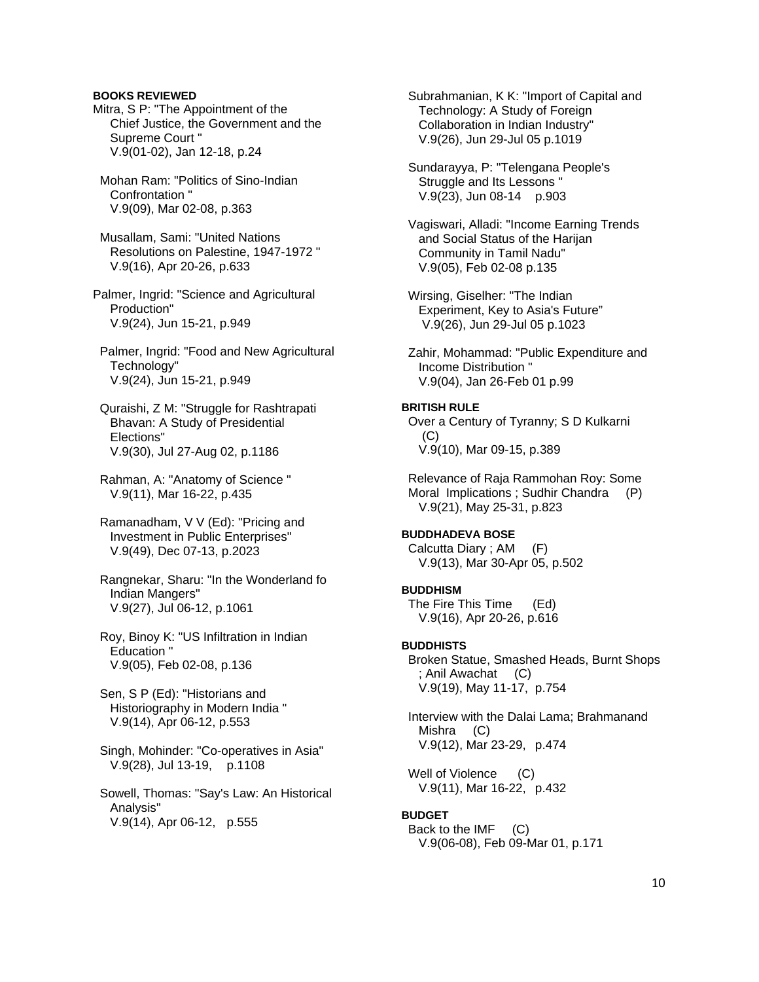### **BOOKS REVIEWED**

- Mitra, S P: "The Appointment of the Chief Justice, the Government and the Supreme Court " V.9(01-02), Jan 12-18, p.24
- Mohan Ram: "Politics of Sino-Indian Confrontation " V.9(09), Mar 02-08, p.363

 Musallam, Sami: "United Nations Resolutions on Palestine, 1947-1972 " V.9(16), Apr 20-26, p.633

- Palmer, Ingrid: "Science and Agricultural Production" V.9(24), Jun 15-21, p.949
- Palmer, Ingrid: "Food and New Agricultural Technology" V.9(24), Jun 15-21, p.949
- Quraishi, Z M: "Struggle for Rashtrapati Bhavan: A Study of Presidential Elections" V.9(30), Jul 27-Aug 02, p.1186
- Rahman, A: "Anatomy of Science " V.9(11), Mar 16-22, p.435
- Ramanadham, V V (Ed): "Pricing and Investment in Public Enterprises" V.9(49), Dec 07-13, p.2023
- Rangnekar, Sharu: "In the Wonderland fo Indian Mangers" V.9(27), Jul 06-12, p.1061
- Roy, Binoy K: "US Infiltration in Indian Education " V.9(05), Feb 02-08, p.136
- Sen, S P (Ed): "Historians and Historiography in Modern India " V.9(14), Apr 06-12, p.553
- Singh, Mohinder: "Co-operatives in Asia" V.9(28), Jul 13-19, p.1108
- Sowell, Thomas: "Say's Law: An Historical Analysis" V.9(14), Apr 06-12, p.555

 Subrahmanian, K K: "Import of Capital and Technology: A Study of Foreign Collaboration in Indian Industry" V.9(26), Jun 29-Jul 05 p.1019

 Sundarayya, P: "Telengana People's Struggle and Its Lessons " V.9(23), Jun 08-14 p.903

 Vagiswari, Alladi: "Income Earning Trends and Social Status of the Harijan Community in Tamil Nadu" V.9(05), Feb 02-08 p.135

 Wirsing, Giselher: "The Indian Experiment, Key to Asia's Future" V.9(26), Jun 29-Jul 05 p.1023

 Zahir, Mohammad: "Public Expenditure and Income Distribution " V.9(04), Jan 26-Feb 01 p.99

### **BRITISH RULE**

 Over a Century of Tyranny; S D Kulkarni (C) V.9(10), Mar 09-15, p.389

 Relevance of Raja Rammohan Roy: Some Moral Implications ; Sudhir Chandra (P) V.9(21), May 25-31, p.823

### **BUDDHADEVA BOSE**

 Calcutta Diary ; AM (F) V.9(13), Mar 30-Apr 05, p.502

#### **BUDDHISM**

 The Fire This Time (Ed) V.9(16), Apr 20-26, p.616

#### **BUDDHISTS**

 Broken Statue, Smashed Heads, Burnt Shops ; Anil Awachat (C) V.9(19), May 11-17, p.754

 Interview with the Dalai Lama; Brahmanand Mishra (C) V.9(12), Mar 23-29, p.474

Well of Violence (C) V.9(11), Mar 16-22, p.432

#### **BUDGET**

 Back to the IMF (C) V.9(06-08), Feb 09-Mar 01, p.171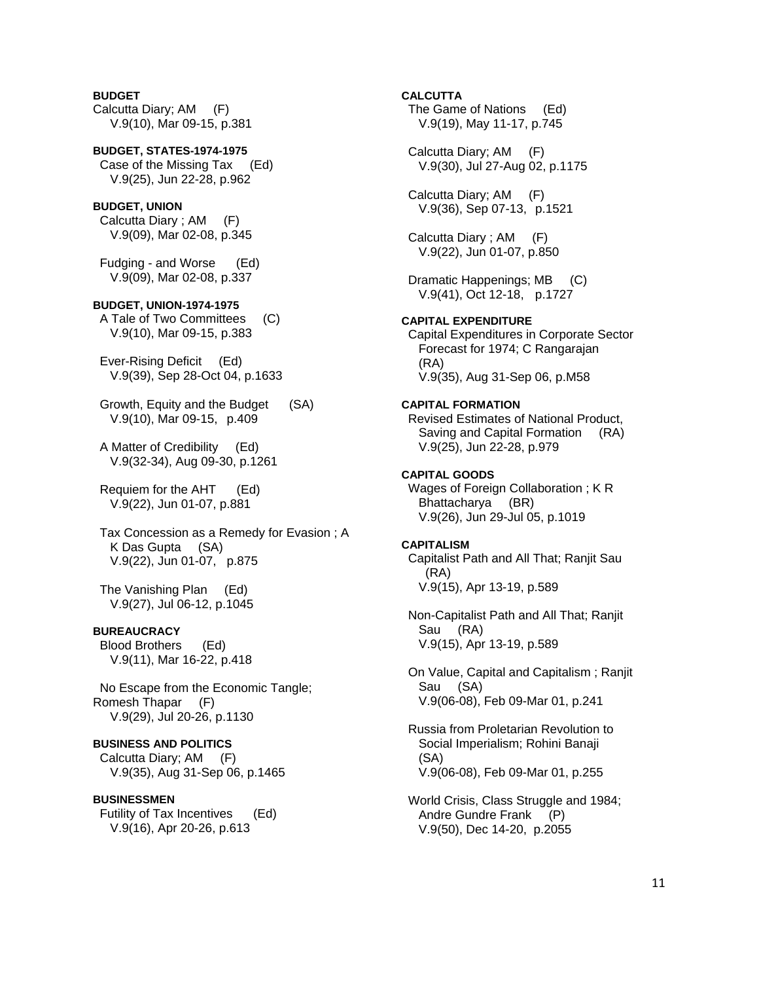**BUDGET**  Calcutta Diary; AM (F) V.9(10), Mar 09-15, p.381

**BUDGET, STATES-1974-1975**  Case of the Missing Tax (Ed) V.9(25), Jun 22-28, p.962

### **BUDGET, UNION**

 Calcutta Diary ; AM (F) V.9(09), Mar 02-08, p.345

 Fudging - and Worse (Ed) V.9(09), Mar 02-08, p.337

#### **BUDGET, UNION-1974-1975**

 A Tale of Two Committees (C) V.9(10), Mar 09-15, p.383

 Ever-Rising Deficit (Ed) V.9(39), Sep 28-Oct 04, p.1633

 Growth, Equity and the Budget (SA) V.9(10), Mar 09-15, p.409

 A Matter of Credibility (Ed) V.9(32-34), Aug 09-30, p.1261

 Requiem for the AHT (Ed) V.9(22), Jun 01-07, p.881

 Tax Concession as a Remedy for Evasion ; A K Das Gupta (SA) V.9(22), Jun 01-07, p.875

 The Vanishing Plan (Ed) V.9(27), Jul 06-12, p.1045

### **BUREAUCRACY**

 Blood Brothers (Ed) V.9(11), Mar 16-22, p.418

 No Escape from the Economic Tangle; Romesh Thapar (F) V.9(29), Jul 20-26, p.1130

#### **BUSINESS AND POLITICS**

 Calcutta Diary; AM (F) V.9(35), Aug 31-Sep 06, p.1465

### **BUSINESSMEN**

 Futility of Tax Incentives (Ed) V.9(16), Apr 20-26, p.613

**CALCUTTA**  The Game of Nations (Ed) V.9(19), May 11-17, p.745 Calcutta Diary; AM (F) V.9(30), Jul 27-Aug 02, p.1175 Calcutta Diary; AM (F) V.9(36), Sep 07-13, p.1521 Calcutta Diary ; AM (F) V.9(22), Jun 01-07, p.850 Dramatic Happenings; MB (C) V.9(41), Oct 12-18, p.1727 **CAPITAL EXPENDITURE**  Capital Expenditures in Corporate Sector Forecast for 1974; C Rangarajan (RA) V.9(35), Aug 31-Sep 06, p.M58 **CAPITAL FORMATION**  Revised Estimates of National Product, Saving and Capital Formation (RA) V.9(25), Jun 22-28, p.979 **CAPITAL GOODS**  Wages of Foreign Collaboration ; K R Bhattacharya (BR) V.9(26), Jun 29-Jul 05, p.1019 **CAPITALISM**  Capitalist Path and All That; Ranjit Sau (RA) V.9(15), Apr 13-19, p.589 Non-Capitalist Path and All That; Ranjit Sau (RA)

 On Value, Capital and Capitalism ; Ranjit Sau (SA) V.9(06-08), Feb 09-Mar 01, p.241

V.9(15), Apr 13-19, p.589

 Russia from Proletarian Revolution to Social Imperialism; Rohini Banaji (SA) V.9(06-08), Feb 09-Mar 01, p.255

 World Crisis, Class Struggle and 1984; Andre Gundre Frank (P) V.9(50), Dec 14-20, p.2055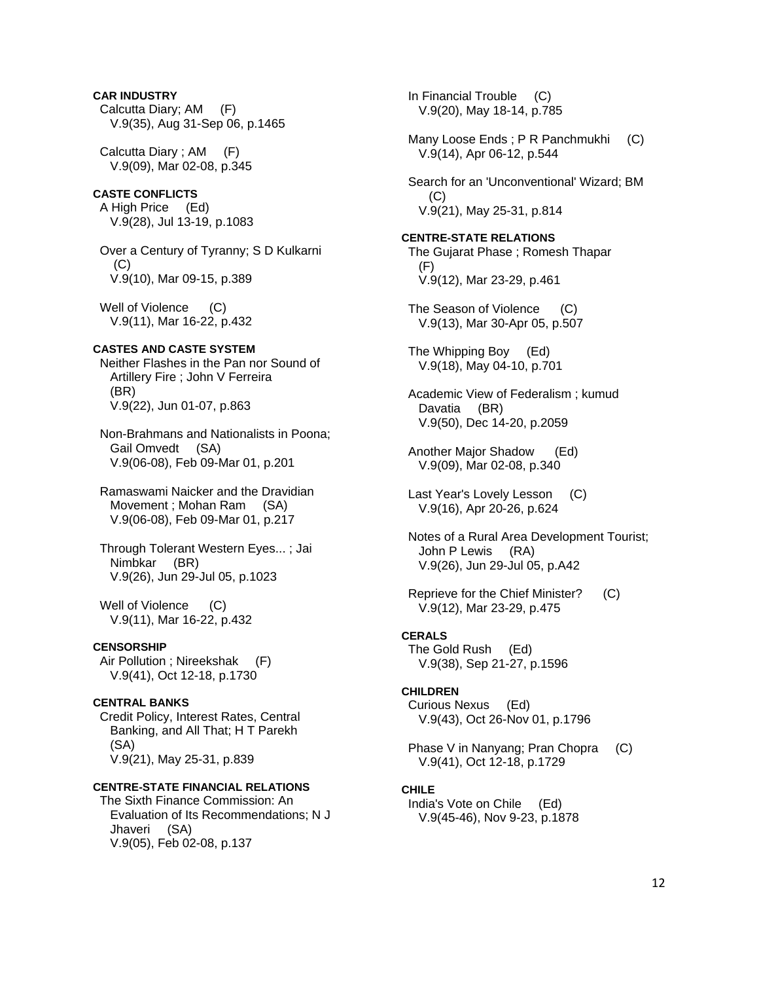# **CAR INDUSTRY**  Calcutta Diary; AM (F) V.9(35), Aug 31-Sep 06, p.1465 Calcutta Diary ; AM (F) V.9(09), Mar 02-08, p.345 **CASTE CONFLICTS**  A High Price (Ed) V.9(28), Jul 13-19, p.1083 Over a Century of Tyranny; S D Kulkarni (C) V.9(10), Mar 09-15, p.389 Well of Violence (C) V.9(11), Mar 16-22, p.432 **CASTES AND CASTE SYSTEM**  Neither Flashes in the Pan nor Sound of Artillery Fire ; John V Ferreira (BR) V.9(22), Jun 01-07, p.863 Non-Brahmans and Nationalists in Poona; Gail Omvedt (SA) V.9(06-08), Feb 09-Mar 01, p.201 Ramaswami Naicker and the Dravidian Movement ; Mohan Ram (SA) V.9(06-08), Feb 09-Mar 01, p.217 Through Tolerant Western Eyes... ; Jai Nimbkar (BR) V.9(26), Jun 29-Jul 05, p.1023 Well of Violence (C) V.9(11), Mar 16-22, p.432 **CENSORSHIP**  Air Pollution ; Nireekshak (F) V.9(41), Oct 12-18, p.1730 **CENTRAL BANKS**  Credit Policy, Interest Rates, Central Banking, and All That; H T Parekh (SA) V.9(21), May 25-31, p.839 **CENTRE-STATE FINANCIAL RELATIONS**  The Sixth Finance Commission: An

 Evaluation of Its Recommendations; N J Jhaveri (SA) V.9(05), Feb 02-08, p.137

 In Financial Trouble (C) V.9(20), May 18-14, p.785 Many Loose Ends ; P R Panchmukhi (C) V.9(14), Apr 06-12, p.544 Search for an 'Unconventional' Wizard; BM  $(C)$  V.9(21), May 25-31, p.814 **CENTRE-STATE RELATIONS**  The Gujarat Phase ; Romesh Thapar (F) V.9(12), Mar 23-29, p.461 The Season of Violence (C) V.9(13), Mar 30-Apr 05, p.507 The Whipping Boy (Ed) V.9(18), May 04-10, p.701 Academic View of Federalism ; kumud Davatia (BR) V.9(50), Dec 14-20, p.2059 Another Major Shadow (Ed) V.9(09), Mar 02-08, p.340 Last Year's Lovely Lesson (C) V.9(16), Apr 20-26, p.624 Notes of a Rural Area Development Tourist; John P Lewis (RA) V.9(26), Jun 29-Jul 05, p.A42 Reprieve for the Chief Minister? (C) V.9(12), Mar 23-29, p.475 **CERALS**  The Gold Rush (Ed) V.9(38), Sep 21-27, p.1596 **CHILDREN**  Curious Nexus (Ed) V.9(43), Oct 26-Nov 01, p.1796 Phase V in Nanyang; Pran Chopra (C) V.9(41), Oct 12-18, p.1729 **CHILE**  India's Vote on Chile (Ed) V.9(45-46), Nov 9-23, p.1878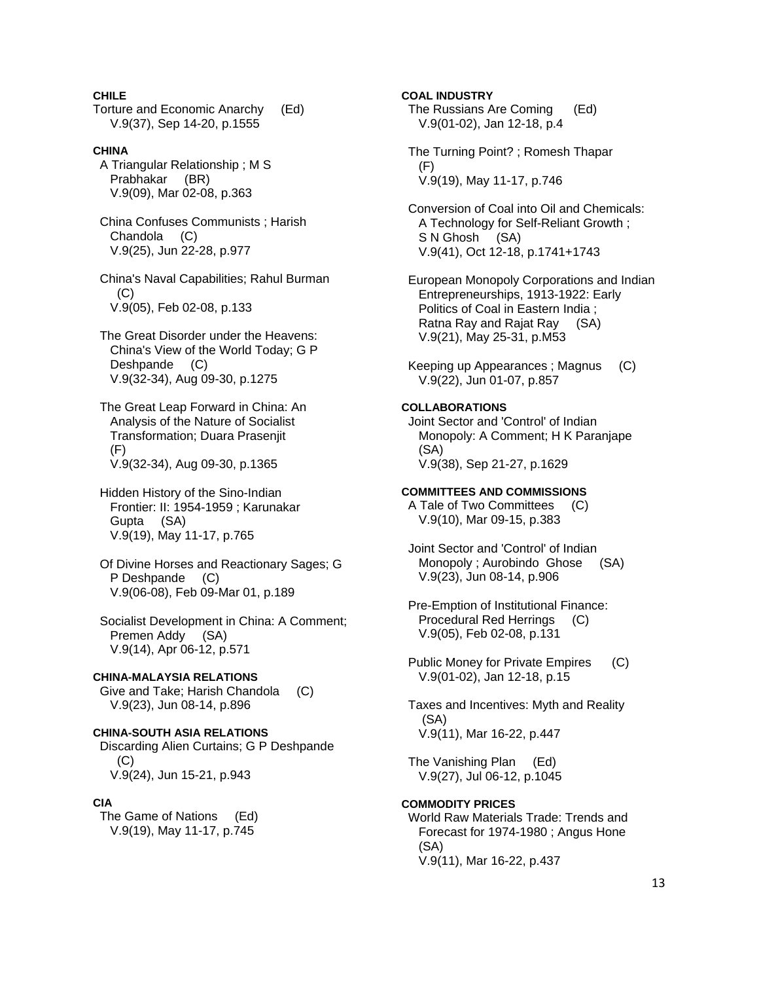**CHILE** 

Torture and Economic Anarchy (Ed) V.9(37), Sep 14-20, p.1555

**CHINA**  A Triangular Relationship ; M S Prabhakar (BR) V.9(09), Mar 02-08, p.363

 China Confuses Communists ; Harish Chandola (C) V.9(25), Jun 22-28, p.977

 China's Naval Capabilities; Rahul Burman (C) V.9(05), Feb 02-08, p.133

 The Great Disorder under the Heavens: China's View of the World Today; G P Deshpande (C) V.9(32-34), Aug 09-30, p.1275

 The Great Leap Forward in China: An Analysis of the Nature of Socialist Transformation; Duara Prasenjit (F) V.9(32-34), Aug 09-30, p.1365

 Hidden History of the Sino-Indian Frontier: II: 1954-1959 ; Karunakar Gupta (SA) V.9(19), May 11-17, p.765

 Of Divine Horses and Reactionary Sages; G P Deshpande (C) V.9(06-08), Feb 09-Mar 01, p.189

 Socialist Development in China: A Comment; Premen Addy (SA) V.9(14), Apr 06-12, p.571

**CHINA-MALAYSIA RELATIONS**  Give and Take; Harish Chandola (C) V.9(23), Jun 08-14, p.896

**CHINA-SOUTH ASIA RELATIONS**  Discarding Alien Curtains; G P Deshpande (C) V.9(24), Jun 15-21, p.943

### **CIA**

 The Game of Nations (Ed) V.9(19), May 11-17, p.745

**COAL INDUSTRY**  The Russians Are Coming (Ed) V.9(01-02), Jan 12-18, p.4

 The Turning Point? ; Romesh Thapar (F) V.9(19), May 11-17, p.746

 Conversion of Coal into Oil and Chemicals: A Technology for Self-Reliant Growth ; S N Ghosh (SA) V.9(41), Oct 12-18, p.1741+1743

 European Monopoly Corporations and Indian Entrepreneurships, 1913-1922: Early Politics of Coal in Eastern India ; Ratna Ray and Rajat Ray (SA) V.9(21), May 25-31, p.M53

 Keeping up Appearances ; Magnus (C) V.9(22), Jun 01-07, p.857

### **COLLABORATIONS**

 Joint Sector and 'Control' of Indian Monopoly: A Comment; H K Paranjape (SA) V.9(38), Sep 21-27, p.1629

#### **COMMITTEES AND COMMISSIONS**

 A Tale of Two Committees (C) V.9(10), Mar 09-15, p.383

 Joint Sector and 'Control' of Indian Monopoly ; Aurobindo Ghose (SA) V.9(23), Jun 08-14, p.906

 Pre-Emption of Institutional Finance: Procedural Red Herrings (C) V.9(05), Feb 02-08, p.131

 Public Money for Private Empires (C) V.9(01-02), Jan 12-18, p.15

 Taxes and Incentives: Myth and Reality (SA) V.9(11), Mar 16-22, p.447

 The Vanishing Plan (Ed) V.9(27), Jul 06-12, p.1045

### **COMMODITY PRICES**

 World Raw Materials Trade: Trends and Forecast for 1974-1980 ; Angus Hone (SA) V.9(11), Mar 16-22, p.437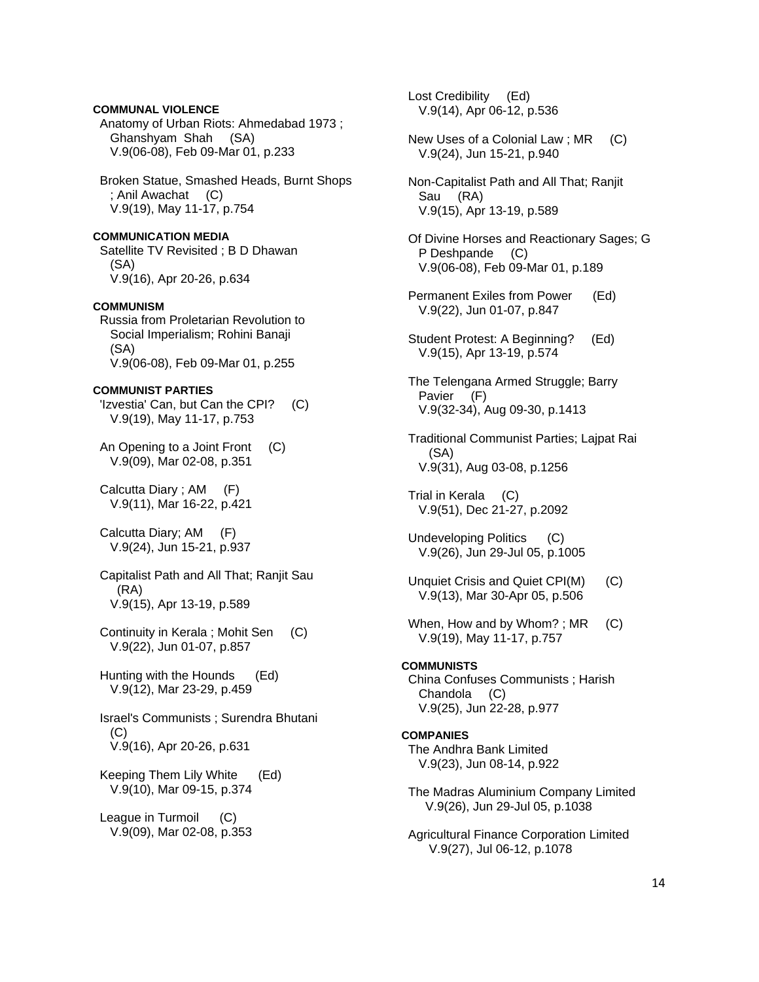# **COMMUNAL VIOLENCE**

 Anatomy of Urban Riots: Ahmedabad 1973 ; Ghanshyam Shah (SA) V.9(06-08), Feb 09-Mar 01, p.233

 Broken Statue, Smashed Heads, Burnt Shops ; Anil Awachat (C) V.9(19), May 11-17, p.754

**COMMUNICATION MEDIA**  Satellite TV Revisited ; B D Dhawan (SA) V.9(16), Apr 20-26, p.634

### **COMMUNISM**

 Russia from Proletarian Revolution to Social Imperialism; Rohini Banaji (SA) V.9(06-08), Feb 09-Mar 01, p.255

### **COMMUNIST PARTIES**

 'Izvestia' Can, but Can the CPI? (C) V.9(19), May 11-17, p.753

 An Opening to a Joint Front (C) V.9(09), Mar 02-08, p.351

 Calcutta Diary ; AM (F) V.9(11), Mar 16-22, p.421

 Calcutta Diary; AM (F) V.9(24), Jun 15-21, p.937

 Capitalist Path and All That; Ranjit Sau (RA) V.9(15), Apr 13-19, p.589

 Continuity in Kerala ; Mohit Sen (C) V.9(22), Jun 01-07, p.857

 Hunting with the Hounds (Ed) V.9(12), Mar 23-29, p.459

 Israel's Communists ; Surendra Bhutani (C) V.9(16), Apr 20-26, p.631

 Keeping Them Lily White (Ed) V.9(10), Mar 09-15, p.374

 League in Turmoil (C) V.9(09), Mar 02-08, p.353  Lost Credibility (Ed) V.9(14), Apr 06-12, p.536

- New Uses of a Colonial Law ; MR (C) V.9(24), Jun 15-21, p.940
- Non-Capitalist Path and All That; Ranjit Sau (RA) V.9(15), Apr 13-19, p.589
- Of Divine Horses and Reactionary Sages; G P Deshpande (C) V.9(06-08), Feb 09-Mar 01, p.189
- Permanent Exiles from Power (Ed) V.9(22), Jun 01-07, p.847
- Student Protest: A Beginning? (Ed) V.9(15), Apr 13-19, p.574
- The Telengana Armed Struggle; Barry Pavier (F) V.9(32-34), Aug 09-30, p.1413
- Traditional Communist Parties; Lajpat Rai (SA) V.9(31), Aug 03-08, p.1256
- Trial in Kerala (C) V.9(51), Dec 21-27, p.2092
- Undeveloping Politics (C) V.9(26), Jun 29-Jul 05, p.1005
- Unquiet Crisis and Quiet CPI(M) (C) V.9(13), Mar 30-Apr 05, p.506
- When, How and by Whom?; MR (C) V.9(19), May 11-17, p.757
- **COMMUNISTS**  China Confuses Communists ; Harish Chandola (C) V.9(25), Jun 22-28, p.977

### **COMPANIES**  The Andhra Bank Limited V.9(23), Jun 08-14, p.922

- The Madras Aluminium Company Limited V.9(26), Jun 29-Jul 05, p.1038
- Agricultural Finance Corporation Limited V.9(27), Jul 06-12, p.1078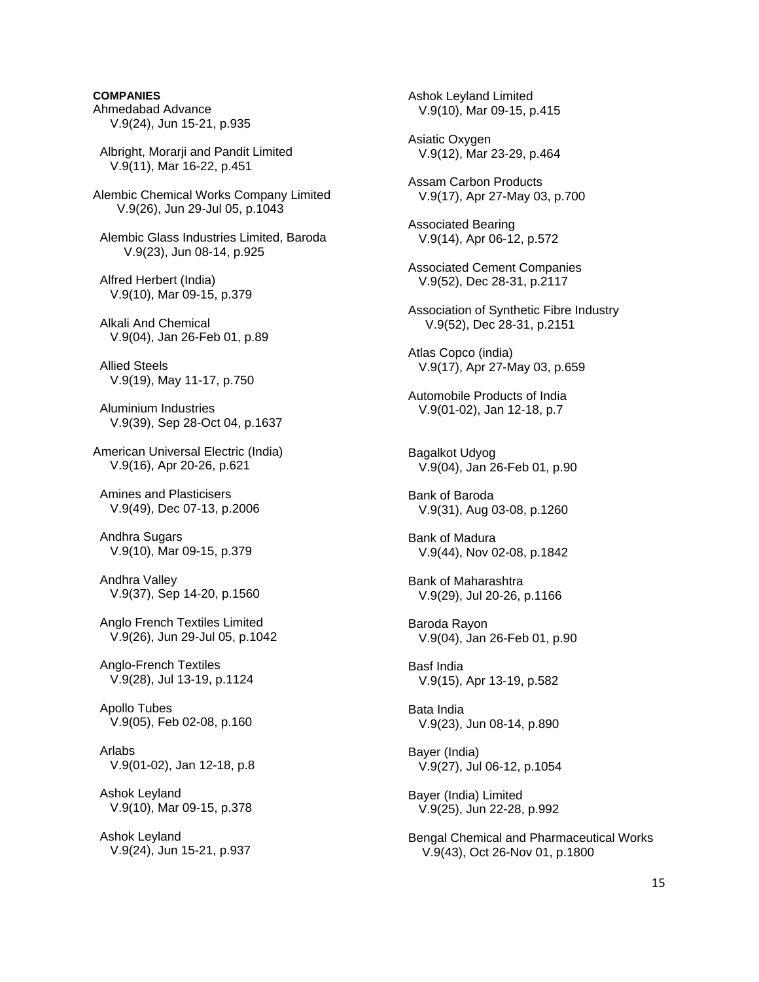### **COMPANIES**

Ahmedabad Advance V.9(24), Jun 15-21, p.935

 Albright, Morarji and Pandit Limited V.9(11), Mar 16-22, p.451

Alembic Chemical Works Company Limited V.9(26), Jun 29-Jul 05, p.1043

 Alembic Glass Industries Limited, Baroda V.9(23), Jun 08-14, p.925

 Alfred Herbert (India) V.9(10), Mar 09-15, p.379

 Alkali And Chemical V.9(04), Jan 26-Feb 01, p.89

 Allied Steels V.9(19), May 11-17, p.750

 Aluminium Industries V.9(39), Sep 28-Oct 04, p.1637

American Universal Electric (India) V.9(16), Apr 20-26, p.621

 Amines and Plasticisers V.9(49), Dec 07-13, p.2006

 Andhra Sugars V.9(10), Mar 09-15, p.379

 Andhra Valley V.9(37), Sep 14-20, p.1560

 Anglo French Textiles Limited V.9(26), Jun 29-Jul 05, p.1042

 Anglo-French Textiles V.9(28), Jul 13-19, p.1124

 Apollo Tubes V.9(05), Feb 02-08, p.160

 Arlabs V.9(01-02), Jan 12-18, p.8

 Ashok Leyland V.9(10), Mar 09-15, p.378

 Ashok Leyland V.9(24), Jun 15-21, p.937  Ashok Leyland Limited V.9(10), Mar 09-15, p.415 Asiatic Oxygen V.9(12), Mar 23-29, p.464 Assam Carbon Products V.9(17), Apr 27-May 03, p.700 Associated Bearing V.9(14), Apr 06-12, p.572 Associated Cement Companies V.9(52), Dec 28-31, p.2117 Association of Synthetic Fibre Industry V.9(52), Dec 28-31, p.2151 Atlas Copco (india) V.9(17), Apr 27-May 03, p.659 Automobile Products of India V.9(01-02), Jan 12-18, p.7 Bagalkot Udyog V.9(04), Jan 26-Feb 01, p.90 Bank of Baroda V.9(31), Aug 03-08, p.1260 Bank of Madura V.9(44), Nov 02-08, p.1842 Bank of Maharashtra V.9(29), Jul 20-26, p.1166 Baroda Rayon V.9(04), Jan 26-Feb 01, p.90 Basf India V.9(15), Apr 13-19, p.582 Bata India V.9(23), Jun 08-14, p.890 Bayer (India) V.9(27), Jul 06-12, p.1054 Bayer (India) Limited V.9(25), Jun 22-28, p.992 Bengal Chemical and Pharmaceutical Works V.9(43), Oct 26-Nov 01, p.1800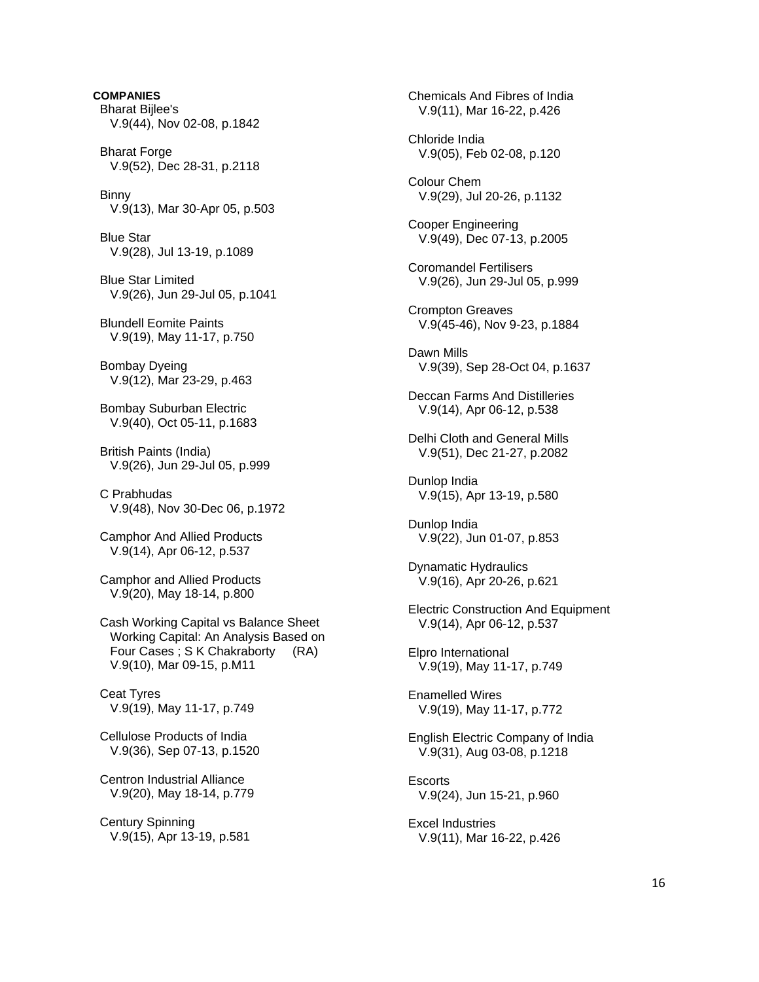**COMPANIES**  Bharat Bijlee's V.9(44), Nov 02-08, p.1842 **Bharat Forge**  V.9(52), Dec 28-31, p.2118 Binny V.9(13), Mar 30-Apr 05, p.503 Blue Star V.9(28), Jul 13-19, p.1089 Blue Star Limited V.9(26), Jun 29-Jul 05, p.1041 Blundell Eomite Paints V.9(19), May 11-17, p.750 Bombay Dyeing V.9(12), Mar 23-29, p.463 Bombay Suburban Electric V.9(40), Oct 05-11, p.1683 British Paints (India) V.9(26), Jun 29-Jul 05, p.999 C Prabhudas V.9(48), Nov 30-Dec 06, p.1972 Camphor And Allied Products V.9(14), Apr 06-12, p.537 Camphor and Allied Products V.9(20), May 18-14, p.800 Cash Working Capital vs Balance Sheet Working Capital: An Analysis Based on Four Cases ; S K Chakraborty (RA) V.9(10), Mar 09-15, p.M11 Ceat Tyres V.9(19), May 11-17, p.749 Cellulose Products of India V.9(36), Sep 07-13, p.1520 Centron Industrial Alliance V.9(20), May 18-14, p.779 Century Spinning V.9(15), Apr 13-19, p.581

 Chemicals And Fibres of India V.9(11), Mar 16-22, p.426 Chloride India V.9(05), Feb 02-08, p.120 Colour Chem V.9(29), Jul 20-26, p.1132 Cooper Engineering V.9(49), Dec 07-13, p.2005 Coromandel Fertilisers V.9(26), Jun 29-Jul 05, p.999 Crompton Greaves V.9(45-46), Nov 9-23, p.1884 Dawn Mills V.9(39), Sep 28-Oct 04, p.1637 Deccan Farms And Distilleries V.9(14), Apr 06-12, p.538 Delhi Cloth and General Mills V.9(51), Dec 21-27, p.2082 Dunlop India V.9(15), Apr 13-19, p.580 Dunlop India V.9(22), Jun 01-07, p.853 Dynamatic Hydraulics V.9(16), Apr 20-26, p.621 Electric Construction And Equipment V.9(14), Apr 06-12, p.537 Elpro International V.9(19), May 11-17, p.749 Enamelled Wires V.9(19), May 11-17, p.772 English Electric Company of India V.9(31), Aug 03-08, p.1218 **Escorts**  V.9(24), Jun 15-21, p.960 Excel Industries V.9(11), Mar 16-22, p.426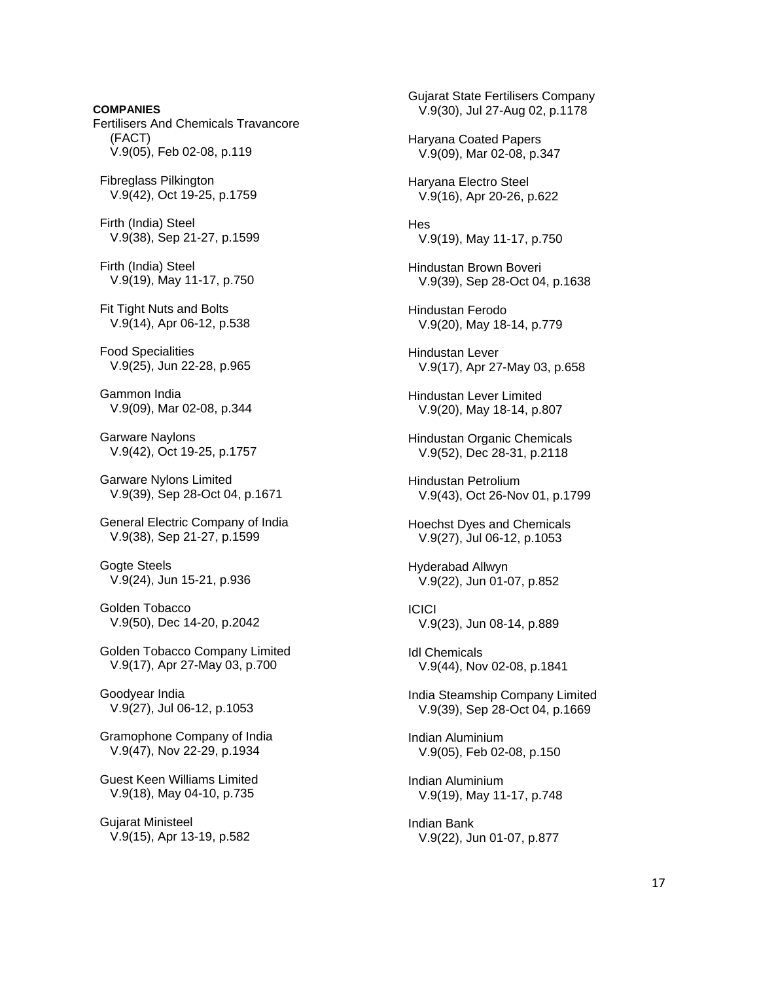**COMPANIES**  Fertilisers And Chemicals Travancore (FACT) V.9(05), Feb 02-08, p.119 Fibreglass Pilkington V.9(42), Oct 19-25, p.1759 Firth (India) Steel V.9(38), Sep 21-27, p.1599 Firth (India) Steel V.9(19), May 11-17, p.750 Fit Tight Nuts and Bolts V.9(14), Apr 06-12, p.538 Food Specialities V.9(25), Jun 22-28, p.965 Gammon India V.9(09), Mar 02-08, p.344 Garware Naylons V.9(42), Oct 19-25, p.1757 Garware Nylons Limited V.9(39), Sep 28-Oct 04, p.1671 General Electric Company of India V.9(38), Sep 21-27, p.1599 Gogte Steels V.9(24), Jun 15-21, p.936 Golden Tobacco V.9(50), Dec 14-20, p.2042 Golden Tobacco Company Limited V.9(17), Apr 27-May 03, p.700 Goodyear India V.9(27), Jul 06-12, p.1053 Gramophone Company of India V.9(47), Nov 22-29, p.1934 Guest Keen Williams Limited V.9(18), May 04-10, p.735 Gujarat Ministeel V.9(15), Apr 13-19, p.582

 Gujarat State Fertilisers Company V.9(30), Jul 27-Aug 02, p.1178 Haryana Coated Papers V.9(09), Mar 02-08, p.347 Haryana Electro Steel V.9(16), Apr 20-26, p.622 **Hes**  V.9(19), May 11-17, p.750 Hindustan Brown Boveri V.9(39), Sep 28-Oct 04, p.1638 Hindustan Ferodo V.9(20), May 18-14, p.779 Hindustan Lever V.9(17), Apr 27-May 03, p.658 Hindustan Lever Limited V.9(20), May 18-14, p.807 Hindustan Organic Chemicals V.9(52), Dec 28-31, p.2118 Hindustan Petrolium V.9(43), Oct 26-Nov 01, p.1799 Hoechst Dyes and Chemicals V.9(27), Jul 06-12, p.1053 Hyderabad Allwyn V.9(22), Jun 01-07, p.852 **ICICI**  V.9(23), Jun 08-14, p.889 Idl Chemicals V.9(44), Nov 02-08, p.1841 India Steamship Company Limited V.9(39), Sep 28-Oct 04, p.1669 Indian Aluminium V.9(05), Feb 02-08, p.150 Indian Aluminium V.9(19), May 11-17, p.748 Indian Bank V.9(22), Jun 01-07, p.877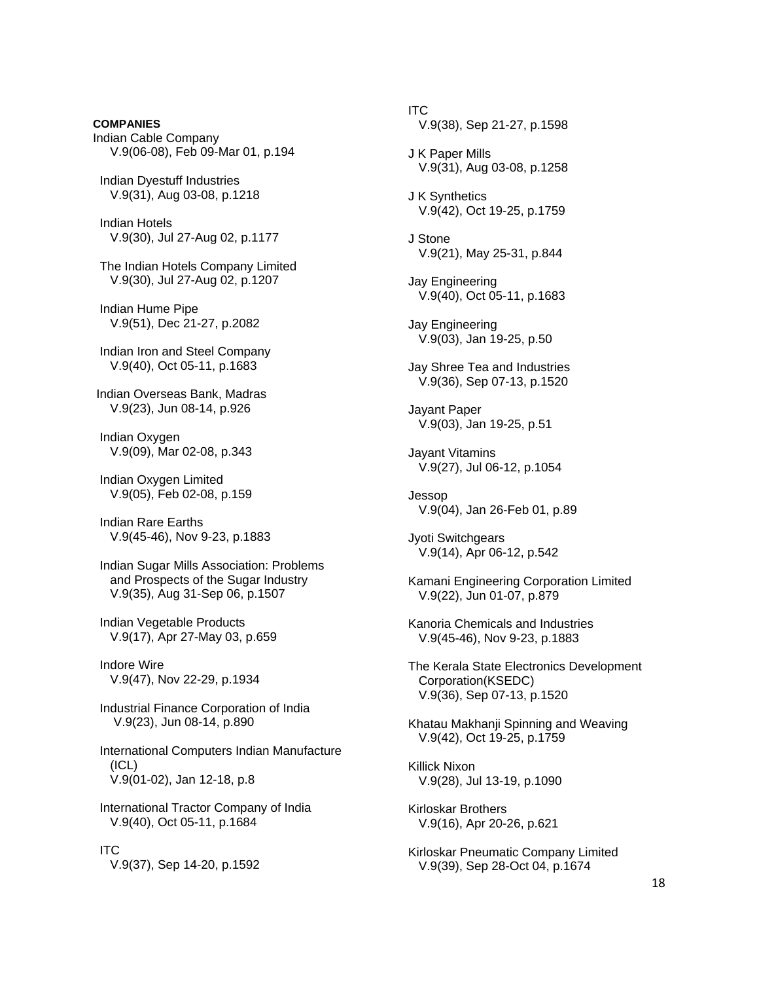Indian Cable Company V.9(06-08), Feb 09-Mar 01, p.194 Indian Dyestuff Industries V.9(31), Aug 03-08, p.1218 Indian Hotels V.9(30), Jul 27-Aug 02, p.1177 The Indian Hotels Company Limited V.9(30), Jul 27-Aug 02, p.1207 Indian Hume Pipe V.9(51), Dec 21-27, p.2082 Indian Iron and Steel Company V.9(40), Oct 05-11, p.1683 Indian Overseas Bank, Madras V.9(23), Jun 08-14, p.926 Indian Oxygen V.9(09), Mar 02-08, p.343 Indian Oxygen Limited V.9(05), Feb 02-08, p.159 Indian Rare Earths V.9(45-46), Nov 9-23, p.1883 Indian Sugar Mills Association: Problems and Prospects of the Sugar Industry V.9(35), Aug 31-Sep 06, p.1507 Indian Vegetable Products V.9(17), Apr 27-May 03, p.659 Indore Wire V.9(47), Nov 22-29, p.1934 Industrial Finance Corporation of India V.9(23), Jun 08-14, p.890 International Computers Indian Manufacture (ICL) V.9(01-02), Jan 12-18, p.8 International Tractor Company of India V.9(40), Oct 05-11, p.1684 ITC

**COMPANIES** 

V.9(37), Sep 14-20, p.1592

 ITC V.9(38), Sep 21-27, p.1598 J K Paper Mills V.9(31), Aug 03-08, p.1258 J K Synthetics V.9(42), Oct 19-25, p.1759 J Stone V.9(21), May 25-31, p.844 Jay Engineering V.9(40), Oct 05-11, p.1683 Jay Engineering V.9(03), Jan 19-25, p.50 Jay Shree Tea and Industries V.9(36), Sep 07-13, p.1520 Jayant Paper V.9(03), Jan 19-25, p.51 Jayant Vitamins V.9(27), Jul 06-12, p.1054 Jessop V.9(04), Jan 26-Feb 01, p.89 Jyoti Switchgears V.9(14), Apr 06-12, p.542 Kamani Engineering Corporation Limited V.9(22), Jun 01-07, p.879 Kanoria Chemicals and Industries V.9(45-46), Nov 9-23, p.1883 The Kerala State Electronics Development Corporation(KSEDC) V.9(36), Sep 07-13, p.1520 Khatau Makhanji Spinning and Weaving V.9(42), Oct 19-25, p.1759 Killick Nixon V.9(28), Jul 13-19, p.1090 Kirloskar Brothers V.9(16), Apr 20-26, p.621 Kirloskar Pneumatic Company Limited V.9(39), Sep 28-Oct 04, p.1674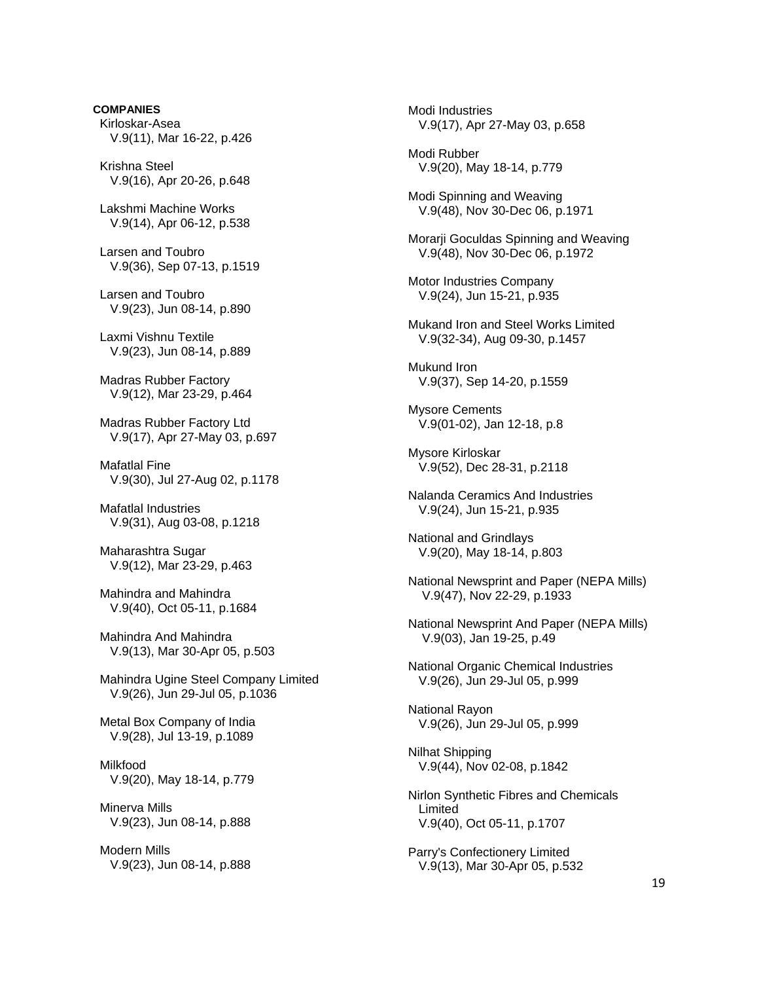**COMPANIES**  Kirloskar-Asea V.9(11), Mar 16-22, p.426

 Krishna Steel V.9(16), Apr 20-26, p.648

 Lakshmi Machine Works V.9(14), Apr 06-12, p.538

 Larsen and Toubro V.9(36), Sep 07-13, p.1519

 Larsen and Toubro V.9(23), Jun 08-14, p.890

 Laxmi Vishnu Textile V.9(23), Jun 08-14, p.889

 Madras Rubber Factory V.9(12), Mar 23-29, p.464

 Madras Rubber Factory Ltd V.9(17), Apr 27-May 03, p.697

 Mafatlal Fine V.9(30), Jul 27-Aug 02, p.1178

 Mafatlal Industries V.9(31), Aug 03-08, p.1218

 Maharashtra Sugar V.9(12), Mar 23-29, p.463

 Mahindra and Mahindra V.9(40), Oct 05-11, p.1684

 Mahindra And Mahindra V.9(13), Mar 30-Apr 05, p.503

 Mahindra Ugine Steel Company Limited V.9(26), Jun 29-Jul 05, p.1036

 Metal Box Company of India V.9(28), Jul 13-19, p.1089

 Milkfood V.9(20), May 18-14, p.779

 Minerva Mills V.9(23), Jun 08-14, p.888

 Modern Mills V.9(23), Jun 08-14, p.888  Modi Industries V.9(17), Apr 27-May 03, p.658 Modi Rubber V.9(20), May 18-14, p.779 Modi Spinning and Weaving V.9(48), Nov 30-Dec 06, p.1971 Morarji Goculdas Spinning and Weaving V.9(48), Nov 30-Dec 06, p.1972 Motor Industries Company V.9(24), Jun 15-21, p.935 Mukand Iron and Steel Works Limited V.9(32-34), Aug 09-30, p.1457 Mukund Iron V.9(37), Sep 14-20, p.1559 Mysore Cements V.9(01-02), Jan 12-18, p.8 Mysore Kirloskar V.9(52), Dec 28-31, p.2118 Nalanda Ceramics And Industries V.9(24), Jun 15-21, p.935 National and Grindlays V.9(20), May 18-14, p.803 National Newsprint and Paper (NEPA Mills) V.9(47), Nov 22-29, p.1933 National Newsprint And Paper (NEPA Mills) V.9(03), Jan 19-25, p.49 National Organic Chemical Industries V.9(26), Jun 29-Jul 05, p.999 National Rayon V.9(26), Jun 29-Jul 05, p.999 Nilhat Shipping V.9(44), Nov 02-08, p.1842 Nirlon Synthetic Fibres and Chemicals Limited V.9(40), Oct 05-11, p.1707 Parry's Confectionery Limited V.9(13), Mar 30-Apr 05, p.532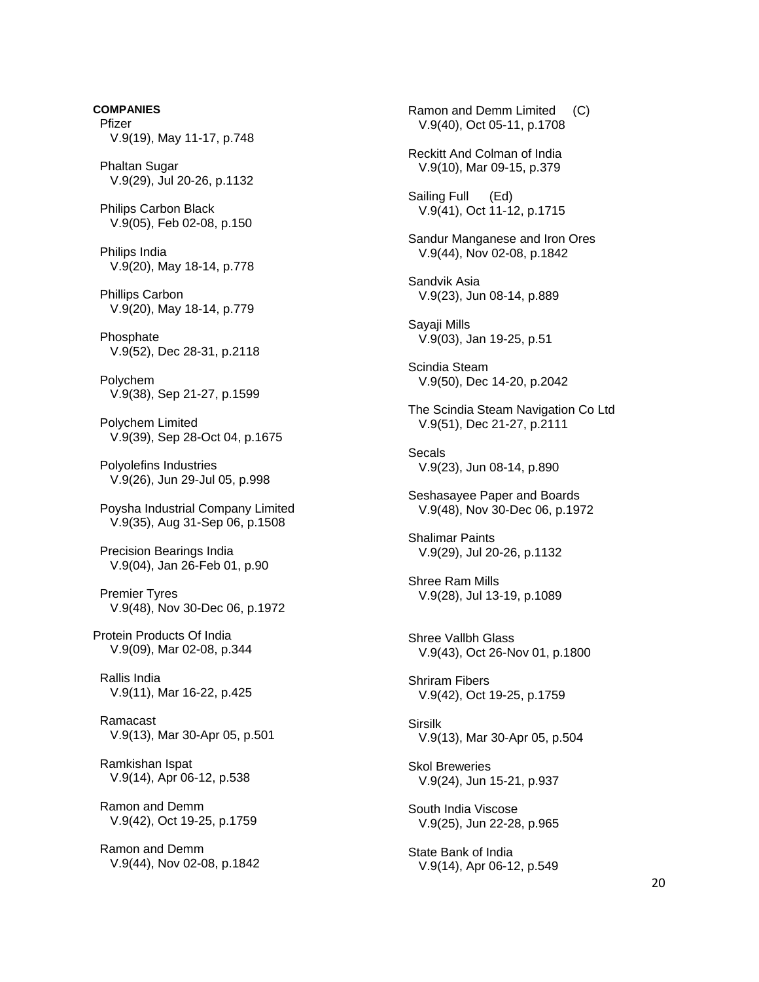Pfizer V.9(19), May 11-17, p.748 Phaltan Sugar V.9(29), Jul 20-26, p.1132 Philips Carbon Black V.9(05), Feb 02-08, p.150 Philips India V.9(20), May 18-14, p.778 Phillips Carbon V.9(20), May 18-14, p.779 **Phosphate**  V.9(52), Dec 28-31, p.2118 Polychem V.9(38), Sep 21-27, p.1599 Polychem Limited V.9(39), Sep 28-Oct 04, p.1675 Polyolefins Industries V.9(26), Jun 29-Jul 05, p.998 Poysha Industrial Company Limited V.9(35), Aug 31-Sep 06, p.1508 Precision Bearings India V.9(04), Jan 26-Feb 01, p.90 Premier Tyres V.9(48), Nov 30-Dec 06, p.1972 Protein Products Of India V.9(09), Mar 02-08, p.344 Rallis India V.9(11), Mar 16-22, p.425 Ramacast V.9(13), Mar 30-Apr 05, p.501 Ramkishan Ispat V.9(14), Apr 06-12, p.538 Ramon and Demm V.9(42), Oct 19-25, p.1759 Ramon and Demm V.9(44), Nov 02-08, p.1842

**COMPANIES** 

 Ramon and Demm Limited (C) V.9(40), Oct 05-11, p.1708 Reckitt And Colman of India V.9(10), Mar 09-15, p.379 Sailing Full (Ed) V.9(41), Oct 11-12, p.1715 Sandur Manganese and Iron Ores V.9(44), Nov 02-08, p.1842 Sandvik Asia V.9(23), Jun 08-14, p.889 Sayaji Mills V.9(03), Jan 19-25, p.51 Scindia Steam V.9(50), Dec 14-20, p.2042 The Scindia Steam Navigation Co Ltd V.9(51), Dec 21-27, p.2111 Secals V.9(23), Jun 08-14, p.890 Seshasayee Paper and Boards V.9(48), Nov 30-Dec 06, p.1972 Shalimar Paints V.9(29), Jul 20-26, p.1132 Shree Ram Mills V.9(28), Jul 13-19, p.1089 Shree Vallbh Glass V.9(43), Oct 26-Nov 01, p.1800 Shriram Fibers V.9(42), Oct 19-25, p.1759 **Sirsilk**  V.9(13), Mar 30-Apr 05, p.504 Skol Breweries V.9(24), Jun 15-21, p.937 South India Viscose V.9(25), Jun 22-28, p.965 State Bank of India V.9(14), Apr 06-12, p.549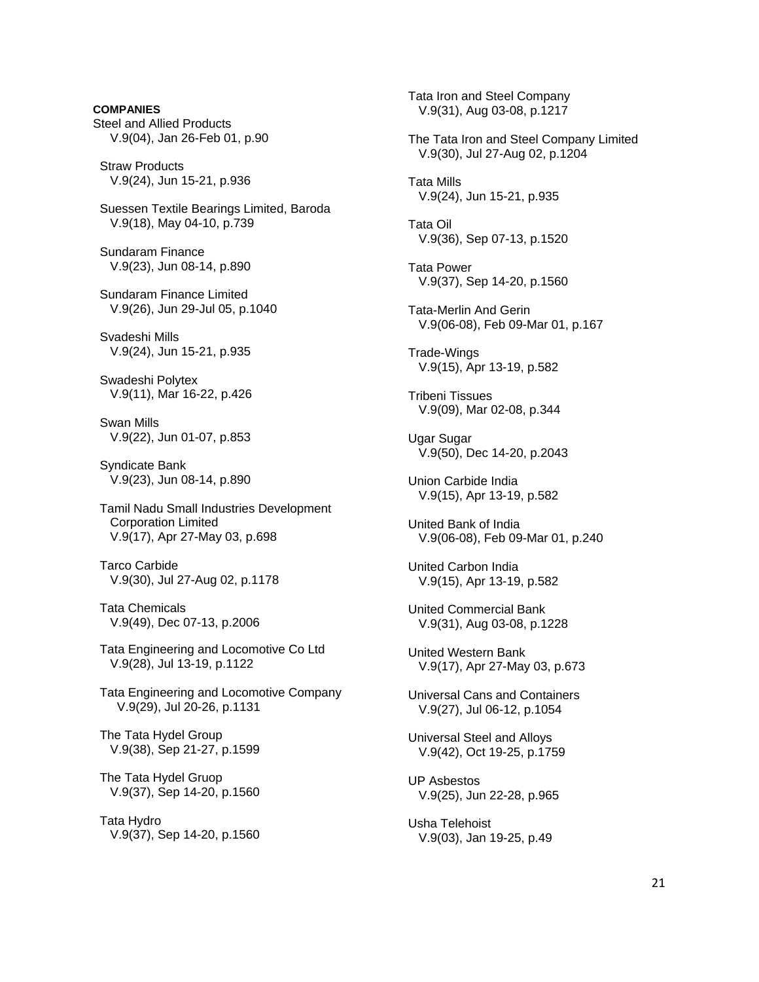**COMPANIES**  Steel and Allied Products V.9(04), Jan 26-Feb 01, p.90

 Straw Products V.9(24), Jun 15-21, p.936

 Suessen Textile Bearings Limited, Baroda V.9(18), May 04-10, p.739

 Sundaram Finance V.9(23), Jun 08-14, p.890

 Sundaram Finance Limited V.9(26), Jun 29-Jul 05, p.1040

 Svadeshi Mills V.9(24), Jun 15-21, p.935

 Swadeshi Polytex V.9(11), Mar 16-22, p.426

 Swan Mills V.9(22), Jun 01-07, p.853

 Syndicate Bank V.9(23), Jun 08-14, p.890

 Tamil Nadu Small Industries Development Corporation Limited V.9(17), Apr 27-May 03, p.698

 Tarco Carbide V.9(30), Jul 27-Aug 02, p.1178

 Tata Chemicals V.9(49), Dec 07-13, p.2006

 Tata Engineering and Locomotive Co Ltd V.9(28), Jul 13-19, p.1122

 Tata Engineering and Locomotive Company V.9(29), Jul 20-26, p.1131

 The Tata Hydel Group V.9(38), Sep 21-27, p.1599

 The Tata Hydel Gruop V.9(37), Sep 14-20, p.1560

 Tata Hydro V.9(37), Sep 14-20, p.1560  Tata Iron and Steel Company V.9(31), Aug 03-08, p.1217 The Tata Iron and Steel Company Limited V.9(30), Jul 27-Aug 02, p.1204 Tata Mills V.9(24), Jun 15-21, p.935 Tata Oil V.9(36), Sep 07-13, p.1520 Tata Power V.9(37), Sep 14-20, p.1560 Tata-Merlin And Gerin V.9(06-08), Feb 09-Mar 01, p.167 Trade-Wings V.9(15), Apr 13-19, p.582 Tribeni Tissues V.9(09), Mar 02-08, p.344 Ugar Sugar V.9(50), Dec 14-20, p.2043 Union Carbide India V.9(15), Apr 13-19, p.582 United Bank of India V.9(06-08), Feb 09-Mar 01, p.240 United Carbon India V.9(15), Apr 13-19, p.582 United Commercial Bank V.9(31), Aug 03-08, p.1228 United Western Bank V.9(17), Apr 27-May 03, p.673 Universal Cans and Containers V.9(27), Jul 06-12, p.1054 Universal Steel and Alloys V.9(42), Oct 19-25, p.1759 UP Asbestos V.9(25), Jun 22-28, p.965 Usha Telehoist

V.9(03), Jan 19-25, p.49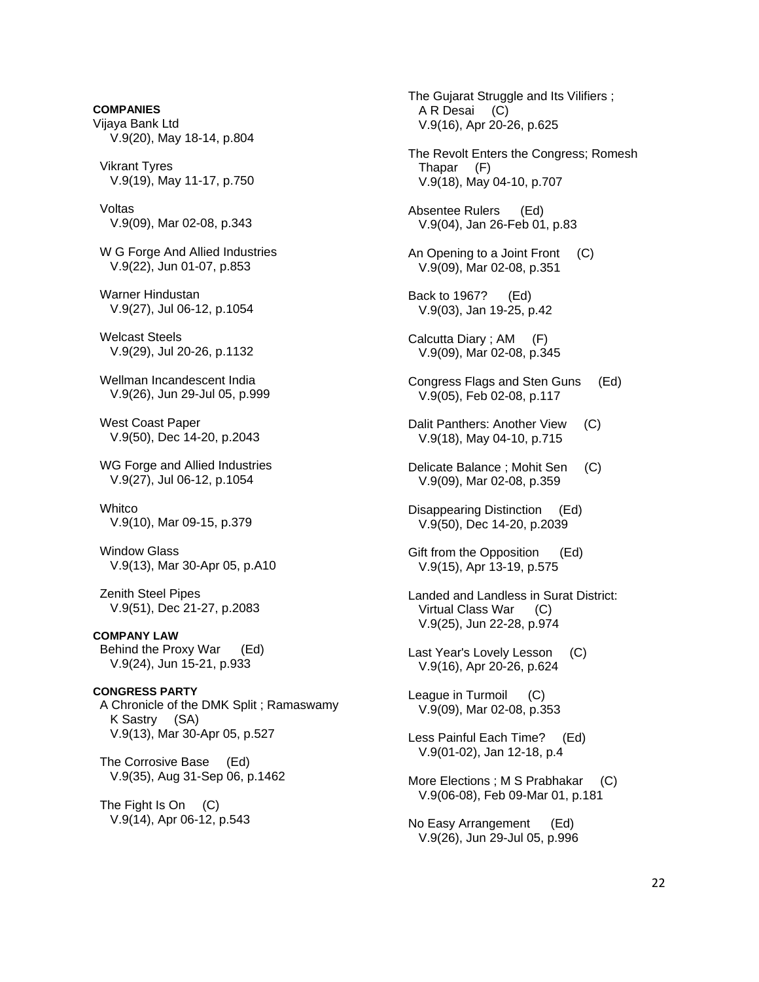**COMPANIES**  Vijaya Bank Ltd V.9(20), May 18-14, p.804

 Vikrant Tyres V.9(19), May 11-17, p.750

 Voltas V.9(09), Mar 02-08, p.343

 W G Forge And Allied Industries V.9(22), Jun 01-07, p.853

- Warner Hindustan V.9(27), Jul 06-12, p.1054
- Welcast Steels V.9(29), Jul 20-26, p.1132
- Wellman Incandescent India V.9(26), Jun 29-Jul 05, p.999

 West Coast Paper V.9(50), Dec 14-20, p.2043

 WG Forge and Allied Industries V.9(27), Jul 06-12, p.1054

**Whitco** V.9(10), Mar 09-15, p.379

 Window Glass V.9(13), Mar 30-Apr 05, p.A10

 Zenith Steel Pipes V.9(51), Dec 21-27, p.2083

**COMPANY LAW**  Behind the Proxy War (Ed) V.9(24), Jun 15-21, p.933

**CONGRESS PARTY**  A Chronicle of the DMK Split ; Ramaswamy K Sastry (SA) V.9(13), Mar 30-Apr 05, p.527

 The Corrosive Base (Ed) V.9(35), Aug 31-Sep 06, p.1462

 The Fight Is On (C) V.9(14), Apr 06-12, p.543  The Gujarat Struggle and Its Vilifiers ; A R Desai (C) V.9(16), Apr 20-26, p.625 The Revolt Enters the Congress; Romesh Thapar (F) V.9(18), May 04-10, p.707 Absentee Rulers (Ed) V.9(04), Jan 26-Feb 01, p.83 An Opening to a Joint Front (C) V.9(09), Mar 02-08, p.351 Back to 1967? (Ed) V.9(03), Jan 19-25, p.42 Calcutta Diary ; AM (F) V.9(09), Mar 02-08, p.345 Congress Flags and Sten Guns (Ed) V.9(05), Feb 02-08, p.117 Dalit Panthers: Another View (C) V.9(18), May 04-10, p.715 Delicate Balance ; Mohit Sen (C) V.9(09), Mar 02-08, p.359 Disappearing Distinction (Ed) V.9(50), Dec 14-20, p.2039 Gift from the Opposition (Ed) V.9(15), Apr 13-19, p.575 Landed and Landless in Surat District: Virtual Class War (C) V.9(25), Jun 22-28, p.974 Last Year's Lovely Lesson (C) V.9(16), Apr 20-26, p.624 League in Turmoil (C) V.9(09), Mar 02-08, p.353 Less Painful Each Time? (Ed) V.9(01-02), Jan 12-18, p.4 More Elections ; M S Prabhakar (C) V.9(06-08), Feb 09-Mar 01, p.181 No Easy Arrangement (Ed) V.9(26), Jun 29-Jul 05, p.996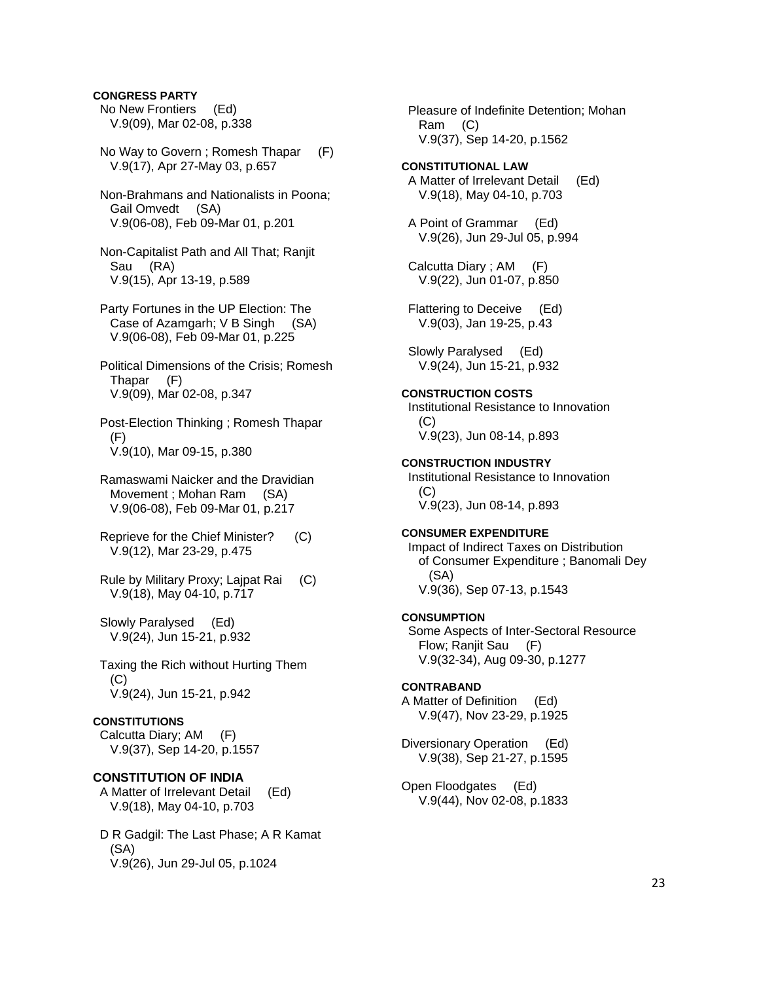### **CONGRESS PARTY**

 No New Frontiers (Ed) V.9(09), Mar 02-08, p.338

- No Way to Govern ; Romesh Thapar (F) V.9(17), Apr 27-May 03, p.657
- Non-Brahmans and Nationalists in Poona; Gail Omvedt (SA) V.9(06-08), Feb 09-Mar 01, p.201
- Non-Capitalist Path and All That; Ranjit Sau (RA) V.9(15), Apr 13-19, p.589
- Party Fortunes in the UP Election: The Case of Azamgarh; V B Singh (SA) V.9(06-08), Feb 09-Mar 01, p.225
- Political Dimensions of the Crisis; Romesh Thapar (F) V.9(09), Mar 02-08, p.347

 Post-Election Thinking ; Romesh Thapar (F) V.9(10), Mar 09-15, p.380

- Ramaswami Naicker and the Dravidian Movement ; Mohan Ram (SA) V.9(06-08), Feb 09-Mar 01, p.217
- Reprieve for the Chief Minister? (C) V.9(12), Mar 23-29, p.475
- Rule by Military Proxy; Lajpat Rai (C) V.9(18), May 04-10, p.717

 Slowly Paralysed (Ed) V.9(24), Jun 15-21, p.932

 Taxing the Rich without Hurting Them  $(C)$ V.9(24), Jun 15-21, p.942

#### **CONSTITUTIONS**

 Calcutta Diary; AM (F) V.9(37), Sep 14-20, p.1557

### **CONSTITUTION OF INDIA**

 A Matter of Irrelevant Detail (Ed) V.9(18), May 04-10, p.703

 D R Gadgil: The Last Phase; A R Kamat (SA) V.9(26), Jun 29-Jul 05, p.1024

 Pleasure of Indefinite Detention; Mohan Ram (C) V.9(37), Sep 14-20, p.1562

- **CONSTITUTIONAL LAW**  A Matter of Irrelevant Detail (Ed) V.9(18), May 04-10, p.703
- A Point of Grammar (Ed) V.9(26), Jun 29-Jul 05, p.994
- Calcutta Diary ; AM (F) V.9(22), Jun 01-07, p.850
- Flattering to Deceive (Ed) V.9(03), Jan 19-25, p.43

 Slowly Paralysed (Ed) V.9(24), Jun 15-21, p.932

### **CONSTRUCTION COSTS**

 Institutional Resistance to Innovation  $(C)$ V.9(23), Jun 08-14, p.893

#### **CONSTRUCTION INDUSTRY**

 Institutional Resistance to Innovation (C) V.9(23), Jun 08-14, p.893

# **CONSUMER EXPENDITURE**

 Impact of Indirect Taxes on Distribution of Consumer Expenditure ; Banomali Dey (SA) V.9(36), Sep 07-13, p.1543

#### **CONSUMPTION**

 Some Aspects of Inter-Sectoral Resource Flow; Ranjit Sau (F) V.9(32-34), Aug 09-30, p.1277

#### **CONTRABAND**

A Matter of Definition (Ed) V.9(47), Nov 23-29, p.1925

Diversionary Operation (Ed) V.9(38), Sep 21-27, p.1595

Open Floodgates (Ed) V.9(44), Nov 02-08, p.1833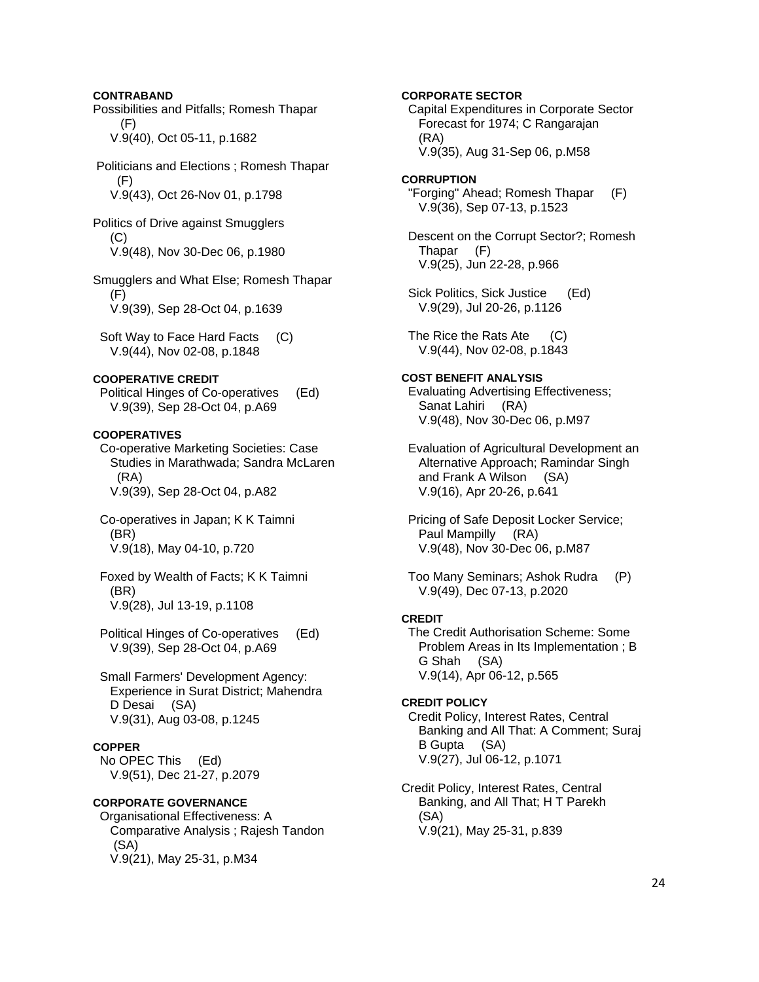### **CONTRABAND**

Possibilities and Pitfalls; Romesh Thapar (F) V.9(40), Oct 05-11, p.1682

 Politicians and Elections ; Romesh Thapar (F) V.9(43), Oct 26-Nov 01, p.1798

Politics of Drive against Smugglers (C) V.9(48), Nov 30-Dec 06, p.1980

Smugglers and What Else; Romesh Thapar (F) V.9(39), Sep 28-Oct 04, p.1639

 Soft Way to Face Hard Facts (C) V.9(44), Nov 02-08, p.1848

#### **COOPERATIVE CREDIT**

 Political Hinges of Co-operatives (Ed) V.9(39), Sep 28-Oct 04, p.A69

#### **COOPERATIVES**

 Co-operative Marketing Societies: Case Studies in Marathwada; Sandra McLaren (RA) V.9(39), Sep 28-Oct 04, p.A82

- Co-operatives in Japan; K K Taimni (BR) V.9(18), May 04-10, p.720
- Foxed by Wealth of Facts; K K Taimni (BR) V.9(28), Jul 13-19, p.1108
- Political Hinges of Co-operatives (Ed) V.9(39), Sep 28-Oct 04, p.A69

### Small Farmers' Development Agency: Experience in Surat District; Mahendra D Desai (SA) V.9(31), Aug 03-08, p.1245

#### **COPPER**

 No OPEC This (Ed) V.9(51), Dec 21-27, p.2079

### **CORPORATE GOVERNANCE**

 Organisational Effectiveness: A Comparative Analysis ; Rajesh Tandon (SA) V.9(21), May 25-31, p.M34

**CORPORATE SECTOR**  Capital Expenditures in Corporate Sector Forecast for 1974; C Rangarajan (RA) V.9(35), Aug 31-Sep 06, p.M58 **CORRUPTION**  "Forging" Ahead; Romesh Thapar (F) V.9(36), Sep 07-13, p.1523 Descent on the Corrupt Sector?; Romesh Thapar (F) V.9(25), Jun 22-28, p.966 Sick Politics, Sick Justice (Ed) V.9(29), Jul 20-26, p.1126 The Rice the Rats Ate (C) V.9(44), Nov 02-08, p.1843 **COST BENEFIT ANALYSIS**  Evaluating Advertising Effectiveness; Sanat Lahiri (RA) V.9(48), Nov 30-Dec 06, p.M97 Evaluation of Agricultural Development an Alternative Approach; Ramindar Singh and Frank A Wilson (SA) V.9(16), Apr 20-26, p.641 Pricing of Safe Deposit Locker Service; Paul Mampilly (RA) V.9(48), Nov 30-Dec 06, p.M87 Too Many Seminars; Ashok Rudra (P) V.9(49), Dec 07-13, p.2020 **CREDIT**  The Credit Authorisation Scheme: Some Problem Areas in Its Implementation ; B G Shah (SA) V.9(14), Apr 06-12, p.565 **CREDIT POLICY**  Credit Policy, Interest Rates, Central Banking and All That: A Comment; Suraj B Gupta (SA) V.9(27), Jul 06-12, p.1071 Credit Policy, Interest Rates, Central

 Banking, and All That; H T Parekh (SA) V.9(21), May 25-31, p.839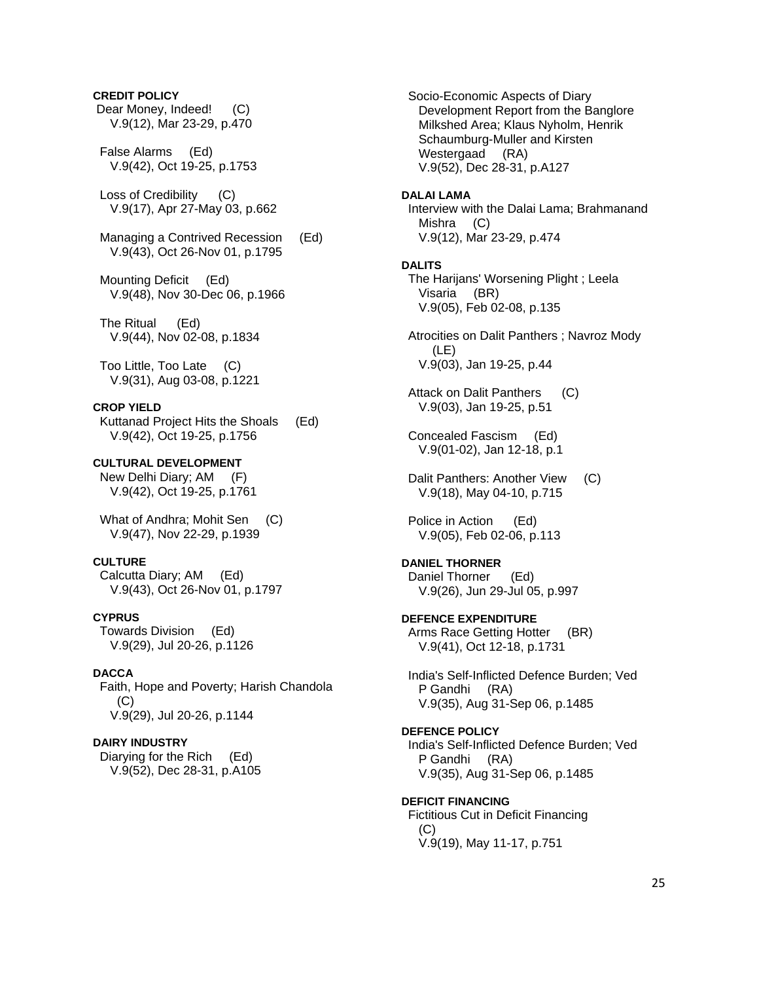### **CREDIT POLICY**

- Dear Money, Indeed! (C) V.9(12), Mar 23-29, p.470
- False Alarms (Ed) V.9(42), Oct 19-25, p.1753
- Loss of Credibility (C) V.9(17), Apr 27-May 03, p.662
- Managing a Contrived Recession (Ed) V.9(43), Oct 26-Nov 01, p.1795
- Mounting Deficit (Ed) V.9(48), Nov 30-Dec 06, p.1966
- The Ritual (Ed) V.9(44), Nov 02-08, p.1834
- Too Little, Too Late (C) V.9(31), Aug 03-08, p.1221

### **CROP YIELD**

 Kuttanad Project Hits the Shoals (Ed) V.9(42), Oct 19-25, p.1756

**CULTURAL DEVELOPMENT**  New Delhi Diary; AM (F) V.9(42), Oct 19-25, p.1761

 What of Andhra; Mohit Sen (C) V.9(47), Nov 22-29, p.1939

### **CULTURE**

 Calcutta Diary; AM (Ed) V.9(43), Oct 26-Nov 01, p.1797

### **CYPRUS**

 Towards Division (Ed) V.9(29), Jul 20-26, p.1126

#### **DACCA**

 Faith, Hope and Poverty; Harish Chandola  $(C)$ V.9(29), Jul 20-26, p.1144

### **DAIRY INDUSTRY**

 Diarying for the Rich (Ed) V.9(52), Dec 28-31, p.A105  Socio-Economic Aspects of Diary Development Report from the Banglore Milkshed Area; Klaus Nyholm, Henrik Schaumburg-Muller and Kirsten Westergaad (RA) V.9(52), Dec 28-31, p.A127

#### **DALAI LAMA**

 Interview with the Dalai Lama; Brahmanand Mishra (C) V.9(12), Mar 23-29, p.474

#### **DALITS**

 The Harijans' Worsening Plight ; Leela Visaria (BR) V.9(05), Feb 02-08, p.135

 Atrocities on Dalit Panthers ; Navroz Mody (LE) V.9(03), Jan 19-25, p.44

- Attack on Dalit Panthers (C) V.9(03), Jan 19-25, p.51
- Concealed Fascism (Ed) V.9(01-02), Jan 12-18, p.1
- Dalit Panthers: Another View (C) V.9(18), May 04-10, p.715

 Police in Action (Ed) V.9(05), Feb 02-06, p.113

#### **DANIEL THORNER**

 Daniel Thorner (Ed) V.9(26), Jun 29-Jul 05, p.997

- **DEFENCE EXPENDITURE**  Arms Race Getting Hotter (BR) V.9(41), Oct 12-18, p.1731
- India's Self-Inflicted Defence Burden; Ved P Gandhi (RA) V.9(35), Aug 31-Sep 06, p.1485

#### **DEFENCE POLICY**

 India's Self-Inflicted Defence Burden; Ved P Gandhi (RA) V.9(35), Aug 31-Sep 06, p.1485

### **DEFICIT FINANCING**

 Fictitious Cut in Deficit Financing  $(C)$ V.9(19), May 11-17, p.751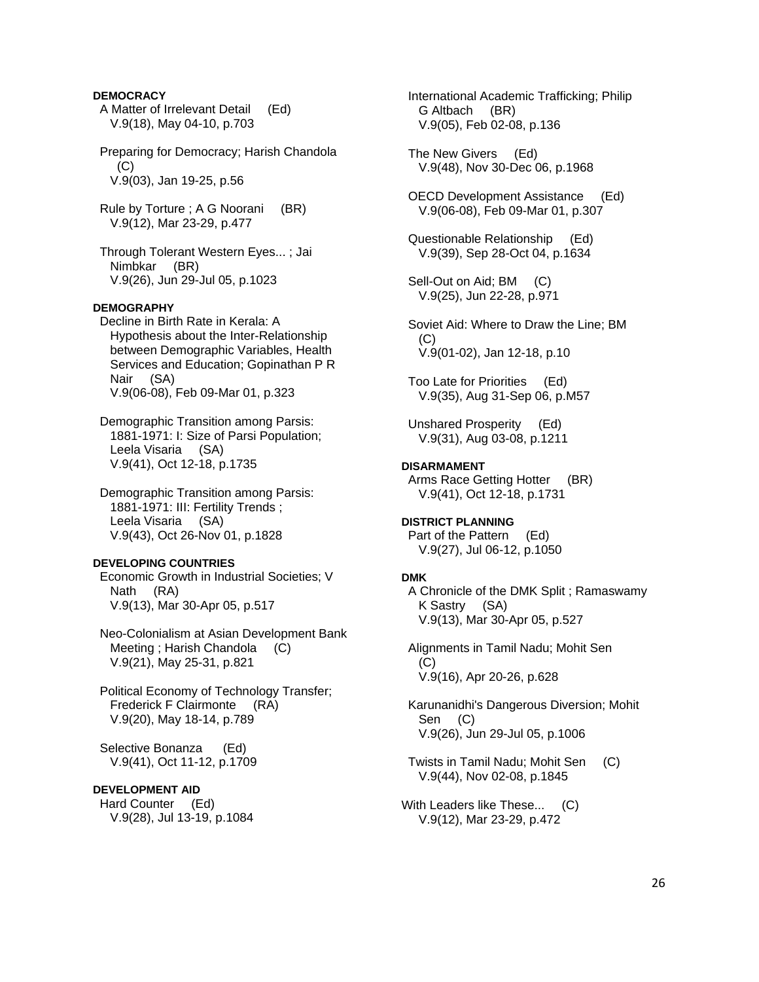### **DEMOCRACY**

- A Matter of Irrelevant Detail (Ed) V.9(18), May 04-10, p.703
- Preparing for Democracy; Harish Chandola  $(C)$ V.9(03), Jan 19-25, p.56
- Rule by Torture ; A G Noorani (BR) V.9(12), Mar 23-29, p.477
- Through Tolerant Western Eyes... ; Jai Nimbkar (BR) V.9(26), Jun 29-Jul 05, p.1023

# **DEMOGRAPHY**

- Decline in Birth Rate in Kerala: A Hypothesis about the Inter-Relationship between Demographic Variables, Health Services and Education; Gopinathan P R Nair (SA) V.9(06-08), Feb 09-Mar 01, p.323
- Demographic Transition among Parsis: 1881-1971: I: Size of Parsi Population; Leela Visaria (SA) V.9(41), Oct 12-18, p.1735
- Demographic Transition among Parsis: 1881-1971: III: Fertility Trends ; Leela Visaria (SA) V.9(43), Oct 26-Nov 01, p.1828

#### **DEVELOPING COUNTRIES**

 Economic Growth in Industrial Societies; V Nath (RA) V.9(13), Mar 30-Apr 05, p.517

 Neo-Colonialism at Asian Development Bank Meeting; Harish Chandola (C) V.9(21), May 25-31, p.821

 Political Economy of Technology Transfer; Frederick F Clairmonte (RA) V.9(20), May 18-14, p.789

 Selective Bonanza (Ed) V.9(41), Oct 11-12, p.1709

### **DEVELOPMENT AID**

 Hard Counter (Ed) V.9(28), Jul 13-19, p.1084  International Academic Trafficking; Philip G Altbach (BR) V.9(05), Feb 02-08, p.136

- The New Givers (Ed) V.9(48), Nov 30-Dec 06, p.1968
- OECD Development Assistance (Ed) V.9(06-08), Feb 09-Mar 01, p.307
- Questionable Relationship (Ed) V.9(39), Sep 28-Oct 04, p.1634
- Sell-Out on Aid; BM (C) V.9(25), Jun 22-28, p.971
- Soviet Aid: Where to Draw the Line; BM (C) V.9(01-02), Jan 12-18, p.10
- Too Late for Priorities (Ed) V.9(35), Aug 31-Sep 06, p.M57
- Unshared Prosperity (Ed) V.9(31), Aug 03-08, p.1211

#### **DISARMAMENT**

Arms Race Getting Hotter (BR) V.9(41), Oct 12-18, p.1731

**DISTRICT PLANNING**  Part of the Pattern (Ed) V.9(27), Jul 06-12, p.1050

#### **DMK**

 A Chronicle of the DMK Split ; Ramaswamy K Sastry (SA) V.9(13), Mar 30-Apr 05, p.527

 Alignments in Tamil Nadu; Mohit Sen  $(C)$ V.9(16), Apr 20-26, p.628

 Karunanidhi's Dangerous Diversion; Mohit Sen (C) V.9(26), Jun 29-Jul 05, p.1006

- Twists in Tamil Nadu; Mohit Sen (C) V.9(44), Nov 02-08, p.1845
- With Leaders like These... (C) V.9(12), Mar 23-29, p.472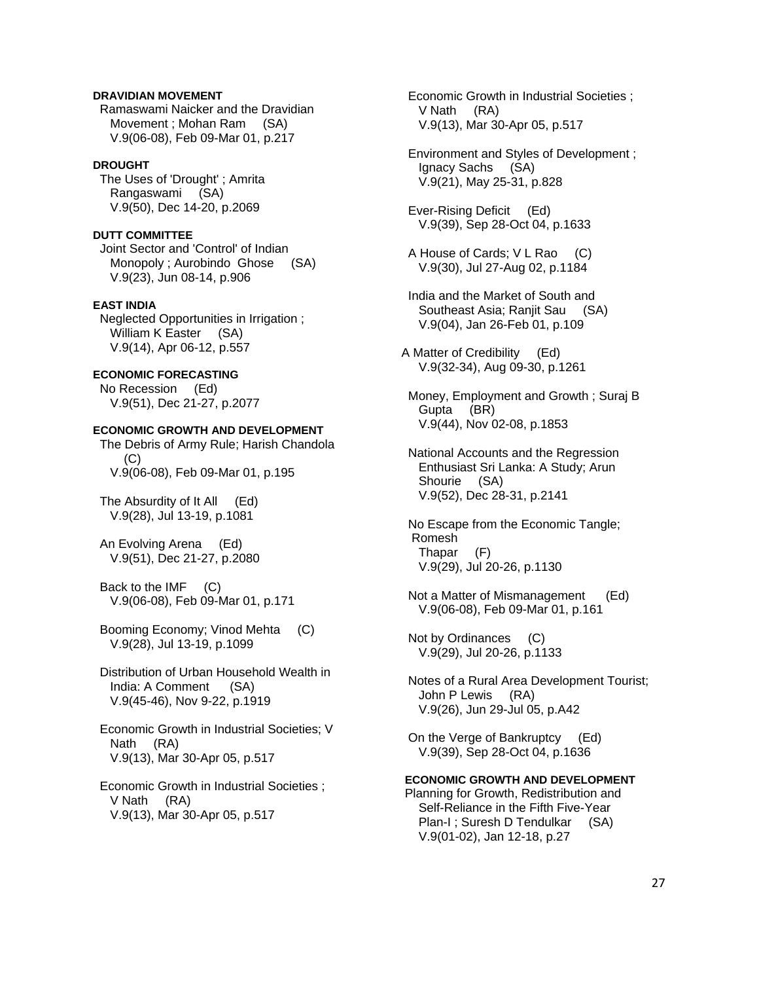### **DRAVIDIAN MOVEMENT**

 Ramaswami Naicker and the Dravidian Movement ; Mohan Ram (SA) V.9(06-08), Feb 09-Mar 01, p.217

#### **DROUGHT**

 The Uses of 'Drought' ; Amrita Rangaswami (SA) V.9(50), Dec 14-20, p.2069

#### **DUTT COMMITTEE**

 Joint Sector and 'Control' of Indian Monopoly ; Aurobindo Ghose (SA) V.9(23), Jun 08-14, p.906

#### **EAST INDIA**

 Neglected Opportunities in Irrigation ; William K Easter (SA) V.9(14), Apr 06-12, p.557

## **ECONOMIC FORECASTING**

 No Recession (Ed) V.9(51), Dec 21-27, p.2077

# **ECONOMIC GROWTH AND DEVELOPMENT**

 The Debris of Army Rule; Harish Chandola  $(C)$ V.9(06-08), Feb 09-Mar 01, p.195

 The Absurdity of It All (Ed) V.9(28), Jul 13-19, p.1081

 An Evolving Arena (Ed) V.9(51), Dec 21-27, p.2080

 Back to the IMF (C) V.9(06-08), Feb 09-Mar 01, p.171

 Booming Economy; Vinod Mehta (C) V.9(28), Jul 13-19, p.1099

 Distribution of Urban Household Wealth in India: A Comment (SA) V.9(45-46), Nov 9-22, p.1919

 Economic Growth in Industrial Societies; V Nath (RA) V.9(13), Mar 30-Apr 05, p.517

 Economic Growth in Industrial Societies ; V Nath (RA) V.9(13), Mar 30-Apr 05, p.517

 Economic Growth in Industrial Societies ; V Nath (RA) V.9(13), Mar 30-Apr 05, p.517

 Environment and Styles of Development ; Ignacy Sachs (SA) V.9(21), May 25-31, p.828

 Ever-Rising Deficit (Ed) V.9(39), Sep 28-Oct 04, p.1633

 A House of Cards; V L Rao (C) V.9(30), Jul 27-Aug 02, p.1184

 India and the Market of South and Southeast Asia; Ranjit Sau (SA) V.9(04), Jan 26-Feb 01, p.109

A Matter of Credibility (Ed) V.9(32-34), Aug 09-30, p.1261

 Money, Employment and Growth ; Suraj B Gupta (BR) V.9(44), Nov 02-08, p.1853

 National Accounts and the Regression Enthusiast Sri Lanka: A Study; Arun Shourie (SA) V.9(52), Dec 28-31, p.2141

 No Escape from the Economic Tangle; Romesh Thapar (F) V.9(29), Jul 20-26, p.1130

 Not a Matter of Mismanagement (Ed) V.9(06-08), Feb 09-Mar 01, p.161

 Not by Ordinances (C) V.9(29), Jul 20-26, p.1133

 Notes of a Rural Area Development Tourist; John P Lewis (RA) V.9(26), Jun 29-Jul 05, p.A42

 On the Verge of Bankruptcy (Ed) V.9(39), Sep 28-Oct 04, p.1636

#### **ECONOMIC GROWTH AND DEVELOPMENT**

 Planning for Growth, Redistribution and Self-Reliance in the Fifth Five-Year Plan-I ; Suresh D Tendulkar (SA) V.9(01-02), Jan 12-18, p.27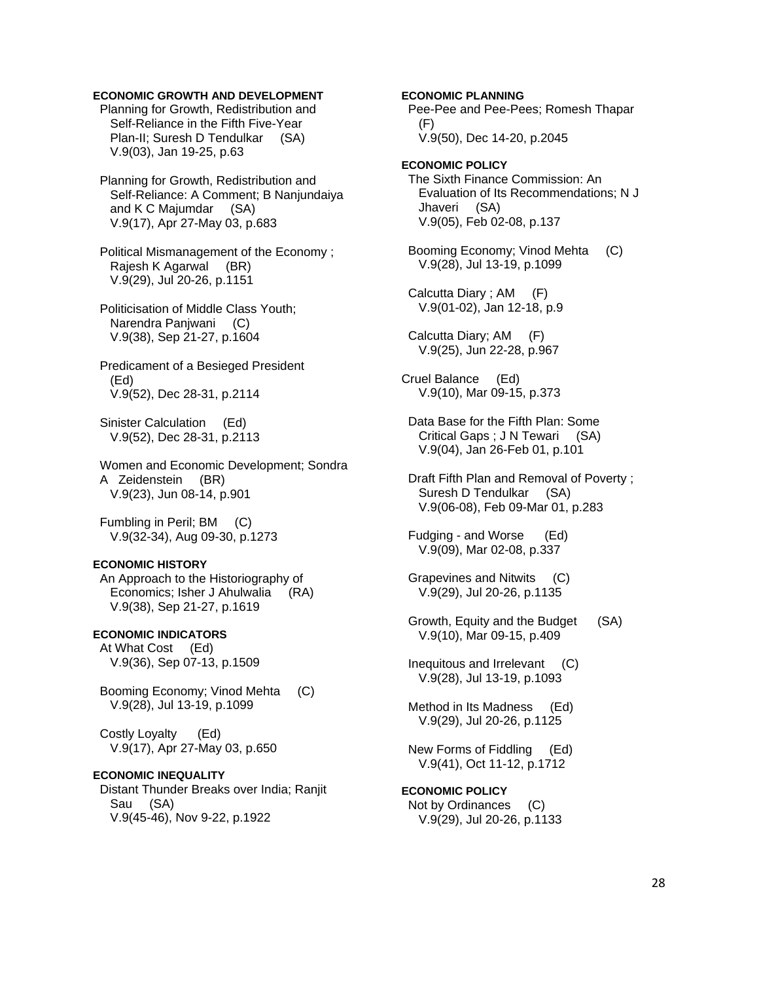### **ECONOMIC GROWTH AND DEVELOPMENT**

 Planning for Growth, Redistribution and Self-Reliance in the Fifth Five-Year Plan-II; Suresh D Tendulkar (SA) V.9(03), Jan 19-25, p.63

 Planning for Growth, Redistribution and Self-Reliance: A Comment; B Nanjundaiya and K C Majumdar (SA) V.9(17), Apr 27-May 03, p.683

 Political Mismanagement of the Economy ; Rajesh K Agarwal (BR) V.9(29), Jul 20-26, p.1151

 Politicisation of Middle Class Youth; Narendra Panjwani (C) V.9(38), Sep 21-27, p.1604

 Predicament of a Besieged President (Ed) V.9(52), Dec 28-31, p.2114

 Sinister Calculation (Ed) V.9(52), Dec 28-31, p.2113

 Women and Economic Development; Sondra A Zeidenstein (BR) V.9(23), Jun 08-14, p.901

 Fumbling in Peril; BM (C) V.9(32-34), Aug 09-30, p.1273

#### **ECONOMIC HISTORY**

 An Approach to the Historiography of Economics; Isher J Ahulwalia (RA) V.9(38), Sep 21-27, p.1619

# **ECONOMIC INDICATORS**

 At What Cost (Ed) V.9(36), Sep 07-13, p.1509

 Booming Economy; Vinod Mehta (C) V.9(28), Jul 13-19, p.1099

 Costly Loyalty (Ed) V.9(17), Apr 27-May 03, p.650

#### **ECONOMIC INEQUALITY**

 Distant Thunder Breaks over India; Ranjit Sau (SA) V.9(45-46), Nov 9-22, p.1922

 Pee-Pee and Pee-Pees; Romesh Thapar (F) V.9(50), Dec 14-20, p.2045 **ECONOMIC POLICY**  The Sixth Finance Commission: An Evaluation of Its Recommendations; N J Jhaveri (SA) V.9(05), Feb 02-08, p.137 Booming Economy; Vinod Mehta (C) V.9(28), Jul 13-19, p.1099 Calcutta Diary ; AM (F) V.9(01-02), Jan 12-18, p.9 Calcutta Diary; AM (F) V.9(25), Jun 22-28, p.967 Cruel Balance (Ed) V.9(10), Mar 09-15, p.373 Data Base for the Fifth Plan: Some Critical Gaps ; J N Tewari (SA) V.9(04), Jan 26-Feb 01, p.101 Draft Fifth Plan and Removal of Poverty ; Suresh D Tendulkar (SA) V.9(06-08), Feb 09-Mar 01, p.283 Fudging - and Worse (Ed) V.9(09), Mar 02-08, p.337 Grapevines and Nitwits (C) V.9(29), Jul 20-26, p.1135 Growth, Equity and the Budget (SA) V.9(10), Mar 09-15, p.409 Inequitous and Irrelevant (C) V.9(28), Jul 13-19, p.1093 Method in Its Madness (Ed) V.9(29), Jul 20-26, p.1125 New Forms of Fiddling (Ed) V.9(41), Oct 11-12, p.1712 **ECONOMIC POLICY** 

**ECONOMIC PLANNING** 

 Not by Ordinances (C) V.9(29), Jul 20-26, p.1133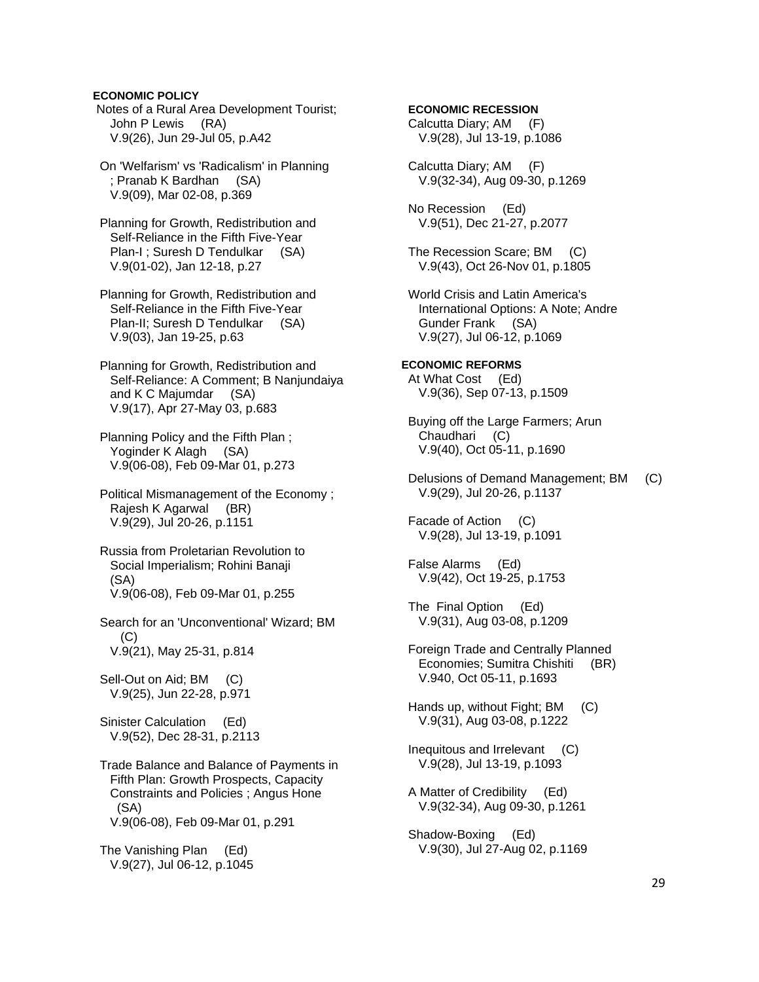**ECONOMIC POLICY** 

 Notes of a Rural Area Development Tourist; John P Lewis (RA) V.9(26), Jun 29-Jul 05, p.A42

 On 'Welfarism' vs 'Radicalism' in Planning ; Pranab K Bardhan (SA) V.9(09), Mar 02-08, p.369

 Planning for Growth, Redistribution and Self-Reliance in the Fifth Five-Year Plan-I ; Suresh D Tendulkar (SA) V.9(01-02), Jan 12-18, p.27

 Planning for Growth, Redistribution and Self-Reliance in the Fifth Five-Year Plan-II; Suresh D Tendulkar (SA) V.9(03), Jan 19-25, p.63

 Planning for Growth, Redistribution and Self-Reliance: A Comment; B Nanjundaiya and K C Majumdar (SA) V.9(17), Apr 27-May 03, p.683

 Planning Policy and the Fifth Plan ; Yoginder K Alagh (SA) V.9(06-08), Feb 09-Mar 01, p.273

 Political Mismanagement of the Economy ; Rajesh K Agarwal (BR) V.9(29), Jul 20-26, p.1151

 Russia from Proletarian Revolution to Social Imperialism; Rohini Banaji (SA) V.9(06-08), Feb 09-Mar 01, p.255

 Search for an 'Unconventional' Wizard; BM  $(C)$ V.9(21), May 25-31, p.814

Sell-Out on Aid; BM (C) V.9(25), Jun 22-28, p.971

 Sinister Calculation (Ed) V.9(52), Dec 28-31, p.2113

 Trade Balance and Balance of Payments in Fifth Plan: Growth Prospects, Capacity Constraints and Policies ; Angus Hone (SA) V.9(06-08), Feb 09-Mar 01, p.291

 The Vanishing Plan (Ed) V.9(27), Jul 06-12, p.1045  **ECONOMIC RECESSION**  Calcutta Diary; AM (F) V.9(28), Jul 13-19, p.1086

 Calcutta Diary; AM (F) V.9(32-34), Aug 09-30, p.1269

 No Recession (Ed) V.9(51), Dec 21-27, p.2077

 The Recession Scare; BM (C) V.9(43), Oct 26-Nov 01, p.1805

 World Crisis and Latin America's International Options: A Note; Andre Gunder Frank (SA) V.9(27), Jul 06-12, p.1069

**ECONOMIC REFORMS**  At What Cost (Ed) V.9(36), Sep 07-13, p.1509

 Buying off the Large Farmers; Arun Chaudhari (C) V.9(40), Oct 05-11, p.1690

 Delusions of Demand Management; BM (C) V.9(29), Jul 20-26, p.1137

 Facade of Action (C) V.9(28), Jul 13-19, p.1091

 False Alarms (Ed) V.9(42), Oct 19-25, p.1753

 The Final Option (Ed) V.9(31), Aug 03-08, p.1209

 Foreign Trade and Centrally Planned Economies; Sumitra Chishiti (BR) V.940, Oct 05-11, p.1693

 Hands up, without Fight; BM (C) V.9(31), Aug 03-08, p.1222

 Inequitous and Irrelevant (C) V.9(28), Jul 13-19, p.1093

 A Matter of Credibility (Ed) V.9(32-34), Aug 09-30, p.1261

 Shadow-Boxing (Ed) V.9(30), Jul 27-Aug 02, p.1169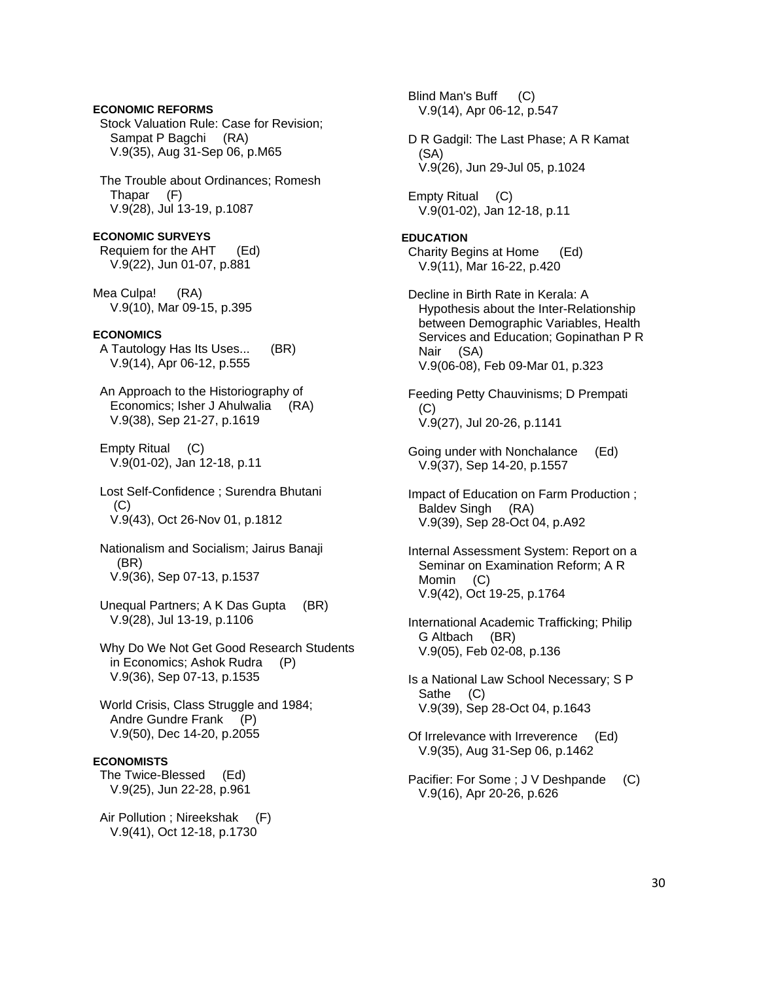### **ECONOMIC REFORMS**  Stock Valuation Rule: Case for Revision; Sampat P Bagchi (RA) V.9(35), Aug 31-Sep 06, p.M65

 The Trouble about Ordinances; Romesh Thapar (F) V.9(28), Jul 13-19, p.1087

**ECONOMIC SURVEYS**  Requiem for the AHT (Ed) V.9(22), Jun 01-07, p.881

Mea Culpa! (RA) V.9(10), Mar 09-15, p.395

### **ECONOMICS**

- A Tautology Has Its Uses... (BR) V.9(14), Apr 06-12, p.555
- An Approach to the Historiography of Economics; Isher J Ahulwalia (RA) V.9(38), Sep 21-27, p.1619

 Empty Ritual (C) V.9(01-02), Jan 12-18, p.11

 Lost Self-Confidence ; Surendra Bhutani  $(C)$ V.9(43), Oct 26-Nov 01, p.1812

 Nationalism and Socialism; Jairus Banaji (BR) V.9(36), Sep 07-13, p.1537

 Unequal Partners; A K Das Gupta (BR) V.9(28), Jul 13-19, p.1106

 Why Do We Not Get Good Research Students in Economics; Ashok Rudra (P) V.9(36), Sep 07-13, p.1535

 World Crisis, Class Struggle and 1984; Andre Gundre Frank (P) V.9(50), Dec 14-20, p.2055

### **ECONOMISTS**

 The Twice-Blessed (Ed) V.9(25), Jun 22-28, p.961

 Air Pollution ; Nireekshak (F) V.9(41), Oct 12-18, p.1730

 Blind Man's Buff (C) V.9(14), Apr 06-12, p.547 D R Gadgil: The Last Phase; A R Kamat (SA) V.9(26), Jun 29-Jul 05, p.1024

 Empty Ritual (C) V.9(01-02), Jan 12-18, p.11

### **EDUCATION**

 Charity Begins at Home (Ed) V.9(11), Mar 16-22, p.420

 Decline in Birth Rate in Kerala: A Hypothesis about the Inter-Relationship between Demographic Variables, Health Services and Education; Gopinathan P R Nair (SA) V.9(06-08), Feb 09-Mar 01, p.323

 Feeding Petty Chauvinisms; D Prempati (C) V.9(27), Jul 20-26, p.1141

 Going under with Nonchalance (Ed) V.9(37), Sep 14-20, p.1557

 Impact of Education on Farm Production ; Baldev Singh (RA) V.9(39), Sep 28-Oct 04, p.A92

 Internal Assessment System: Report on a Seminar on Examination Reform; A R Momin (C) V.9(42), Oct 19-25, p.1764

- International Academic Trafficking; Philip G Altbach (BR) V.9(05), Feb 02-08, p.136
- Is a National Law School Necessary; S P Sathe (C) V.9(39), Sep 28-Oct 04, p.1643
- Of Irrelevance with Irreverence (Ed) V.9(35), Aug 31-Sep 06, p.1462
- Pacifier: For Some ; J V Deshpande (C) V.9(16), Apr 20-26, p.626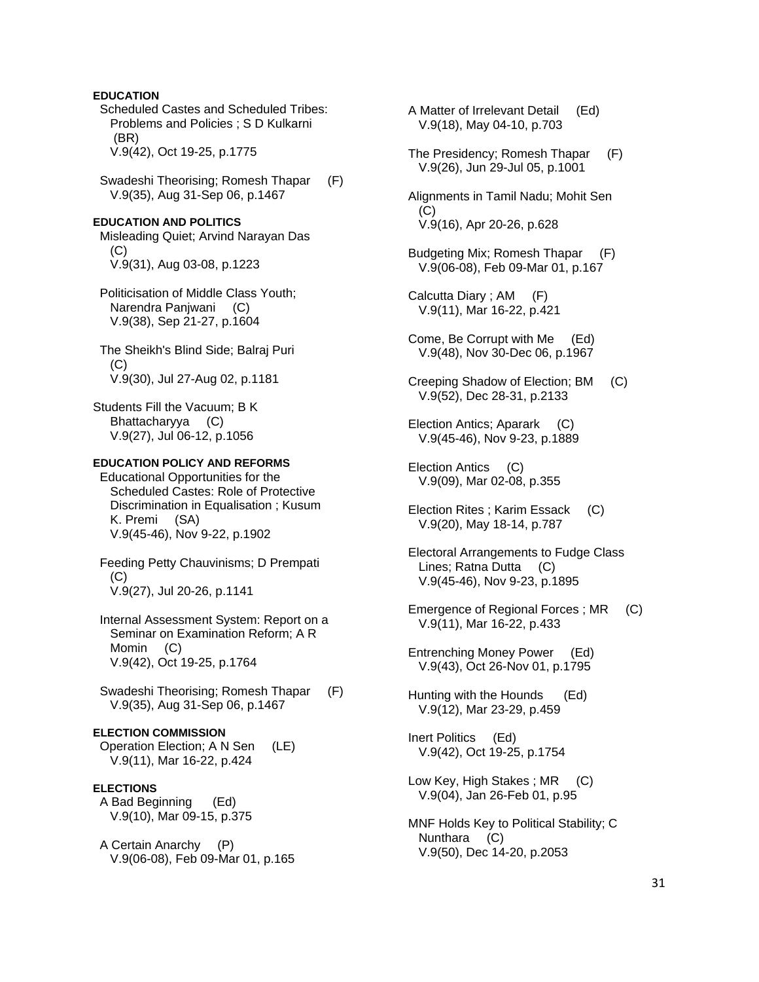### **EDUCATION**

 Scheduled Castes and Scheduled Tribes: Problems and Policies ; S D Kulkarni (BR) V.9(42), Oct 19-25, p.1775

 Swadeshi Theorising; Romesh Thapar (F) V.9(35), Aug 31-Sep 06, p.1467

#### **EDUCATION AND POLITICS**

 Misleading Quiet; Arvind Narayan Das (C) V.9(31), Aug 03-08, p.1223

 Politicisation of Middle Class Youth; Narendra Panjwani (C) V.9(38), Sep 21-27, p.1604

 The Sheikh's Blind Side; Balraj Puri (C) V.9(30), Jul 27-Aug 02, p.1181

Students Fill the Vacuum; B K Bhattacharyya (C) V.9(27), Jul 06-12, p.1056

### **EDUCATION POLICY AND REFORMS**

 Educational Opportunities for the Scheduled Castes: Role of Protective Discrimination in Equalisation ; Kusum K. Premi (SA) V.9(45-46), Nov 9-22, p.1902

 Feeding Petty Chauvinisms; D Prempati (C) V.9(27), Jul 20-26, p.1141

 Internal Assessment System: Report on a Seminar on Examination Reform; A R Momin (C) V.9(42), Oct 19-25, p.1764

 Swadeshi Theorising; Romesh Thapar (F) V.9(35), Aug 31-Sep 06, p.1467

### **ELECTION COMMISSION**

 Operation Election; A N Sen (LE) V.9(11), Mar 16-22, p.424

#### **ELECTIONS**

 A Bad Beginning (Ed) V.9(10), Mar 09-15, p.375

 A Certain Anarchy (P) V.9(06-08), Feb 09-Mar 01, p.165  A Matter of Irrelevant Detail (Ed) V.9(18), May 04-10, p.703

 The Presidency; Romesh Thapar (F) V.9(26), Jun 29-Jul 05, p.1001

 Alignments in Tamil Nadu; Mohit Sen (C) V.9(16), Apr 20-26, p.628

 Budgeting Mix; Romesh Thapar (F) V.9(06-08), Feb 09-Mar 01, p.167

 Calcutta Diary ; AM (F) V.9(11), Mar 16-22, p.421

- Come, Be Corrupt with Me (Ed) V.9(48), Nov 30-Dec 06, p.1967
- Creeping Shadow of Election; BM (C) V.9(52), Dec 28-31, p.2133
- Election Antics; Aparark (C) V.9(45-46), Nov 9-23, p.1889

 Election Antics (C) V.9(09), Mar 02-08, p.355

- Election Rites ; Karim Essack (C) V.9(20), May 18-14, p.787
- Electoral Arrangements to Fudge Class Lines; Ratna Dutta (C) V.9(45-46), Nov 9-23, p.1895
- Emergence of Regional Forces ; MR (C) V.9(11), Mar 16-22, p.433

 Entrenching Money Power (Ed) V.9(43), Oct 26-Nov 01, p.1795

 Hunting with the Hounds (Ed) V.9(12), Mar 23-29, p.459

 Inert Politics (Ed) V.9(42), Oct 19-25, p.1754

- Low Key, High Stakes ; MR (C) V.9(04), Jan 26-Feb 01, p.95
- MNF Holds Key to Political Stability; C Nunthara (C) V.9(50), Dec 14-20, p.2053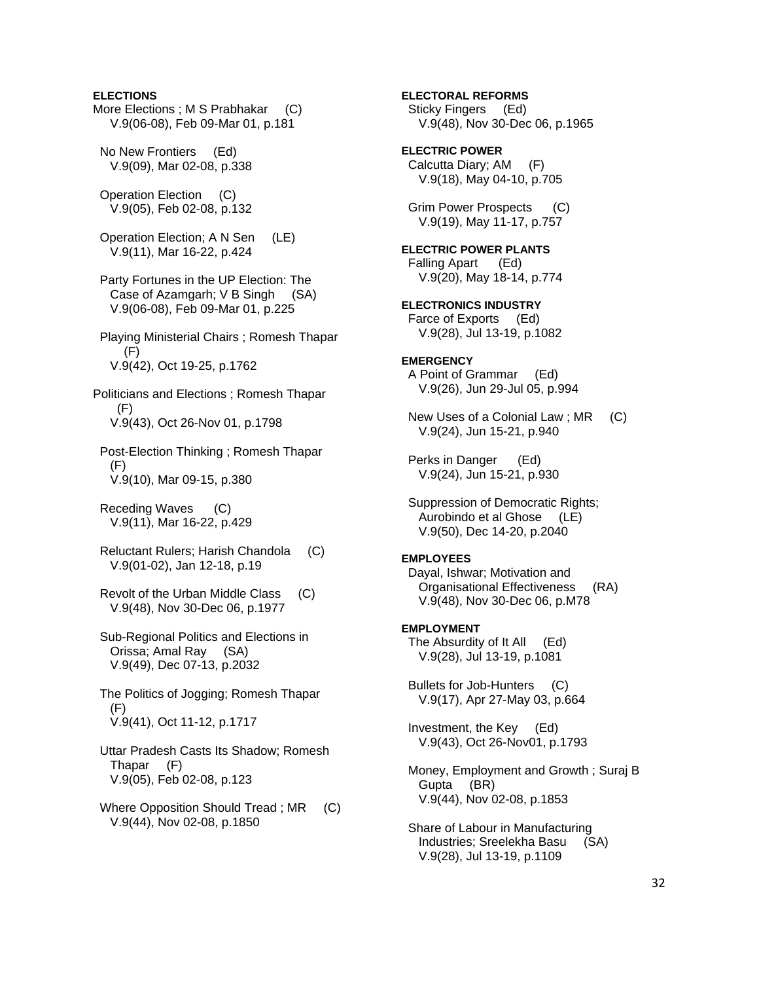### **ELECTIONS**

More Elections ; M S Prabhakar (C) V.9(06-08), Feb 09-Mar 01, p.181

 No New Frontiers (Ed) V.9(09), Mar 02-08, p.338

 Operation Election (C) V.9(05), Feb 02-08, p.132

 Operation Election; A N Sen (LE) V.9(11), Mar 16-22, p.424

 Party Fortunes in the UP Election: The Case of Azamgarh; V B Singh (SA) V.9(06-08), Feb 09-Mar 01, p.225

 Playing Ministerial Chairs ; Romesh Thapar (F) V.9(42), Oct 19-25, p.1762

Politicians and Elections ; Romesh Thapar (F) V.9(43), Oct 26-Nov 01, p.1798

 Post-Election Thinking ; Romesh Thapar (F) V.9(10), Mar 09-15, p.380

 Receding Waves (C) V.9(11), Mar 16-22, p.429

 Reluctant Rulers; Harish Chandola (C) V.9(01-02), Jan 12-18, p.19

 Revolt of the Urban Middle Class (C) V.9(48), Nov 30-Dec 06, p.1977

 Sub-Regional Politics and Elections in Orissa; Amal Ray (SA) V.9(49), Dec 07-13, p.2032

 The Politics of Jogging; Romesh Thapar (F) V.9(41), Oct 11-12, p.1717

 Uttar Pradesh Casts Its Shadow; Romesh Thapar (F) V.9(05), Feb 02-08, p.123

Where Opposition Should Tread ; MR (C) V.9(44), Nov 02-08, p.1850

**ELECTORAL REFORMS**  Sticky Fingers (Ed) V.9(48), Nov 30-Dec 06, p.1965 **ELECTRIC POWER**  Calcutta Diary; AM (F) V.9(18), May 04-10, p.705 Grim Power Prospects (C) V.9(19), May 11-17, p.757 **ELECTRIC POWER PLANTS**  Falling Apart (Ed) V.9(20), May 18-14, p.774 **ELECTRONICS INDUSTRY**  Farce of Exports (Ed) V.9(28), Jul 13-19, p.1082 **EMERGENCY**  A Point of Grammar (Ed) V.9(26), Jun 29-Jul 05, p.994 New Uses of a Colonial Law ; MR (C) V.9(24), Jun 15-21, p.940 Perks in Danger (Ed) V.9(24), Jun 15-21, p.930 Suppression of Democratic Rights; Aurobindo et al Ghose (LE) V.9(50), Dec 14-20, p.2040 **EMPLOYEES**  Dayal, Ishwar; Motivation and Organisational Effectiveness (RA) V.9(48), Nov 30-Dec 06, p.M78 **EMPLOYMENT**  The Absurdity of It All (Ed) V.9(28), Jul 13-19, p.1081 Bullets for Job-Hunters (C) V.9(17), Apr 27-May 03, p.664 Investment, the Key (Ed) V.9(43), Oct 26-Nov01, p.1793 Money, Employment and Growth ; Suraj B Gupta (BR) V.9(44), Nov 02-08, p.1853 Share of Labour in Manufacturing Industries; Sreelekha Basu (SA)

V.9(28), Jul 13-19, p.1109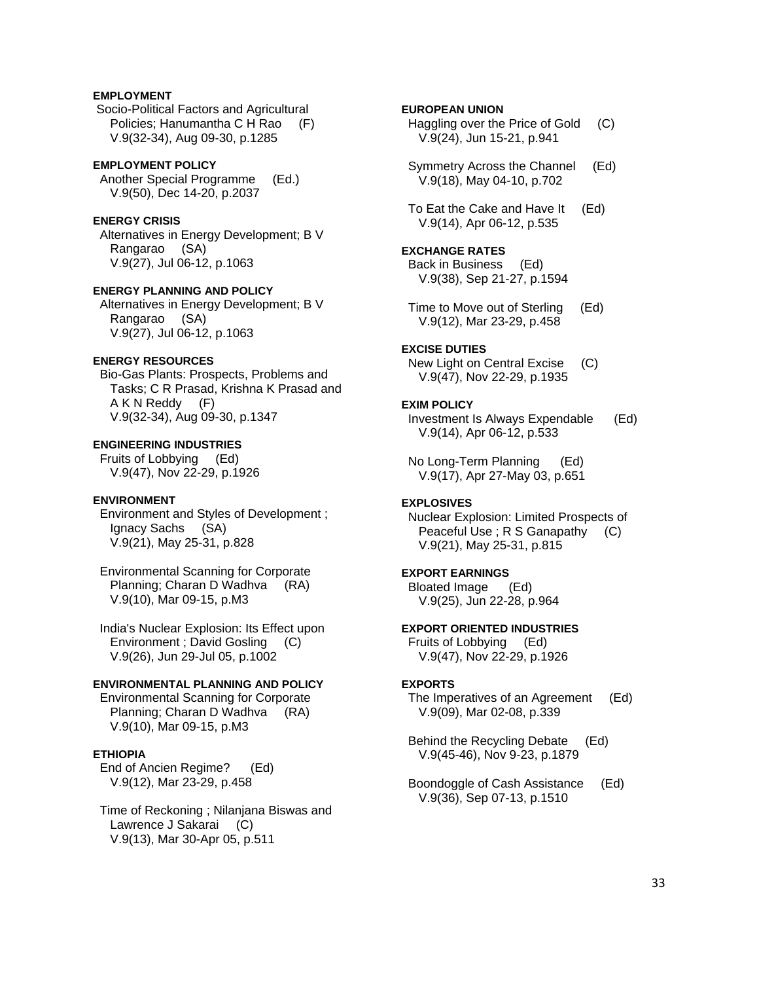# **EMPLOYMENT**

 Socio-Political Factors and Agricultural Policies; Hanumantha C H Rao (F) V.9(32-34), Aug 09-30, p.1285

#### **EMPLOYMENT POLICY**

 Another Special Programme (Ed.) V.9(50), Dec 14-20, p.2037

# **ENERGY CRISIS**

 Alternatives in Energy Development; B V Rangarao (SA) V.9(27), Jul 06-12, p.1063

#### **ENERGY PLANNING AND POLICY**

 Alternatives in Energy Development; B V Rangarao (SA) V.9(27), Jul 06-12, p.1063

### **ENERGY RESOURCES**

 Bio-Gas Plants: Prospects, Problems and Tasks; C R Prasad, Krishna K Prasad and A K N Reddy (F) V.9(32-34), Aug 09-30, p.1347

### **ENGINEERING INDUSTRIES**

 Fruits of Lobbying (Ed) V.9(47), Nov 22-29, p.1926

#### **ENVIRONMENT**

 Environment and Styles of Development ; Ignacy Sachs (SA) V.9(21), May 25-31, p.828

 Environmental Scanning for Corporate Planning; Charan D Wadhva (RA) V.9(10), Mar 09-15, p.M3

 India's Nuclear Explosion: Its Effect upon Environment ; David Gosling (C) V.9(26), Jun 29-Jul 05, p.1002

#### **ENVIRONMENTAL PLANNING AND POLICY**

 Environmental Scanning for Corporate Planning; Charan D Wadhva (RA) V.9(10), Mar 09-15, p.M3

#### **ETHIOPIA**

 End of Ancien Regime? (Ed) V.9(12), Mar 23-29, p.458

 Time of Reckoning ; Nilanjana Biswas and Lawrence J Sakarai (C) V.9(13), Mar 30-Apr 05, p.511

### **EUROPEAN UNION**

 Haggling over the Price of Gold (C) V.9(24), Jun 15-21, p.941

 Symmetry Across the Channel (Ed) V.9(18), May 04-10, p.702

 To Eat the Cake and Have It (Ed) V.9(14), Apr 06-12, p.535

# **EXCHANGE RATES**  Back in Business (Ed)

V.9(38), Sep 21-27, p.1594

 Time to Move out of Sterling (Ed) V.9(12), Mar 23-29, p.458

### **EXCISE DUTIES**

 New Light on Central Excise (C) V.9(47), Nov 22-29, p.1935

#### **EXIM POLICY**

 Investment Is Always Expendable (Ed) V.9(14), Apr 06-12, p.533

 No Long-Term Planning (Ed) V.9(17), Apr 27-May 03, p.651

### **EXPLOSIVES**

 Nuclear Explosion: Limited Prospects of Peaceful Use ; R S Ganapathy (C) V.9(21), May 25-31, p.815

### **EXPORT EARNINGS**

 Bloated Image (Ed) V.9(25), Jun 22-28, p.964

# **EXPORT ORIENTED INDUSTRIES**

 Fruits of Lobbying (Ed) V.9(47), Nov 22-29, p.1926

#### **EXPORTS**

 The Imperatives of an Agreement (Ed) V.9(09), Mar 02-08, p.339

 Behind the Recycling Debate (Ed) V.9(45-46), Nov 9-23, p.1879

 Boondoggle of Cash Assistance (Ed) V.9(36), Sep 07-13, p.1510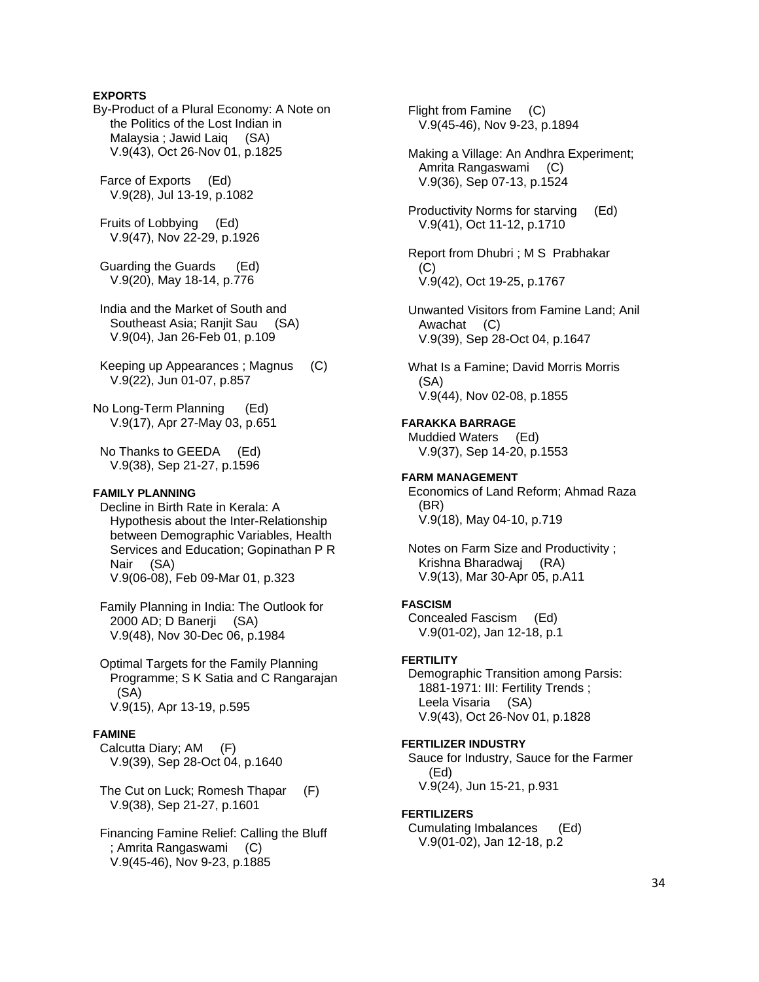### **EXPORTS**

By-Product of a Plural Economy: A Note on the Politics of the Lost Indian in Malaysia ; Jawid Laiq (SA) V.9(43), Oct 26-Nov 01, p.1825

 Farce of Exports (Ed) V.9(28), Jul 13-19, p.1082

 Fruits of Lobbying (Ed) V.9(47), Nov 22-29, p.1926

 Guarding the Guards (Ed) V.9(20), May 18-14, p.776

 India and the Market of South and Southeast Asia: Raniit Sau (SA) V.9(04), Jan 26-Feb 01, p.109

 Keeping up Appearances ; Magnus (C) V.9(22), Jun 01-07, p.857

No Long-Term Planning (Ed) V.9(17), Apr 27-May 03, p.651

 No Thanks to GEEDA (Ed) V.9(38), Sep 21-27, p.1596

#### **FAMILY PLANNING**

 Decline in Birth Rate in Kerala: A Hypothesis about the Inter-Relationship between Demographic Variables, Health Services and Education; Gopinathan P R Nair (SA) V.9(06-08), Feb 09-Mar 01, p.323

 Family Planning in India: The Outlook for 2000 AD; D Banerji (SA) V.9(48), Nov 30-Dec 06, p.1984

 Optimal Targets for the Family Planning Programme; S K Satia and C Rangarajan (SA) V.9(15), Apr 13-19, p.595

#### **FAMINE**

 Calcutta Diary; AM (F) V.9(39), Sep 28-Oct 04, p.1640

 The Cut on Luck; Romesh Thapar (F) V.9(38), Sep 21-27, p.1601

 Financing Famine Relief: Calling the Bluff ; Amrita Rangaswami (C) V.9(45-46), Nov 9-23, p.1885

 Flight from Famine (C) V.9(45-46), Nov 9-23, p.1894 Making a Village: An Andhra Experiment; Amrita Rangaswami (C) V.9(36), Sep 07-13, p.1524 Productivity Norms for starving (Ed) V.9(41), Oct 11-12, p.1710 Report from Dhubri ; M S Prabhakar  $(C)$  V.9(42), Oct 19-25, p.1767 Unwanted Visitors from Famine Land; Anil Awachat (C) V.9(39), Sep 28-Oct 04, p.1647 What Is a Famine; David Morris Morris (SA) V.9(44), Nov 02-08, p.1855 **FARAKKA BARRAGE**  Muddied Waters (Ed) V.9(37), Sep 14-20, p.1553 **FARM MANAGEMENT**  Economics of Land Reform; Ahmad Raza (BR) V.9(18), May 04-10, p.719 Notes on Farm Size and Productivity ; Krishna Bharadwaj (RA) V.9(13), Mar 30-Apr 05, p.A11 **FASCISM**  Concealed Fascism (Ed) V.9(01-02), Jan 12-18, p.1 **FERTILITY**  Demographic Transition among Parsis: 1881-1971: III: Fertility Trends ; Leela Visaria (SA) V.9(43), Oct 26-Nov 01, p.1828 **FERTILIZER INDUSTRY**  Sauce for Industry, Sauce for the Farmer (Ed) V.9(24), Jun 15-21, p.931 **FERTILIZERS**  Cumulating Imbalances (Ed) V.9(01-02), Jan 12-18, p.2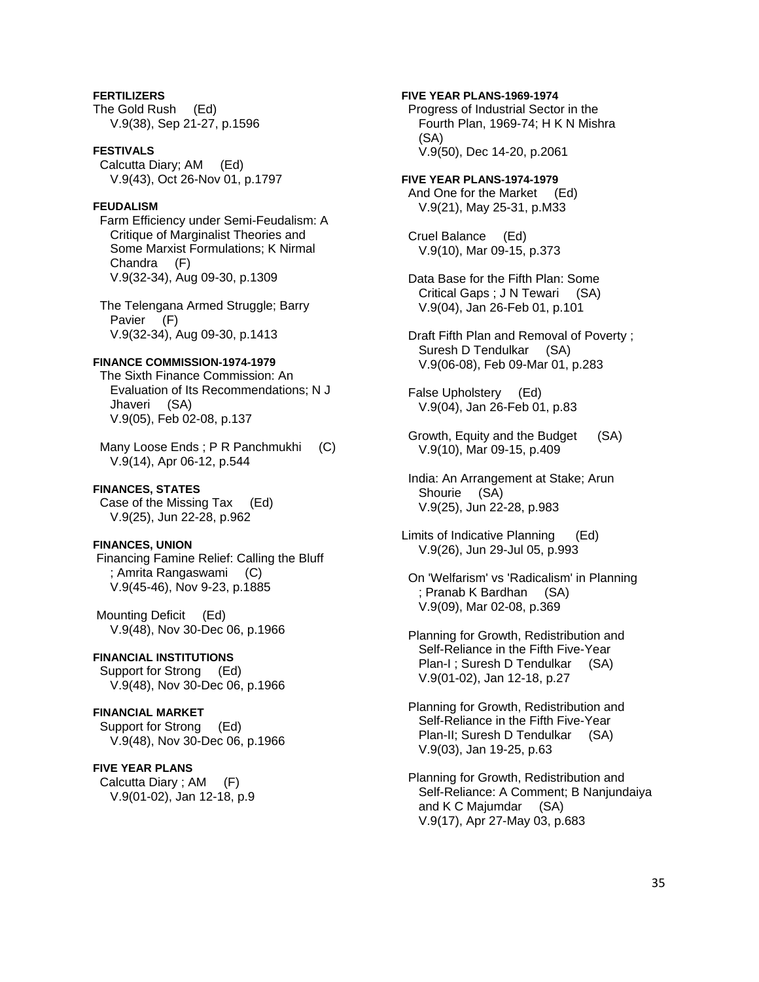# **FERTILIZERS**

The Gold Rush (Ed) V.9(38), Sep 21-27, p.1596

#### **FESTIVALS**

 Calcutta Diary; AM (Ed) V.9(43), Oct 26-Nov 01, p.1797

### **FEUDALISM**

 Farm Efficiency under Semi-Feudalism: A Critique of Marginalist Theories and Some Marxist Formulations; K Nirmal Chandra (F) V.9(32-34), Aug 09-30, p.1309

 The Telengana Armed Struggle; Barry Pavier (F) V.9(32-34), Aug 09-30, p.1413

# **FINANCE COMMISSION-1974-1979**

 The Sixth Finance Commission: An Evaluation of Its Recommendations; N J Jhaveri (SA) V.9(05), Feb 02-08, p.137

 Many Loose Ends ; P R Panchmukhi (C) V.9(14), Apr 06-12, p.544

#### **FINANCES, STATES**

 Case of the Missing Tax (Ed) V.9(25), Jun 22-28, p.962

### **FINANCES, UNION**

 Financing Famine Relief: Calling the Bluff ; Amrita Rangaswami (C) V.9(45-46), Nov 9-23, p.1885

 Mounting Deficit (Ed) V.9(48), Nov 30-Dec 06, p.1966

### **FINANCIAL INSTITUTIONS**

Support for Strong (Ed) V.9(48), Nov 30-Dec 06, p.1966

### **FINANCIAL MARKET**

 Support for Strong (Ed) V.9(48), Nov 30-Dec 06, p.1966

#### **FIVE YEAR PLANS**

 Calcutta Diary ; AM (F) V.9(01-02), Jan 12-18, p.9

### **FIVE YEAR PLANS-1969-1974**

 Progress of Industrial Sector in the Fourth Plan, 1969-74; H K N Mishra (SA) V.9(50), Dec 14-20, p.2061

**FIVE YEAR PLANS-1974-1979**  And One for the Market (Ed) V.9(21), May 25-31, p.M33

 Cruel Balance (Ed) V.9(10), Mar 09-15, p.373

 Data Base for the Fifth Plan: Some Critical Gaps ; J N Tewari (SA) V.9(04), Jan 26-Feb 01, p.101

 Draft Fifth Plan and Removal of Poverty ; Suresh D Tendulkar (SA) V.9(06-08), Feb 09-Mar 01, p.283

 False Upholstery (Ed) V.9(04), Jan 26-Feb 01, p.83

 Growth, Equity and the Budget (SA) V.9(10), Mar 09-15, p.409

 India: An Arrangement at Stake; Arun Shourie (SA) V.9(25), Jun 22-28, p.983

Limits of Indicative Planning (Ed) V.9(26), Jun 29-Jul 05, p.993

 On 'Welfarism' vs 'Radicalism' in Planning ; Pranab K Bardhan (SA) V.9(09), Mar 02-08, p.369

 Planning for Growth, Redistribution and Self-Reliance in the Fifth Five-Year Plan-I ; Suresh D Tendulkar (SA) V.9(01-02), Jan 12-18, p.27

 Planning for Growth, Redistribution and Self-Reliance in the Fifth Five-Year Plan-II; Suresh D Tendulkar (SA) V.9(03), Jan 19-25, p.63

 Planning for Growth, Redistribution and Self-Reliance: A Comment; B Nanjundaiya and K C Majumdar (SA) V.9(17), Apr 27-May 03, p.683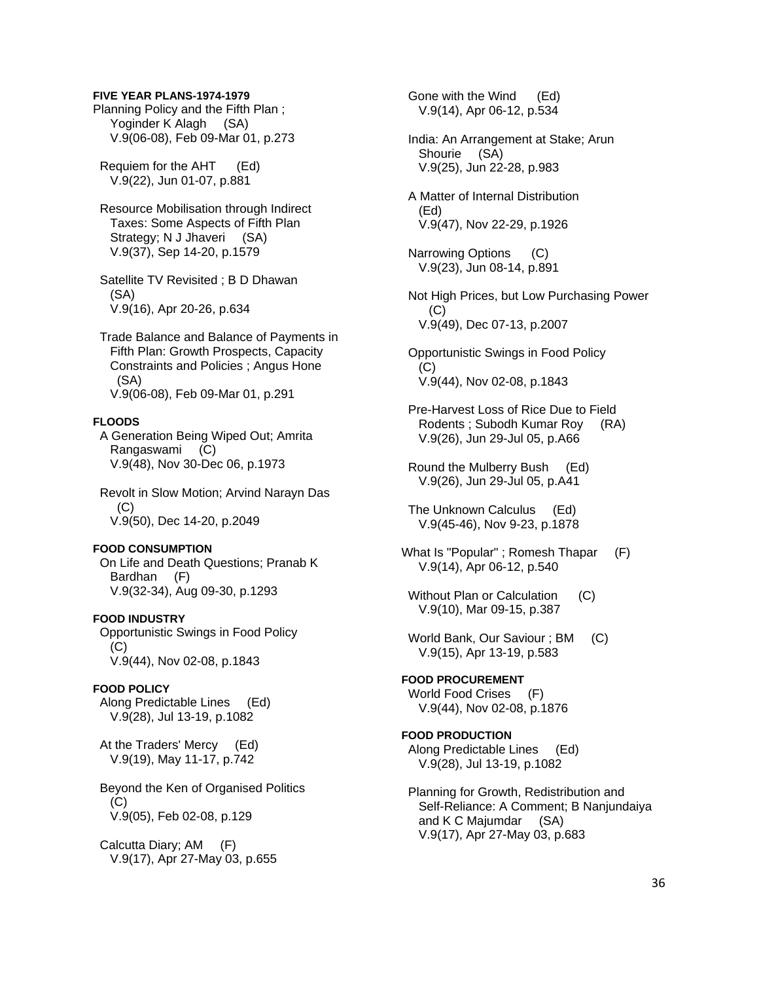#### **FIVE YEAR PLANS-1974-1979**

Planning Policy and the Fifth Plan ; Yoginder K Alagh (SA) V.9(06-08), Feb 09-Mar 01, p.273

 Requiem for the AHT (Ed) V.9(22), Jun 01-07, p.881

 Resource Mobilisation through Indirect Taxes: Some Aspects of Fifth Plan Strategy; N J Jhaveri (SA) V.9(37), Sep 14-20, p.1579

 Satellite TV Revisited ; B D Dhawan (SA) V.9(16), Apr 20-26, p.634

 Trade Balance and Balance of Payments in Fifth Plan: Growth Prospects, Capacity Constraints and Policies ; Angus Hone (SA) V.9(06-08), Feb 09-Mar 01, p.291

#### **FLOODS**

 A Generation Being Wiped Out; Amrita Rangaswami (C) V.9(48), Nov 30-Dec 06, p.1973

 Revolt in Slow Motion; Arvind Narayn Das  $(C)$ V.9(50), Dec 14-20, p.2049

#### **FOOD CONSUMPTION**

 On Life and Death Questions; Pranab K Bardhan (F) V.9(32-34), Aug 09-30, p.1293

#### **FOOD INDUSTRY**

 Opportunistic Swings in Food Policy  $(C)$ V.9(44), Nov 02-08, p.1843

### **FOOD POLICY**

 Along Predictable Lines (Ed) V.9(28), Jul 13-19, p.1082

 At the Traders' Mercy (Ed) V.9(19), May 11-17, p.742

 Beyond the Ken of Organised Politics  $(C)$ V.9(05), Feb 02-08, p.129

 Calcutta Diary; AM (F) V.9(17), Apr 27-May 03, p.655

 V.9(14), Apr 06-12, p.534 India: An Arrangement at Stake; Arun Shourie (SA) V.9(25), Jun 22-28, p.983 A Matter of Internal Distribution (Ed) V.9(47), Nov 22-29, p.1926 Narrowing Options (C) V.9(23), Jun 08-14, p.891 Not High Prices, but Low Purchasing Power  $(C)$  V.9(49), Dec 07-13, p.2007 Opportunistic Swings in Food Policy (C) V.9(44), Nov 02-08, p.1843 Pre-Harvest Loss of Rice Due to Field Rodents ; Subodh Kumar Roy (RA) V.9(26), Jun 29-Jul 05, p.A66 Round the Mulberry Bush (Ed) V.9(26), Jun 29-Jul 05, p.A41 The Unknown Calculus (Ed) V.9(45-46), Nov 9-23, p.1878 What Is "Popular" ; Romesh Thapar (F) V.9(14), Apr 06-12, p.540 Without Plan or Calculation (C) V.9(10), Mar 09-15, p.387 World Bank, Our Saviour ; BM (C) V.9(15), Apr 13-19, p.583 **FOOD PROCUREMENT**  World Food Crises (F) V.9(44), Nov 02-08, p.1876 **FOOD PRODUCTION**  Along Predictable Lines (Ed) V.9(28), Jul 13-19, p.1082 Planning for Growth, Redistribution and Self-Reliance: A Comment; B Nanjundaiya and K C Majumdar (SA) V.9(17), Apr 27-May 03, p.683

Gone with the Wind (Ed)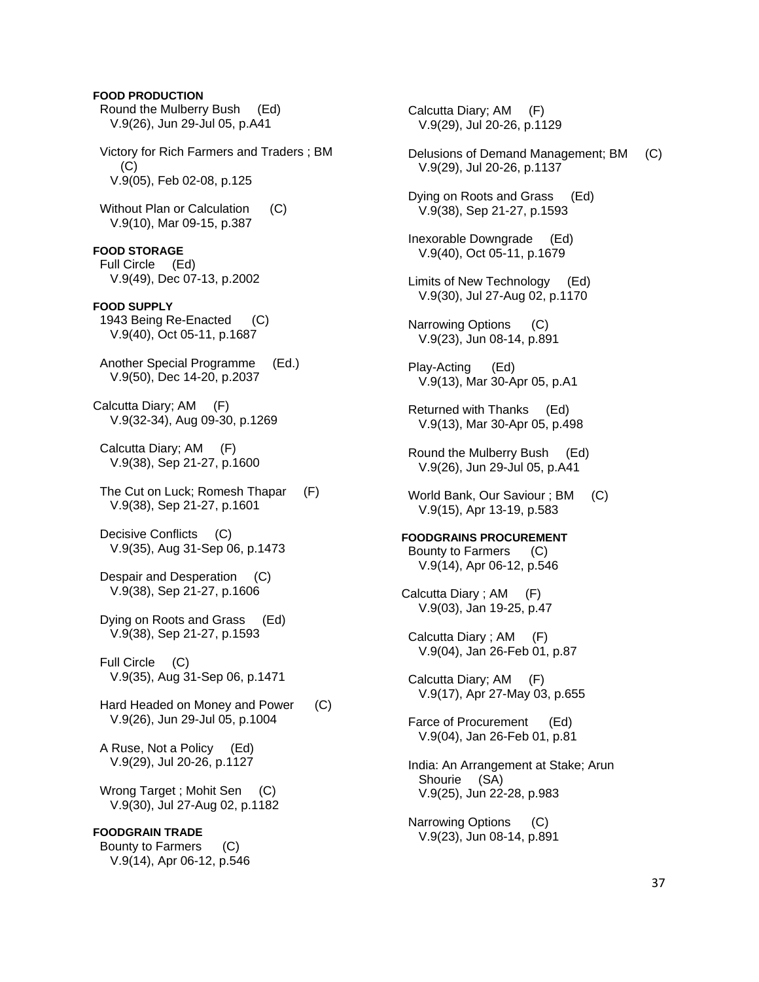# Round the Mulberry Bush (Ed) V.9(26), Jun 29-Jul 05, p.A41 Victory for Rich Farmers and Traders ; BM  $(C)$  V.9(05), Feb 02-08, p.125 Without Plan or Calculation (C) V.9(10), Mar 09-15, p.387 **FOOD STORAGE**  Full Circle (Ed) V.9(49), Dec 07-13, p.2002 **FOOD SUPPLY**  1943 Being Re-Enacted (C) V.9(40), Oct 05-11, p.1687 Another Special Programme (Ed.) V.9(50), Dec 14-20, p.2037 Calcutta Diary; AM (F) V.9(32-34), Aug 09-30, p.1269 Calcutta Diary; AM (F) V.9(38), Sep 21-27, p.1600 The Cut on Luck; Romesh Thapar (F) V.9(38), Sep 21-27, p.1601 Decisive Conflicts (C) V.9(35), Aug 31-Sep 06, p.1473 Despair and Desperation (C) V.9(38), Sep 21-27, p.1606 Dying on Roots and Grass (Ed) V.9(38), Sep 21-27, p.1593 Full Circle (C) V.9(35), Aug 31-Sep 06, p.1471 Hard Headed on Money and Power (C) V.9(26), Jun 29-Jul 05, p.1004 A Ruse, Not a Policy (Ed) V.9(29), Jul 20-26, p.1127 Wrong Target ; Mohit Sen (C) V.9(30), Jul 27-Aug 02, p.1182 **FOODGRAIN TRADE**

**FOOD PRODUCTION** 

 Bounty to Farmers (C) V.9(14), Apr 06-12, p.546

 Calcutta Diary; AM (F) V.9(29), Jul 20-26, p.1129 Delusions of Demand Management; BM (C) V.9(29), Jul 20-26, p.1137 Dying on Roots and Grass (Ed) V.9(38), Sep 21-27, p.1593 Inexorable Downgrade (Ed) V.9(40), Oct 05-11, p.1679 Limits of New Technology (Ed) V.9(30), Jul 27-Aug 02, p.1170 Narrowing Options (C) V.9(23), Jun 08-14, p.891 Play-Acting (Ed) V.9(13), Mar 30-Apr 05, p.A1 Returned with Thanks (Ed) V.9(13), Mar 30-Apr 05, p.498 Round the Mulberry Bush (Ed) V.9(26), Jun 29-Jul 05, p.A41 World Bank, Our Saviour ; BM (C) V.9(15), Apr 13-19, p.583 **FOODGRAINS PROCUREMENT**  Bounty to Farmers (C) V.9(14), Apr 06-12, p.546 Calcutta Diary ; AM (F) V.9(03), Jan 19-25, p.47 Calcutta Diary ; AM (F) V.9(04), Jan 26-Feb 01, p.87 Calcutta Diary; AM (F) V.9(17), Apr 27-May 03, p.655 Farce of Procurement (Ed) V.9(04), Jan 26-Feb 01, p.81 India: An Arrangement at Stake; Arun Shourie (SA) V.9(25), Jun 22-28, p.983 Narrowing Options (C) V.9(23), Jun 08-14, p.891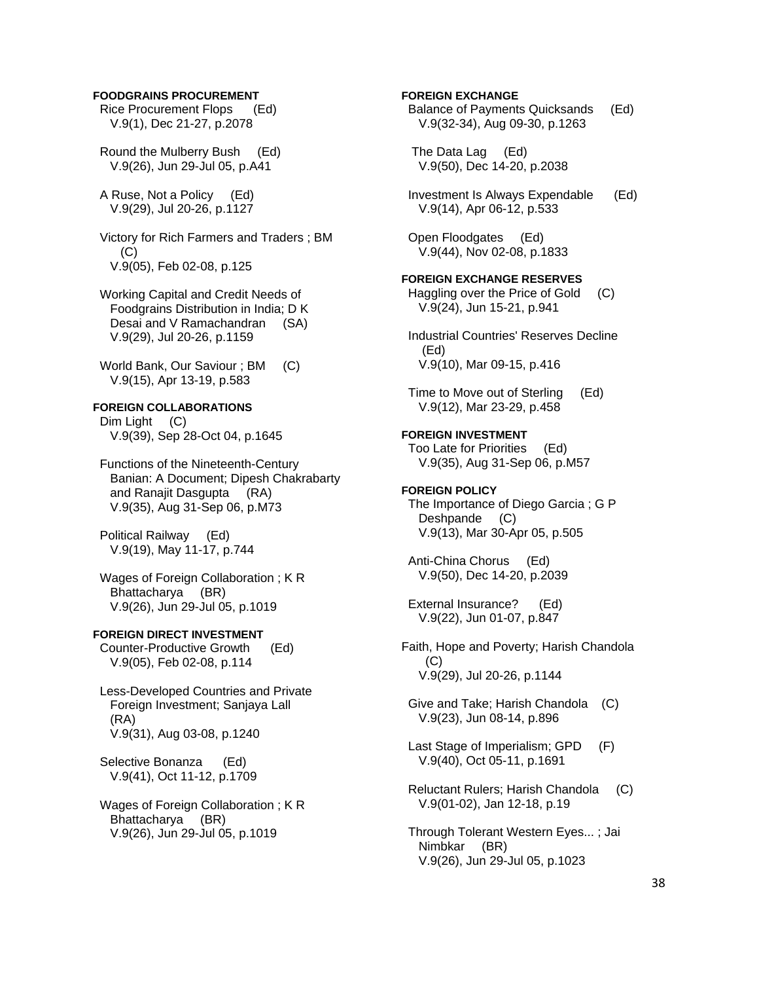#### **FOODGRAINS PROCUREMENT**

 Rice Procurement Flops (Ed) V.9(1), Dec 21-27, p.2078

 Round the Mulberry Bush (Ed) V.9(26), Jun 29-Jul 05, p.A41

 A Ruse, Not a Policy (Ed) V.9(29), Jul 20-26, p.1127

 Victory for Rich Farmers and Traders ; BM  $(C)$ V.9(05), Feb 02-08, p.125

 Working Capital and Credit Needs of Foodgrains Distribution in India; D K Desai and V Ramachandran (SA) V.9(29), Jul 20-26, p.1159

 World Bank, Our Saviour ; BM (C) V.9(15), Apr 13-19, p.583

**FOREIGN COLLABORATIONS**  Dim Light (C)

V.9(39), Sep 28-Oct 04, p.1645

 Functions of the Nineteenth-Century Banian: A Document; Dipesh Chakrabarty and Ranajit Dasgupta (RA) V.9(35), Aug 31-Sep 06, p.M73

 Political Railway (Ed) V.9(19), May 11-17, p.744

 Wages of Foreign Collaboration ; K R Bhattacharya (BR) V.9(26), Jun 29-Jul 05, p.1019

## **FOREIGN DIRECT INVESTMENT**

 Counter-Productive Growth (Ed) V.9(05), Feb 02-08, p.114

 Less-Developed Countries and Private Foreign Investment; Sanjaya Lall (RA) V.9(31), Aug 03-08, p.1240

 Selective Bonanza (Ed) V.9(41), Oct 11-12, p.1709

 Wages of Foreign Collaboration ; K R Bhattacharya (BR) V.9(26), Jun 29-Jul 05, p.1019

## **FOREIGN EXCHANGE**

 Balance of Payments Quicksands (Ed) V.9(32-34), Aug 09-30, p.1263

 The Data Lag (Ed) V.9(50), Dec 14-20, p.2038

 Investment Is Always Expendable (Ed) V.9(14), Apr 06-12, p.533

 Open Floodgates (Ed) V.9(44), Nov 02-08, p.1833

## **FOREIGN EXCHANGE RESERVES**

 Haggling over the Price of Gold (C) V.9(24), Jun 15-21, p.941

 Industrial Countries' Reserves Decline (Ed) V.9(10), Mar 09-15, p.416

 Time to Move out of Sterling (Ed) V.9(12), Mar 23-29, p.458

#### **FOREIGN INVESTMENT**  Too Late for Priorities (Ed)

V.9(35), Aug 31-Sep 06, p.M57

# **FOREIGN POLICY**

 The Importance of Diego Garcia ; G P Deshpande (C) V.9(13), Mar 30-Apr 05, p.505

 Anti-China Chorus (Ed) V.9(50), Dec 14-20, p.2039

 External Insurance? (Ed) V.9(22), Jun 01-07, p.847

Faith, Hope and Poverty; Harish Chandola  $(C)$ V.9(29), Jul 20-26, p.1144

 Give and Take; Harish Chandola (C) V.9(23), Jun 08-14, p.896

Last Stage of Imperialism: GPD (F) V.9(40), Oct 05-11, p.1691

 Reluctant Rulers; Harish Chandola (C) V.9(01-02), Jan 12-18, p.19

 Through Tolerant Western Eyes... ; Jai Nimbkar (BR) V.9(26), Jun 29-Jul 05, p.1023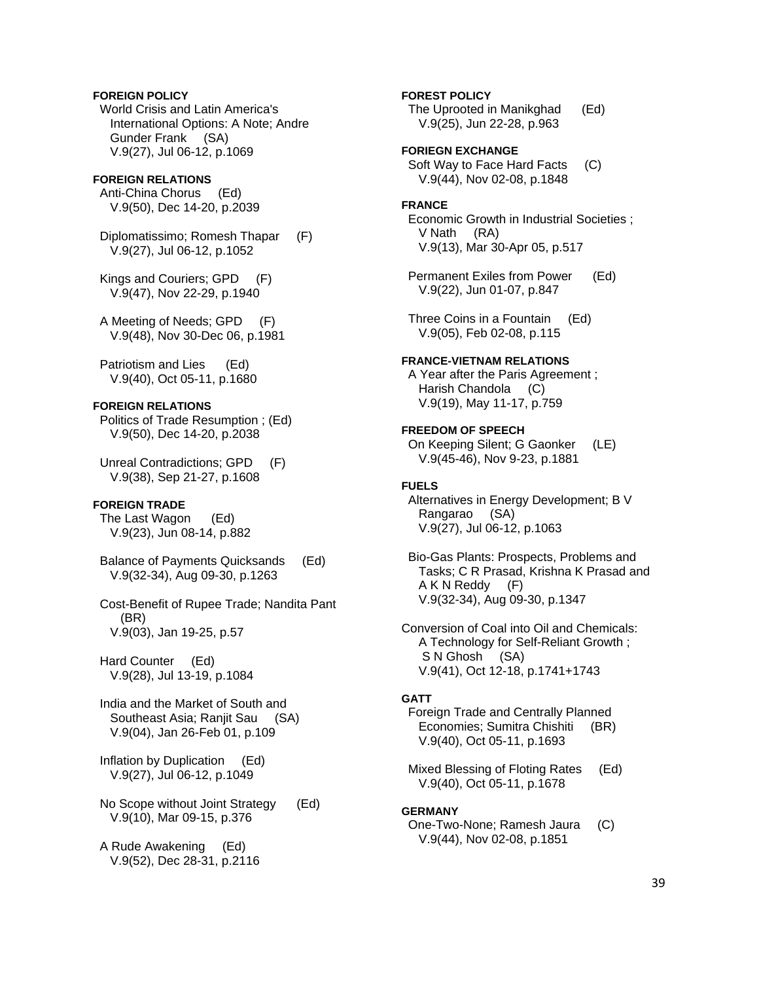## **FOREIGN POLICY**

 World Crisis and Latin America's International Options: A Note; Andre Gunder Frank (SA) V.9(27), Jul 06-12, p.1069

## **FOREIGN RELATIONS**

 Anti-China Chorus (Ed) V.9(50), Dec 14-20, p.2039

 Diplomatissimo; Romesh Thapar (F) V.9(27), Jul 06-12, p.1052

 Kings and Couriers; GPD (F) V.9(47), Nov 22-29, p.1940

 A Meeting of Needs; GPD (F) V.9(48), Nov 30-Dec 06, p.1981

 Patriotism and Lies (Ed) V.9(40), Oct 05-11, p.1680

## **FOREIGN RELATIONS**

 Politics of Trade Resumption ; (Ed) V.9(50), Dec 14-20, p.2038

 Unreal Contradictions; GPD (F) V.9(38), Sep 21-27, p.1608

## **FOREIGN TRADE**

 The Last Wagon (Ed) V.9(23), Jun 08-14, p.882

 Balance of Payments Quicksands (Ed) V.9(32-34), Aug 09-30, p.1263

 Cost-Benefit of Rupee Trade; Nandita Pant (BR) V.9(03), Jan 19-25, p.57

 Hard Counter (Ed) V.9(28), Jul 13-19, p.1084

 India and the Market of South and Southeast Asia; Ranjit Sau (SA) V.9(04), Jan 26-Feb 01, p.109

 Inflation by Duplication (Ed) V.9(27), Jul 06-12, p.1049

 No Scope without Joint Strategy (Ed) V.9(10), Mar 09-15, p.376

 A Rude Awakening (Ed) V.9(52), Dec 28-31, p.2116

#### **FOREST POLICY**

 The Uprooted in Manikghad (Ed) V.9(25), Jun 22-28, p.963

**FORIEGN EXCHANGE** 

 Soft Way to Face Hard Facts (C) V.9(44), Nov 02-08, p.1848

### **FRANCE**

 Economic Growth in Industrial Societies ; V Nath (RA) V.9(13), Mar 30-Apr 05, p.517

 Permanent Exiles from Power (Ed) V.9(22), Jun 01-07, p.847

 Three Coins in a Fountain (Ed) V.9(05), Feb 02-08, p.115

## **FRANCE-VIETNAM RELATIONS**

 A Year after the Paris Agreement ; Harish Chandola (C) V.9(19), May 11-17, p.759

## **FREEDOM OF SPEECH**

 On Keeping Silent; G Gaonker (LE) V.9(45-46), Nov 9-23, p.1881

## **FUELS**

 Alternatives in Energy Development; B V Rangarao (SA) V.9(27), Jul 06-12, p.1063

 Bio-Gas Plants: Prospects, Problems and Tasks; C R Prasad, Krishna K Prasad and A K N Reddy (F) V.9(32-34), Aug 09-30, p.1347

Conversion of Coal into Oil and Chemicals: A Technology for Self-Reliant Growth ; S N Ghosh (SA) V.9(41), Oct 12-18, p.1741+1743

#### **GATT**

 Foreign Trade and Centrally Planned Economies; Sumitra Chishiti (BR) V.9(40), Oct 05-11, p.1693

 Mixed Blessing of Floting Rates (Ed) V.9(40), Oct 05-11, p.1678

#### **GERMANY**

 One-Two-None; Ramesh Jaura (C) V.9(44), Nov 02-08, p.1851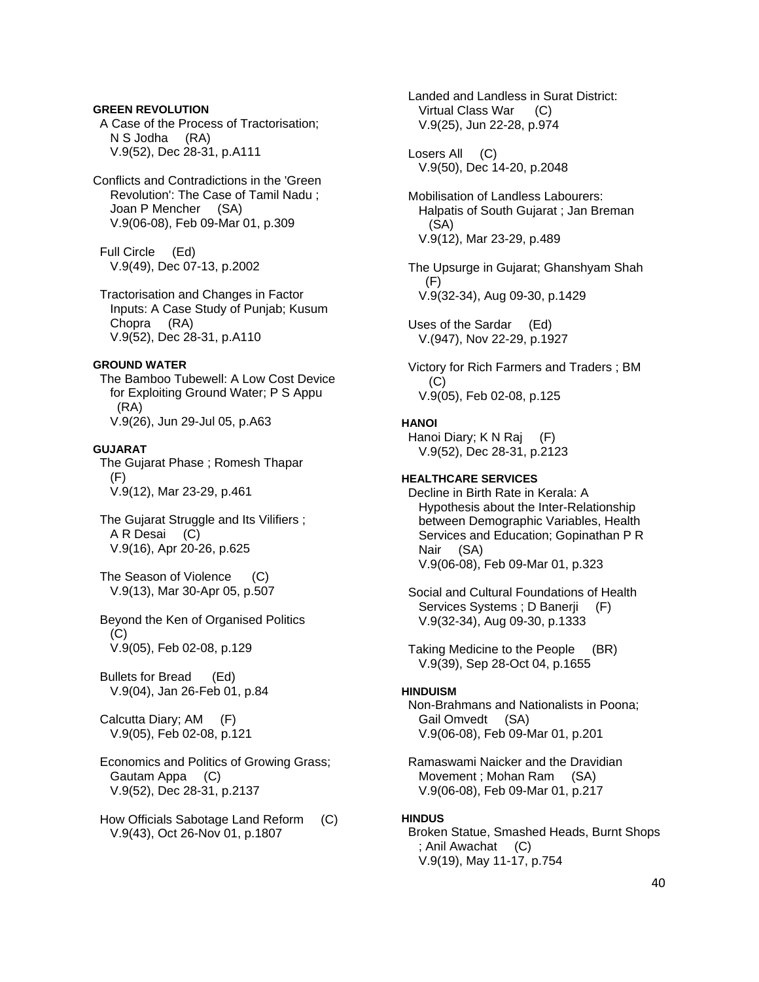## **GREEN REVOLUTION**

 A Case of the Process of Tractorisation; N S Jodha (RA) V.9(52), Dec 28-31, p.A111

Conflicts and Contradictions in the 'Green Revolution': The Case of Tamil Nadu ; Joan P Mencher (SA) V.9(06-08), Feb 09-Mar 01, p.309

 Full Circle (Ed) V.9(49), Dec 07-13, p.2002

 Tractorisation and Changes in Factor Inputs: A Case Study of Punjab; Kusum Chopra (RA) V.9(52), Dec 28-31, p.A110

#### **GROUND WATER**

 The Bamboo Tubewell: A Low Cost Device for Exploiting Ground Water; P S Appu (RA) V.9(26), Jun 29-Jul 05, p.A63

## **GUJARAT**

 The Gujarat Phase ; Romesh Thapar (F) V.9(12), Mar 23-29, p.461

 The Gujarat Struggle and Its Vilifiers ; A R Desai (C) V.9(16), Apr 20-26, p.625

 The Season of Violence (C) V.9(13), Mar 30-Apr 05, p.507

## Beyond the Ken of Organised Politics  $(C)$ V.9(05), Feb 02-08, p.129

 Bullets for Bread (Ed) V.9(04), Jan 26-Feb 01, p.84

 Calcutta Diary; AM (F) V.9(05), Feb 02-08, p.121

## Economics and Politics of Growing Grass; Gautam Appa (C) V.9(52), Dec 28-31, p.2137

 How Officials Sabotage Land Reform (C) V.9(43), Oct 26-Nov 01, p.1807

 Landed and Landless in Surat District: Virtual Class War (C) V.9(25), Jun 22-28, p.974

 Losers All (C) V.9(50), Dec 14-20, p.2048

 Mobilisation of Landless Labourers: Halpatis of South Gujarat ; Jan Breman (SA) V.9(12), Mar 23-29, p.489

 The Upsurge in Gujarat; Ghanshyam Shah (F) V.9(32-34), Aug 09-30, p.1429

 Uses of the Sardar (Ed) V.(947), Nov 22-29, p.1927

 Victory for Rich Farmers and Traders ; BM  $(C)$ V.9(05), Feb 02-08, p.125

#### **HANOI**

 Hanoi Diary; K N Raj (F) V.9(52), Dec 28-31, p.2123

## **HEALTHCARE SERVICES**

- Decline in Birth Rate in Kerala: A Hypothesis about the Inter-Relationship between Demographic Variables, Health Services and Education; Gopinathan P R Nair (SA) V.9(06-08), Feb 09-Mar 01, p.323
- Social and Cultural Foundations of Health Services Systems; D Banerji (F) V.9(32-34), Aug 09-30, p.1333

 Taking Medicine to the People (BR) V.9(39), Sep 28-Oct 04, p.1655

## **HINDUISM**

 Non-Brahmans and Nationalists in Poona; Gail Omvedt (SA) V.9(06-08), Feb 09-Mar 01, p.201

 Ramaswami Naicker and the Dravidian Movement ; Mohan Ram (SA) V.9(06-08), Feb 09-Mar 01, p.217

### **HINDUS**

 Broken Statue, Smashed Heads, Burnt Shops ; Anil Awachat (C) V.9(19), May 11-17, p.754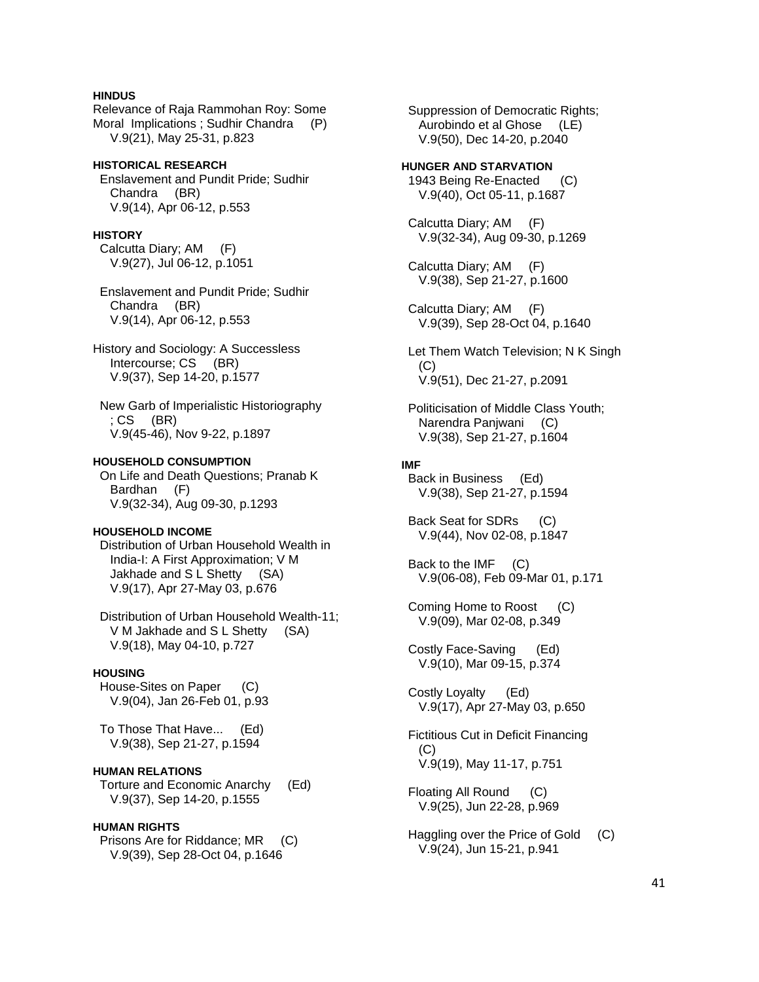## **HINDUS**

Relevance of Raja Rammohan Roy: Some Moral Implications ; Sudhir Chandra (P) V.9(21), May 25-31, p.823

**HISTORICAL RESEARCH**  Enslavement and Pundit Pride; Sudhir Chandra (BR) V.9(14), Apr 06-12, p.553

#### **HISTORY**

 Calcutta Diary; AM (F) V.9(27), Jul 06-12, p.1051

 Enslavement and Pundit Pride; Sudhir Chandra (BR) V.9(14), Apr 06-12, p.553

History and Sociology: A Successless Intercourse; CS (BR) V.9(37), Sep 14-20, p.1577

 New Garb of Imperialistic Historiography ; CS (BR) V.9(45-46), Nov 9-22, p.1897

#### **HOUSEHOLD CONSUMPTION**

 On Life and Death Questions; Pranab K Bardhan (F) V.9(32-34), Aug 09-30, p.1293

## **HOUSEHOLD INCOME**

 Distribution of Urban Household Wealth in India-I: A First Approximation; V M Jakhade and S L Shetty (SA) V.9(17), Apr 27-May 03, p.676

 Distribution of Urban Household Wealth-11; V M Jakhade and S L Shetty (SA) V.9(18), May 04-10, p.727

#### **HOUSING**

 House-Sites on Paper (C) V.9(04), Jan 26-Feb 01, p.93

 To Those That Have... (Ed) V.9(38), Sep 21-27, p.1594

## **HUMAN RELATIONS**

 Torture and Economic Anarchy (Ed) V.9(37), Sep 14-20, p.1555

#### **HUMAN RIGHTS**

 Prisons Are for Riddance; MR (C) V.9(39), Sep 28-Oct 04, p.1646

 Suppression of Democratic Rights; Aurobindo et al Ghose (LE) V.9(50), Dec 14-20, p.2040

**HUNGER AND STARVATION**  1943 Being Re-Enacted (C) V.9(40), Oct 05-11, p.1687

 Calcutta Diary; AM (F) V.9(32-34), Aug 09-30, p.1269

 Calcutta Diary; AM (F) V.9(38), Sep 21-27, p.1600

 Calcutta Diary; AM (F) V.9(39), Sep 28-Oct 04, p.1640

 Let Them Watch Television; N K Singh  $(C)$ V.9(51), Dec 21-27, p.2091

 Politicisation of Middle Class Youth; Narendra Panjwani (C) V.9(38), Sep 21-27, p.1604

## **IMF**

 Back in Business (Ed) V.9(38), Sep 21-27, p.1594

 Back Seat for SDRs (C) V.9(44), Nov 02-08, p.1847

 Back to the IMF (C) V.9(06-08), Feb 09-Mar 01, p.171

 Coming Home to Roost (C) V.9(09), Mar 02-08, p.349

 Costly Face-Saving (Ed) V.9(10), Mar 09-15, p.374

 Costly Loyalty (Ed) V.9(17), Apr 27-May 03, p.650

 Fictitious Cut in Deficit Financing (C) V.9(19), May 11-17, p.751

 Floating All Round (C) V.9(25), Jun 22-28, p.969

 Haggling over the Price of Gold (C) V.9(24), Jun 15-21, p.941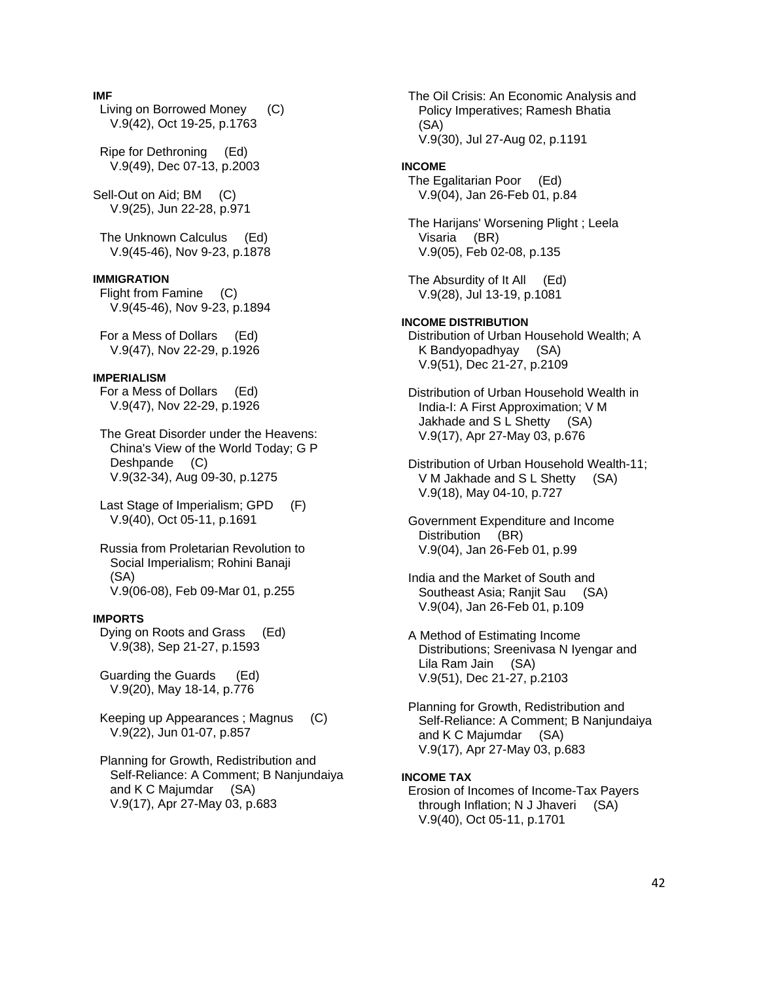## **IMF**

 Living on Borrowed Money (C) V.9(42), Oct 19-25, p.1763

 Ripe for Dethroning (Ed) V.9(49), Dec 07-13, p.2003

Sell-Out on Aid; BM (C) V.9(25), Jun 22-28, p.971

 The Unknown Calculus (Ed) V.9(45-46), Nov 9-23, p.1878

#### **IMMIGRATION**

 Flight from Famine (C) V.9(45-46), Nov 9-23, p.1894

 For a Mess of Dollars (Ed) V.9(47), Nov 22-29, p.1926

## **IMPERIALISM**

 For a Mess of Dollars (Ed) V.9(47), Nov 22-29, p.1926

 The Great Disorder under the Heavens: China's View of the World Today; G P Deshpande (C) V.9(32-34), Aug 09-30, p.1275

 Last Stage of Imperialism; GPD (F) V.9(40), Oct 05-11, p.1691

 Russia from Proletarian Revolution to Social Imperialism; Rohini Banaji (SA) V.9(06-08), Feb 09-Mar 01, p.255

### **IMPORTS**

 Dying on Roots and Grass (Ed) V.9(38), Sep 21-27, p.1593

 Guarding the Guards (Ed) V.9(20), May 18-14, p.776

 Keeping up Appearances ; Magnus (C) V.9(22), Jun 01-07, p.857

 Planning for Growth, Redistribution and Self-Reliance: A Comment; B Nanjundaiya and K C Majumdar (SA) V.9(17), Apr 27-May 03, p.683

 The Oil Crisis: An Economic Analysis and Policy Imperatives; Ramesh Bhatia (SA) V.9(30), Jul 27-Aug 02, p.1191

#### **INCOME**

 The Egalitarian Poor (Ed) V.9(04), Jan 26-Feb 01, p.84

 The Harijans' Worsening Plight ; Leela Visaria (BR) V.9(05), Feb 02-08, p.135

 The Absurdity of It All (Ed) V.9(28), Jul 13-19, p.1081

**INCOME DISTRIBUTION**  Distribution of Urban Household Wealth; A K Bandyopadhyay (SA) V.9(51), Dec 21-27, p.2109

 Distribution of Urban Household Wealth in India-I: A First Approximation; V M Jakhade and S L Shetty (SA) V.9(17), Apr 27-May 03, p.676

 Distribution of Urban Household Wealth-11; V M Jakhade and S L Shetty (SA) V.9(18), May 04-10, p.727

 Government Expenditure and Income Distribution (BR) V.9(04), Jan 26-Feb 01, p.99

 India and the Market of South and Southeast Asia; Ranjit Sau (SA) V.9(04), Jan 26-Feb 01, p.109

 A Method of Estimating Income Distributions; Sreenivasa N Iyengar and Lila Ram Jain (SA) V.9(51), Dec 21-27, p.2103

 Planning for Growth, Redistribution and Self-Reliance: A Comment; B Nanjundaiya and K C Majumdar (SA) V.9(17), Apr 27-May 03, p.683

## **INCOME TAX**

 Erosion of Incomes of Income-Tax Payers through Inflation; N J Jhaveri (SA) V.9(40), Oct 05-11, p.1701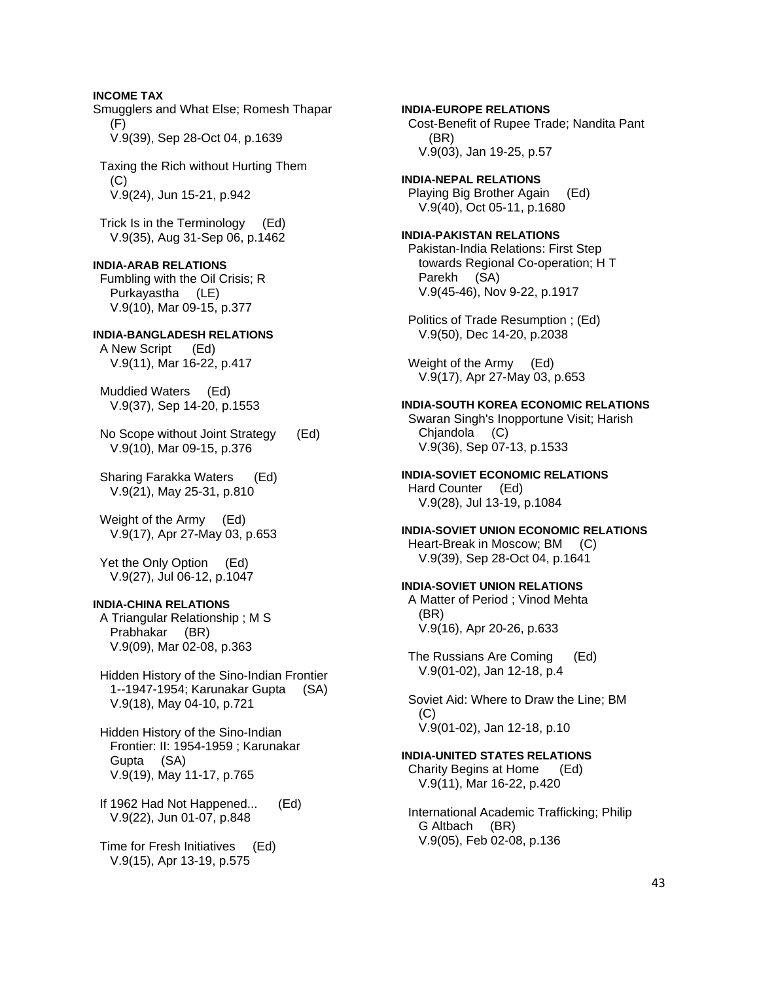# **INCOME TAX**  Smugglers and What Else; Romesh Thapar (F) V.9(39), Sep 28-Oct 04, p.1639 Taxing the Rich without Hurting Them  $(C)$  V.9(24), Jun 15-21, p.942 Trick Is in the Terminology (Ed) V.9(35), Aug 31-Sep 06, p.1462 **INDIA-ARAB RELATIONS**  Fumbling with the Oil Crisis; R Purkayastha (LE) V.9(10), Mar 09-15, p.377 **INDIA-BANGLADESH RELATIONS**  A New Script (Ed) V.9(11), Mar 16-22, p.417 Muddied Waters (Ed) V.9(37), Sep 14-20, p.1553 No Scope without Joint Strategy (Ed) V.9(10), Mar 09-15, p.376 Sharing Farakka Waters (Ed) V.9(21), May 25-31, p.810 Weight of the Army (Ed) V.9(17), Apr 27-May 03, p.653 Yet the Only Option (Ed) V.9(27), Jul 06-12, p.1047 **INDIA-CHINA RELATIONS**  A Triangular Relationship ; M S Prabhakar (BR) V.9(09), Mar 02-08, p.363 Hidden History of the Sino-Indian Frontier 1--1947-1954; Karunakar Gupta (SA) V.9(18), May 04-10, p.721 Hidden History of the Sino-Indian Frontier: II: 1954-1959 ; Karunakar Gupta (SA) V.9(19), May 11-17, p.765  $(C)$

 If 1962 Had Not Happened... (Ed) V.9(22), Jun 01-07, p.848

 Time for Fresh Initiatives (Ed) V.9(15), Apr 13-19, p.575

**INDIA-EUROPE RELATIONS**  Cost-Benefit of Rupee Trade; Nandita Pant (BR) V.9(03), Jan 19-25, p.57

**INDIA-NEPAL RELATIONS**  Playing Big Brother Again (Ed) V.9(40), Oct 05-11, p.1680

### **INDIA-PAKISTAN RELATIONS**

 Pakistan-India Relations: First Step towards Regional Co-operation; H T Parekh (SA) V.9(45-46), Nov 9-22, p.1917

 Politics of Trade Resumption ; (Ed) V.9(50), Dec 14-20, p.2038

 Weight of the Army (Ed) V.9(17), Apr 27-May 03, p.653

## **INDIA-SOUTH KOREA ECONOMIC RELATIONS**

 Swaran Singh's Inopportune Visit; Harish Chjandola (C) V.9(36), Sep 07-13, p.1533

## **INDIA-SOVIET ECONOMIC RELATIONS**

 Hard Counter (Ed) V.9(28), Jul 13-19, p.1084

## **INDIA-SOVIET UNION ECONOMIC RELATIONS**

 Heart-Break in Moscow; BM (C) V.9(39), Sep 28-Oct 04, p.1641

## **INDIA-SOVIET UNION RELATIONS**

 A Matter of Period ; Vinod Mehta (BR) V.9(16), Apr 20-26, p.633

 The Russians Are Coming (Ed) V.9(01-02), Jan 12-18, p.4

 Soviet Aid: Where to Draw the Line; BM V.9(01-02), Jan 12-18, p.10

## **INDIA-UNITED STATES RELATIONS**

 Charity Begins at Home (Ed) V.9(11), Mar 16-22, p.420

 International Academic Trafficking; Philip G Altbach (BR) V.9(05), Feb 02-08, p.136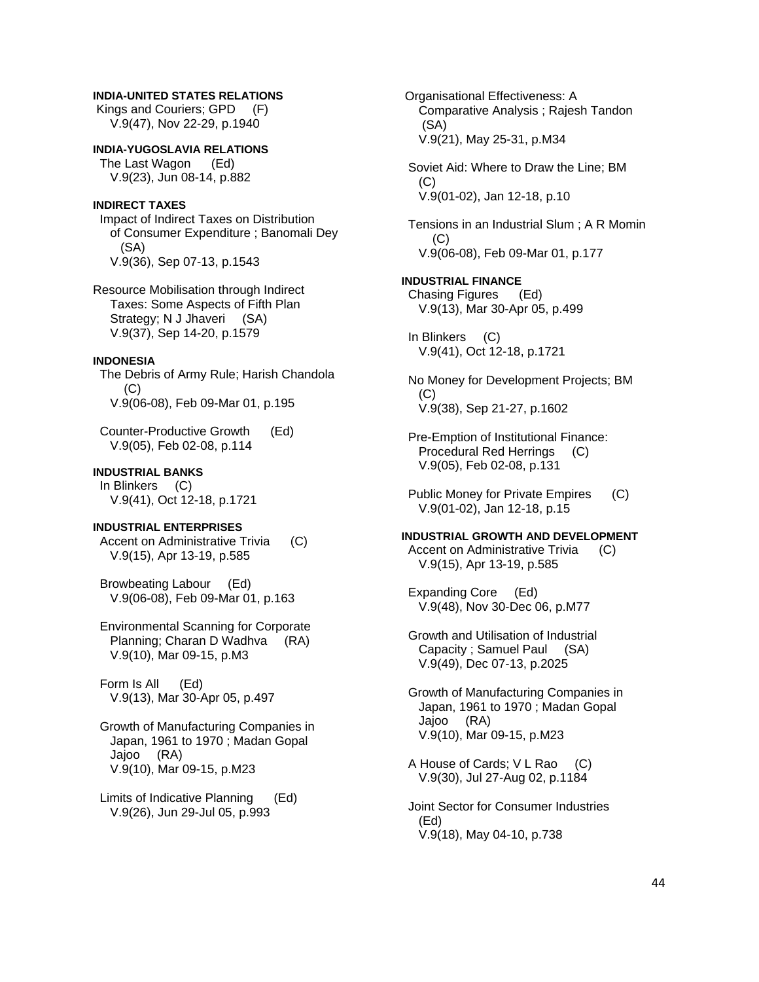# **INDIA-UNITED STATES RELATIONS**

 Kings and Couriers; GPD (F) V.9(47), Nov 22-29, p.1940

**INDIA-YUGOSLAVIA RELATIONS**  The Last Wagon (Ed) V.9(23), Jun 08-14, p.882

## **INDIRECT TAXES**

 Impact of Indirect Taxes on Distribution of Consumer Expenditure ; Banomali Dey (SA) V.9(36), Sep 07-13, p.1543

Resource Mobilisation through Indirect Taxes: Some Aspects of Fifth Plan Strategy; N J Jhaveri (SA) V.9(37), Sep 14-20, p.1579

## **INDONESIA**

 The Debris of Army Rule; Harish Chandola (C) V.9(06-08), Feb 09-Mar 01, p.195

 Counter-Productive Growth (Ed) V.9(05), Feb 02-08, p.114

## **INDUSTRIAL BANKS**

 In Blinkers (C) V.9(41), Oct 12-18, p.1721

## **INDUSTRIAL ENTERPRISES**

 Accent on Administrative Trivia (C) V.9(15), Apr 13-19, p.585

 Browbeating Labour (Ed) V.9(06-08), Feb 09-Mar 01, p.163

 Environmental Scanning for Corporate Planning; Charan D Wadhva (RA) V.9(10), Mar 09-15, p.M3

 Form Is All (Ed) V.9(13), Mar 30-Apr 05, p.497

 Growth of Manufacturing Companies in Japan, 1961 to 1970 ; Madan Gopal Jajoo (RA) V.9(10), Mar 09-15, p.M23

 Limits of Indicative Planning (Ed) V.9(26), Jun 29-Jul 05, p.993

 Organisational Effectiveness: A Comparative Analysis ; Rajesh Tandon (SA) V.9(21), May 25-31, p.M34 Soviet Aid: Where to Draw the Line; BM (C) V.9(01-02), Jan 12-18, p.10 Tensions in an Industrial Slum ; A R Momin (C) V.9(06-08), Feb 09-Mar 01, p.177 **INDUSTRIAL FINANCE**  Chasing Figures (Ed) V.9(13), Mar 30-Apr 05, p.499 In Blinkers (C) V.9(41), Oct 12-18, p.1721 No Money for Development Projects; BM (C) V.9(38), Sep 21-27, p.1602 Pre-Emption of Institutional Finance: Procedural Red Herrings (C) V.9(05), Feb 02-08, p.131 Public Money for Private Empires (C) V.9(01-02), Jan 12-18, p.15 **INDUSTRIAL GROWTH AND DEVELOPMENT**  Accent on Administrative Trivia (C) V.9(15), Apr 13-19, p.585 Expanding Core (Ed) V.9(48), Nov 30-Dec 06, p.M77 Growth and Utilisation of Industrial Capacity ; Samuel Paul (SA) V.9(49), Dec 07-13, p.2025 Growth of Manufacturing Companies in Japan, 1961 to 1970 ; Madan Gopal Jajoo (RA) V.9(10), Mar 09-15, p.M23 A House of Cards; V L Rao (C) V.9(30), Jul 27-Aug 02, p.1184 Joint Sector for Consumer Industries (Ed) V.9(18), May 04-10, p.738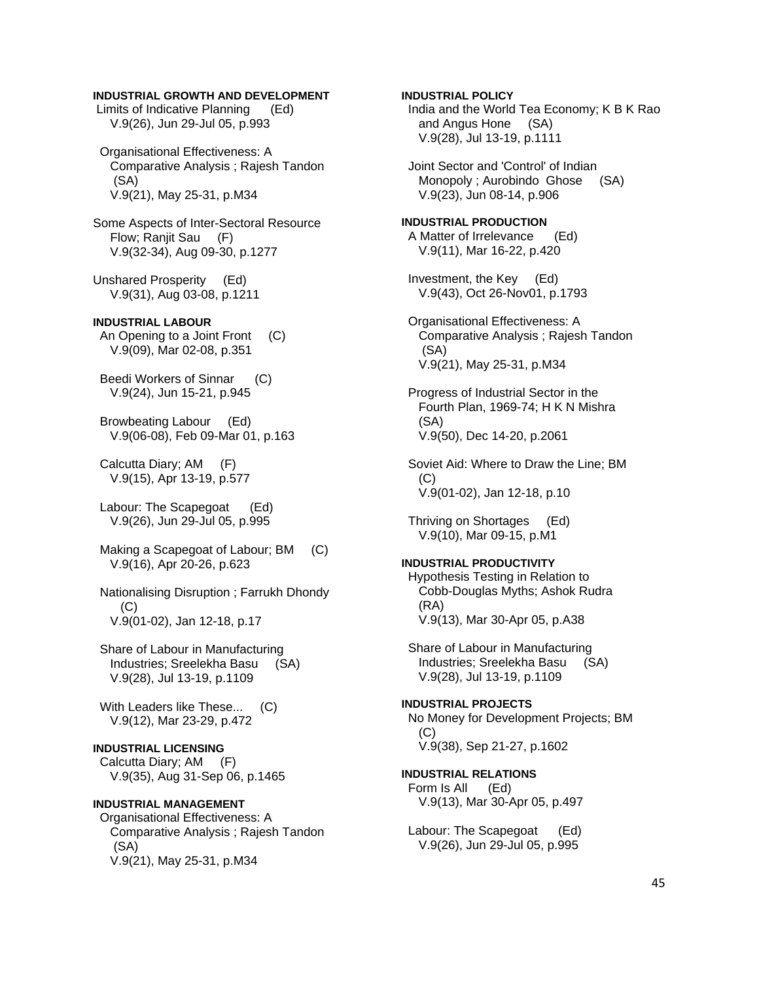## **INDUSTRIAL GROWTH AND DEVELOPMENT**

 Limits of Indicative Planning (Ed) V.9(26), Jun 29-Jul 05, p.993

 Organisational Effectiveness: A Comparative Analysis ; Rajesh Tandon (SA) V.9(21), May 25-31, p.M34

Some Aspects of Inter-Sectoral Resource Flow; Ranjit Sau (F) V.9(32-34), Aug 09-30, p.1277

Unshared Prosperity (Ed) V.9(31), Aug 03-08, p.1211

## **INDUSTRIAL LABOUR**

An Opening to a Joint Front (C) V.9(09), Mar 02-08, p.351

 Beedi Workers of Sinnar (C) V.9(24), Jun 15-21, p.945

 Browbeating Labour (Ed) V.9(06-08), Feb 09-Mar 01, p.163

 Calcutta Diary; AM (F) V.9(15), Apr 13-19, p.577

 Labour: The Scapegoat (Ed) V.9(26), Jun 29-Jul 05, p.995

 Making a Scapegoat of Labour; BM (C) V.9(16), Apr 20-26, p.623

 Nationalising Disruption ; Farrukh Dhondy  $(C)$ V.9(01-02), Jan 12-18, p.17

 Share of Labour in Manufacturing Industries; Sreelekha Basu (SA) V.9(28), Jul 13-19, p.1109

With Leaders like These... (C) V.9(12), Mar 23-29, p.472

#### **INDUSTRIAL LICENSING**

 Calcutta Diary; AM (F) V.9(35), Aug 31-Sep 06, p.1465

## **INDUSTRIAL MANAGEMENT**

 Organisational Effectiveness: A Comparative Analysis ; Rajesh Tandon (SA) V.9(21), May 25-31, p.M34

**INDUSTRIAL POLICY**  India and the World Tea Economy; K B K Rao and Angus Hone (SA) V.9(28), Jul 13-19, p.1111

 Joint Sector and 'Control' of Indian Monopoly ; Aurobindo Ghose (SA) V.9(23), Jun 08-14, p.906

**INDUSTRIAL PRODUCTION**  A Matter of Irrelevance (Ed) V.9(11), Mar 16-22, p.420

 Investment, the Key (Ed) V.9(43), Oct 26-Nov01, p.1793

 Organisational Effectiveness: A Comparative Analysis ; Rajesh Tandon (SA) V.9(21), May 25-31, p.M34

 Progress of Industrial Sector in the Fourth Plan, 1969-74; H K N Mishra (SA) V.9(50), Dec 14-20, p.2061

 Soviet Aid: Where to Draw the Line; BM  $(C)$ V.9(01-02), Jan 12-18, p.10

 Thriving on Shortages (Ed) V.9(10), Mar 09-15, p.M1

#### **INDUSTRIAL PRODUCTIVITY**

 Hypothesis Testing in Relation to Cobb-Douglas Myths; Ashok Rudra (RA) V.9(13), Mar 30-Apr 05, p.A38

 Share of Labour in Manufacturing Industries; Sreelekha Basu (SA) V.9(28), Jul 13-19, p.1109

## **INDUSTRIAL PROJECTS**  No Money for Development Projects; BM (C)

V.9(38), Sep 21-27, p.1602

**INDUSTRIAL RELATIONS**  Form Is All (Ed) V.9(13), Mar 30-Apr 05, p.497

 Labour: The Scapegoat (Ed) V.9(26), Jun 29-Jul 05, p.995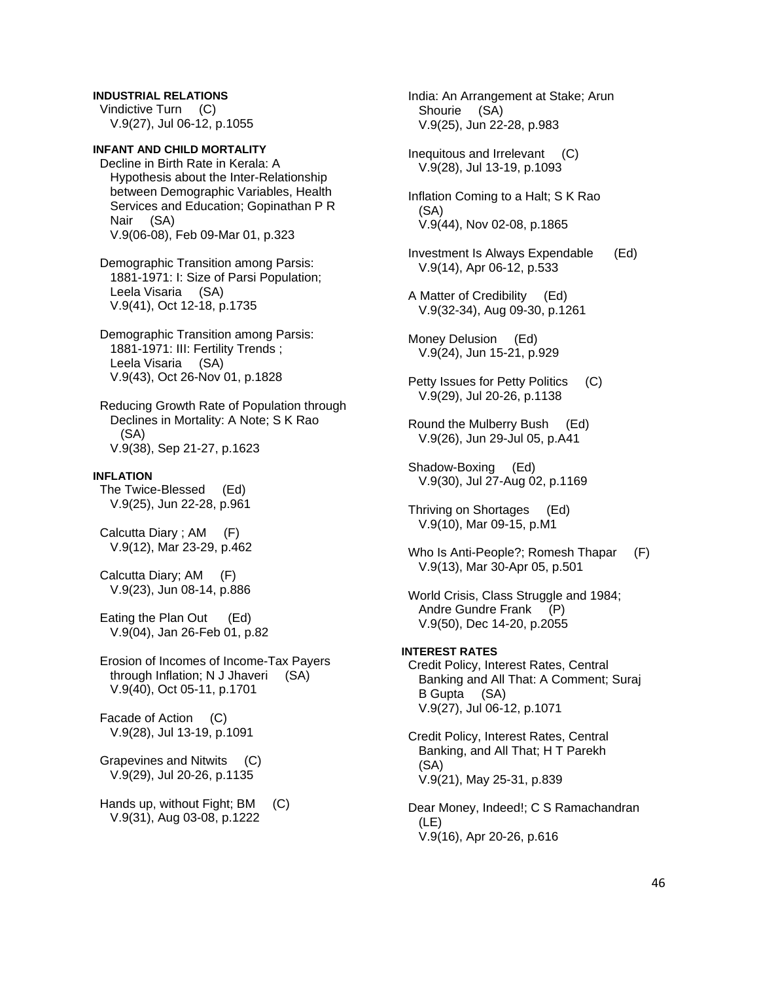# **INDUSTRIAL RELATIONS**  Vindictive Turn (C)

V.9(27), Jul 06-12, p.1055

# **INFANT AND CHILD MORTALITY**

 Decline in Birth Rate in Kerala: A Hypothesis about the Inter-Relationship between Demographic Variables, Health Services and Education; Gopinathan P R Nair (SA) V.9(06-08), Feb 09-Mar 01, p.323

 Demographic Transition among Parsis: 1881-1971: I: Size of Parsi Population; Leela Visaria (SA) V.9(41), Oct 12-18, p.1735

 Demographic Transition among Parsis: 1881-1971: III: Fertility Trends ; Leela Visaria (SA) V.9(43), Oct 26-Nov 01, p.1828

 Reducing Growth Rate of Population through Declines in Mortality: A Note; S K Rao (SA) V.9(38), Sep 21-27, p.1623

### **INFLATION**

 The Twice-Blessed (Ed) V.9(25), Jun 22-28, p.961

 Calcutta Diary ; AM (F) V.9(12), Mar 23-29, p.462

 Calcutta Diary; AM (F) V.9(23), Jun 08-14, p.886

 Eating the Plan Out (Ed) V.9(04), Jan 26-Feb 01, p.82

 Erosion of Incomes of Income-Tax Payers through Inflation; N J Jhaveri (SA) V.9(40), Oct 05-11, p.1701

 Facade of Action (C) V.9(28), Jul 13-19, p.1091

 Grapevines and Nitwits (C) V.9(29), Jul 20-26, p.1135

 Hands up, without Fight; BM (C) V.9(31), Aug 03-08, p.1222

 India: An Arrangement at Stake; Arun Shourie (SA) V.9(25), Jun 22-28, p.983

 Inequitous and Irrelevant (C) V.9(28), Jul 13-19, p.1093

 Inflation Coming to a Halt; S K Rao (SA) V.9(44), Nov 02-08, p.1865

- Investment Is Always Expendable (Ed) V.9(14), Apr 06-12, p.533
- A Matter of Credibility (Ed) V.9(32-34), Aug 09-30, p.1261
- Money Delusion (Ed) V.9(24), Jun 15-21, p.929
- Petty Issues for Petty Politics (C) V.9(29), Jul 20-26, p.1138
- Round the Mulberry Bush (Ed) V.9(26), Jun 29-Jul 05, p.A41
- Shadow-Boxing (Ed) V.9(30), Jul 27-Aug 02, p.1169
- Thriving on Shortages (Ed) V.9(10), Mar 09-15, p.M1
- Who Is Anti-People?; Romesh Thapar (F) V.9(13), Mar 30-Apr 05, p.501

World Crisis, Class Struggle and 1984; Andre Gundre Frank (P) V.9(50), Dec 14-20, p.2055

**INTEREST RATES**  Credit Policy, Interest Rates, Central Banking and All That: A Comment; Suraj B Gupta (SA) V.9(27), Jul 06-12, p.1071

 Credit Policy, Interest Rates, Central Banking, and All That; H T Parekh (SA) V.9(21), May 25-31, p.839

 Dear Money, Indeed!; C S Ramachandran (LE) V.9(16), Apr 20-26, p.616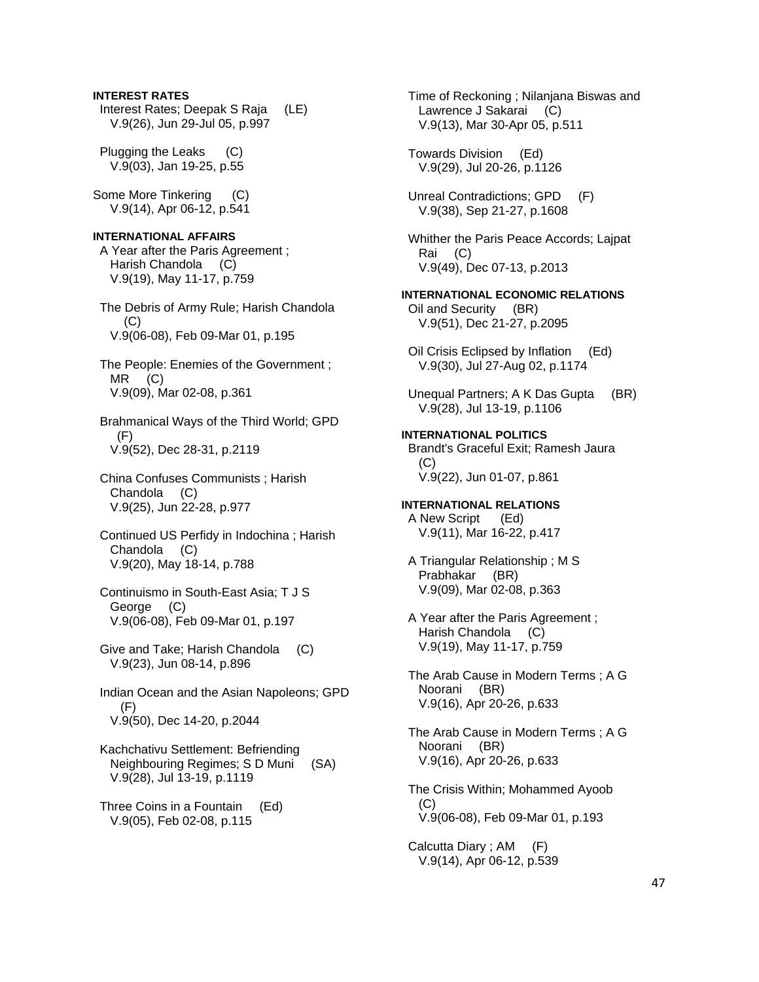## **INTEREST RATES**

 Interest Rates; Deepak S Raja (LE) V.9(26), Jun 29-Jul 05, p.997

 Plugging the Leaks (C) V.9(03), Jan 19-25, p.55

Some More Tinkering (C) V.9(14), Apr 06-12, p.541

#### **INTERNATIONAL AFFAIRS**

 A Year after the Paris Agreement ; Harish Chandola (C) V.9(19), May 11-17, p.759

 The Debris of Army Rule; Harish Chandola (C) V.9(06-08), Feb 09-Mar 01, p.195

 The People: Enemies of the Government ; MR (C) V.9(09), Mar 02-08, p.361

 Brahmanical Ways of the Third World; GPD (F) V.9(52), Dec 28-31, p.2119

 China Confuses Communists ; Harish Chandola (C) V.9(25), Jun 22-28, p.977

 Continued US Perfidy in Indochina ; Harish Chandola (C) V.9(20), May 18-14, p.788

- Continuismo in South-East Asia; T J S George (C) V.9(06-08), Feb 09-Mar 01, p.197
- Give and Take; Harish Chandola (C) V.9(23), Jun 08-14, p.896

 Indian Ocean and the Asian Napoleons; GPD (F) V.9(50), Dec 14-20, p.2044

 Kachchativu Settlement: Befriending Neighbouring Regimes; S D Muni (SA) V.9(28), Jul 13-19, p.1119

 Three Coins in a Fountain (Ed) V.9(05), Feb 02-08, p.115

 Time of Reckoning ; Nilanjana Biswas and Lawrence J Sakarai (C) V.9(13), Mar 30-Apr 05, p.511 Towards Division (Ed) V.9(29), Jul 20-26, p.1126 Unreal Contradictions; GPD (F) V.9(38), Sep 21-27, p.1608 Whither the Paris Peace Accords; Lajpat Rai (C) V.9(49), Dec 07-13, p.2013 **INTERNATIONAL ECONOMIC RELATIONS**  Oil and Security (BR) V.9(51), Dec 21-27, p.2095 Oil Crisis Eclipsed by Inflation (Ed) V.9(30), Jul 27-Aug 02, p.1174 Unequal Partners; A K Das Gupta (BR) V.9(28), Jul 13-19, p.1106 **INTERNATIONAL POLITICS**  Brandt's Graceful Exit; Ramesh Jaura (C) V.9(22), Jun 01-07, p.861 **INTERNATIONAL RELATIONS**  A New Script (Ed) V.9(11), Mar 16-22, p.417 A Triangular Relationship ; M S Prabhakar (BR) V.9(09), Mar 02-08, p.363 A Year after the Paris Agreement ; Harish Chandola (C) V.9(19), May 11-17, p.759 The Arab Cause in Modern Terms ; A G Noorani (BR) V.9(16), Apr 20-26, p.633 The Arab Cause in Modern Terms ; A G Noorani (BR) V.9(16), Apr 20-26, p.633 The Crisis Within; Mohammed Ayoob (C) V.9(06-08), Feb 09-Mar 01, p.193

 Calcutta Diary ; AM (F) V.9(14), Apr 06-12, p.539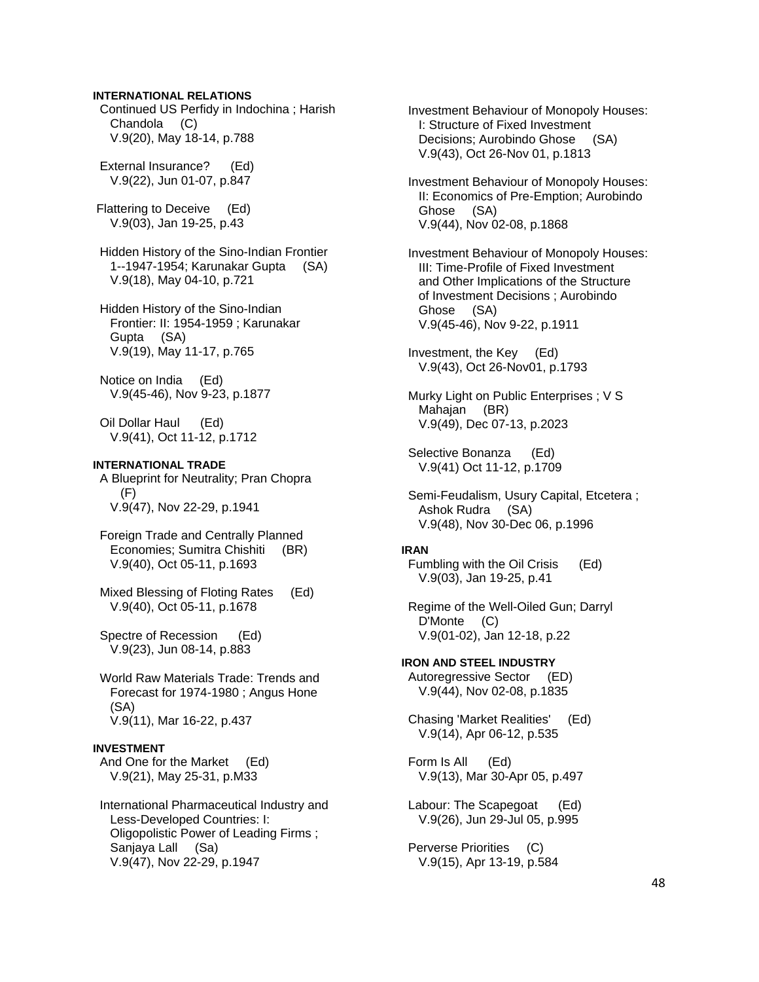## **INTERNATIONAL RELATIONS**

 Continued US Perfidy in Indochina ; Harish Chandola (C) V.9(20), May 18-14, p.788

 External Insurance? (Ed) V.9(22), Jun 01-07, p.847

 Flattering to Deceive (Ed) V.9(03), Jan 19-25, p.43

 Hidden History of the Sino-Indian Frontier 1--1947-1954; Karunakar Gupta (SA) V.9(18), May 04-10, p.721

 Hidden History of the Sino-Indian Frontier: II: 1954-1959 ; Karunakar Gupta (SA) V.9(19), May 11-17, p.765

 Notice on India (Ed) V.9(45-46), Nov 9-23, p.1877

 Oil Dollar Haul (Ed) V.9(41), Oct 11-12, p.1712

## **INTERNATIONAL TRADE**

 A Blueprint for Neutrality; Pran Chopra (F) V.9(47), Nov 22-29, p.1941

- Foreign Trade and Centrally Planned Economies; Sumitra Chishiti (BR) V.9(40), Oct 05-11, p.1693
- Mixed Blessing of Floting Rates (Ed) V.9(40), Oct 05-11, p.1678

 Spectre of Recession (Ed) V.9(23), Jun 08-14, p.883

 World Raw Materials Trade: Trends and Forecast for 1974-1980 ; Angus Hone (SA) V.9(11), Mar 16-22, p.437

#### **INVESTMENT**

 And One for the Market (Ed) V.9(21), May 25-31, p.M33

 International Pharmaceutical Industry and Less-Developed Countries: I: Oligopolistic Power of Leading Firms ; Sanjaya Lall (Sa) V.9(47), Nov 22-29, p.1947

 Investment Behaviour of Monopoly Houses: I: Structure of Fixed Investment Decisions; Aurobindo Ghose (SA) V.9(43), Oct 26-Nov 01, p.1813

 Investment Behaviour of Monopoly Houses: II: Economics of Pre-Emption; Aurobindo Ghose (SA) V.9(44), Nov 02-08, p.1868

 Investment Behaviour of Monopoly Houses: III: Time-Profile of Fixed Investment and Other Implications of the Structure of Investment Decisions ; Aurobindo Ghose (SA) V.9(45-46), Nov 9-22, p.1911

 Investment, the Key (Ed) V.9(43), Oct 26-Nov01, p.1793

 Murky Light on Public Enterprises ; V S Mahajan (BR) V.9(49), Dec 07-13, p.2023

 Selective Bonanza (Ed) V.9(41) Oct 11-12, p.1709

 Semi-Feudalism, Usury Capital, Etcetera ; Ashok Rudra (SA) V.9(48), Nov 30-Dec 06, p.1996

#### **IRAN**

 Fumbling with the Oil Crisis (Ed) V.9(03), Jan 19-25, p.41

 Regime of the Well-Oiled Gun; Darryl D'Monte (C) V.9(01-02), Jan 12-18, p.22

**IRON AND STEEL INDUSTRY**  Autoregressive Sector (ED) V.9(44), Nov 02-08, p.1835

 Chasing 'Market Realities' (Ed) V.9(14), Apr 06-12, p.535

 Form Is All (Ed) V.9(13), Mar 30-Apr 05, p.497

 Labour: The Scapegoat (Ed) V.9(26), Jun 29-Jul 05, p.995

 Perverse Priorities (C) V.9(15), Apr 13-19, p.584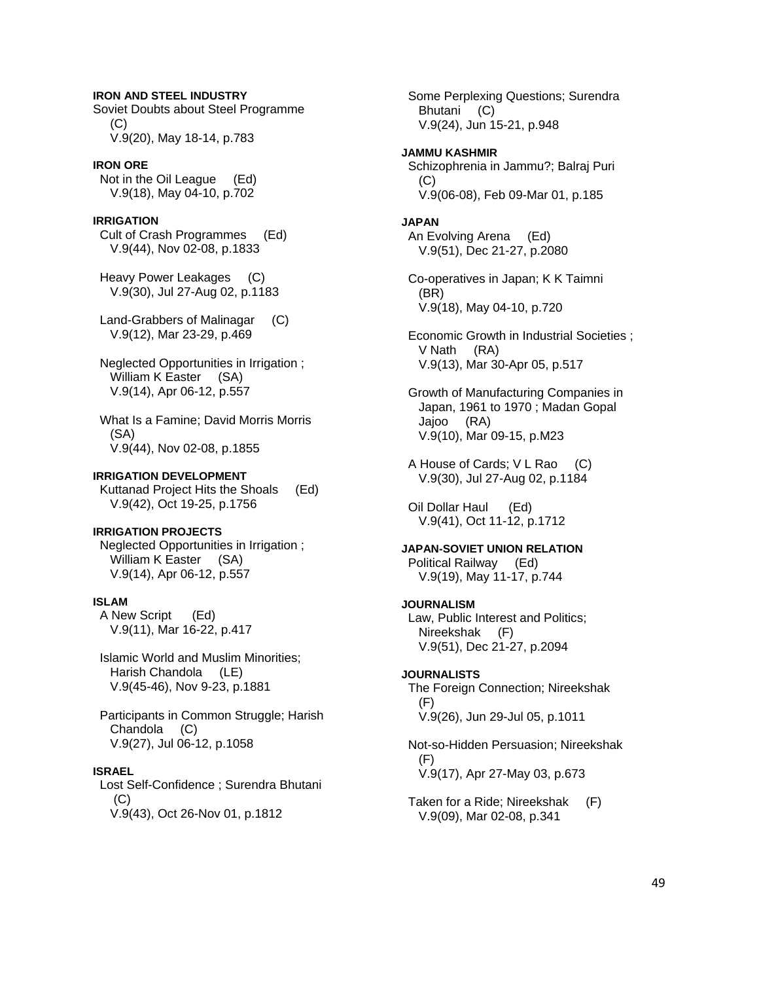**IRON AND STEEL INDUSTRY**  Soviet Doubts about Steel Programme (C) V.9(20), May 18-14, p.783

## **IRON ORE**

 Not in the Oil League (Ed) V.9(18), May 04-10, p.702

## **IRRIGATION**

 Cult of Crash Programmes (Ed) V.9(44), Nov 02-08, p.1833

 Heavy Power Leakages (C) V.9(30), Jul 27-Aug 02, p.1183

 Land-Grabbers of Malinagar (C) V.9(12), Mar 23-29, p.469

- Neglected Opportunities in Irrigation ; William K Easter (SA) V.9(14), Apr 06-12, p.557
- What Is a Famine; David Morris Morris (SA) V.9(44), Nov 02-08, p.1855

#### **IRRIGATION DEVELOPMENT**

 Kuttanad Project Hits the Shoals (Ed) V.9(42), Oct 19-25, p.1756

#### **IRRIGATION PROJECTS**

 Neglected Opportunities in Irrigation ; William K Easter (SA) V.9(14), Apr 06-12, p.557

## **ISLAM**

 A New Script (Ed) V.9(11), Mar 16-22, p.417

 Islamic World and Muslim Minorities; Harish Chandola (LE) V.9(45-46), Nov 9-23, p.1881

 Participants in Common Struggle; Harish Chandola (C) V.9(27), Jul 06-12, p.1058

#### **ISRAEL**

 Lost Self-Confidence ; Surendra Bhutani (C) V.9(43), Oct 26-Nov 01, p.1812

 Some Perplexing Questions; Surendra Bhutani (C) V.9(24), Jun 15-21, p.948

**JAMMU KASHMIR**  Schizophrenia in Jammu?; Balraj Puri  $(C)$ V.9(06-08), Feb 09-Mar 01, p.185

#### **JAPAN**

 An Evolving Arena (Ed) V.9(51), Dec 21-27, p.2080

 Co-operatives in Japan; K K Taimni (BR) V.9(18), May 04-10, p.720

 Economic Growth in Industrial Societies ; V Nath (RA) V.9(13), Mar 30-Apr 05, p.517

 Growth of Manufacturing Companies in Japan, 1961 to 1970 ; Madan Gopal Jajoo (RA) V.9(10), Mar 09-15, p.M23

 A House of Cards; V L Rao (C) V.9(30), Jul 27-Aug 02, p.1184

 Oil Dollar Haul (Ed) V.9(41), Oct 11-12, p.1712

## **JAPAN-SOVIET UNION RELATION**

 Political Railway (Ed) V.9(19), May 11-17, p.744

#### **JOURNALISM**

 Law, Public Interest and Politics; Nireekshak (F) V.9(51), Dec 21-27, p.2094

#### **JOURNALISTS**

 The Foreign Connection; Nireekshak (F) V.9(26), Jun 29-Jul 05, p.1011

 Not-so-Hidden Persuasion; Nireekshak (F) V.9(17), Apr 27-May 03, p.673

 Taken for a Ride; Nireekshak (F) V.9(09), Mar 02-08, p.341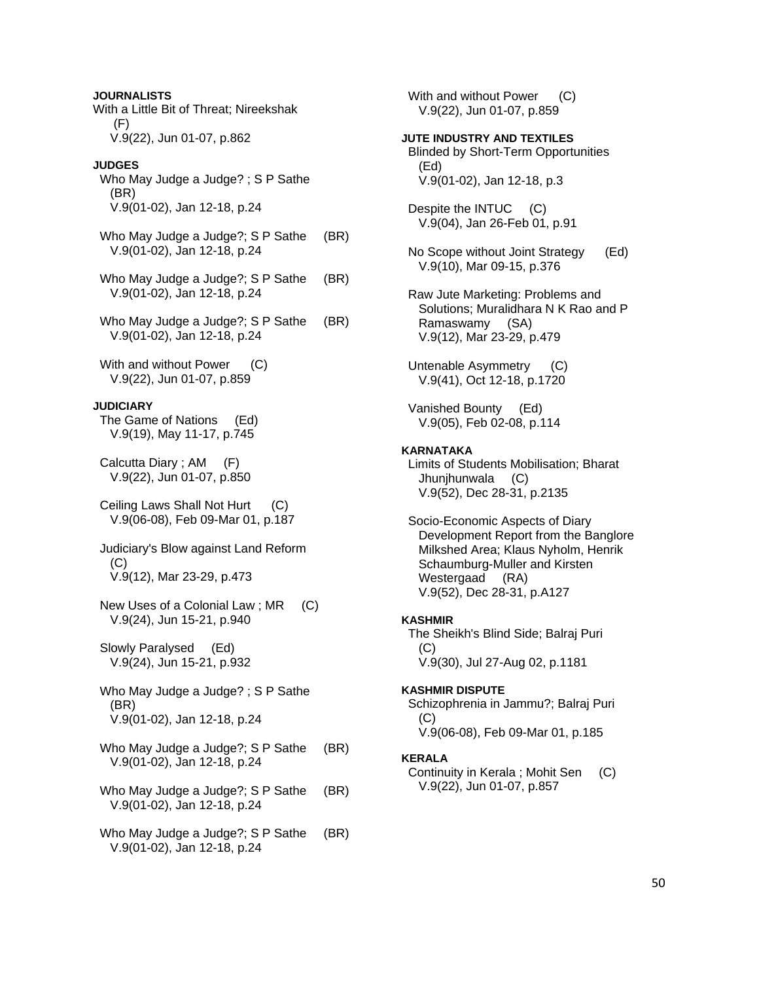**JOURNALISTS**  With a Little Bit of Threat; Nireekshak (F) V.9(22), Jun 01-07, p.862

## **JUDGES**

- Who May Judge a Judge? ; S P Sathe (BR) V.9(01-02), Jan 12-18, p.24
- Who May Judge a Judge?; S P Sathe (BR) V.9(01-02), Jan 12-18, p.24
- Who May Judge a Judge?; S P Sathe (BR) V.9(01-02), Jan 12-18, p.24
- Who May Judge a Judge?; S P Sathe (BR) V.9(01-02), Jan 12-18, p.24
- With and without Power (C) V.9(22), Jun 01-07, p.859

## **JUDICIARY**

 The Game of Nations (Ed) V.9(19), May 11-17, p.745

- Calcutta Diary ; AM (F) V.9(22), Jun 01-07, p.850
- Ceiling Laws Shall Not Hurt (C) V.9(06-08), Feb 09-Mar 01, p.187
- Judiciary's Blow against Land Reform (C) V.9(12), Mar 23-29, p.473
- New Uses of a Colonial Law ; MR (C) V.9(24), Jun 15-21, p.940
- Slowly Paralysed (Ed) V.9(24), Jun 15-21, p.932
- Who May Judge a Judge? ; S P Sathe (BR) V.9(01-02), Jan 12-18, p.24
- Who May Judge a Judge?; S P Sathe (BR) V.9(01-02), Jan 12-18, p.24
- Who May Judge a Judge?; S P Sathe (BR) V.9(01-02), Jan 12-18, p.24
- Who May Judge a Judge?; S P Sathe (BR) V.9(01-02), Jan 12-18, p.24

With and without Power (C) V.9(22), Jun 01-07, p.859

# **JUTE INDUSTRY AND TEXTILES**

 Blinded by Short-Term Opportunities (Ed) V.9(01-02), Jan 12-18, p.3

 Despite the INTUC (C) V.9(04), Jan 26-Feb 01, p.91

- No Scope without Joint Strategy (Ed) V.9(10), Mar 09-15, p.376
- Raw Jute Marketing: Problems and Solutions; Muralidhara N K Rao and P Ramaswamy (SA) V.9(12), Mar 23-29, p.479
- Untenable Asymmetry (C) V.9(41), Oct 12-18, p.1720
- Vanished Bounty (Ed) V.9(05), Feb 02-08, p.114

## **KARNATAKA**

 Limits of Students Mobilisation; Bharat Jhunjhunwala (C) V.9(52), Dec 28-31, p.2135

 Socio-Economic Aspects of Diary Development Report from the Banglore Milkshed Area; Klaus Nyholm, Henrik Schaumburg-Muller and Kirsten Westergaad (RA) V.9(52), Dec 28-31, p.A127

## **KASHMIR**

 The Sheikh's Blind Side; Balraj Puri (C) V.9(30), Jul 27-Aug 02, p.1181

### **KASHMIR DISPUTE**

 Schizophrenia in Jammu?; Balraj Puri (C) V.9(06-08), Feb 09-Mar 01, p.185

#### **KERALA**

 Continuity in Kerala ; Mohit Sen (C) V.9(22), Jun 01-07, p.857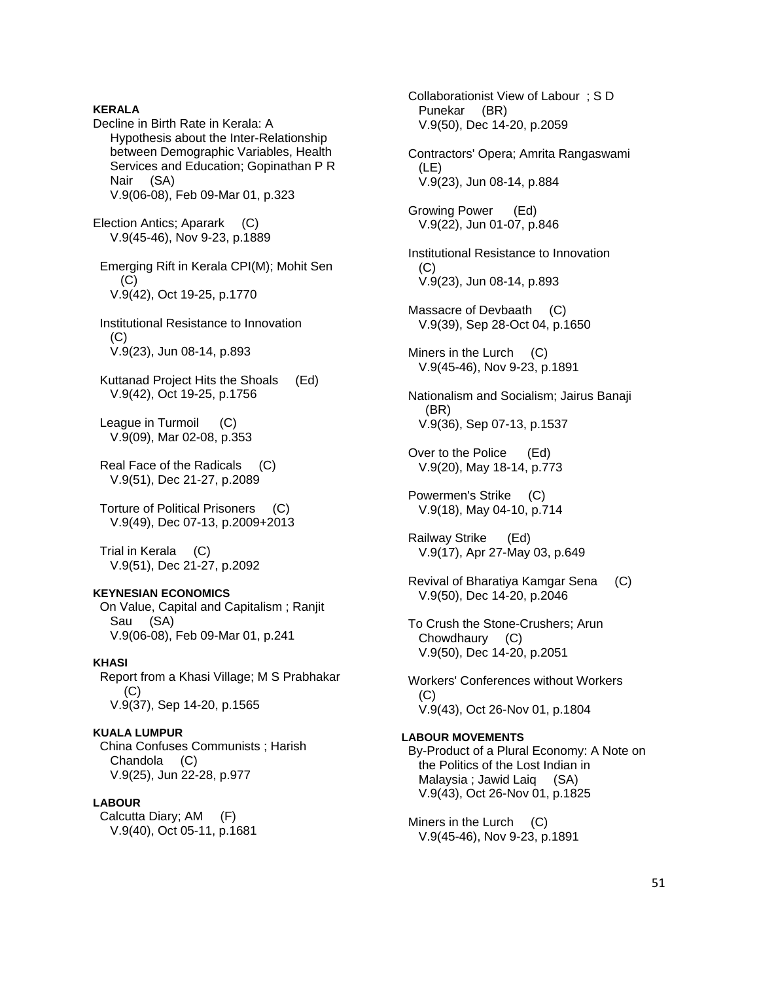## **KERALA**

Decline in Birth Rate in Kerala: A Hypothesis about the Inter-Relationship between Demographic Variables, Health Services and Education; Gopinathan P R Nair (SA) V.9(06-08), Feb 09-Mar 01, p.323

Election Antics; Aparark (C) V.9(45-46), Nov 9-23, p.1889

 Emerging Rift in Kerala CPI(M); Mohit Sen (C) V.9(42), Oct 19-25, p.1770

 Institutional Resistance to Innovation  $(C)$ V.9(23), Jun 08-14, p.893

 Kuttanad Project Hits the Shoals (Ed) V.9(42), Oct 19-25, p.1756

 League in Turmoil (C) V.9(09), Mar 02-08, p.353

 Real Face of the Radicals (C) V.9(51), Dec 21-27, p.2089

 Torture of Political Prisoners (C) V.9(49), Dec 07-13, p.2009+2013

 Trial in Kerala (C) V.9(51), Dec 21-27, p.2092

## **KEYNESIAN ECONOMICS**

 On Value, Capital and Capitalism ; Ranjit Sau (SA) V.9(06-08), Feb 09-Mar 01, p.241

#### **KHASI**

 Report from a Khasi Village; M S Prabhakar  $(C)$ V.9(37), Sep 14-20, p.1565

## **KUALA LUMPUR**

 China Confuses Communists ; Harish Chandola (C) V.9(25), Jun 22-28, p.977

#### **LABOUR**

 Calcutta Diary; AM (F) V.9(40), Oct 05-11, p.1681

 Collaborationist View of Labour ; S D Punekar (BR) V.9(50), Dec 14-20, p.2059 Contractors' Opera; Amrita Rangaswami (LE) V.9(23), Jun 08-14, p.884 Growing Power (Ed) V.9(22), Jun 01-07, p.846 Institutional Resistance to Innovation  $(C)$  V.9(23), Jun 08-14, p.893 Massacre of Devbaath (C) V.9(39), Sep 28-Oct 04, p.1650 Miners in the Lurch (C) V.9(45-46), Nov 9-23, p.1891 Nationalism and Socialism; Jairus Banaji (BR) V.9(36), Sep 07-13, p.1537 Over to the Police (Ed) V.9(20), May 18-14, p.773 Powermen's Strike (C) V.9(18), May 04-10, p.714 Railway Strike (Ed) V.9(17), Apr 27-May 03, p.649 Revival of Bharatiya Kamgar Sena (C) V.9(50), Dec 14-20, p.2046 To Crush the Stone-Crushers; Arun Chowdhaury (C) V.9(50), Dec 14-20, p.2051 Workers' Conferences without Workers (C) V.9(43), Oct 26-Nov 01, p.1804 **LABOUR MOVEMENTS**  By-Product of a Plural Economy: A Note on the Politics of the Lost Indian in Malaysia ; Jawid Laiq (SA) V.9(43), Oct 26-Nov 01, p.1825 Miners in the Lurch (C) V.9(45-46), Nov 9-23, p.1891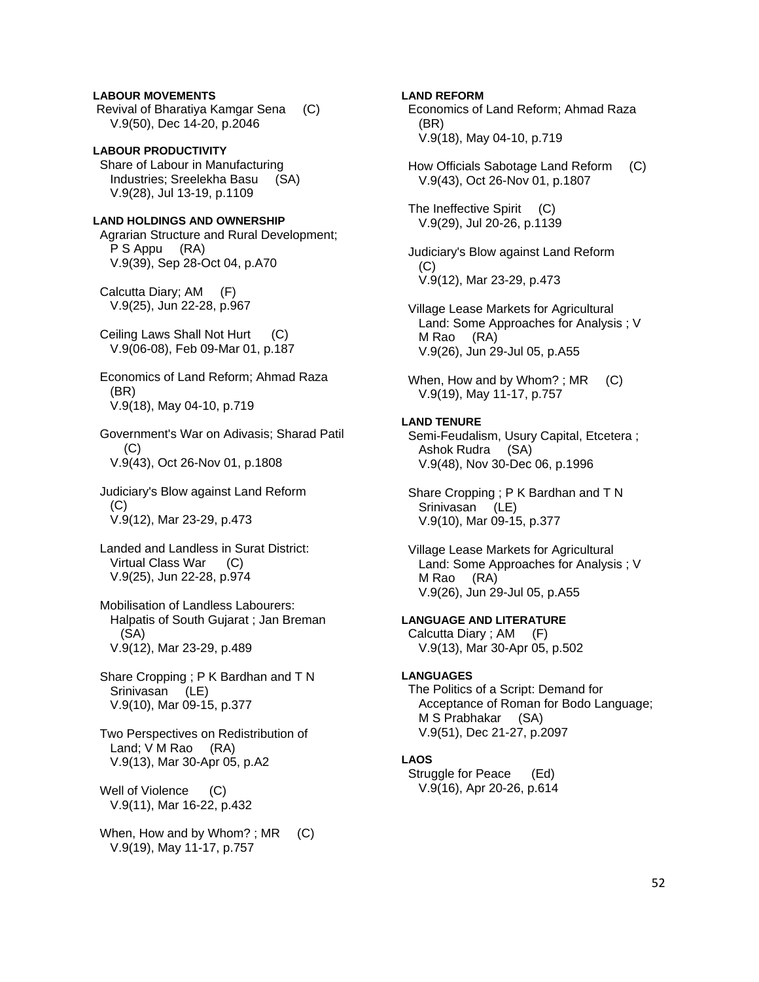## **LABOUR MOVEMENTS**

 Revival of Bharatiya Kamgar Sena (C) V.9(50), Dec 14-20, p.2046

**LABOUR PRODUCTIVITY**  Share of Labour in Manufacturing Industries; Sreelekha Basu (SA) V.9(28), Jul 13-19, p.1109

## **LAND HOLDINGS AND OWNERSHIP**

 Agrarian Structure and Rural Development; P S Appu (RA) V.9(39), Sep 28-Oct 04, p.A70

 Calcutta Diary; AM (F) V.9(25), Jun 22-28, p.967

 Ceiling Laws Shall Not Hurt (C) V.9(06-08), Feb 09-Mar 01, p.187

 Economics of Land Reform; Ahmad Raza (BR) V.9(18), May 04-10, p.719

 Government's War on Adivasis; Sharad Patil  $(C)$ V.9(43), Oct 26-Nov 01, p.1808

 Judiciary's Blow against Land Reform (C) V.9(12), Mar 23-29, p.473

 Landed and Landless in Surat District: Virtual Class War (C) V.9(25), Jun 22-28, p.974

 Mobilisation of Landless Labourers: Halpatis of South Gujarat ; Jan Breman (SA) V.9(12), Mar 23-29, p.489

 Share Cropping ; P K Bardhan and T N Srinivasan (LE) V.9(10), Mar 09-15, p.377

 Two Perspectives on Redistribution of Land; V M Rao (RA) V.9(13), Mar 30-Apr 05, p.A2

Well of Violence (C) V.9(11), Mar 16-22, p.432

When, How and by Whom?;  $MR$  (C) V.9(19), May 11-17, p.757

## **LAND REFORM**

 Economics of Land Reform; Ahmad Raza (BR) V.9(18), May 04-10, p.719

 How Officials Sabotage Land Reform (C) V.9(43), Oct 26-Nov 01, p.1807

 The Ineffective Spirit (C) V.9(29), Jul 20-26, p.1139

 Judiciary's Blow against Land Reform (C) V.9(12), Mar 23-29, p.473

 Village Lease Markets for Agricultural Land: Some Approaches for Analysis ; V M Rao (RA) V.9(26), Jun 29-Jul 05, p.A55

When, How and by Whom? ;  $MR$  (C) V.9(19), May 11-17, p.757

## **LAND TENURE**

 Semi-Feudalism, Usury Capital, Etcetera ; Ashok Rudra (SA) V.9(48), Nov 30-Dec 06, p.1996

 Share Cropping ; P K Bardhan and T N Srinivasan (LE) V.9(10), Mar 09-15, p.377

 Village Lease Markets for Agricultural Land: Some Approaches for Analysis ; V M Rao (RA) V.9(26), Jun 29-Jul 05, p.A55

**LANGUAGE AND LITERATURE**  Calcutta Diary ; AM (F)

V.9(13), Mar 30-Apr 05, p.502

## **LANGUAGES**

 The Politics of a Script: Demand for Acceptance of Roman for Bodo Language; M S Prabhakar (SA) V.9(51), Dec 21-27, p.2097

## **LAOS**

 Struggle for Peace (Ed) V.9(16), Apr 20-26, p.614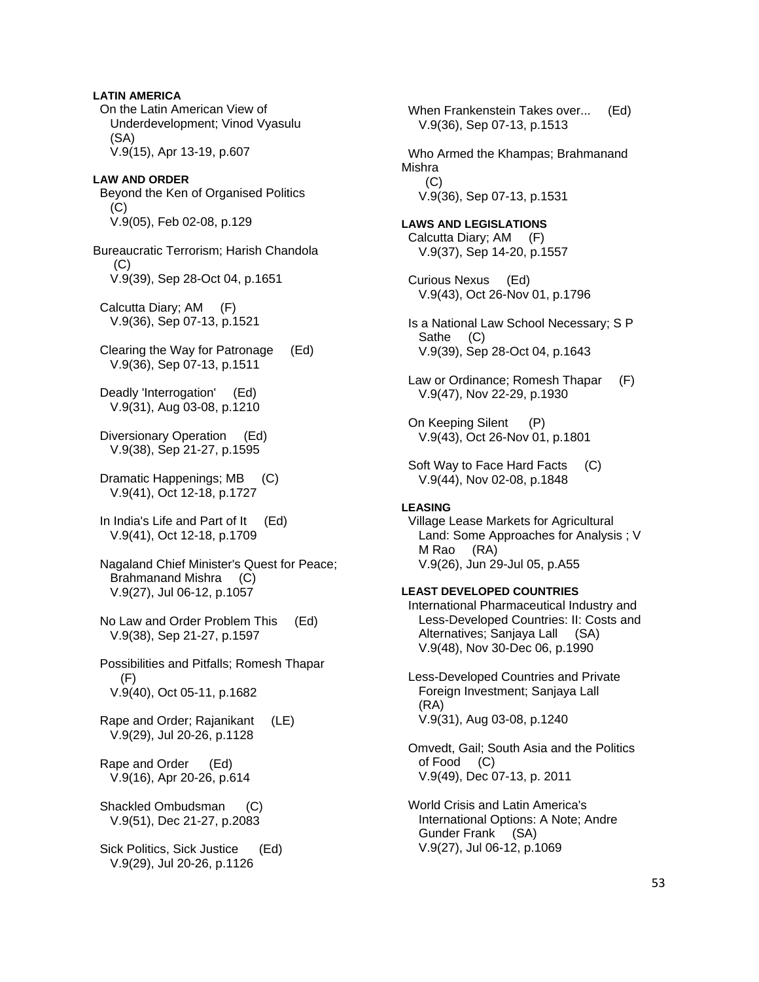**LATIN AMERICA**  On the Latin American View of Underdevelopment; Vinod Vyasulu (SA) V.9(15), Apr 13-19, p.607 **LAW AND ORDER**  Beyond the Ken of Organised Politics  $(C)$  V.9(05), Feb 02-08, p.129 Bureaucratic Terrorism; Harish Chandola (C) V.9(39), Sep 28-Oct 04, p.1651 Calcutta Diary; AM (F) V.9(36), Sep 07-13, p.1521 Clearing the Way for Patronage (Ed) V.9(36), Sep 07-13, p.1511 Deadly 'Interrogation' (Ed) V.9(31), Aug 03-08, p.1210 Diversionary Operation (Ed) V.9(38), Sep 21-27, p.1595 Dramatic Happenings; MB (C) V.9(41), Oct 12-18, p.1727 In India's Life and Part of It (Ed) V.9(41), Oct 12-18, p.1709 Nagaland Chief Minister's Quest for Peace; Brahmanand Mishra (C) V.9(27), Jul 06-12, p.1057 No Law and Order Problem This (Ed) V.9(38), Sep 21-27, p.1597 Possibilities and Pitfalls; Romesh Thapar (F) V.9(40), Oct 05-11, p.1682 Rape and Order; Rajanikant (LE) V.9(29), Jul 20-26, p.1128 Rape and Order (Ed) V.9(16), Apr 20-26, p.614 Shackled Ombudsman (C) V.9(51), Dec 21-27, p.2083 Sick Politics, Sick Justice (Ed) V.9(29), Jul 20-26, p.1126

 When Frankenstein Takes over... (Ed) V.9(36), Sep 07-13, p.1513 Who Armed the Khampas; Brahmanand Mishra  $(C)$  V.9(36), Sep 07-13, p.1531 **LAWS AND LEGISLATIONS**  Calcutta Diary; AM (F) V.9(37), Sep 14-20, p.1557 Curious Nexus (Ed) V.9(43), Oct 26-Nov 01, p.1796 Is a National Law School Necessary; S P Sathe (C) V.9(39), Sep 28-Oct 04, p.1643 Law or Ordinance; Romesh Thapar (F) V.9(47), Nov 22-29, p.1930 On Keeping Silent (P) V.9(43), Oct 26-Nov 01, p.1801 Soft Way to Face Hard Facts (C) V.9(44), Nov 02-08, p.1848 **LEASING**  Village Lease Markets for Agricultural Land: Some Approaches for Analysis ; V M Rao (RA) V.9(26), Jun 29-Jul 05, p.A55 **LEAST DEVELOPED COUNTRIES**  International Pharmaceutical Industry and Less-Developed Countries: II: Costs and Alternatives; Sanjaya Lall (SA) V.9(48), Nov 30-Dec 06, p.1990 Less-Developed Countries and Private Foreign Investment; Sanjaya Lall (RA) V.9(31), Aug 03-08, p.1240 Omvedt, Gail; South Asia and the Politics of Food (C) V.9(49), Dec 07-13, p. 2011 World Crisis and Latin America's International Options: A Note; Andre Gunder Frank (SA)

V.9(27), Jul 06-12, p.1069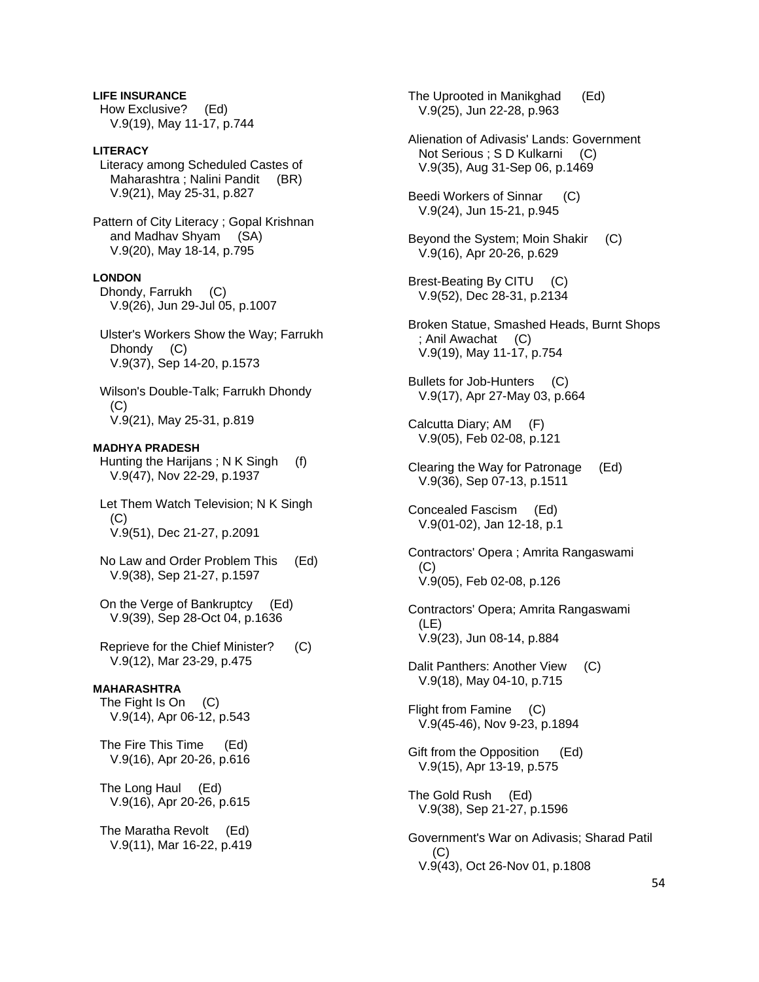**LIFE INSURANCE**  How Exclusive? (Ed) V.9(19), May 11-17, p.744

## **LITERACY**

 Literacy among Scheduled Castes of Maharashtra ; Nalini Pandit (BR) V.9(21), May 25-31, p.827

Pattern of City Literacy ; Gopal Krishnan and Madhav Shyam (SA) V.9(20), May 18-14, p.795

#### **LONDON**

 Dhondy, Farrukh (C) V.9(26), Jun 29-Jul 05, p.1007

 Ulster's Workers Show the Way; Farrukh Dhondy (C) V.9(37), Sep 14-20, p.1573

 Wilson's Double-Talk; Farrukh Dhondy  $(C)$ V.9(21), May 25-31, p.819

## **MADHYA PRADESH**

 Hunting the Harijans ; N K Singh (f) V.9(47), Nov 22-29, p.1937

 Let Them Watch Television; N K Singh (C) V.9(51), Dec 21-27, p.2091

 No Law and Order Problem This (Ed) V.9(38), Sep 21-27, p.1597

 On the Verge of Bankruptcy (Ed) V.9(39), Sep 28-Oct 04, p.1636

 Reprieve for the Chief Minister? (C) V.9(12), Mar 23-29, p.475

## **MAHARASHTRA**

 The Fight Is On (C) V.9(14), Apr 06-12, p.543

 The Fire This Time (Ed) V.9(16), Apr 20-26, p.616

 The Long Haul (Ed) V.9(16), Apr 20-26, p.615

 The Maratha Revolt (Ed) V.9(11), Mar 16-22, p.419  The Uprooted in Manikghad (Ed) V.9(25), Jun 22-28, p.963

 Alienation of Adivasis' Lands: Government Not Serious ; S D Kulkarni (C) V.9(35), Aug 31-Sep 06, p.1469

 Beedi Workers of Sinnar (C) V.9(24), Jun 15-21, p.945

 Beyond the System; Moin Shakir (C) V.9(16), Apr 20-26, p.629

 Brest-Beating By CITU (C) V.9(52), Dec 28-31, p.2134

 Broken Statue, Smashed Heads, Burnt Shops ; Anil Awachat (C) V.9(19), May 11-17, p.754

 Bullets for Job-Hunters (C) V.9(17), Apr 27-May 03, p.664

 Calcutta Diary; AM (F) V.9(05), Feb 02-08, p.121

 Concealed Fascism (Ed) V.9(01-02), Jan 12-18, p.1

 Contractors' Opera ; Amrita Rangaswami (C) V.9(05), Feb 02-08, p.126

 Contractors' Opera; Amrita Rangaswami (LE) V.9(23), Jun 08-14, p.884

 Dalit Panthers: Another View (C) V.9(18), May 04-10, p.715

 Flight from Famine (C) V.9(45-46), Nov 9-23, p.1894

 Gift from the Opposition (Ed) V.9(15), Apr 13-19, p.575

 The Gold Rush (Ed) V.9(38), Sep 21-27, p.1596

 Government's War on Adivasis; Sharad Patil (C) V.9(43), Oct 26-Nov 01, p.1808

Clearing the Way for Patronage (Ed) V.9(36), Sep 07-13, p.1511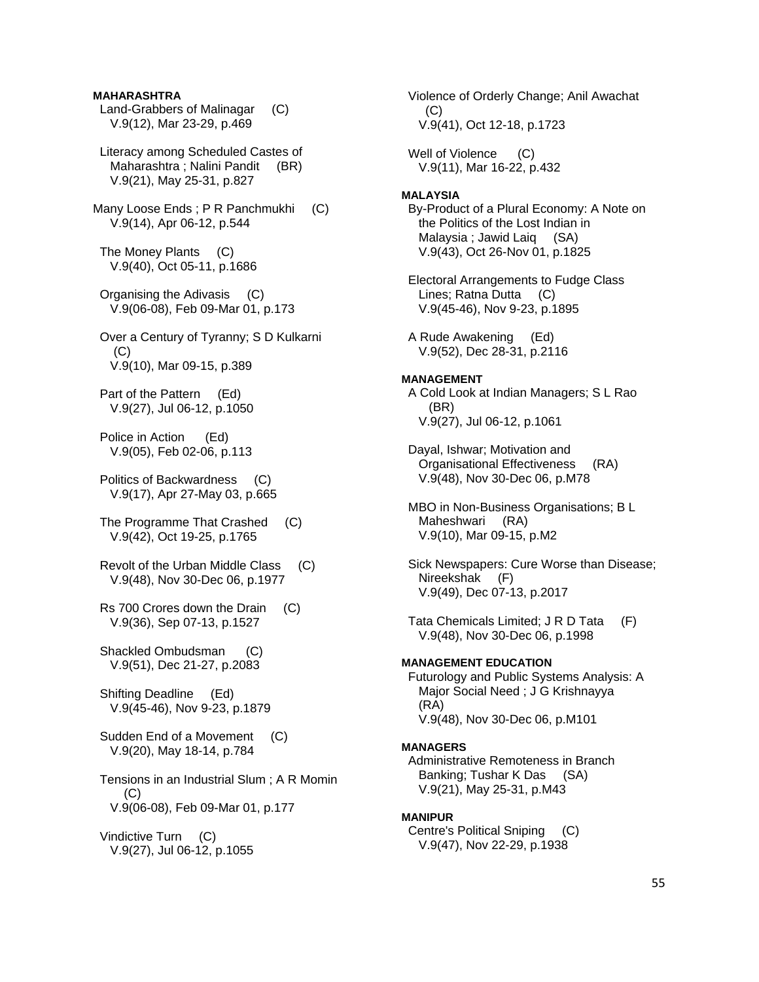## **MAHARASHTRA**

- Land-Grabbers of Malinagar (C) V.9(12), Mar 23-29, p.469
- Literacy among Scheduled Castes of Maharashtra ; Nalini Pandit (BR) V.9(21), May 25-31, p.827
- Many Loose Ends ; P R Panchmukhi (C) V.9(14), Apr 06-12, p.544
- The Money Plants (C) V.9(40), Oct 05-11, p.1686
- Organising the Adivasis (C) V.9(06-08), Feb 09-Mar 01, p.173
- Over a Century of Tyranny; S D Kulkarni (C) V.9(10), Mar 09-15, p.389
- Part of the Pattern (Ed) V.9(27), Jul 06-12, p.1050
- Police in Action (Ed) V.9(05), Feb 02-06, p.113
- Politics of Backwardness (C) V.9(17), Apr 27-May 03, p.665
- The Programme That Crashed (C) V.9(42), Oct 19-25, p.1765
- Revolt of the Urban Middle Class (C) V.9(48), Nov 30-Dec 06, p.1977
- Rs 700 Crores down the Drain (C) V.9(36), Sep 07-13, p.1527
- Shackled Ombudsman (C) V.9(51), Dec 21-27, p.2083
- Shifting Deadline (Ed) V.9(45-46), Nov 9-23, p.1879
- Sudden End of a Movement (C) V.9(20), May 18-14, p.784
- Tensions in an Industrial Slum ; A R Momin (C) V.9(06-08), Feb 09-Mar 01, p.177
- Vindictive Turn (C) V.9(27), Jul 06-12, p.1055

 (C) V.9(41), Oct 12-18, p.1723 Well of Violence (C) V.9(11), Mar 16-22, p.432 **MALAYSIA**  By-Product of a Plural Economy: A Note on the Politics of the Lost Indian in Malaysia ; Jawid Laiq (SA) V.9(43), Oct 26-Nov 01, p.1825 Electoral Arrangements to Fudge Class Lines; Ratna Dutta (C) V.9(45-46), Nov 9-23, p.1895 A Rude Awakening (Ed) V.9(52), Dec 28-31, p.2116 **MANAGEMENT**  A Cold Look at Indian Managers; S L Rao (BR) V.9(27), Jul 06-12, p.1061 Dayal, Ishwar; Motivation and Organisational Effectiveness (RA) V.9(48), Nov 30-Dec 06, p.M78 MBO in Non-Business Organisations; B L Maheshwari (RA) V.9(10), Mar 09-15, p.M2 Sick Newspapers: Cure Worse than Disease; Nireekshak (F) V.9(49), Dec 07-13, p.2017 Tata Chemicals Limited; J R D Tata (F) V.9(48), Nov 30-Dec 06, p.1998 **MANAGEMENT EDUCATION**  Futurology and Public Systems Analysis: A Major Social Need ; J G Krishnayya (RA) V.9(48), Nov 30-Dec 06, p.M101 **MANAGERS**  Administrative Remoteness in Branch Banking; Tushar K Das (SA) V.9(21), May 25-31, p.M43 **MANIPUR** 

Violence of Orderly Change; Anil Awachat

 Centre's Political Sniping (C) V.9(47), Nov 22-29, p.1938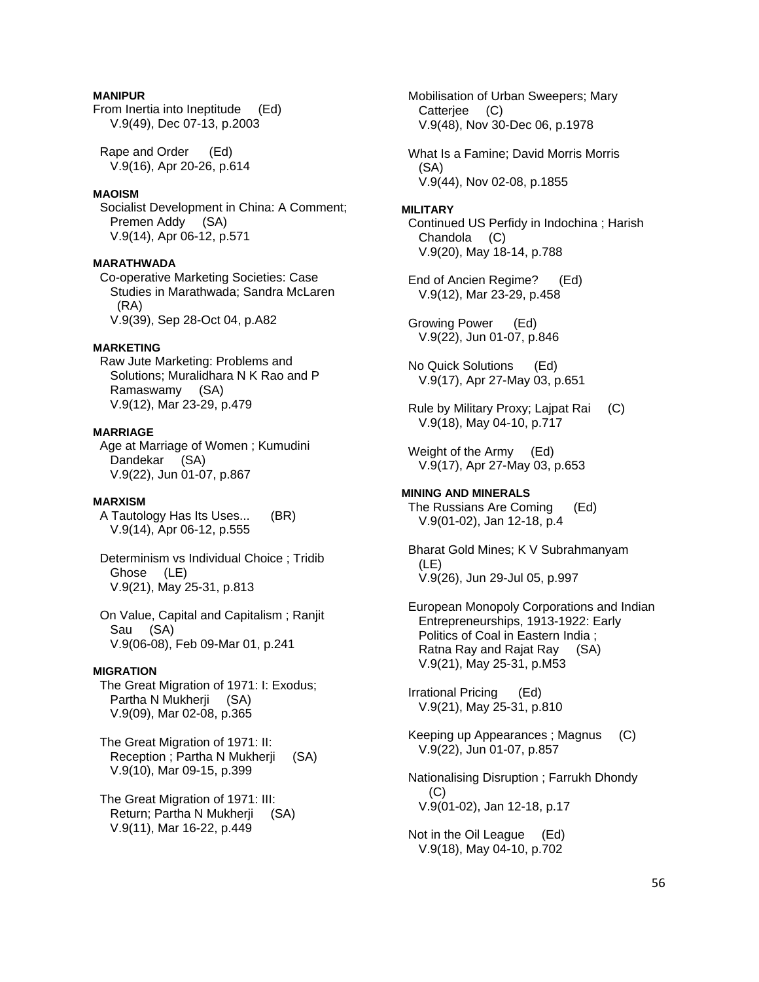## **MANIPUR**

From Inertia into Ineptitude (Ed) V.9(49), Dec 07-13, p.2003

 Rape and Order (Ed) V.9(16), Apr 20-26, p.614

## **MAOISM**

 Socialist Development in China: A Comment; Premen Addy (SA) V.9(14), Apr 06-12, p.571

## **MARATHWADA**

 Co-operative Marketing Societies: Case Studies in Marathwada; Sandra McLaren (RA) V.9(39), Sep 28-Oct 04, p.A82

## **MARKETING**

 Raw Jute Marketing: Problems and Solutions; Muralidhara N K Rao and P Ramaswamy (SA) V.9(12), Mar 23-29, p.479

#### **MARRIAGE**

 Age at Marriage of Women ; Kumudini Dandekar (SA) V.9(22), Jun 01-07, p.867

#### **MARXISM**

 A Tautology Has Its Uses... (BR) V.9(14), Apr 06-12, p.555

 Determinism vs Individual Choice ; Tridib Ghose (LE) V.9(21), May 25-31, p.813

 On Value, Capital and Capitalism ; Ranjit Sau (SA) V.9(06-08), Feb 09-Mar 01, p.241

#### **MIGRATION**

 The Great Migration of 1971: I: Exodus; Partha N Mukherji (SA) V.9(09), Mar 02-08, p.365

 The Great Migration of 1971: II: Reception ; Partha N Mukherji (SA) V.9(10), Mar 09-15, p.399

 The Great Migration of 1971: III: Return; Partha N Mukherji (SA) V.9(11), Mar 16-22, p.449

 Mobilisation of Urban Sweepers; Mary Catterjee (C) V.9(48), Nov 30-Dec 06, p.1978

 What Is a Famine; David Morris Morris (SA) V.9(44), Nov 02-08, p.1855

#### **MILITARY**

 Continued US Perfidy in Indochina ; Harish Chandola (C) V.9(20), May 18-14, p.788

 End of Ancien Regime? (Ed) V.9(12), Mar 23-29, p.458

 Growing Power (Ed) V.9(22), Jun 01-07, p.846

 No Quick Solutions (Ed) V.9(17), Apr 27-May 03, p.651

 Rule by Military Proxy; Lajpat Rai (C) V.9(18), May 04-10, p.717

 Weight of the Army (Ed) V.9(17), Apr 27-May 03, p.653

## **MINING AND MINERALS**  The Russians Are Coming (Ed) V.9(01-02), Jan 12-18, p.4

 Bharat Gold Mines; K V Subrahmanyam (LE) V.9(26), Jun 29-Jul 05, p.997

 European Monopoly Corporations and Indian Entrepreneurships, 1913-1922: Early Politics of Coal in Eastern India ; Ratna Ray and Rajat Ray (SA) V.9(21), May 25-31, p.M53

 Irrational Pricing (Ed) V.9(21), May 25-31, p.810

 Keeping up Appearances ; Magnus (C) V.9(22), Jun 01-07, p.857

 Nationalising Disruption ; Farrukh Dhondy (C) V.9(01-02), Jan 12-18, p.17

 Not in the Oil League (Ed) V.9(18), May 04-10, p.702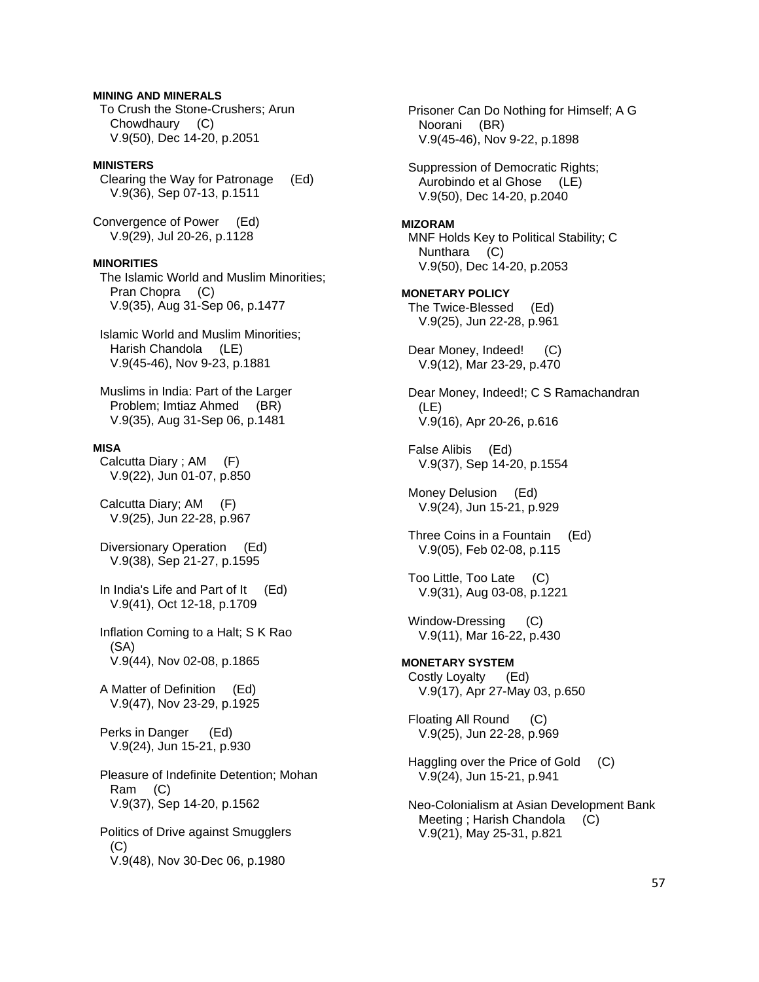## **MINING AND MINERALS**

 To Crush the Stone-Crushers; Arun Chowdhaury (C) V.9(50), Dec 14-20, p.2051

## **MINISTERS**

 Clearing the Way for Patronage (Ed) V.9(36), Sep 07-13, p.1511

Convergence of Power (Ed) V.9(29), Jul 20-26, p.1128

#### **MINORITIES**

 The Islamic World and Muslim Minorities; Pran Chopra (C) V.9(35), Aug 31-Sep 06, p.1477

 Islamic World and Muslim Minorities; Harish Chandola (LE) V.9(45-46), Nov 9-23, p.1881

 Muslims in India: Part of the Larger Problem; Imtiaz Ahmed (BR) V.9(35), Aug 31-Sep 06, p.1481

## **MISA**

 Calcutta Diary ; AM (F) V.9(22), Jun 01-07, p.850

 Calcutta Diary; AM (F) V.9(25), Jun 22-28, p.967

 Diversionary Operation (Ed) V.9(38), Sep 21-27, p.1595

 In India's Life and Part of It (Ed) V.9(41), Oct 12-18, p.1709

 Inflation Coming to a Halt; S K Rao (SA) V.9(44), Nov 02-08, p.1865

 A Matter of Definition (Ed) V.9(47), Nov 23-29, p.1925

 Perks in Danger (Ed) V.9(24), Jun 15-21, p.930

 Pleasure of Indefinite Detention; Mohan Ram (C) V.9(37), Sep 14-20, p.1562

 Politics of Drive against Smugglers (C) V.9(48), Nov 30-Dec 06, p.1980

 Prisoner Can Do Nothing for Himself; A G Noorani (BR) V.9(45-46), Nov 9-22, p.1898 Suppression of Democratic Rights; Aurobindo et al Ghose (LE) V.9(50), Dec 14-20, p.2040 **MIZORAM**  MNF Holds Key to Political Stability; C Nunthara (C) V.9(50), Dec 14-20, p.2053 **MONETARY POLICY**  The Twice-Blessed (Ed) V.9(25), Jun 22-28, p.961 Dear Money, Indeed! (C) V.9(12), Mar 23-29, p.470 Dear Money, Indeed!; C S Ramachandran (LE) V.9(16), Apr 20-26, p.616 False Alibis (Ed) V.9(37), Sep 14-20, p.1554 Money Delusion (Ed) V.9(24), Jun 15-21, p.929 Three Coins in a Fountain (Ed) V.9(05), Feb 02-08, p.115 Too Little, Too Late (C) V.9(31), Aug 03-08, p.1221 Window-Dressing (C) V.9(11), Mar 16-22, p.430 **MONETARY SYSTEM**  Costly Loyalty (Ed) V.9(17), Apr 27-May 03, p.650 Floating All Round (C) V.9(25), Jun 22-28, p.969 Haggling over the Price of Gold (C) V.9(24), Jun 15-21, p.941 Neo-Colonialism at Asian Development Bank Meeting; Harish Chandola (C) V.9(21), May 25-31, p.821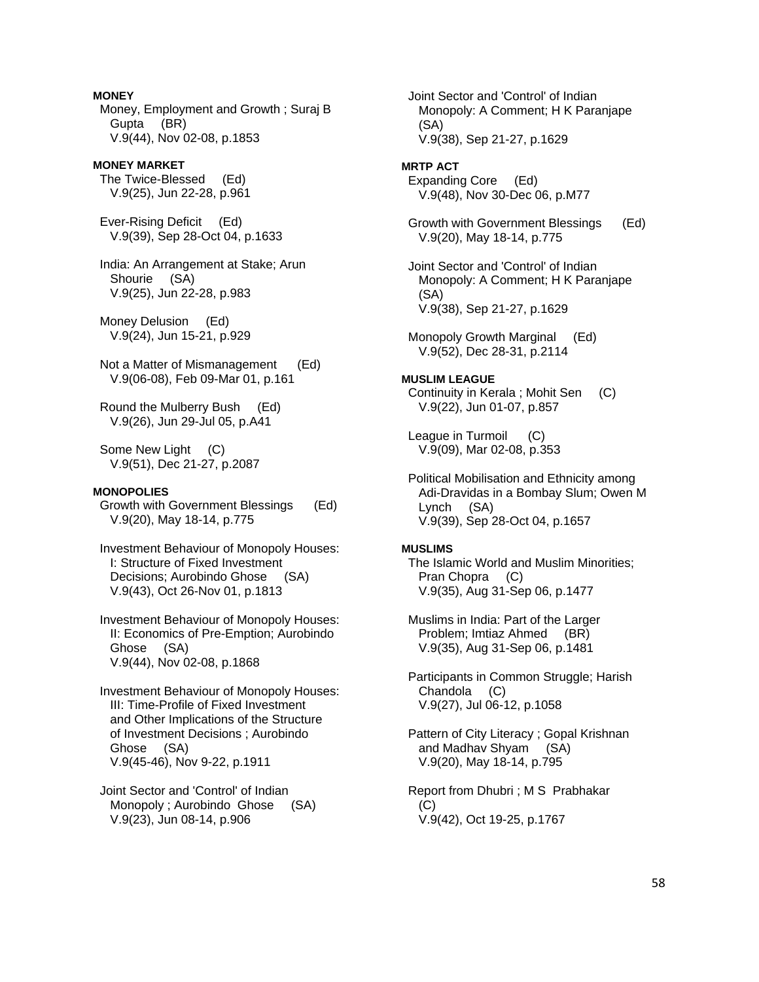**MONEY**  Money, Employment and Growth ; Suraj B Gupta (BR) V.9(44), Nov 02-08, p.1853

**MONEY MARKET**  The Twice-Blessed (Ed) V.9(25), Jun 22-28, p.961

 Ever-Rising Deficit (Ed) V.9(39), Sep 28-Oct 04, p.1633

 India: An Arrangement at Stake; Arun Shourie (SA) V.9(25), Jun 22-28, p.983

 Money Delusion (Ed) V.9(24), Jun 15-21, p.929

 Not a Matter of Mismanagement (Ed) V.9(06-08), Feb 09-Mar 01, p.161

 Round the Mulberry Bush (Ed) V.9(26), Jun 29-Jul 05, p.A41

 Some New Light (C) V.9(51), Dec 21-27, p.2087

## **MONOPOLIES**

 Growth with Government Blessings (Ed) V.9(20), May 18-14, p.775

 Investment Behaviour of Monopoly Houses: I: Structure of Fixed Investment Decisions; Aurobindo Ghose (SA) V.9(43), Oct 26-Nov 01, p.1813

 Investment Behaviour of Monopoly Houses: II: Economics of Pre-Emption; Aurobindo Ghose (SA) V.9(44), Nov 02-08, p.1868

 Investment Behaviour of Monopoly Houses: III: Time-Profile of Fixed Investment and Other Implications of the Structure of Investment Decisions ; Aurobindo Ghose (SA) V.9(45-46), Nov 9-22, p.1911

 Joint Sector and 'Control' of Indian Monopoly ; Aurobindo Ghose (SA) V.9(23), Jun 08-14, p.906

 Monopoly: A Comment; H K Paranjape (SA) V.9(38), Sep 21-27, p.1629 **MRTP ACT**  Expanding Core (Ed) V.9(48), Nov 30-Dec 06, p.M77 Growth with Government Blessings (Ed) V.9(20), May 18-14, p.775 Joint Sector and 'Control' of Indian Monopoly: A Comment; H K Paranjape (SA) V.9(38), Sep 21-27, p.1629 Monopoly Growth Marginal (Ed) V.9(52), Dec 28-31, p.2114 **MUSLIM LEAGUE**  Continuity in Kerala ; Mohit Sen (C) V.9(22), Jun 01-07, p.857 League in Turmoil (C) V.9(09), Mar 02-08, p.353 Political Mobilisation and Ethnicity among Adi-Dravidas in a Bombay Slum; Owen M Lynch (SA) V.9(39), Sep 28-Oct 04, p.1657 **MUSLIMS**  The Islamic World and Muslim Minorities; Pran Chopra (C) V.9(35), Aug 31-Sep 06, p.1477 Muslims in India: Part of the Larger Problem; Imtiaz Ahmed (BR) V.9(35), Aug 31-Sep 06, p.1481 Participants in Common Struggle; Harish Chandola (C) V.9(27), Jul 06-12, p.1058 Pattern of City Literacy ; Gopal Krishnan and Madhav Shyam (SA) V.9(20), May 18-14, p.795 Report from Dhubri ; M S Prabhakar

Joint Sector and 'Control' of Indian

 $(C)$ V.9(42), Oct 19-25, p.1767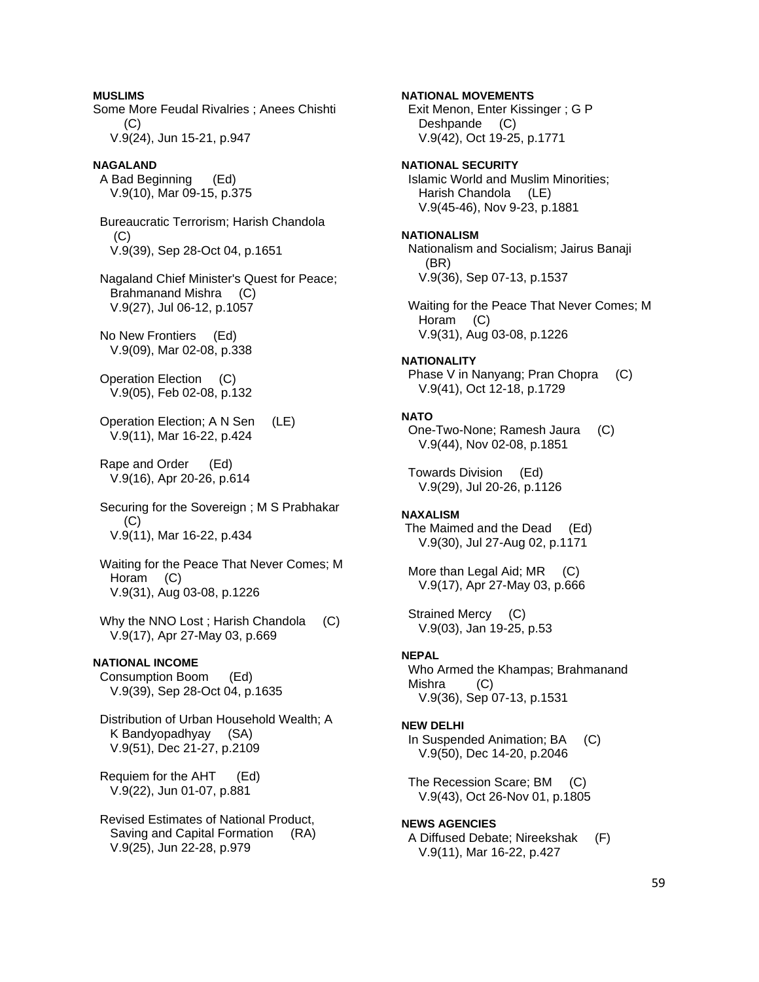**MUSLIMS**  Some More Feudal Rivalries ; Anees Chishti  $(C)$  V.9(24), Jun 15-21, p.947 **NAGALAND**  A Bad Beginning (Ed) V.9(10), Mar 09-15, p.375 Bureaucratic Terrorism; Harish Chandola (C) V.9(39), Sep 28-Oct 04, p.1651 Nagaland Chief Minister's Quest for Peace; Brahmanand Mishra (C) V.9(27), Jul 06-12, p.1057 No New Frontiers (Ed) V.9(09), Mar 02-08, p.338 Operation Election (C) V.9(05), Feb 02-08, p.132 Operation Election; A N Sen (LE) V.9(11), Mar 16-22, p.424 Rape and Order (Ed) V.9(16), Apr 20-26, p.614 Securing for the Sovereign ; M S Prabhakar  $(C)$  V.9(11), Mar 16-22, p.434 Waiting for the Peace That Never Comes; M Horam (C) V.9(31), Aug 03-08, p.1226 Why the NNO Lost; Harish Chandola (C) V.9(17), Apr 27-May 03, p.669 **NATIONAL INCOME**  Consumption Boom (Ed) V.9(39), Sep 28-Oct 04, p.1635 Distribution of Urban Household Wealth; A K Bandyopadhyay (SA) V.9(51), Dec 21-27, p.2109 Requiem for the AHT (Ed) V.9(22), Jun 01-07, p.881 Revised Estimates of National Product,

 Saving and Capital Formation (RA) V.9(25), Jun 22-28, p.979

**NATIONAL MOVEMENTS**  Exit Menon, Enter Kissinger ; G P Deshpande (C) V.9(42), Oct 19-25, p.1771 **NATIONAL SECURITY**  Islamic World and Muslim Minorities; Harish Chandola (LE) V.9(45-46), Nov 9-23, p.1881 **NATIONALISM**  Nationalism and Socialism; Jairus Banaji (BR) V.9(36), Sep 07-13, p.1537 Waiting for the Peace That Never Comes; M Horam (C) V.9(31), Aug 03-08, p.1226 **NATIONALITY**  Phase V in Nanyang; Pran Chopra (C) V.9(41), Oct 12-18, p.1729 **NATO**  One-Two-None; Ramesh Jaura (C) V.9(44), Nov 02-08, p.1851 Towards Division (Ed) V.9(29), Jul 20-26, p.1126 **NAXALISM**  The Maimed and the Dead (Ed) V.9(30), Jul 27-Aug 02, p.1171 More than Legal Aid; MR (C) V.9(17), Apr 27-May 03, p.666 Strained Mercy (C) V.9(03), Jan 19-25, p.53 **NEPAL**  Who Armed the Khampas; Brahmanand Mishra (C) V.9(36), Sep 07-13, p.1531 **NEW DELHI**  In Suspended Animation; BA (C) V.9(50), Dec 14-20, p.2046 The Recession Scare; BM (C) V.9(43), Oct 26-Nov 01, p.1805 **NEWS AGENCIES**  A Diffused Debate; Nireekshak (F) V.9(11), Mar 16-22, p.427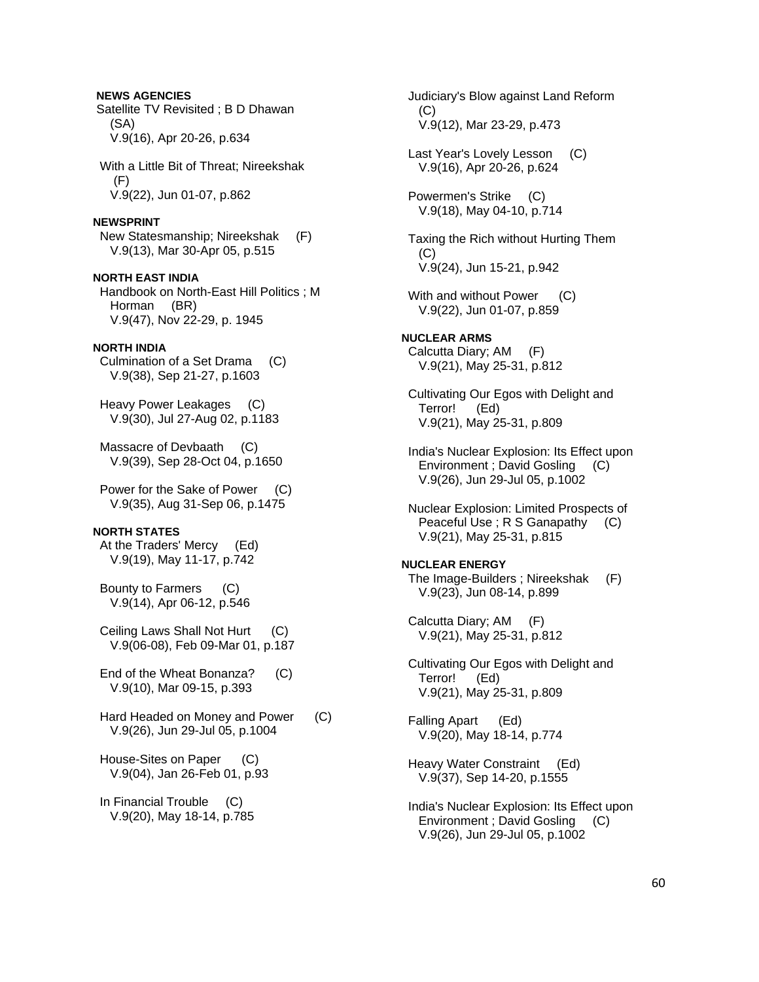Satellite TV Revisited ; B D Dhawan (SA) V.9(16), Apr 20-26, p.634 With a Little Bit of Threat; Nireekshak (F) V.9(22), Jun 01-07, p.862 **NEWSPRINT**  New Statesmanship; Nireekshak (F) V.9(13), Mar 30-Apr 05, p.515 **NORTH EAST INDIA**  Handbook on North-East Hill Politics ; M Horman (BR) V.9(47), Nov 22-29, p. 1945 **NORTH INDIA**  Culmination of a Set Drama (C) V.9(38), Sep 21-27, p.1603 Heavy Power Leakages (C) V.9(30), Jul 27-Aug 02, p.1183 Massacre of Devbaath (C) V.9(39), Sep 28-Oct 04, p.1650 Power for the Sake of Power (C) V.9(35), Aug 31-Sep 06, p.1475 **NORTH STATES**  At the Traders' Mercy (Ed) V.9(19), May 11-17, p.742 Bounty to Farmers (C) V.9(14), Apr 06-12, p.546 Ceiling Laws Shall Not Hurt (C) V.9(06-08), Feb 09-Mar 01, p.187 End of the Wheat Bonanza? (C) V.9(10), Mar 09-15, p.393 Hard Headed on Money and Power (C) V.9(26), Jun 29-Jul 05, p.1004 House-Sites on Paper (C) V.9(04), Jan 26-Feb 01, p.93 In Financial Trouble (C) V.9(20), May 18-14, p.785

**NEWS AGENCIES** 

 Judiciary's Blow against Land Reform (C) V.9(12), Mar 23-29, p.473 Last Year's Lovely Lesson (C) V.9(16), Apr 20-26, p.624 Powermen's Strike (C) V.9(18), May 04-10, p.714 Taxing the Rich without Hurting Them (C) V.9(24), Jun 15-21, p.942 With and without Power (C) V.9(22), Jun 01-07, p.859 **NUCLEAR ARMS**  Calcutta Diary; AM (F) V.9(21), May 25-31, p.812 Cultivating Our Egos with Delight and Terror! (Ed) V.9(21), May 25-31, p.809 India's Nuclear Explosion: Its Effect upon Environment ; David Gosling (C) V.9(26), Jun 29-Jul 05, p.1002 Nuclear Explosion: Limited Prospects of Peaceful Use ; R S Ganapathy (C) V.9(21), May 25-31, p.815 **NUCLEAR ENERGY**  The Image-Builders ; Nireekshak (F) V.9(23), Jun 08-14, p.899 Calcutta Diary; AM (F) V.9(21), May 25-31, p.812 Cultivating Our Egos with Delight and Terror! (Ed) V.9(21), May 25-31, p.809 Falling Apart (Ed) V.9(20), May 18-14, p.774 Heavy Water Constraint (Ed) V.9(37), Sep 14-20, p.1555 India's Nuclear Explosion: Its Effect upon Environment ; David Gosling (C) V.9(26), Jun 29-Jul 05, p.1002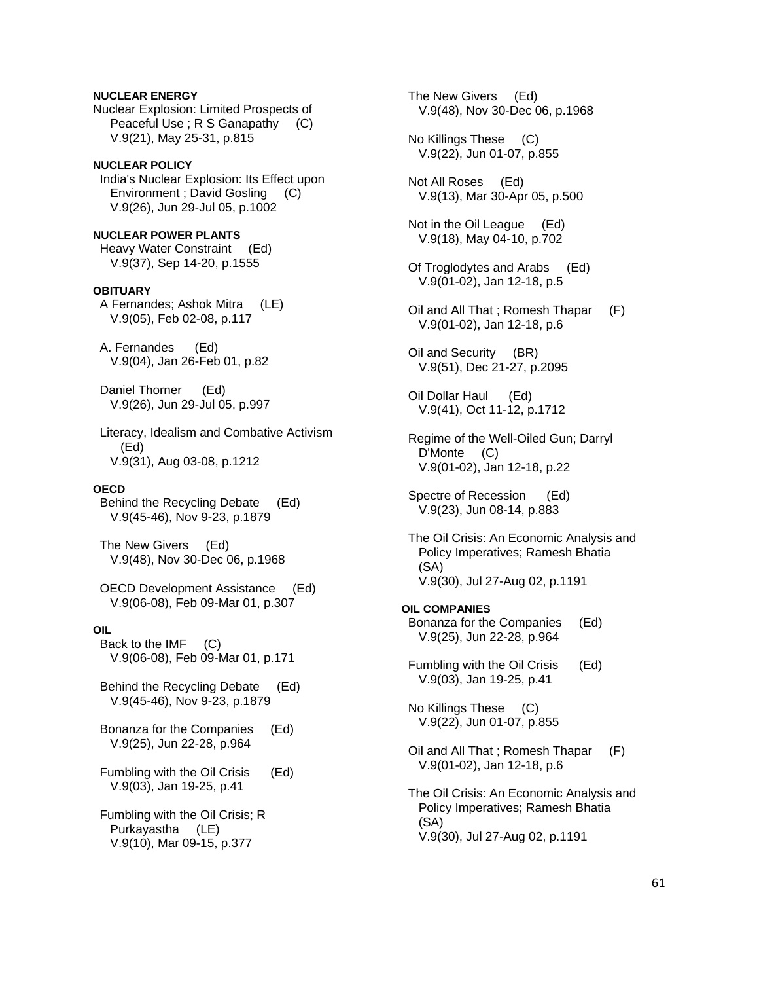Nuclear Explosion: Limited Prospects of Peaceful Use ; R S Ganapathy (C) V.9(21), May 25-31, p.815 **NUCLEAR POLICY**  India's Nuclear Explosion: Its Effect upon Environment ; David Gosling (C) V.9(26), Jun 29-Jul 05, p.1002 **NUCLEAR POWER PLANTS**  Heavy Water Constraint (Ed) V.9(37), Sep 14-20, p.1555 **OBITUARY**  A Fernandes; Ashok Mitra (LE) V.9(05), Feb 02-08, p.117 A. Fernandes (Ed) V.9(04), Jan 26-Feb 01, p.82 Daniel Thorner (Ed) V.9(26), Jun 29-Jul 05, p.997 Literacy, Idealism and Combative Activism (Ed) V.9(31), Aug 03-08, p.1212 **OECD**  Behind the Recycling Debate (Ed) V.9(45-46), Nov 9-23, p.1879 The New Givers (Ed) V.9(48), Nov 30-Dec 06, p.1968 OECD Development Assistance (Ed) V.9(06-08), Feb 09-Mar 01, p.307 **OIL**  Back to the IMF (C) V.9(06-08), Feb 09-Mar 01, p.171 Behind the Recycling Debate (Ed) V.9(45-46), Nov 9-23, p.1879 Bonanza for the Companies (Ed) V.9(25), Jun 22-28, p.964 Fumbling with the Oil Crisis (Ed) V.9(03), Jan 19-25, p.41 Fumbling with the Oil Crisis; R Purkayastha (LE) V.9(10), Mar 09-15, p.377

**NUCLEAR ENERGY**

 The New Givers (Ed) V.9(48), Nov 30-Dec 06, p.1968 No Killings These (C) V.9(22), Jun 01-07, p.855 Not All Roses (Ed) V.9(13), Mar 30-Apr 05, p.500 Not in the Oil League (Ed) V.9(18), May 04-10, p.702 Of Troglodytes and Arabs (Ed) V.9(01-02), Jan 12-18, p.5 Oil and All That ; Romesh Thapar (F) V.9(01-02), Jan 12-18, p.6 Oil and Security (BR) V.9(51), Dec 21-27, p.2095 Oil Dollar Haul (Ed) V.9(41), Oct 11-12, p.1712 Regime of the Well-Oiled Gun; Darryl D'Monte (C) V.9(01-02), Jan 12-18, p.22 Spectre of Recession (Ed) V.9(23), Jun 08-14, p.883 The Oil Crisis: An Economic Analysis and Policy Imperatives; Ramesh Bhatia (SA) V.9(30), Jul 27-Aug 02, p.1191 **OIL COMPANIES**  Bonanza for the Companies (Ed) V.9(25), Jun 22-28, p.964 Fumbling with the Oil Crisis (Ed) V.9(03), Jan 19-25, p.41 No Killings These (C) V.9(22), Jun 01-07, p.855 Oil and All That ; Romesh Thapar (F) V.9(01-02), Jan 12-18, p.6 The Oil Crisis: An Economic Analysis and Policy Imperatives; Ramesh Bhatia (SA) V.9(30), Jul 27-Aug 02, p.1191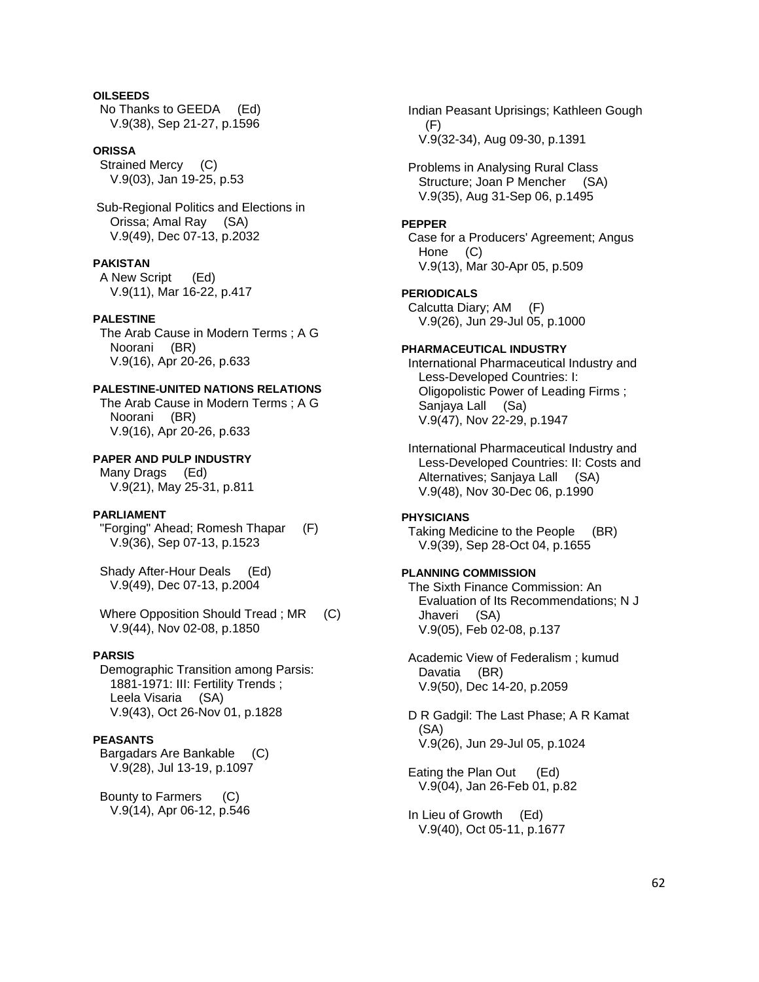## **OILSEEDS**

 No Thanks to GEEDA (Ed) V.9(38), Sep 21-27, p.1596

#### **ORISSA**

 Strained Mercy (C) V.9(03), Jan 19-25, p.53

 Sub-Regional Politics and Elections in Orissa; Amal Ray (SA) V.9(49), Dec 07-13, p.2032

## **PAKISTAN**

 A New Script (Ed) V.9(11), Mar 16-22, p.417

## **PALESTINE**

 The Arab Cause in Modern Terms ; A G Noorani (BR) V.9(16), Apr 20-26, p.633

## **PALESTINE-UNITED NATIONS RELATIONS**

 The Arab Cause in Modern Terms ; A G Noorani (BR) V.9(16), Apr 20-26, p.633

## **PAPER AND PULP INDUSTRY**

 Many Drags (Ed) V.9(21), May 25-31, p.811

#### **PARLIAMENT**

 "Forging" Ahead; Romesh Thapar (F) V.9(36), Sep 07-13, p.1523

 Shady After-Hour Deals (Ed) V.9(49), Dec 07-13, p.2004

Where Opposition Should Tread; MR (C) V.9(44), Nov 02-08, p.1850

## **PARSIS**

 Demographic Transition among Parsis: 1881-1971: III: Fertility Trends ; Leela Visaria (SA) V.9(43), Oct 26-Nov 01, p.1828

#### **PEASANTS**

 Bargadars Are Bankable (C) V.9(28), Jul 13-19, p.1097

 Bounty to Farmers (C) V.9(14), Apr 06-12, p.546  Indian Peasant Uprisings; Kathleen Gough (F) V.9(32-34), Aug 09-30, p.1391

 Problems in Analysing Rural Class Structure; Joan P Mencher (SA) V.9(35), Aug 31-Sep 06, p.1495

## **PEPPER**

 Case for a Producers' Agreement; Angus Hone (C) V.9(13), Mar 30-Apr 05, p.509

## **PERIODICALS**

 Calcutta Diary; AM (F) V.9(26), Jun 29-Jul 05, p.1000

## **PHARMACEUTICAL INDUSTRY**

 International Pharmaceutical Industry and Less-Developed Countries: I: Oligopolistic Power of Leading Firms ; Sanjaya Lall (Sa) V.9(47), Nov 22-29, p.1947

 International Pharmaceutical Industry and Less-Developed Countries: II: Costs and Alternatives; Sanjaya Lall (SA) V.9(48), Nov 30-Dec 06, p.1990

## **PHYSICIANS**

 Taking Medicine to the People (BR) V.9(39), Sep 28-Oct 04, p.1655

## **PLANNING COMMISSION**

 The Sixth Finance Commission: An Evaluation of Its Recommendations; N J Jhaveri (SA) V.9(05), Feb 02-08, p.137

 Academic View of Federalism ; kumud Davatia (BR) V.9(50), Dec 14-20, p.2059

 D R Gadgil: The Last Phase; A R Kamat (SA) V.9(26), Jun 29-Jul 05, p.1024

 Eating the Plan Out (Ed) V.9(04), Jan 26-Feb 01, p.82

 In Lieu of Growth (Ed) V.9(40), Oct 05-11, p.1677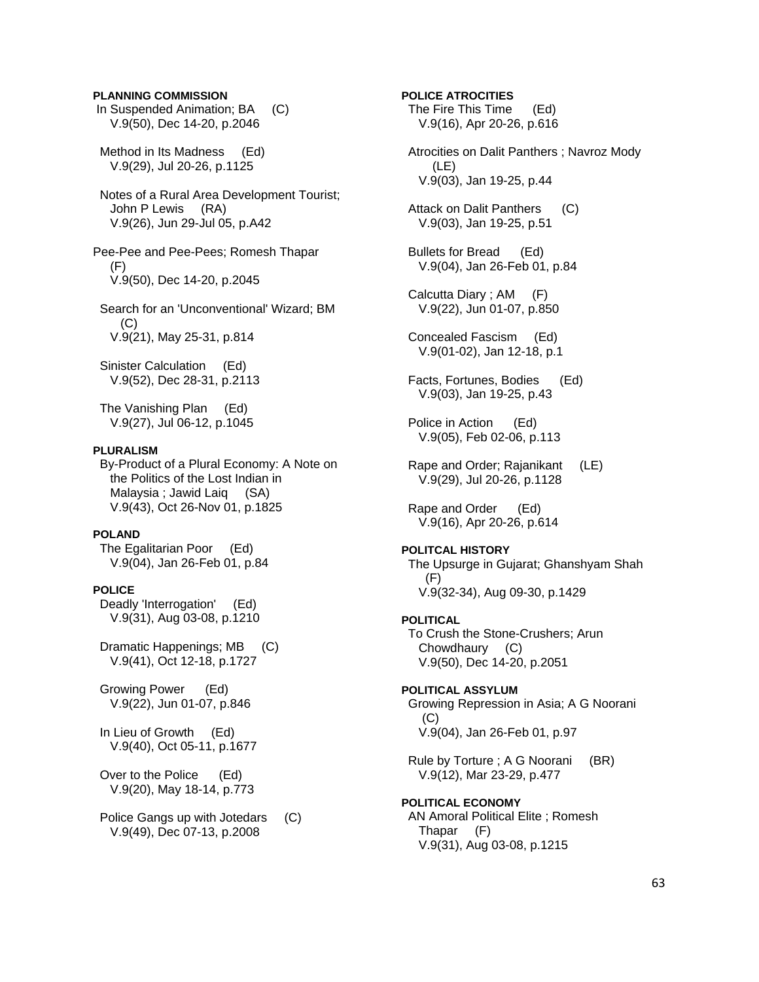## **PLANNING COMMISSION**

 In Suspended Animation; BA (C) V.9(50), Dec 14-20, p.2046

 Method in Its Madness (Ed) V.9(29), Jul 20-26, p.1125

 Notes of a Rural Area Development Tourist; John P Lewis (RA) V.9(26), Jun 29-Jul 05, p.A42

Pee-Pee and Pee-Pees; Romesh Thapar (F) V.9(50), Dec 14-20, p.2045

 Search for an 'Unconventional' Wizard; BM  $(C)$ V.9(21), May 25-31, p.814

 Sinister Calculation (Ed) V.9(52), Dec 28-31, p.2113

 The Vanishing Plan (Ed) V.9(27), Jul 06-12, p.1045

### **PLURALISM**

 By-Product of a Plural Economy: A Note on the Politics of the Lost Indian in Malaysia ; Jawid Laiq (SA) V.9(43), Oct 26-Nov 01, p.1825

## **POLAND**

 The Egalitarian Poor (Ed) V.9(04), Jan 26-Feb 01, p.84

## **POLICE**

 Deadly 'Interrogation' (Ed) V.9(31), Aug 03-08, p.1210

 Dramatic Happenings; MB (C) V.9(41), Oct 12-18, p.1727

 Growing Power (Ed) V.9(22), Jun 01-07, p.846

 In Lieu of Growth (Ed) V.9(40), Oct 05-11, p.1677

 Over to the Police (Ed) V.9(20), May 18-14, p.773

 Police Gangs up with Jotedars (C) V.9(49), Dec 07-13, p.2008

# The Fire This Time (Ed) V.9(16), Apr 20-26, p.616 Atrocities on Dalit Panthers ; Navroz Mody (LE) V.9(03), Jan 19-25, p.44 Attack on Dalit Panthers (C) V.9(03), Jan 19-25, p.51 Bullets for Bread (Ed) V.9(04), Jan 26-Feb 01, p.84 Calcutta Diary ; AM (F) V.9(22), Jun 01-07, p.850 Concealed Fascism (Ed) V.9(01-02), Jan 12-18, p.1

**POLICE ATROCITIES** 

 Facts, Fortunes, Bodies (Ed) V.9(03), Jan 19-25, p.43

 Police in Action (Ed) V.9(05), Feb 02-06, p.113

 Rape and Order; Rajanikant (LE) V.9(29), Jul 20-26, p.1128

 Rape and Order (Ed) V.9(16), Apr 20-26, p.614

#### **POLITCAL HISTORY**

 The Upsurge in Gujarat; Ghanshyam Shah (F) V.9(32-34), Aug 09-30, p.1429

## **POLITICAL**

 To Crush the Stone-Crushers; Arun Chowdhaury (C) V.9(50), Dec 14-20, p.2051

## **POLITICAL ASSYLUM**  Growing Repression in Asia; A G Noorani (C) V.9(04), Jan 26-Feb 01, p.97

 Rule by Torture ; A G Noorani (BR) V.9(12), Mar 23-29, p.477

## **POLITICAL ECONOMY**  AN Amoral Political Elite ; Romesh Thapar (F) V.9(31), Aug 03-08, p.1215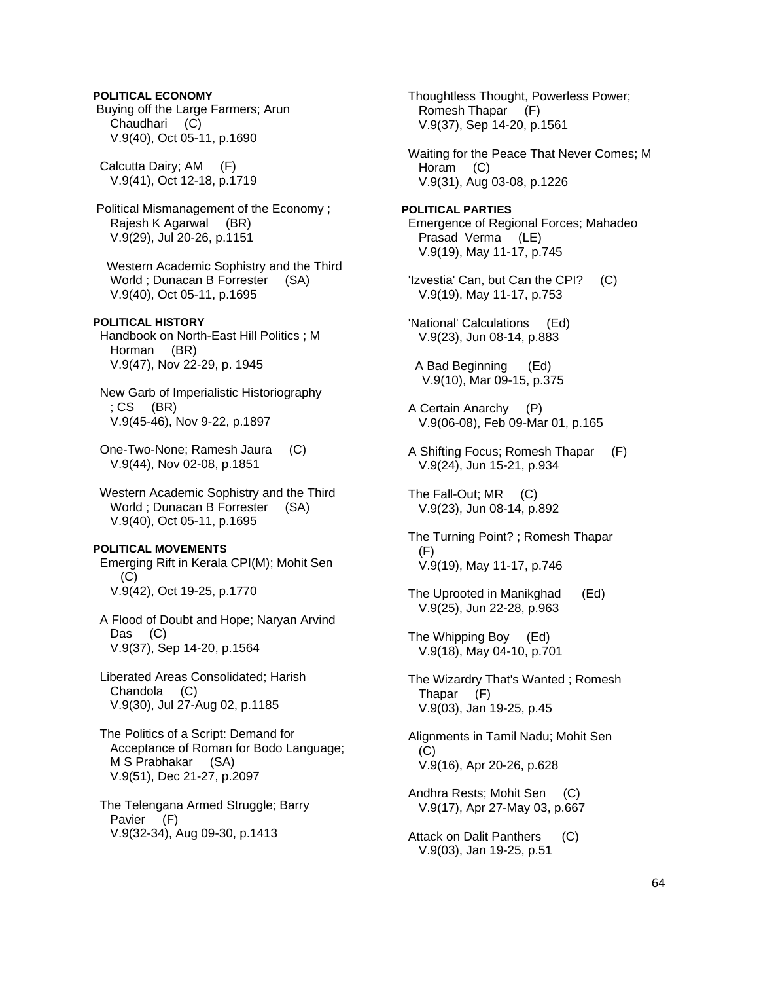## **POLITICAL ECONOMY**

 Buying off the Large Farmers; Arun Chaudhari (C) V.9(40), Oct 05-11, p.1690

 Calcutta Dairy; AM (F) V.9(41), Oct 12-18, p.1719

 Political Mismanagement of the Economy ; Rajesh K Agarwal (BR) V.9(29), Jul 20-26, p.1151

 Western Academic Sophistry and the Third World ; Dunacan B Forrester (SA) V.9(40), Oct 05-11, p.1695

**POLITICAL HISTORY**  Handbook on North-East Hill Politics ; M Horman (BR)

V.9(47), Nov 22-29, p. 1945

 New Garb of Imperialistic Historiography ; CS (BR) V.9(45-46), Nov 9-22, p.1897

 One-Two-None; Ramesh Jaura (C) V.9(44), Nov 02-08, p.1851

 Western Academic Sophistry and the Third World ; Dunacan B Forrester (SA) V.9(40), Oct 05-11, p.1695

## **POLITICAL MOVEMENTS**

 Emerging Rift in Kerala CPI(M); Mohit Sen (C) V.9(42), Oct 19-25, p.1770

 A Flood of Doubt and Hope; Naryan Arvind Das (C) V.9(37), Sep 14-20, p.1564

 Liberated Areas Consolidated; Harish Chandola (C) V.9(30), Jul 27-Aug 02, p.1185

 The Politics of a Script: Demand for Acceptance of Roman for Bodo Language; M S Prabhakar (SA) V.9(51), Dec 21-27, p.2097

 The Telengana Armed Struggle; Barry Pavier (F) V.9(32-34), Aug 09-30, p.1413

 Thoughtless Thought, Powerless Power; Romesh Thapar (F) V.9(37), Sep 14-20, p.1561

 Waiting for the Peace That Never Comes; M Horam (C) V.9(31), Aug 03-08, p.1226

**POLITICAL PARTIES**  Emergence of Regional Forces; Mahadeo Prasad Verma (LE) V.9(19), May 11-17, p.745

- 'Izvestia' Can, but Can the CPI? (C) V.9(19), May 11-17, p.753
- 'National' Calculations (Ed) V.9(23), Jun 08-14, p.883
- A Bad Beginning (Ed) V.9(10), Mar 09-15, p.375
- A Certain Anarchy (P) V.9(06-08), Feb 09-Mar 01, p.165
- A Shifting Focus; Romesh Thapar (F) V.9(24), Jun 15-21, p.934

 The Fall-Out; MR (C) V.9(23), Jun 08-14, p.892

 The Turning Point? ; Romesh Thapar (F) V.9(19), May 11-17, p.746

 The Uprooted in Manikghad (Ed) V.9(25), Jun 22-28, p.963

 The Whipping Boy (Ed) V.9(18), May 04-10, p.701

 The Wizardry That's Wanted ; Romesh Thapar (F) V.9(03), Jan 19-25, p.45

 Alignments in Tamil Nadu; Mohit Sen (C) V.9(16), Apr 20-26, p.628

- Andhra Rests; Mohit Sen (C) V.9(17), Apr 27-May 03, p.667
- Attack on Dalit Panthers (C) V.9(03), Jan 19-25, p.51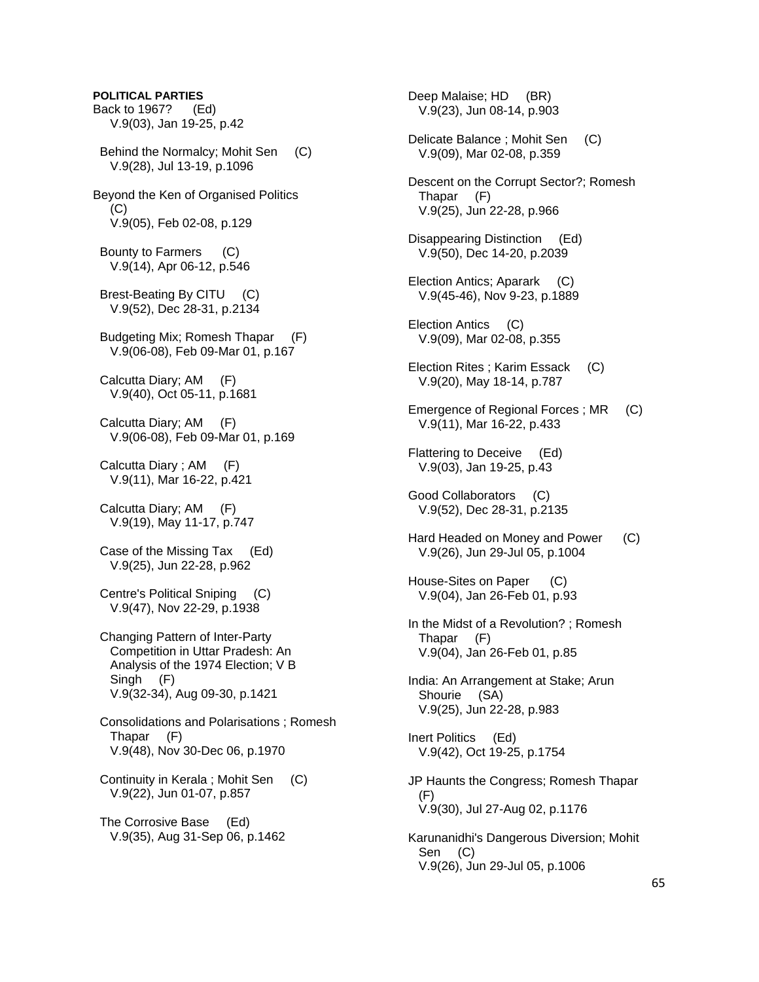**POLITICAL PARTIES**  Back to 1967? (Ed) V.9(03), Jan 19-25, p.42 Behind the Normalcy; Mohit Sen (C) V.9(28), Jul 13-19, p.1096 Beyond the Ken of Organised Politics  $(C)$  V.9(05), Feb 02-08, p.129 Bounty to Farmers (C) V.9(14), Apr 06-12, p.546 Brest-Beating By CITU (C) V.9(52), Dec 28-31, p.2134 Budgeting Mix; Romesh Thapar (F) V.9(06-08), Feb 09-Mar 01, p.167 Calcutta Diary; AM (F) V.9(40), Oct 05-11, p.1681 Calcutta Diary; AM (F) V.9(06-08), Feb 09-Mar 01, p.169 Calcutta Diary ; AM (F) V.9(11), Mar 16-22, p.421 Calcutta Diary; AM (F) V.9(19), May 11-17, p.747 Case of the Missing Tax (Ed) V.9(25), Jun 22-28, p.962 Centre's Political Sniping (C) V.9(47), Nov 22-29, p.1938 Changing Pattern of Inter-Party Competition in Uttar Pradesh: An Analysis of the 1974 Election; V B Singh (F) V.9(32-34), Aug 09-30, p.1421 Consolidations and Polarisations ; Romesh Thapar (F) V.9(48), Nov 30-Dec 06, p.1970 Continuity in Kerala ; Mohit Sen (C) V.9(22), Jun 01-07, p.857 The Corrosive Base (Ed) V.9(35), Aug 31-Sep 06, p.1462

 Deep Malaise; HD (BR) V.9(23), Jun 08-14, p.903 Delicate Balance ; Mohit Sen (C) V.9(09), Mar 02-08, p.359 Descent on the Corrupt Sector?; Romesh Thapar (F) V.9(25), Jun 22-28, p.966 Disappearing Distinction (Ed) V.9(50), Dec 14-20, p.2039 Election Antics; Aparark (C) V.9(45-46), Nov 9-23, p.1889 Election Antics (C) V.9(09), Mar 02-08, p.355 Election Rites ; Karim Essack (C) V.9(20), May 18-14, p.787 Emergence of Regional Forces ; MR (C) V.9(11), Mar 16-22, p.433 Flattering to Deceive (Ed) V.9(03), Jan 19-25, p.43 Good Collaborators (C) V.9(52), Dec 28-31, p.2135 Hard Headed on Money and Power (C) V.9(26), Jun 29-Jul 05, p.1004 House-Sites on Paper (C) V.9(04), Jan 26-Feb 01, p.93 In the Midst of a Revolution? ; Romesh Thapar (F) V.9(04), Jan 26-Feb 01, p.85 India: An Arrangement at Stake; Arun Shourie (SA) V.9(25), Jun 22-28, p.983 Inert Politics (Ed) V.9(42), Oct 19-25, p.1754 JP Haunts the Congress; Romesh Thapar (F) V.9(30), Jul 27-Aug 02, p.1176 Karunanidhi's Dangerous Diversion; Mohit Sen (C) V.9(26), Jun 29-Jul 05, p.1006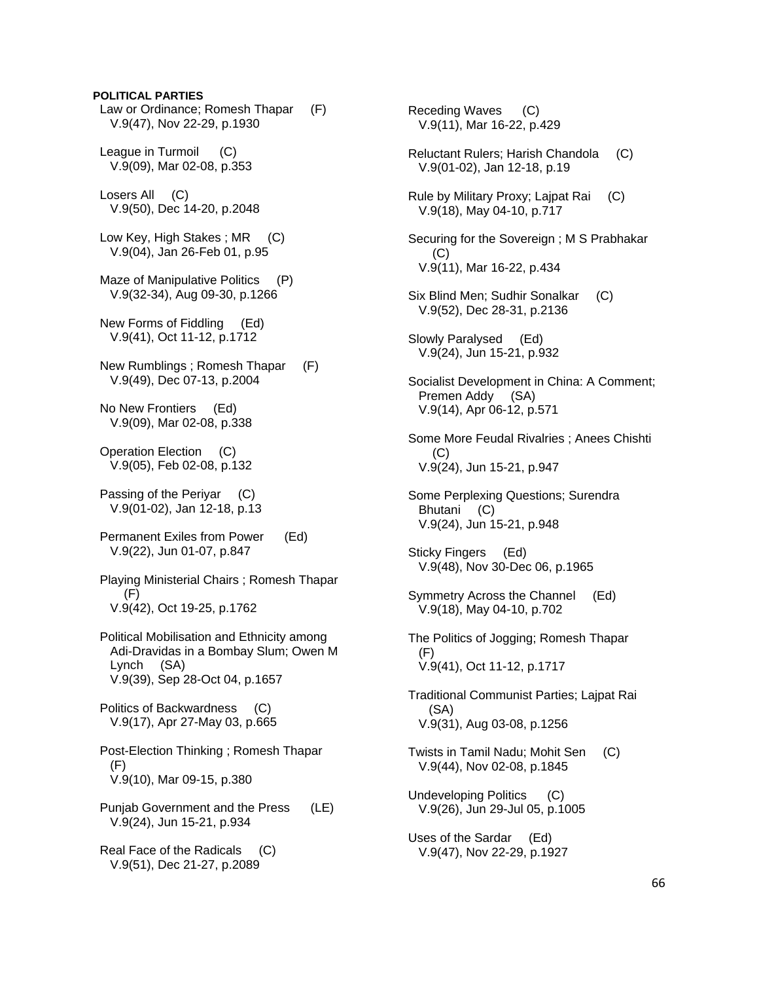## **POLITICAL PARTIES**

 Law or Ordinance; Romesh Thapar (F) V.9(47), Nov 22-29, p.1930

 League in Turmoil (C) V.9(09), Mar 02-08, p.353

 Losers All (C) V.9(50), Dec 14-20, p.2048

Low Key, High Stakes; MR (C) V.9(04), Jan 26-Feb 01, p.95

Maze of Manipulative Politics (P) V.9(32-34), Aug 09-30, p.1266

 New Forms of Fiddling (Ed) V.9(41), Oct 11-12, p.1712

 New Rumblings ; Romesh Thapar (F) V.9(49), Dec 07-13, p.2004

 No New Frontiers (Ed) V.9(09), Mar 02-08, p.338

 Operation Election (C) V.9(05), Feb 02-08, p.132

 Passing of the Periyar (C) V.9(01-02), Jan 12-18, p.13

 Permanent Exiles from Power (Ed) V.9(22), Jun 01-07, p.847

 Playing Ministerial Chairs ; Romesh Thapar (F) V.9(42), Oct 19-25, p.1762

 Political Mobilisation and Ethnicity among Adi-Dravidas in a Bombay Slum; Owen M Lynch (SA) V.9(39), Sep 28-Oct 04, p.1657

 Politics of Backwardness (C) V.9(17), Apr 27-May 03, p.665

 Post-Election Thinking ; Romesh Thapar (F) V.9(10), Mar 09-15, p.380

 Punjab Government and the Press (LE) V.9(24), Jun 15-21, p.934

 Real Face of the Radicals (C) V.9(51), Dec 21-27, p.2089

 Receding Waves (C) V.9(11), Mar 16-22, p.429 Reluctant Rulers; Harish Chandola (C) V.9(01-02), Jan 12-18, p.19 Rule by Military Proxy; Lajpat Rai (C) V.9(18), May 04-10, p.717 Securing for the Sovereign ; M S Prabhakar (C) V.9(11), Mar 16-22, p.434 Six Blind Men; Sudhir Sonalkar (C) V.9(52), Dec 28-31, p.2136 Slowly Paralysed (Ed) V.9(24), Jun 15-21, p.932 Socialist Development in China: A Comment; Premen Addy (SA) V.9(14), Apr 06-12, p.571 Some More Feudal Rivalries ; Anees Chishti (C) V.9(24), Jun 15-21, p.947 Some Perplexing Questions; Surendra Bhutani (C) V.9(24), Jun 15-21, p.948 Sticky Fingers (Ed) V.9(48), Nov 30-Dec 06, p.1965 Symmetry Across the Channel (Ed) V.9(18), May 04-10, p.702 The Politics of Jogging; Romesh Thapar (F) V.9(41), Oct 11-12, p.1717 Traditional Communist Parties; Lajpat Rai (SA) V.9(31), Aug 03-08, p.1256 Twists in Tamil Nadu; Mohit Sen (C) V.9(44), Nov 02-08, p.1845 Undeveloping Politics (C) V.9(26), Jun 29-Jul 05, p.1005 Uses of the Sardar (Ed)

V.9(47), Nov 22-29, p.1927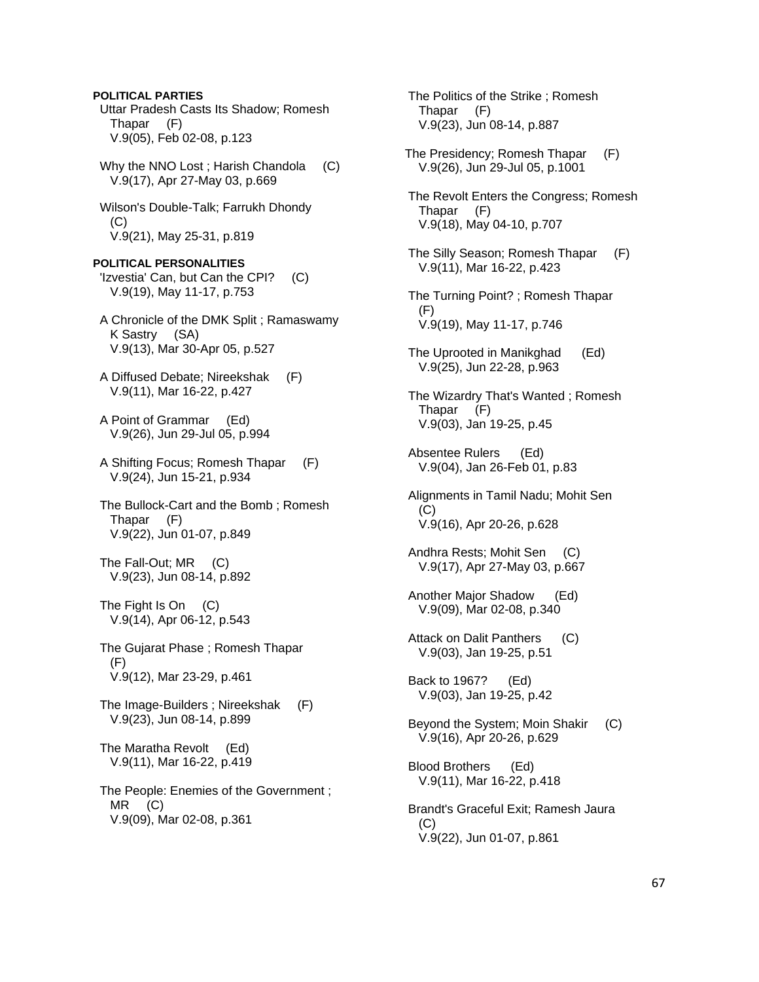Uttar Pradesh Casts Its Shadow; Romesh Thapar (F) V.9(05), Feb 02-08, p.123 Why the NNO Lost; Harish Chandola (C) V.9(17), Apr 27-May 03, p.669 Wilson's Double-Talk; Farrukh Dhondy  $(C)$  V.9(21), May 25-31, p.819 **POLITICAL PERSONALITIES**  'Izvestia' Can, but Can the CPI? (C) V.9(19), May 11-17, p.753 A Chronicle of the DMK Split ; Ramaswamy K Sastry (SA) V.9(13), Mar 30-Apr 05, p.527 A Diffused Debate; Nireekshak (F) V.9(11), Mar 16-22, p.427 A Point of Grammar (Ed) V.9(26), Jun 29-Jul 05, p.994 A Shifting Focus; Romesh Thapar (F) V.9(24), Jun 15-21, p.934 The Bullock-Cart and the Bomb ; Romesh Thapar (F) V.9(22), Jun 01-07, p.849 The Fall-Out; MR (C) V.9(23), Jun 08-14, p.892 The Fight Is On (C) V.9(14), Apr 06-12, p.543 The Gujarat Phase ; Romesh Thapar (F) V.9(12), Mar 23-29, p.461 The Image-Builders ; Nireekshak (F) V.9(23), Jun 08-14, p.899 The Maratha Revolt (Ed) V.9(11), Mar 16-22, p.419 The People: Enemies of the Government ; MR (C) V.9(09), Mar 02-08, p.361

**POLITICAL PARTIES**

 The Politics of the Strike ; Romesh Thapar (F) V.9(23), Jun 08-14, p.887 The Presidency; Romesh Thapar (F) V.9(26), Jun 29-Jul 05, p.1001 The Revolt Enters the Congress; Romesh Thapar (F) V.9(18), May 04-10, p.707 The Silly Season; Romesh Thapar (F) V.9(11), Mar 16-22, p.423 The Turning Point? ; Romesh Thapar (F) V.9(19), May 11-17, p.746 The Uprooted in Manikghad (Ed) V.9(25), Jun 22-28, p.963 The Wizardry That's Wanted ; Romesh Thapar (F) V.9(03), Jan 19-25, p.45 Absentee Rulers (Ed) V.9(04), Jan 26-Feb 01, p.83 Alignments in Tamil Nadu; Mohit Sen (C) V.9(16), Apr 20-26, p.628 Andhra Rests; Mohit Sen (C) V.9(17), Apr 27-May 03, p.667 Another Major Shadow (Ed) V.9(09), Mar 02-08, p.340 Attack on Dalit Panthers (C) V.9(03), Jan 19-25, p.51 Back to 1967? (Ed) V.9(03), Jan 19-25, p.42 Beyond the System; Moin Shakir (C) V.9(16), Apr 20-26, p.629 Blood Brothers (Ed) V.9(11), Mar 16-22, p.418 Brandt's Graceful Exit; Ramesh Jaura (C) V.9(22), Jun 01-07, p.861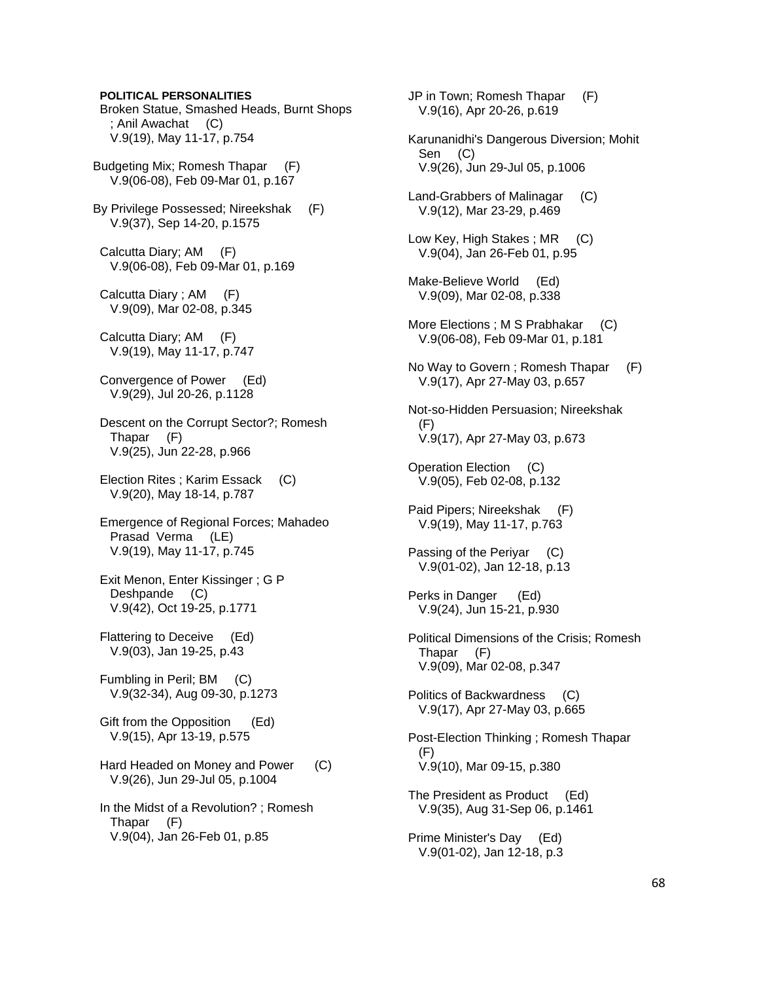**POLITICAL PERSONALITIES** 

 Broken Statue, Smashed Heads, Burnt Shops ; Anil Awachat (C) V.9(19), May 11-17, p.754

Budgeting Mix; Romesh Thapar (F) V.9(06-08), Feb 09-Mar 01, p.167

By Privilege Possessed; Nireekshak (F) V.9(37), Sep 14-20, p.1575

 Calcutta Diary; AM (F) V.9(06-08), Feb 09-Mar 01, p.169

 Calcutta Diary ; AM (F) V.9(09), Mar 02-08, p.345

 Calcutta Diary; AM (F) V.9(19), May 11-17, p.747

 Convergence of Power (Ed) V.9(29), Jul 20-26, p.1128

 Descent on the Corrupt Sector?; Romesh Thapar (F) V.9(25), Jun 22-28, p.966

 Election Rites ; Karim Essack (C) V.9(20), May 18-14, p.787

 Emergence of Regional Forces; Mahadeo Prasad Verma (LE) V.9(19), May 11-17, p.745

 Exit Menon, Enter Kissinger ; G P Deshpande (C) V.9(42), Oct 19-25, p.1771

 Flattering to Deceive (Ed) V.9(03), Jan 19-25, p.43

 Fumbling in Peril; BM (C) V.9(32-34), Aug 09-30, p.1273

 Gift from the Opposition (Ed) V.9(15), Apr 13-19, p.575

Hard Headed on Money and Power (C) V.9(26), Jun 29-Jul 05, p.1004

 In the Midst of a Revolution? ; Romesh Thapar (F) V.9(04), Jan 26-Feb 01, p.85

 JP in Town; Romesh Thapar (F) V.9(16), Apr 20-26, p.619 Karunanidhi's Dangerous Diversion; Mohit Sen (C) V.9(26), Jun 29-Jul 05, p.1006 Land-Grabbers of Malinagar (C) V.9(12), Mar 23-29, p.469 Low Key, High Stakes; MR (C) V.9(04), Jan 26-Feb 01, p.95 Make-Believe World (Ed) V.9(09), Mar 02-08, p.338 More Elections ; M S Prabhakar (C) V.9(06-08), Feb 09-Mar 01, p.181 No Way to Govern ; Romesh Thapar (F) V.9(17), Apr 27-May 03, p.657 Not-so-Hidden Persuasion; Nireekshak (F) V.9(17), Apr 27-May 03, p.673 Operation Election (C) V.9(05), Feb 02-08, p.132 Paid Pipers; Nireekshak (F) V.9(19), May 11-17, p.763 Passing of the Periyar (C) V.9(01-02), Jan 12-18, p.13 Perks in Danger (Ed) V.9(24), Jun 15-21, p.930 Political Dimensions of the Crisis; Romesh Thapar (F) V.9(09), Mar 02-08, p.347 Politics of Backwardness (C) V.9(17), Apr 27-May 03, p.665 Post-Election Thinking ; Romesh Thapar (F) V.9(10), Mar 09-15, p.380 The President as Product (Ed) V.9(35), Aug 31-Sep 06, p.1461 Prime Minister's Day (Ed) V.9(01-02), Jan 12-18, p.3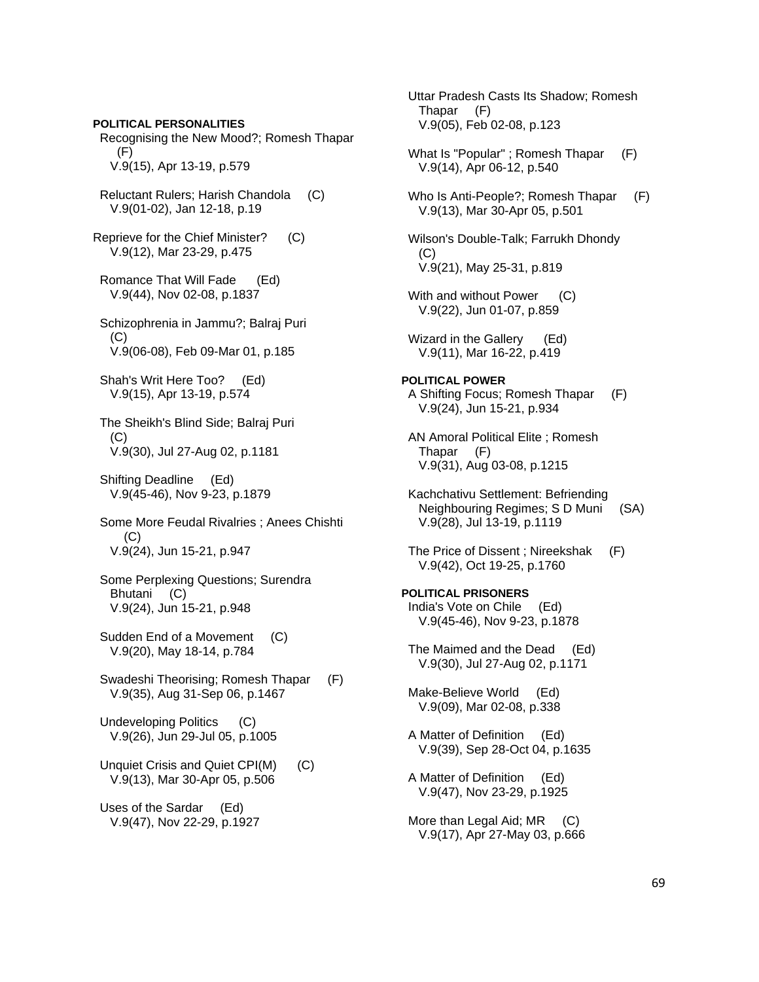**POLITICAL PERSONALITIES** 

 Recognising the New Mood?; Romesh Thapar (F) V.9(15), Apr 13-19, p.579

- Reluctant Rulers; Harish Chandola (C) V.9(01-02), Jan 12-18, p.19
- Reprieve for the Chief Minister? (C) V.9(12), Mar 23-29, p.475
- Romance That Will Fade (Ed) V.9(44), Nov 02-08, p.1837
- Schizophrenia in Jammu?; Balraj Puri  $(C)$ V.9(06-08), Feb 09-Mar 01, p.185
- Shah's Writ Here Too? (Ed) V.9(15), Apr 13-19, p.574
- The Sheikh's Blind Side; Balraj Puri (C) V.9(30), Jul 27-Aug 02, p.1181
- Shifting Deadline (Ed) V.9(45-46), Nov 9-23, p.1879
- Some More Feudal Rivalries ; Anees Chishti  $(C)$ V.9(24), Jun 15-21, p.947
- Some Perplexing Questions; Surendra Bhutani (C) V.9(24), Jun 15-21, p.948
- Sudden End of a Movement (C) V.9(20), May 18-14, p.784
- Swadeshi Theorising; Romesh Thapar (F) V.9(35), Aug 31-Sep 06, p.1467
- Undeveloping Politics (C) V.9(26), Jun 29-Jul 05, p.1005
- Unquiet Crisis and Quiet CPI(M) (C) V.9(13), Mar 30-Apr 05, p.506

 Uses of the Sardar (Ed) V.9(47), Nov 22-29, p.1927  Uttar Pradesh Casts Its Shadow; Romesh Thapar (F) V.9(05), Feb 02-08, p.123

- What Is "Popular"; Romesh Thapar (F) V.9(14), Apr 06-12, p.540
- Who Is Anti-People?; Romesh Thapar (F) V.9(13), Mar 30-Apr 05, p.501
- Wilson's Double-Talk; Farrukh Dhondy (C) V.9(21), May 25-31, p.819
- With and without Power (C) V.9(22), Jun 01-07, p.859
- Wizard in the Gallery (Ed) V.9(11), Mar 16-22, p.419
- **POLITICAL POWER**  A Shifting Focus; Romesh Thapar (F) V.9(24), Jun 15-21, p.934
- AN Amoral Political Elite ; Romesh Thapar (F) V.9(31), Aug 03-08, p.1215
- Kachchativu Settlement: Befriending Neighbouring Regimes; S D Muni (SA) V.9(28), Jul 13-19, p.1119
- The Price of Dissent ; Nireekshak (F) V.9(42), Oct 19-25, p.1760
- **POLITICAL PRISONERS**  India's Vote on Chile (Ed) V.9(45-46), Nov 9-23, p.1878
- The Maimed and the Dead (Ed) V.9(30), Jul 27-Aug 02, p.1171
- Make-Believe World (Ed) V.9(09), Mar 02-08, p.338
- A Matter of Definition (Ed) V.9(39), Sep 28-Oct 04, p.1635
- A Matter of Definition (Ed) V.9(47), Nov 23-29, p.1925
- More than Legal Aid; MR (C) V.9(17), Apr 27-May 03, p.666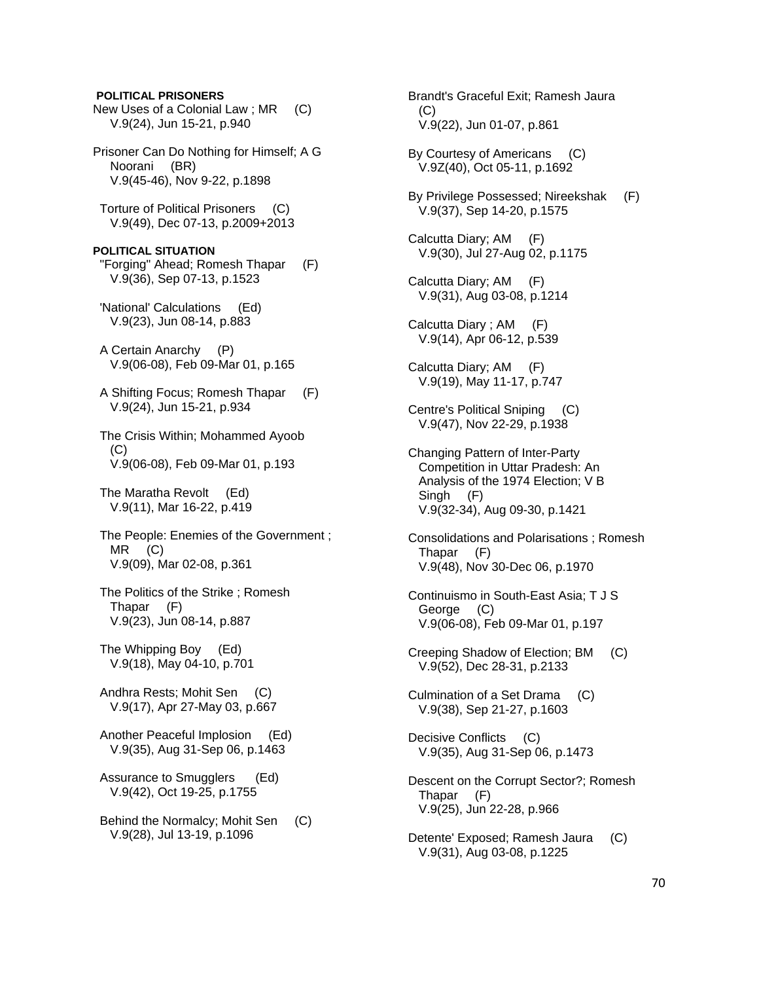# New Uses of a Colonial Law ; MR (C) V.9(24), Jun 15-21, p.940 Prisoner Can Do Nothing for Himself; A G Noorani (BR) V.9(45-46), Nov 9-22, p.1898 Torture of Political Prisoners (C) V.9(49), Dec 07-13, p.2009+2013 **POLITICAL SITUATION**  "Forging" Ahead; Romesh Thapar (F) V.9(36), Sep 07-13, p.1523 'National' Calculations (Ed) V.9(23), Jun 08-14, p.883 A Certain Anarchy (P) V.9(06-08), Feb 09-Mar 01, p.165 A Shifting Focus; Romesh Thapar (F) V.9(24), Jun 15-21, p.934 The Crisis Within; Mohammed Ayoob (C) V.9(06-08), Feb 09-Mar 01, p.193 The Maratha Revolt (Ed) V.9(11), Mar 16-22, p.419 The People: Enemies of the Government ; MR (C) V.9(09), Mar 02-08, p.361 The Politics of the Strike ; Romesh Thapar (F) V.9(23), Jun 08-14, p.887 The Whipping Boy (Ed) V.9(18), May 04-10, p.701 Andhra Rests; Mohit Sen (C) V.9(17), Apr 27-May 03, p.667 Another Peaceful Implosion (Ed) V.9(35), Aug 31-Sep 06, p.1463 Assurance to Smugglers (Ed) V.9(42), Oct 19-25, p.1755 Behind the Normalcy; Mohit Sen (C) V.9(28), Jul 13-19, p.1096

**POLITICAL PRISONERS** 

 Brandt's Graceful Exit; Ramesh Jaura (C) V.9(22), Jun 01-07, p.861 By Courtesy of Americans (C) V.9Z(40), Oct 05-11, p.1692 By Privilege Possessed; Nireekshak (F) V.9(37), Sep 14-20, p.1575 Calcutta Diary; AM (F) V.9(30), Jul 27-Aug 02, p.1175 Calcutta Diary; AM (F) V.9(31), Aug 03-08, p.1214 Calcutta Diary ; AM (F) V.9(14), Apr 06-12, p.539 Calcutta Diary; AM (F) V.9(19), May 11-17, p.747 Centre's Political Sniping (C) V.9(47), Nov 22-29, p.1938 Changing Pattern of Inter-Party Competition in Uttar Pradesh: An Analysis of the 1974 Election; V B Singh (F) V.9(32-34), Aug 09-30, p.1421 Consolidations and Polarisations ; Romesh Thapar (F) V.9(48), Nov 30-Dec 06, p.1970 Continuismo in South-East Asia; T J S George (C) V.9(06-08), Feb 09-Mar 01, p.197 Creeping Shadow of Election; BM (C) V.9(52), Dec 28-31, p.2133 Culmination of a Set Drama (C) V.9(38), Sep 21-27, p.1603 Decisive Conflicts (C) V.9(35), Aug 31-Sep 06, p.1473 Descent on the Corrupt Sector?; Romesh Thapar (F) V.9(25), Jun 22-28, p.966 Detente' Exposed; Ramesh Jaura (C) V.9(31), Aug 03-08, p.1225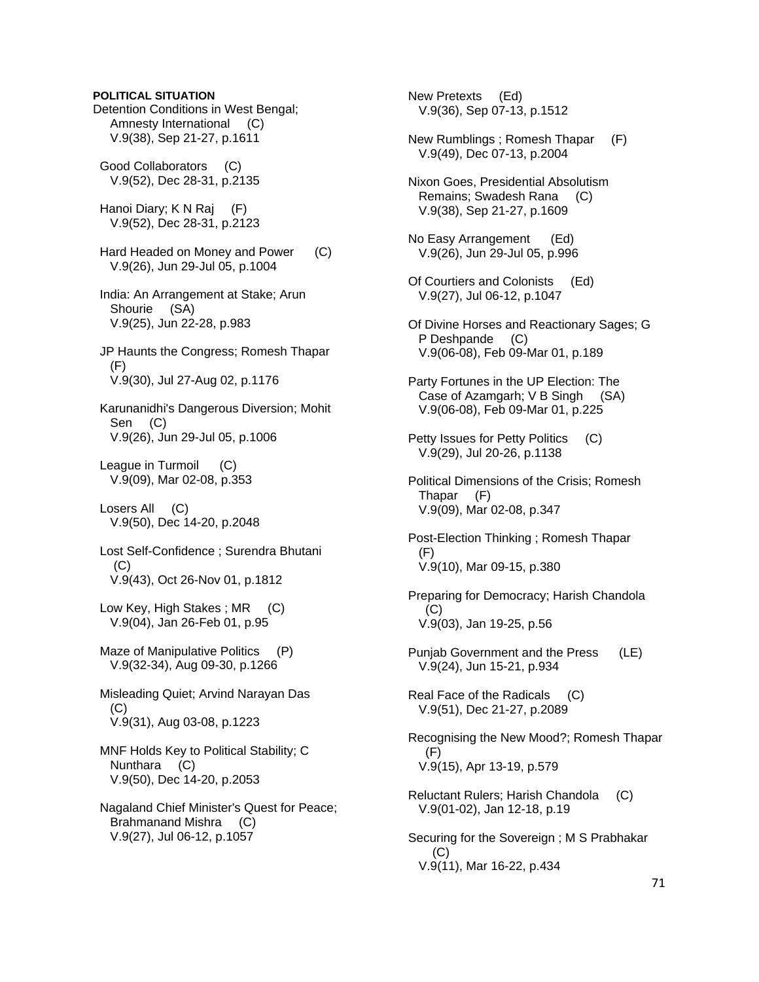**POLITICAL SITUATION**  Detention Conditions in West Bengal; Amnesty International (C) V.9(38), Sep 21-27, p.1611 Good Collaborators (C) V.9(52), Dec 28-31, p.2135 Hanoi Diary; K N Raj (F) V.9(52), Dec 28-31, p.2123 Hard Headed on Money and Power (C) V.9(26), Jun 29-Jul 05, p.1004 India: An Arrangement at Stake; Arun Shourie (SA) V.9(25), Jun 22-28, p.983 JP Haunts the Congress; Romesh Thapar (F) V.9(30), Jul 27-Aug 02, p.1176 Karunanidhi's Dangerous Diversion; Mohit Sen (C) V.9(26), Jun 29-Jul 05, p.1006 League in Turmoil (C) V.9(09), Mar 02-08, p.353 Losers All (C) V.9(50), Dec 14-20, p.2048 Lost Self-Confidence ; Surendra Bhutani (C) V.9(43), Oct 26-Nov 01, p.1812 Low Key, High Stakes; MR (C) V.9(04), Jan 26-Feb 01, p.95 Maze of Manipulative Politics (P) V.9(32-34), Aug 09-30, p.1266 Misleading Quiet; Arvind Narayan Das (C) V.9(31), Aug 03-08, p.1223 MNF Holds Key to Political Stability; C Nunthara (C) V.9(50), Dec 14-20, p.2053 Nagaland Chief Minister's Quest for Peace; Brahmanand Mishra (C) V.9(27), Jul 06-12, p.1057

 New Pretexts (Ed) V.9(36), Sep 07-13, p.1512 New Rumblings ; Romesh Thapar (F) V.9(49), Dec 07-13, p.2004 Nixon Goes, Presidential Absolutism Remains; Swadesh Rana (C) V.9(38), Sep 21-27, p.1609 No Easy Arrangement (Ed) V.9(26), Jun 29-Jul 05, p.996 Of Courtiers and Colonists (Ed) V.9(27), Jul 06-12, p.1047 Of Divine Horses and Reactionary Sages; G P Deshpande (C) V.9(06-08), Feb 09-Mar 01, p.189 Party Fortunes in the UP Election: The Case of Azamgarh; V B Singh (SA) V.9(06-08), Feb 09-Mar 01, p.225 Petty Issues for Petty Politics (C) V.9(29), Jul 20-26, p.1138 Political Dimensions of the Crisis; Romesh Thapar (F) V.9(09), Mar 02-08, p.347 Post-Election Thinking ; Romesh Thapar (F) V.9(10), Mar 09-15, p.380 Preparing for Democracy; Harish Chandola (C) V.9(03), Jan 19-25, p.56 Punjab Government and the Press (LE) V.9(24), Jun 15-21, p.934 Real Face of the Radicals (C) V.9(51), Dec 21-27, p.2089 Recognising the New Mood?; Romesh Thapar (F) V.9(15), Apr 13-19, p.579 Reluctant Rulers; Harish Chandola (C) V.9(01-02), Jan 12-18, p.19 Securing for the Sovereign ; M S Prabhakar (C) V.9(11), Mar 16-22, p.434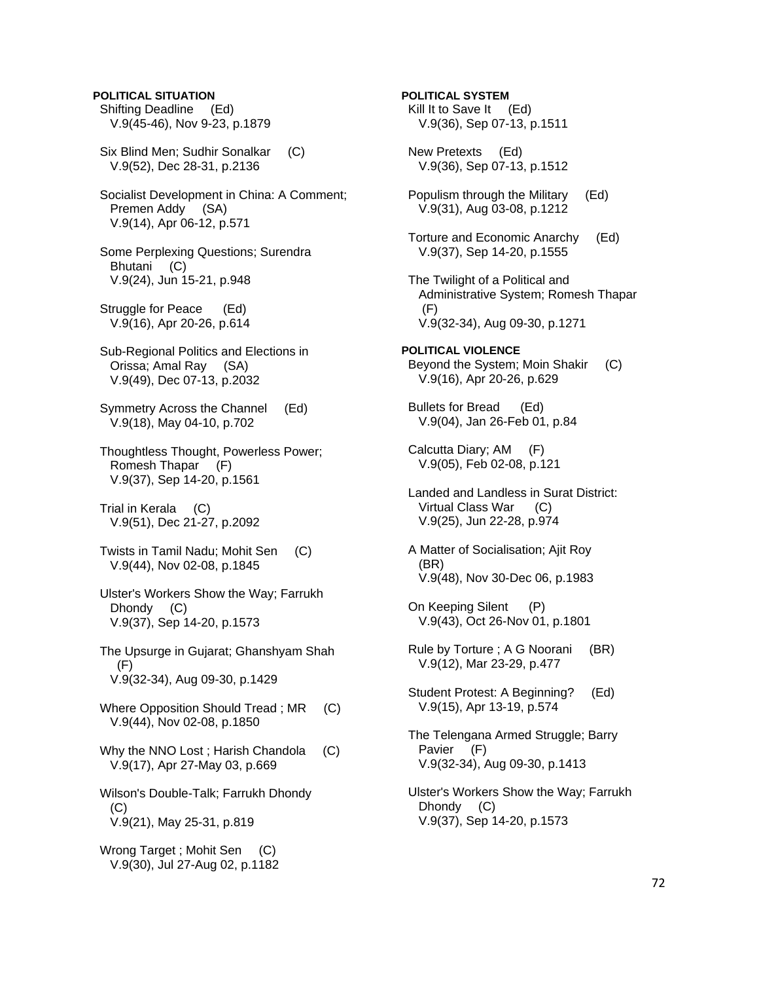**POLITICAL SITUATION**  Shifting Deadline (Ed) V.9(45-46), Nov 9-23, p.1879 Six Blind Men; Sudhir Sonalkar (C) V.9(52), Dec 28-31, p.2136 Socialist Development in China: A Comment; Premen Addy (SA) V.9(14), Apr 06-12, p.571 Some Perplexing Questions; Surendra Bhutani (C) V.9(24), Jun 15-21, p.948 Struggle for Peace (Ed) V.9(16), Apr 20-26, p.614 Sub-Regional Politics and Elections in Orissa; Amal Ray (SA) V.9(49), Dec 07-13, p.2032 Symmetry Across the Channel (Ed) V.9(18), May 04-10, p.702 Thoughtless Thought, Powerless Power; Romesh Thapar (F) V.9(37), Sep 14-20, p.1561 Trial in Kerala (C) V.9(51), Dec 21-27, p.2092 Twists in Tamil Nadu; Mohit Sen (C) V.9(44), Nov 02-08, p.1845 Ulster's Workers Show the Way; Farrukh Dhondy (C) V.9(37), Sep 14-20, p.1573 The Upsurge in Gujarat; Ghanshyam Shah  $(F)$  V.9(32-34), Aug 09-30, p.1429 Where Opposition Should Tread ; MR (C) V.9(44), Nov 02-08, p.1850 Why the NNO Lost; Harish Chandola (C) V.9(17), Apr 27-May 03, p.669 Wilson's Double-Talk; Farrukh Dhondy  $(C)$  V.9(21), May 25-31, p.819 Wrong Target ; Mohit Sen (C) V.9(30), Jul 27-Aug 02, p.1182

**POLITICAL SYSTEM**  Kill It to Save It (Ed) V.9(36), Sep 07-13, p.1511 New Pretexts (Ed) V.9(36), Sep 07-13, p.1512 Populism through the Military (Ed) V.9(31), Aug 03-08, p.1212 Torture and Economic Anarchy (Ed) V.9(37), Sep 14-20, p.1555 The Twilight of a Political and Administrative System; Romesh Thapar (F) V.9(32-34), Aug 09-30, p.1271 **POLITICAL VIOLENCE**  Beyond the System; Moin Shakir (C) V.9(16), Apr 20-26, p.629 Bullets for Bread (Ed) V.9(04), Jan 26-Feb 01, p.84 Calcutta Diary; AM (F) V.9(05), Feb 02-08, p.121 Landed and Landless in Surat District: Virtual Class War (C) V.9(25), Jun 22-28, p.974 A Matter of Socialisation; Ajit Roy (BR) V.9(48), Nov 30-Dec 06, p.1983 On Keeping Silent (P) V.9(43), Oct 26-Nov 01, p.1801 Rule by Torture ; A G Noorani (BR) V.9(12), Mar 23-29, p.477 Student Protest: A Beginning? (Ed) V.9(15), Apr 13-19, p.574 The Telengana Armed Struggle; Barry Pavier (F) V.9(32-34), Aug 09-30, p.1413 Ulster's Workers Show the Way; Farrukh Dhondy (C) V.9(37), Sep 14-20, p.1573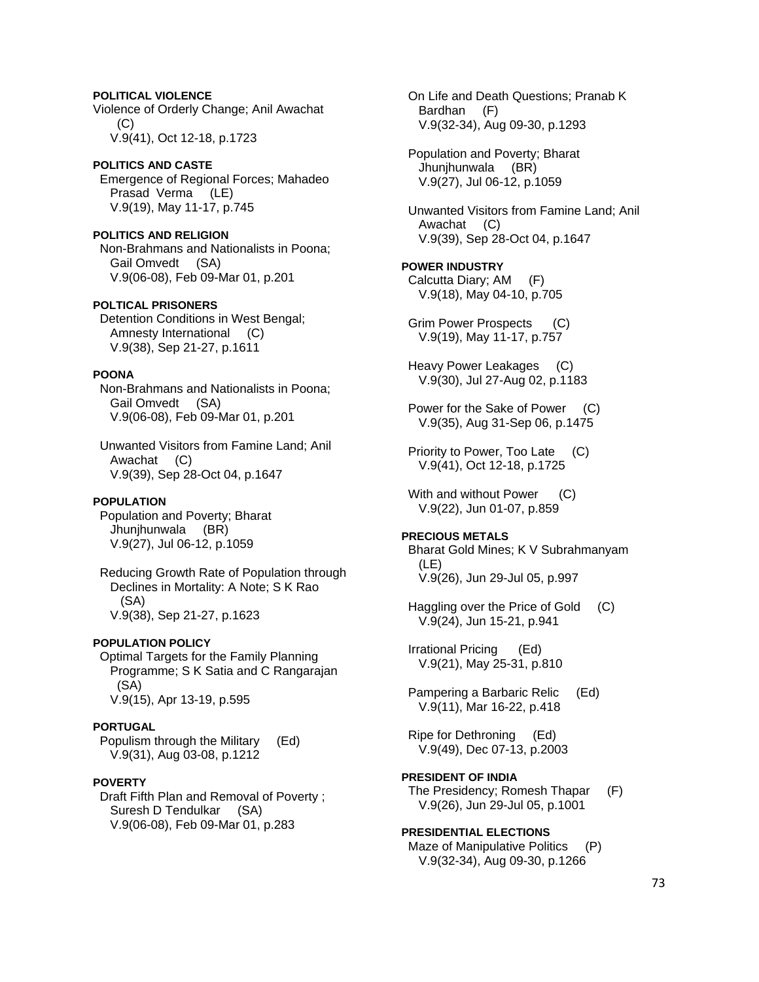# **POLITICAL VIOLENCE**

Violence of Orderly Change; Anil Awachat  $(C)$ V.9(41), Oct 12-18, p.1723

### **POLITICS AND CASTE**  Emergence of Regional Forces; Mahadeo Prasad Verma (LE) V.9(19), May 11-17, p.745

**POLITICS AND RELIGION**  Non-Brahmans and Nationalists in Poona; Gail Omvedt (SA) V.9(06-08), Feb 09-Mar 01, p.201

### **POLTICAL PRISONERS**

 Detention Conditions in West Bengal; Amnesty International (C) V.9(38), Sep 21-27, p.1611

# **POONA**

 Non-Brahmans and Nationalists in Poona; Gail Omvedt (SA) V.9(06-08), Feb 09-Mar 01, p.201

 Unwanted Visitors from Famine Land; Anil Awachat (C) V.9(39), Sep 28-Oct 04, p.1647

### **POPULATION**

 Population and Poverty; Bharat Jhunjhunwala (BR) V.9(27), Jul 06-12, p.1059

 Reducing Growth Rate of Population through Declines in Mortality: A Note; S K Rao (SA) V.9(38), Sep 21-27, p.1623

### **POPULATION POLICY**

 Optimal Targets for the Family Planning Programme; S K Satia and C Rangarajan (SA) V.9(15), Apr 13-19, p.595

### **PORTUGAL**

 Populism through the Military (Ed) V.9(31), Aug 03-08, p.1212

### **POVERTY**

 Draft Fifth Plan and Removal of Poverty ; Suresh D Tendulkar (SA) V.9(06-08), Feb 09-Mar 01, p.283

 On Life and Death Questions; Pranab K Bardhan (F) V.9(32-34), Aug 09-30, p.1293

 Population and Poverty; Bharat Jhunjhunwala (BR) V.9(27), Jul 06-12, p.1059

 Unwanted Visitors from Famine Land; Anil Awachat (C) V.9(39), Sep 28-Oct 04, p.1647

#### **POWER INDUSTRY**

 Calcutta Diary; AM (F) V.9(18), May 04-10, p.705

 Grim Power Prospects (C) V.9(19), May 11-17, p.757

 Heavy Power Leakages (C) V.9(30), Jul 27-Aug 02, p.1183

 Power for the Sake of Power (C) V.9(35), Aug 31-Sep 06, p.1475

 Priority to Power, Too Late (C) V.9(41), Oct 12-18, p.1725

With and without Power (C) V.9(22), Jun 01-07, p.859

#### **PRECIOUS METALS**

 Bharat Gold Mines; K V Subrahmanyam (LE) V.9(26), Jun 29-Jul 05, p.997

 Haggling over the Price of Gold (C) V.9(24), Jun 15-21, p.941

 Irrational Pricing (Ed) V.9(21), May 25-31, p.810

 Pampering a Barbaric Relic (Ed) V.9(11), Mar 16-22, p.418

 Ripe for Dethroning (Ed) V.9(49), Dec 07-13, p.2003

# **PRESIDENT OF INDIA**

 The Presidency; Romesh Thapar (F) V.9(26), Jun 29-Jul 05, p.1001

### **PRESIDENTIAL ELECTIONS**

Maze of Manipulative Politics (P) V.9(32-34), Aug 09-30, p.1266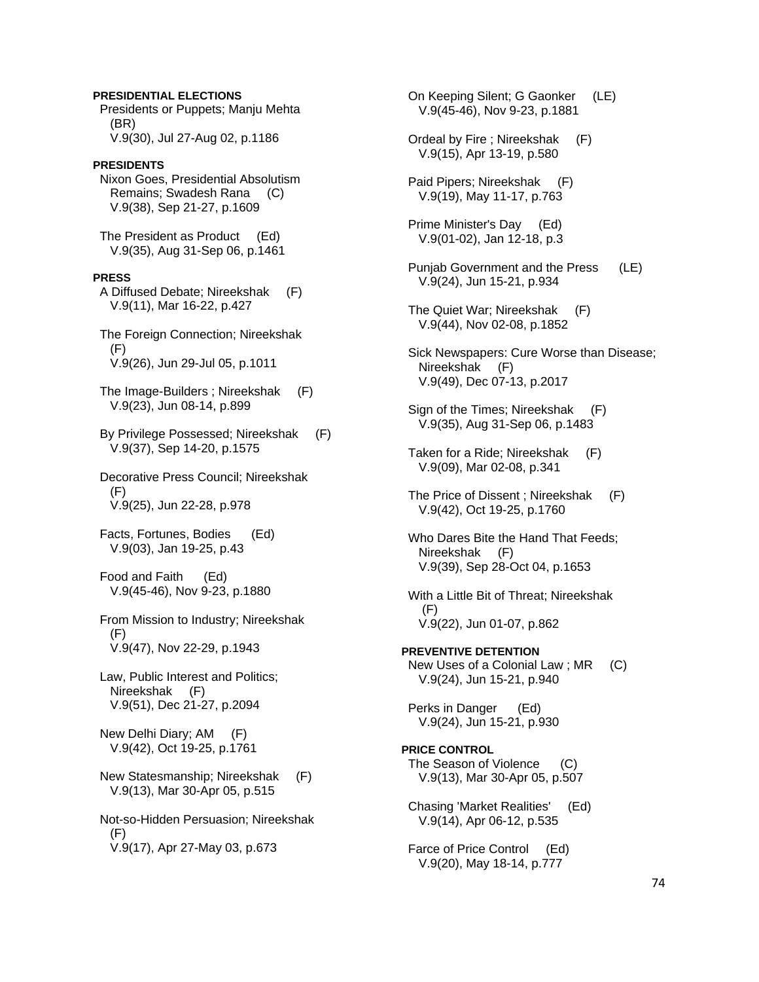# Presidents or Puppets; Manju Mehta (BR) V.9(30), Jul 27-Aug 02, p.1186 **PRESIDENTS**  Nixon Goes, Presidential Absolutism Remains; Swadesh Rana (C) V.9(38), Sep 21-27, p.1609 The President as Product (Ed) V.9(35), Aug 31-Sep 06, p.1461 **PRESS**  A Diffused Debate; Nireekshak (F) V.9(11), Mar 16-22, p.427 The Foreign Connection; Nireekshak (F) V.9(26), Jun 29-Jul 05, p.1011 The Image-Builders ; Nireekshak (F) V.9(23), Jun 08-14, p.899 By Privilege Possessed; Nireekshak (F) V.9(37), Sep 14-20, p.1575 Decorative Press Council; Nireekshak (F) V.9(25), Jun 22-28, p.978 Facts, Fortunes, Bodies (Ed) V.9(03), Jan 19-25, p.43 Food and Faith (Ed) V.9(45-46), Nov 9-23, p.1880 From Mission to Industry; Nireekshak  $(F)$  V.9(47), Nov 22-29, p.1943 Law, Public Interest and Politics; Nireekshak (F) V.9(51), Dec 21-27, p.2094 New Delhi Diary; AM (F) V.9(42), Oct 19-25, p.1761 New Statesmanship; Nireekshak (F) V.9(13), Mar 30-Apr 05, p.515 Not-so-Hidden Persuasion; Nireekshak (F) V.9(17), Apr 27-May 03, p.673

**PRESIDENTIAL ELECTIONS** 

 On Keeping Silent; G Gaonker (LE) V.9(45-46), Nov 9-23, p.1881 Ordeal by Fire ; Nireekshak (F) V.9(15), Apr 13-19, p.580 Paid Pipers; Nireekshak (F) V.9(19), May 11-17, p.763 Prime Minister's Day (Ed) V.9(01-02), Jan 12-18, p.3 Punjab Government and the Press (LE) V.9(24), Jun 15-21, p.934 The Quiet War; Nireekshak (F) V.9(44), Nov 02-08, p.1852 Sick Newspapers: Cure Worse than Disease; Nireekshak (F) V.9(49), Dec 07-13, p.2017 Sign of the Times; Nireekshak (F) V.9(35), Aug 31-Sep 06, p.1483 Taken for a Ride; Nireekshak (F) V.9(09), Mar 02-08, p.341 The Price of Dissent ; Nireekshak (F) V.9(42), Oct 19-25, p.1760 Who Dares Bite the Hand That Feeds; Nireekshak (F) V.9(39), Sep 28-Oct 04, p.1653 With a Little Bit of Threat; Nireekshak  $(F)$  V.9(22), Jun 01-07, p.862 **PREVENTIVE DETENTION**  New Uses of a Colonial Law ; MR (C) V.9(24), Jun 15-21, p.940 Perks in Danger (Ed) V.9(24), Jun 15-21, p.930 **PRICE CONTROL**  The Season of Violence (C) V.9(13), Mar 30-Apr 05, p.507 Chasing 'Market Realities' (Ed) V.9(14), Apr 06-12, p.535 Farce of Price Control (Ed) V.9(20), May 18-14, p.777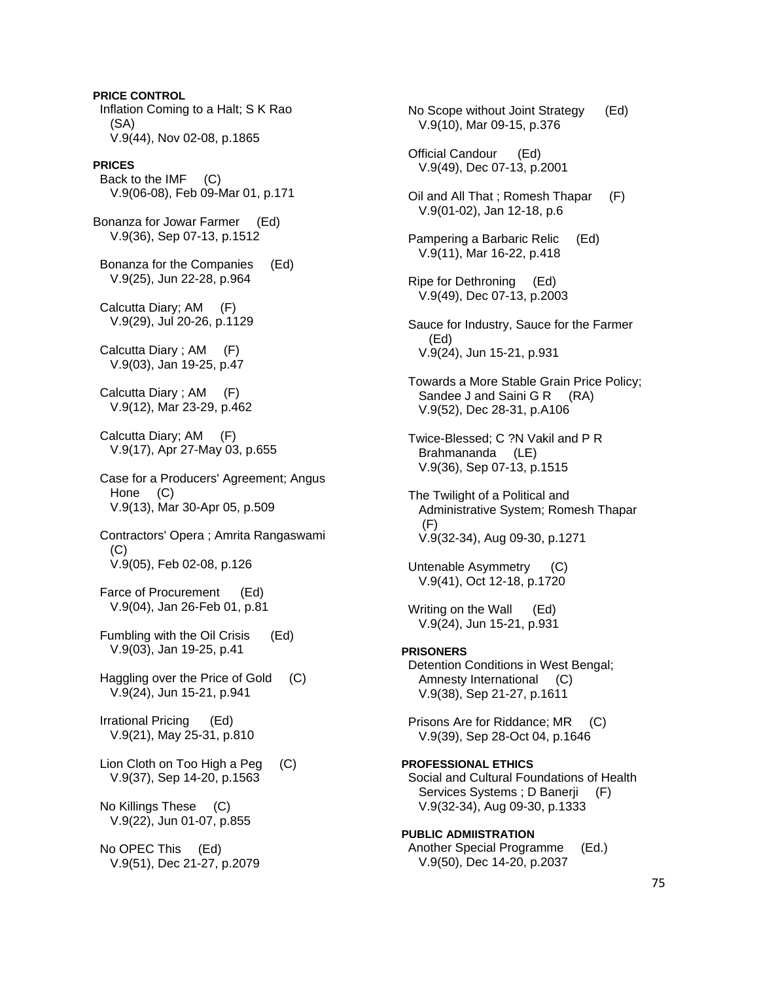**PRICE CONTROL**  Inflation Coming to a Halt; S K Rao (SA) V.9(44), Nov 02-08, p.1865 **PRICES**  Back to the IMF (C) V.9(06-08), Feb 09-Mar 01, p.171 Bonanza for Jowar Farmer (Ed) V.9(36), Sep 07-13, p.1512 Bonanza for the Companies (Ed) V.9(25), Jun 22-28, p.964 Calcutta Diary; AM (F) V.9(29), Jul 20-26, p.1129 Calcutta Diary ; AM (F) V.9(03), Jan 19-25, p.47 Calcutta Diary ; AM (F) V.9(12), Mar 23-29, p.462 Calcutta Diary; AM (F) V.9(17), Apr 27-May 03, p.655 Case for a Producers' Agreement; Angus Hone (C) V.9(13), Mar 30-Apr 05, p.509 Contractors' Opera ; Amrita Rangaswami (C) V.9(05), Feb 02-08, p.126 Farce of Procurement (Ed) V.9(04), Jan 26-Feb 01, p.81 Fumbling with the Oil Crisis (Ed) V.9(03), Jan 19-25, p.41 Haggling over the Price of Gold (C) V.9(24), Jun 15-21, p.941 Irrational Pricing (Ed) V.9(21), May 25-31, p.810 Lion Cloth on Too High a Peg (C) V.9(37), Sep 14-20, p.1563 No Killings These (C) V.9(22), Jun 01-07, p.855 No OPEC This (Ed) V.9(51), Dec 21-27, p.2079

 No Scope without Joint Strategy (Ed) V.9(10), Mar 09-15, p.376 Official Candour (Ed) V.9(49), Dec 07-13, p.2001 Oil and All That ; Romesh Thapar (F) V.9(01-02), Jan 12-18, p.6 Pampering a Barbaric Relic (Ed) V.9(11), Mar 16-22, p.418 Ripe for Dethroning (Ed) V.9(49), Dec 07-13, p.2003 Sauce for Industry, Sauce for the Farmer (Ed) V.9(24), Jun 15-21, p.931 Towards a More Stable Grain Price Policy; Sandee J and Saini G R (RA) V.9(52), Dec 28-31, p.A106 Twice-Blessed; C ?N Vakil and P R Brahmananda (LE) V.9(36), Sep 07-13, p.1515 The Twilight of a Political and Administrative System; Romesh Thapar  $(F)$  V.9(32-34), Aug 09-30, p.1271 Untenable Asymmetry (C) V.9(41), Oct 12-18, p.1720 Writing on the Wall (Ed) V.9(24), Jun 15-21, p.931 **PRISONERS**  Detention Conditions in West Bengal; Amnesty International (C) V.9(38), Sep 21-27, p.1611 Prisons Are for Riddance; MR (C) V.9(39), Sep 28-Oct 04, p.1646 **PROFESSIONAL ETHICS**  Social and Cultural Foundations of Health Services Systems; D Banerji (F) V.9(32-34), Aug 09-30, p.1333 **PUBLIC ADMIISTRATION**  Another Special Programme (Ed.) V.9(50), Dec 14-20, p.2037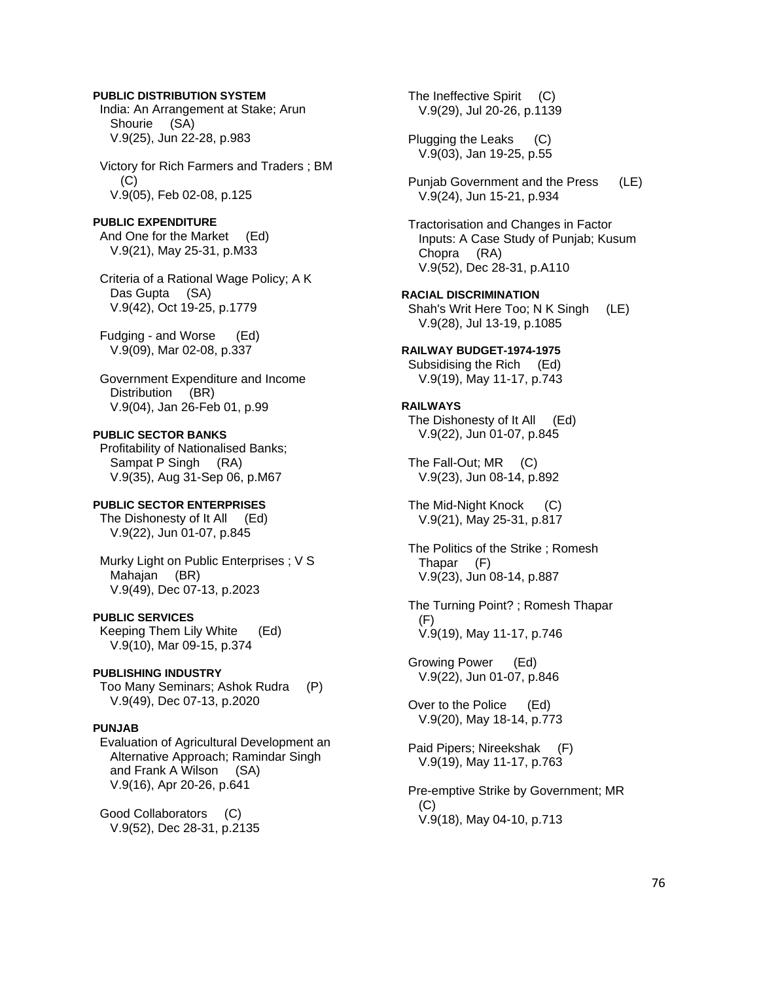# **PUBLIC DISTRIBUTION SYSTEM**

 India: An Arrangement at Stake; Arun Shourie (SA) V.9(25), Jun 22-28, p.983

 Victory for Rich Farmers and Traders ; BM  $(C)$ V.9(05), Feb 02-08, p.125

### **PUBLIC EXPENDITURE**

 And One for the Market (Ed) V.9(21), May 25-31, p.M33

 Criteria of a Rational Wage Policy; A K Das Gupta (SA) V.9(42), Oct 19-25, p.1779

 Fudging - and Worse (Ed) V.9(09), Mar 02-08, p.337

 Government Expenditure and Income Distribution (BR) V.9(04), Jan 26-Feb 01, p.99

### **PUBLIC SECTOR BANKS**

 Profitability of Nationalised Banks; Sampat P Singh (RA) V.9(35), Aug 31-Sep 06, p.M67

### **PUBLIC SECTOR ENTERPRISES**

The Dishonesty of It All (Ed) V.9(22), Jun 01-07, p.845

 Murky Light on Public Enterprises ; V S Mahajan (BR) V.9(49), Dec 07-13, p.2023

#### **PUBLIC SERVICES**

 Keeping Them Lily White (Ed) V.9(10), Mar 09-15, p.374

#### **PUBLISHING INDUSTRY**

 Too Many Seminars; Ashok Rudra (P) V.9(49), Dec 07-13, p.2020

#### **PUNJAB**

 Evaluation of Agricultural Development an Alternative Approach; Ramindar Singh and Frank A Wilson (SA) V.9(16), Apr 20-26, p.641

 Good Collaborators (C) V.9(52), Dec 28-31, p.2135

The Ineffective Spirit (C) V.9(29), Jul 20-26, p.1139 Plugging the Leaks (C) V.9(03), Jan 19-25, p.55 Punjab Government and the Press (LE) V.9(24), Jun 15-21, p.934 Tractorisation and Changes in Factor Inputs: A Case Study of Punjab; Kusum Chopra (RA) V.9(52), Dec 28-31, p.A110 **RACIAL DISCRIMINATION**  Shah's Writ Here Too; N K Singh (LE) V.9(28), Jul 13-19, p.1085 **RAILWAY BUDGET-1974-1975**  Subsidising the Rich (Ed) V.9(19), May 11-17, p.743 **RAILWAYS**  The Dishonesty of It All (Ed) V.9(22), Jun 01-07, p.845 The Fall-Out; MR (C) V.9(23), Jun 08-14, p.892 The Mid-Night Knock (C) V.9(21), May 25-31, p.817 The Politics of the Strike ; Romesh Thapar (F) V.9(23), Jun 08-14, p.887 The Turning Point? ; Romesh Thapar (F) V.9(19), May 11-17, p.746 Growing Power (Ed) V.9(22), Jun 01-07, p.846 Over to the Police (Ed) V.9(20), May 18-14, p.773 Paid Pipers; Nireekshak (F) V.9(19), May 11-17, p.763 Pre-emptive Strike by Government; MR  $(C)$ V.9(18), May 04-10, p.713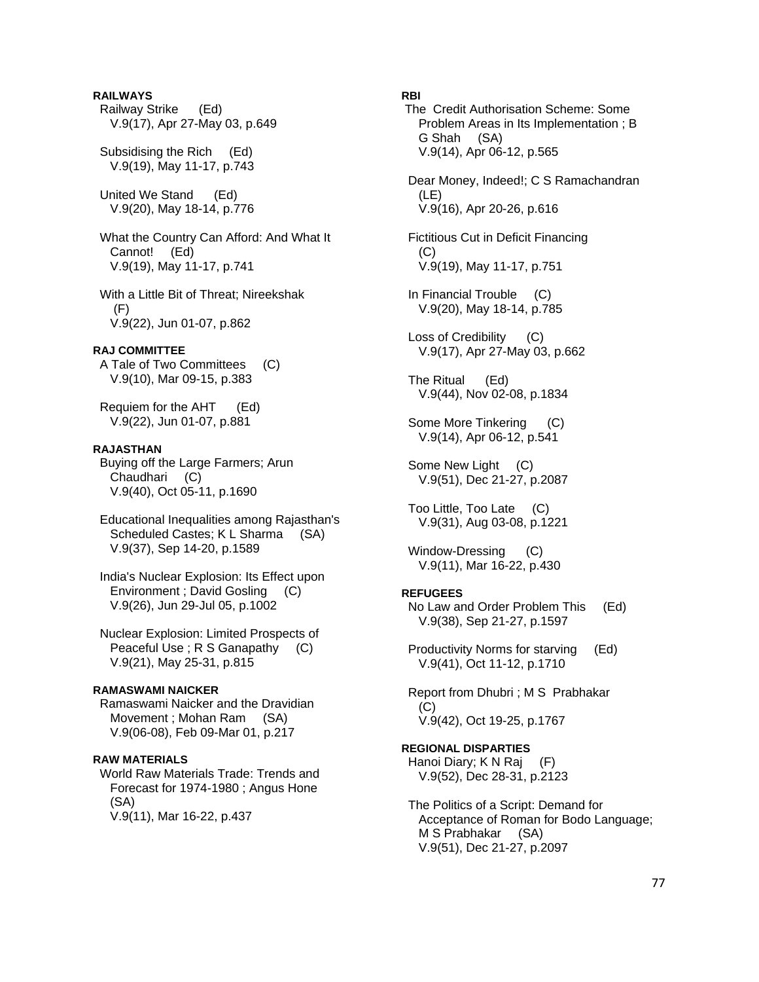# **RAILWAYS**

 Railway Strike (Ed) V.9(17), Apr 27-May 03, p.649

 Subsidising the Rich (Ed) V.9(19), May 11-17, p.743

 United We Stand (Ed) V.9(20), May 18-14, p.776

 What the Country Can Afford: And What It Cannot! (Ed) V.9(19), May 11-17, p.741

 With a Little Bit of Threat; Nireekshak (F) V.9(22), Jun 01-07, p.862

# **RAJ COMMITTEE**

 A Tale of Two Committees (C) V.9(10), Mar 09-15, p.383

 Requiem for the AHT (Ed) V.9(22), Jun 01-07, p.881

# **RAJASTHAN**

 Buying off the Large Farmers; Arun Chaudhari (C) V.9(40), Oct 05-11, p.1690

 Educational Inequalities among Rajasthan's Scheduled Castes; K L Sharma (SA) V.9(37), Sep 14-20, p.1589

 India's Nuclear Explosion: Its Effect upon Environment ; David Gosling (C) V.9(26), Jun 29-Jul 05, p.1002

 Nuclear Explosion: Limited Prospects of Peaceful Use ; R S Ganapathy (C) V.9(21), May 25-31, p.815

### **RAMASWAMI NAICKER**

 Ramaswami Naicker and the Dravidian Movement ; Mohan Ram (SA) V.9(06-08), Feb 09-Mar 01, p.217

#### **RAW MATERIALS**

 World Raw Materials Trade: Trends and Forecast for 1974-1980 ; Angus Hone (SA) V.9(11), Mar 16-22, p.437

# **RBI**

 The Credit Authorisation Scheme: Some Problem Areas in Its Implementation ; B G Shah (SA) V.9(14), Apr 06-12, p.565

 Dear Money, Indeed!; C S Ramachandran (LE) V.9(16), Apr 20-26, p.616

 Fictitious Cut in Deficit Financing (C) V.9(19), May 11-17, p.751

 In Financial Trouble (C) V.9(20), May 18-14, p.785

 Loss of Credibility (C) V.9(17), Apr 27-May 03, p.662

 The Ritual (Ed) V.9(44), Nov 02-08, p.1834

 Some More Tinkering (C) V.9(14), Apr 06-12, p.541

Some New Light (C) V.9(51), Dec 21-27, p.2087

 Too Little, Too Late (C) V.9(31), Aug 03-08, p.1221

Window-Dressing (C) V.9(11), Mar 16-22, p.430

### **REFUGEES**

 No Law and Order Problem This (Ed) V.9(38), Sep 21-27, p.1597

 Productivity Norms for starving (Ed) V.9(41), Oct 11-12, p.1710

 Report from Dhubri ; M S Prabhakar (C) V.9(42), Oct 19-25, p.1767

**REGIONAL DISPARTIES**  Hanoi Diary; K N Raj (F) V.9(52), Dec 28-31, p.2123

 The Politics of a Script: Demand for Acceptance of Roman for Bodo Language; M S Prabhakar (SA) V.9(51), Dec 21-27, p.2097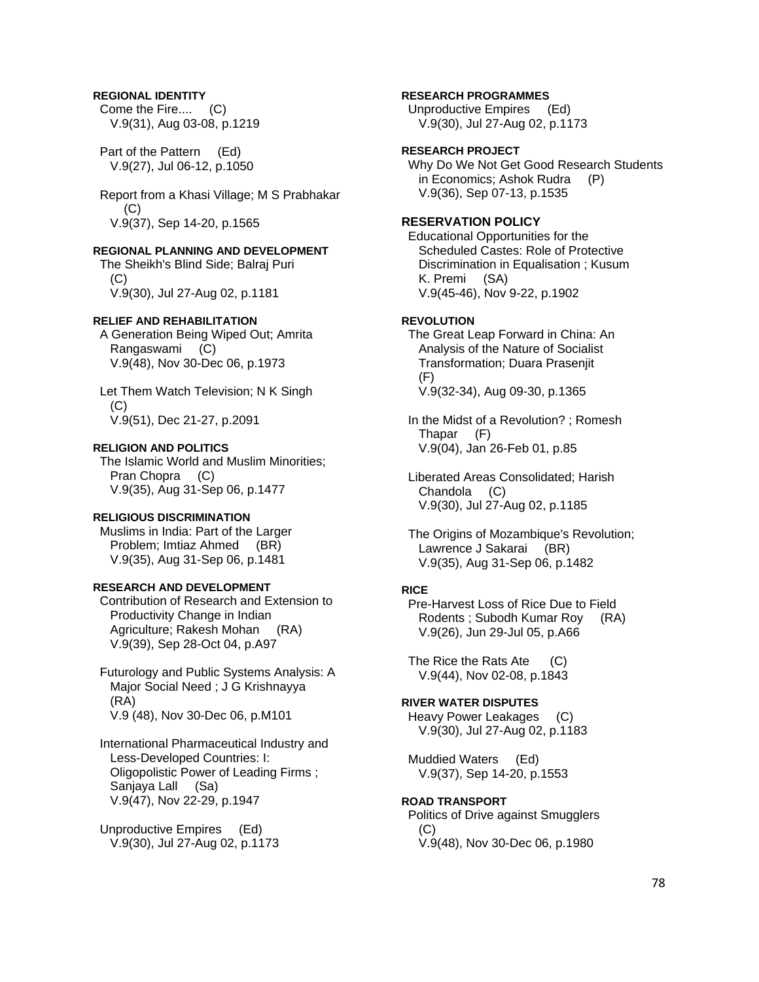# **REGIONAL IDENTITY**

 Come the Fire.... (C) V.9(31), Aug 03-08, p.1219

 Part of the Pattern (Ed) V.9(27), Jul 06-12, p.1050

 Report from a Khasi Village; M S Prabhakar (C) V.9(37), Sep 14-20, p.1565

### **REGIONAL PLANNING AND DEVELOPMENT**

 The Sheikh's Blind Side; Balraj Puri (C) V.9(30), Jul 27-Aug 02, p.1181

#### **RELIEF AND REHABILITATION**

 A Generation Being Wiped Out; Amrita Rangaswami (C) V.9(48), Nov 30-Dec 06, p.1973

 Let Them Watch Television; N K Singh  $(C)$ V.9(51), Dec 21-27, p.2091

### **RELIGION AND POLITICS**

 The Islamic World and Muslim Minorities; Pran Chopra (C) V.9(35), Aug 31-Sep 06, p.1477

### **RELIGIOUS DISCRIMINATION**

 Muslims in India: Part of the Larger Problem; Imtiaz Ahmed (BR) V.9(35), Aug 31-Sep 06, p.1481

# **RESEARCH AND DEVELOPMENT**

 Contribution of Research and Extension to Productivity Change in Indian Agriculture; Rakesh Mohan (RA) V.9(39), Sep 28-Oct 04, p.A97

 Futurology and Public Systems Analysis: A Major Social Need ; J G Krishnayya (RA) V.9 (48), Nov 30-Dec 06, p.M101

 International Pharmaceutical Industry and Less-Developed Countries: I: Oligopolistic Power of Leading Firms ; Sanjaya Lall (Sa) V.9(47), Nov 22-29, p.1947

 Unproductive Empires (Ed) V.9(30), Jul 27-Aug 02, p.1173

### **RESEARCH PROGRAMMES**

 Unproductive Empires (Ed) V.9(30), Jul 27-Aug 02, p.1173

# **RESEARCH PROJECT**

 Why Do We Not Get Good Research Students in Economics; Ashok Rudra (P) V.9(36), Sep 07-13, p.1535

# **RESERVATION POLICY**

 Educational Opportunities for the Scheduled Castes: Role of Protective Discrimination in Equalisation ; Kusum K. Premi (SA) V.9(45-46), Nov 9-22, p.1902

### **REVOLUTION**

 The Great Leap Forward in China: An Analysis of the Nature of Socialist Transformation; Duara Prasenjit  $(F)$ V.9(32-34), Aug 09-30, p.1365

 In the Midst of a Revolution? ; Romesh Thapar (F) V.9(04), Jan 26-Feb 01, p.85

 Liberated Areas Consolidated; Harish Chandola (C) V.9(30), Jul 27-Aug 02, p.1185

 The Origins of Mozambique's Revolution; Lawrence J Sakarai (BR) V.9(35), Aug 31-Sep 06, p.1482

#### **RICE**

 Pre-Harvest Loss of Rice Due to Field Rodents ; Subodh Kumar Roy (RA) V.9(26), Jun 29-Jul 05, p.A66

The Rice the Rats Ate (C) V.9(44), Nov 02-08, p.1843

# **RIVER WATER DISPUTES**

 Heavy Power Leakages (C) V.9(30), Jul 27-Aug 02, p.1183

 Muddied Waters (Ed) V.9(37), Sep 14-20, p.1553

#### **ROAD TRANSPORT**

 Politics of Drive against Smugglers  $(C)$ V.9(48), Nov 30-Dec 06, p.1980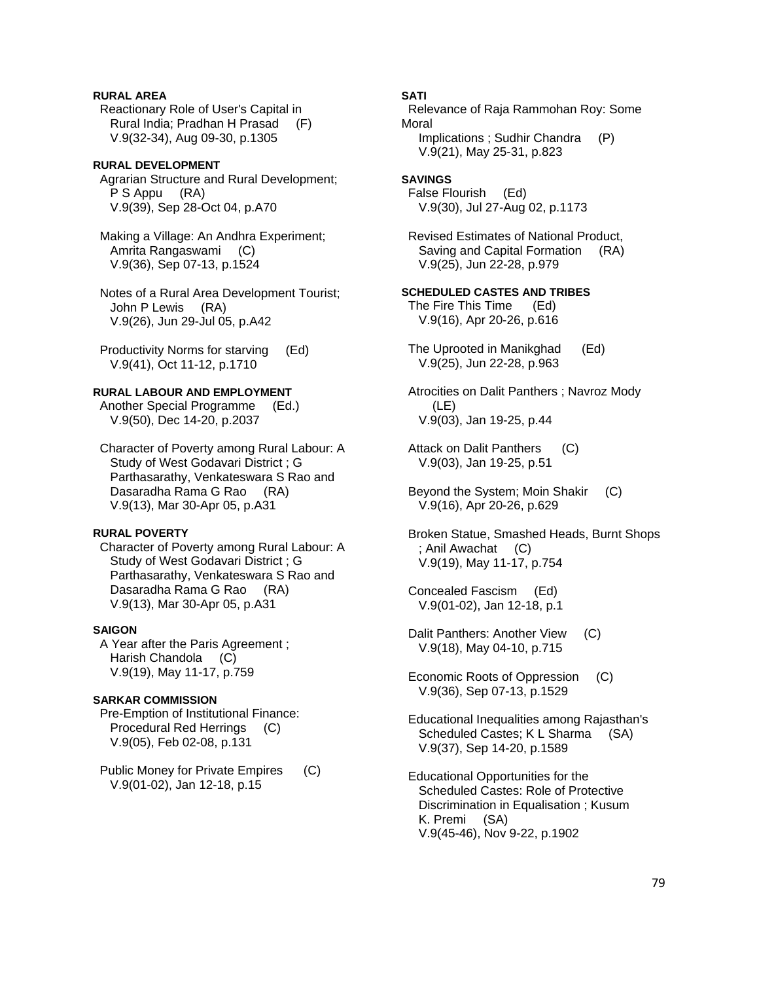# **RURAL AREA**

 Reactionary Role of User's Capital in Rural India; Pradhan H Prasad (F) V.9(32-34), Aug 09-30, p.1305

# **RURAL DEVELOPMENT**

 Agrarian Structure and Rural Development; P S Appu (RA) V.9(39), Sep 28-Oct 04, p.A70

 Making a Village: An Andhra Experiment; Amrita Rangaswami (C) V.9(36), Sep 07-13, p.1524

 Notes of a Rural Area Development Tourist; John P Lewis (RA) V.9(26), Jun 29-Jul 05, p.A42

 Productivity Norms for starving (Ed) V.9(41), Oct 11-12, p.1710

# **RURAL LABOUR AND EMPLOYMENT**

 Another Special Programme (Ed.) V.9(50), Dec 14-20, p.2037

 Character of Poverty among Rural Labour: A Study of West Godavari District ; G Parthasarathy, Venkateswara S Rao and Dasaradha Rama G Rao (RA) V.9(13), Mar 30-Apr 05, p.A31

### **RURAL POVERTY**

 Character of Poverty among Rural Labour: A Study of West Godavari District ; G Parthasarathy, Venkateswara S Rao and Dasaradha Rama G Rao (RA) V.9(13), Mar 30-Apr 05, p.A31

### **SAIGON**

 A Year after the Paris Agreement ; Harish Chandola (C) V.9(19), May 11-17, p.759

### **SARKAR COMMISSION**

 Pre-Emption of Institutional Finance: Procedural Red Herrings (C) V.9(05), Feb 02-08, p.131

 Public Money for Private Empires (C) V.9(01-02), Jan 12-18, p.15

### **SATI**

 Relevance of Raja Rammohan Roy: Some Moral Implications ; Sudhir Chandra (P) V.9(21), May 25-31, p.823

#### **SAVINGS**  False Flourish (Ed)

V.9(30), Jul 27-Aug 02, p.1173

 Revised Estimates of National Product, Saving and Capital Formation (RA) V.9(25), Jun 22-28, p.979

# **SCHEDULED CASTES AND TRIBES**

 The Fire This Time (Ed) V.9(16), Apr 20-26, p.616

 The Uprooted in Manikghad (Ed) V.9(25), Jun 22-28, p.963

 Atrocities on Dalit Panthers ; Navroz Mody (LE) V.9(03), Jan 19-25, p.44

- Attack on Dalit Panthers (C) V.9(03), Jan 19-25, p.51
- Beyond the System; Moin Shakir (C) V.9(16), Apr 20-26, p.629

 Broken Statue, Smashed Heads, Burnt Shops ; Anil Awachat (C) V.9(19), May 11-17, p.754

 Concealed Fascism (Ed) V.9(01-02), Jan 12-18, p.1

 Dalit Panthers: Another View (C) V.9(18), May 04-10, p.715

- Economic Roots of Oppression (C) V.9(36), Sep 07-13, p.1529
- Educational Inequalities among Rajasthan's Scheduled Castes; K L Sharma (SA) V.9(37), Sep 14-20, p.1589
- Educational Opportunities for the Scheduled Castes: Role of Protective Discrimination in Equalisation ; Kusum K. Premi (SA) V.9(45-46), Nov 9-22, p.1902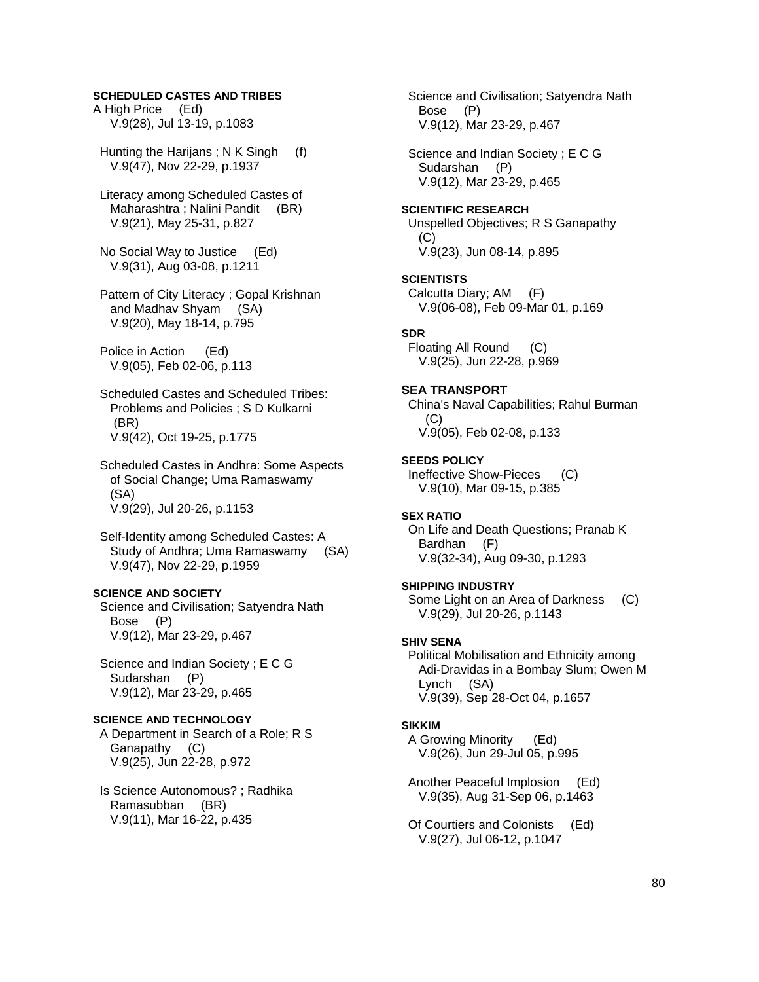# **SCHEDULED CASTES AND TRIBES**

A High Price (Ed) V.9(28), Jul 13-19, p.1083

 Hunting the Harijans ; N K Singh (f) V.9(47), Nov 22-29, p.1937

 Literacy among Scheduled Castes of Maharashtra ; Nalini Pandit (BR) V.9(21), May 25-31, p.827

 No Social Way to Justice (Ed) V.9(31), Aug 03-08, p.1211

 Pattern of City Literacy ; Gopal Krishnan and Madhav Shyam (SA) V.9(20), May 18-14, p.795

 Police in Action (Ed) V.9(05), Feb 02-06, p.113

 Scheduled Castes and Scheduled Tribes: Problems and Policies ; S D Kulkarni (BR) V.9(42), Oct 19-25, p.1775

 Scheduled Castes in Andhra: Some Aspects of Social Change; Uma Ramaswamy (SA) V.9(29), Jul 20-26, p.1153

 Self-Identity among Scheduled Castes: A Study of Andhra; Uma Ramaswamy (SA) V.9(47), Nov 22-29, p.1959

# **SCIENCE AND SOCIETY**

 Science and Civilisation; Satyendra Nath Bose (P) V.9(12), Mar 23-29, p.467

 Science and Indian Society ; E C G Sudarshan (P) V.9(12), Mar 23-29, p.465

#### **SCIENCE AND TECHNOLOGY**

 A Department in Search of a Role; R S Ganapathy (C) V.9(25), Jun 22-28, p.972

 Is Science Autonomous? ; Radhika Ramasubban (BR) V.9(11), Mar 16-22, p.435

 Science and Civilisation; Satyendra Nath Bose (P) V.9(12), Mar 23-29, p.467

 Science and Indian Society ; E C G Sudarshan (P) V.9(12), Mar 23-29, p.465

#### **SCIENTIFIC RESEARCH**

 Unspelled Objectives; R S Ganapathy  $(C)$ V.9(23), Jun 08-14, p.895

#### **SCIENTISTS**

 Calcutta Diary; AM (F) V.9(06-08), Feb 09-Mar 01, p.169

#### **SDR**

 Floating All Round (C) V.9(25), Jun 22-28, p.969

### **SEA TRANSPORT**

 China's Naval Capabilities; Rahul Burman  $(C)$ V.9(05), Feb 02-08, p.133

#### **SEEDS POLICY**

 Ineffective Show-Pieces (C) V.9(10), Mar 09-15, p.385

### **SEX RATIO**

 On Life and Death Questions; Pranab K Bardhan (F) V.9(32-34), Aug 09-30, p.1293

#### **SHIPPING INDUSTRY**

 Some Light on an Area of Darkness (C) V.9(29), Jul 20-26, p.1143

#### **SHIV SENA**

 Political Mobilisation and Ethnicity among Adi-Dravidas in a Bombay Slum; Owen M Lynch (SA) V.9(39), Sep 28-Oct 04, p.1657

#### **SIKKIM**

 A Growing Minority (Ed) V.9(26), Jun 29-Jul 05, p.995

 Another Peaceful Implosion (Ed) V.9(35), Aug 31-Sep 06, p.1463

 Of Courtiers and Colonists (Ed) V.9(27), Jul 06-12, p.1047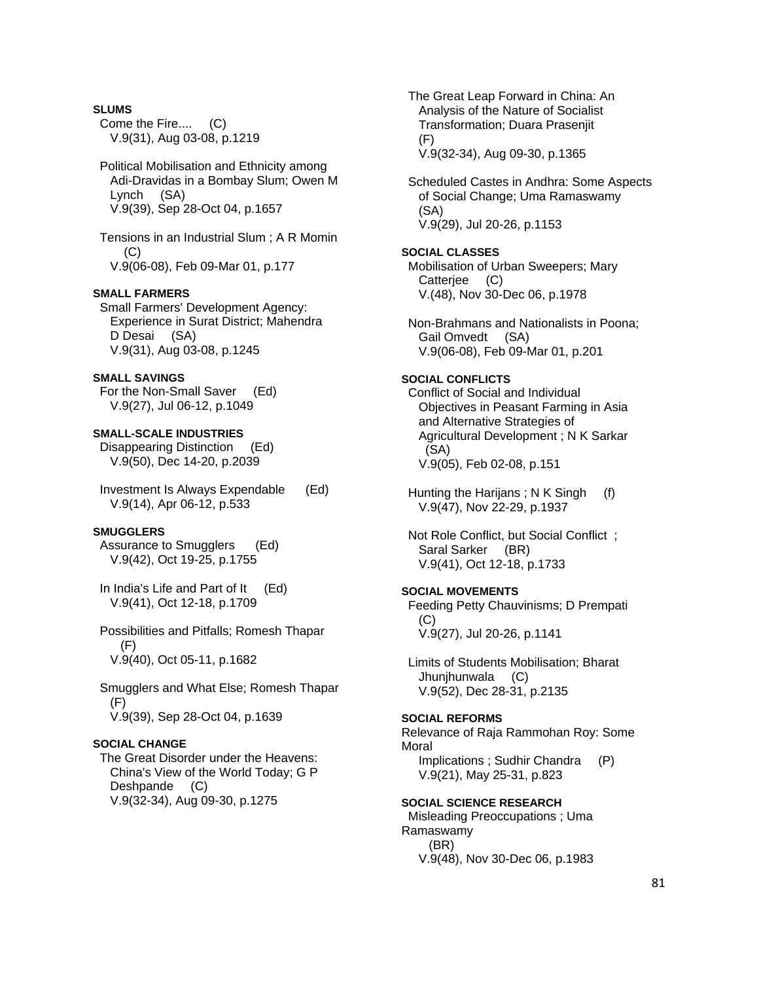### **SLUMS**

 Come the Fire.... (C) V.9(31), Aug 03-08, p.1219

 Political Mobilisation and Ethnicity among Adi-Dravidas in a Bombay Slum; Owen M Lynch (SA) V.9(39), Sep 28-Oct 04, p.1657

 Tensions in an Industrial Slum ; A R Momin  $(C)$ V.9(06-08), Feb 09-Mar 01, p.177

### **SMALL FARMERS**

 Small Farmers' Development Agency: Experience in Surat District; Mahendra D Desai (SA) V.9(31), Aug 03-08, p.1245

# **SMALL SAVINGS**

 For the Non-Small Saver (Ed) V.9(27), Jul 06-12, p.1049

### **SMALL-SCALE INDUSTRIES**

 Disappearing Distinction (Ed) V.9(50), Dec 14-20, p.2039

 Investment Is Always Expendable (Ed) V.9(14), Apr 06-12, p.533

# **SMUGGLERS**

 Assurance to Smugglers (Ed) V.9(42), Oct 19-25, p.1755

 In India's Life and Part of It (Ed) V.9(41), Oct 12-18, p.1709

 Possibilities and Pitfalls; Romesh Thapar (F) V.9(40), Oct 05-11, p.1682

 Smugglers and What Else; Romesh Thapar (F) V.9(39), Sep 28-Oct 04, p.1639

# **SOCIAL CHANGE**

 The Great Disorder under the Heavens: China's View of the World Today; G P Deshpande (C) V.9(32-34), Aug 09-30, p.1275

 The Great Leap Forward in China: An Analysis of the Nature of Socialist Transformation; Duara Prasenjit (F) V.9(32-34), Aug 09-30, p.1365

 Scheduled Castes in Andhra: Some Aspects of Social Change; Uma Ramaswamy (SA) V.9(29), Jul 20-26, p.1153

# **SOCIAL CLASSES**

 Mobilisation of Urban Sweepers; Mary Catterjee (C) V.(48), Nov 30-Dec 06, p.1978

 Non-Brahmans and Nationalists in Poona; Gail Omvedt (SA) V.9(06-08), Feb 09-Mar 01, p.201

# **SOCIAL CONFLICTS**

 Conflict of Social and Individual Objectives in Peasant Farming in Asia and Alternative Strategies of Agricultural Development ; N K Sarkar (SA) V.9(05), Feb 02-08, p.151

 Hunting the Harijans ; N K Singh (f) V.9(47), Nov 22-29, p.1937

 Not Role Conflict, but Social Conflict ; Saral Sarker (BR) V.9(41), Oct 12-18, p.1733

# **SOCIAL MOVEMENTS**

 Feeding Petty Chauvinisms; D Prempati (C) V.9(27), Jul 20-26, p.1141

 Limits of Students Mobilisation; Bharat Jhunjhunwala (C) V.9(52), Dec 28-31, p.2135

#### **SOCIAL REFORMS**

Relevance of Raja Rammohan Roy: Some Moral

 Implications ; Sudhir Chandra (P) V.9(21), May 25-31, p.823

**SOCIAL SCIENCE RESEARCH**  Misleading Preoccupations ; Uma Ramaswamy

# (BR)

V.9(48), Nov 30-Dec 06, p.1983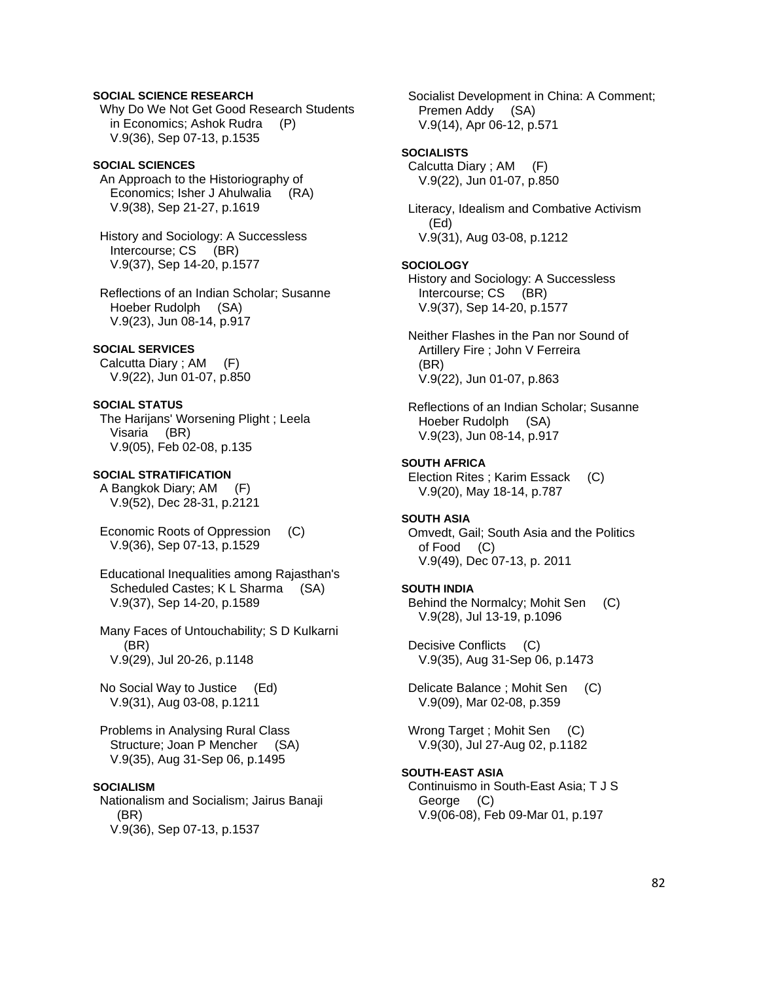### **SOCIAL SCIENCE RESEARCH**

 Why Do We Not Get Good Research Students in Economics; Ashok Rudra (P) V.9(36), Sep 07-13, p.1535

# **SOCIAL SCIENCES**

 An Approach to the Historiography of Economics; Isher J Ahulwalia (RA) V.9(38), Sep 21-27, p.1619

 History and Sociology: A Successless Intercourse; CS (BR) V.9(37), Sep 14-20, p.1577

 Reflections of an Indian Scholar; Susanne Hoeber Rudolph (SA) V.9(23), Jun 08-14, p.917

### **SOCIAL SERVICES**

 Calcutta Diary ; AM (F) V.9(22), Jun 01-07, p.850

### **SOCIAL STATUS**

 The Harijans' Worsening Plight ; Leela Visaria (BR) V.9(05), Feb 02-08, p.135

### **SOCIAL STRATIFICATION**

 A Bangkok Diary; AM (F) V.9(52), Dec 28-31, p.2121

 Economic Roots of Oppression (C) V.9(36), Sep 07-13, p.1529

 Educational Inequalities among Rajasthan's Scheduled Castes; K L Sharma (SA) V.9(37), Sep 14-20, p.1589

 Many Faces of Untouchability; S D Kulkarni (BR) V.9(29), Jul 20-26, p.1148

 No Social Way to Justice (Ed) V.9(31), Aug 03-08, p.1211

 Problems in Analysing Rural Class Structure; Joan P Mencher (SA) V.9(35), Aug 31-Sep 06, p.1495

### **SOCIALISM**

 Nationalism and Socialism; Jairus Banaji (BR) V.9(36), Sep 07-13, p.1537

 Socialist Development in China: A Comment; Premen Addy (SA) V.9(14), Apr 06-12, p.571

#### **SOCIALISTS**

 Calcutta Diary ; AM (F) V.9(22), Jun 01-07, p.850

 Literacy, Idealism and Combative Activism (Ed) V.9(31), Aug 03-08, p.1212

#### **SOCIOLOGY**

 History and Sociology: A Successless Intercourse; CS (BR) V.9(37), Sep 14-20, p.1577

 Neither Flashes in the Pan nor Sound of Artillery Fire ; John V Ferreira (BR) V.9(22), Jun 01-07, p.863

 Reflections of an Indian Scholar; Susanne Hoeber Rudolph (SA) V.9(23), Jun 08-14, p.917

### **SOUTH AFRICA**

 Election Rites ; Karim Essack (C) V.9(20), May 18-14, p.787

### **SOUTH ASIA**

 Omvedt, Gail; South Asia and the Politics of Food (C) V.9(49), Dec 07-13, p. 2011

#### **SOUTH INDIA**

 Behind the Normalcy; Mohit Sen (C) V.9(28), Jul 13-19, p.1096

 Decisive Conflicts (C) V.9(35), Aug 31-Sep 06, p.1473

Delicate Balance; Mohit Sen (C) V.9(09), Mar 02-08, p.359

Wrong Target; Mohit Sen (C) V.9(30), Jul 27-Aug 02, p.1182

#### **SOUTH-EAST ASIA**

 Continuismo in South-East Asia; T J S George (C) V.9(06-08), Feb 09-Mar 01, p.197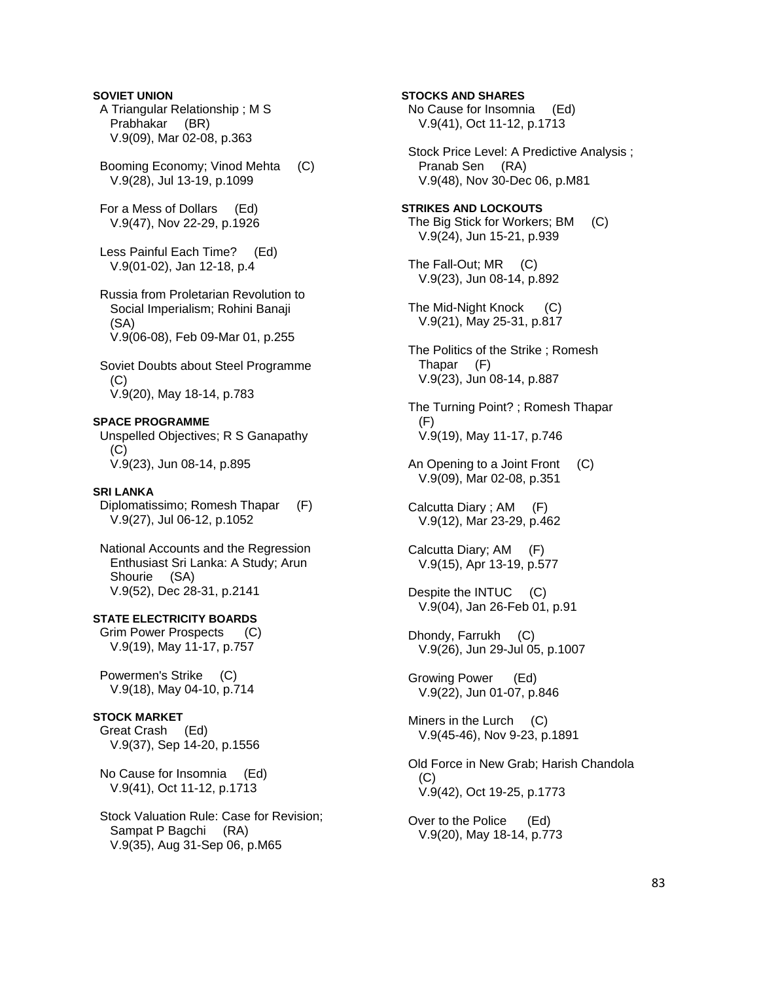# **SOVIET UNION**

- A Triangular Relationship ; M S Prabhakar (BR) V.9(09), Mar 02-08, p.363
- Booming Economy; Vinod Mehta (C) V.9(28), Jul 13-19, p.1099
- For a Mess of Dollars (Ed) V.9(47), Nov 22-29, p.1926
- Less Painful Each Time? (Ed) V.9(01-02), Jan 12-18, p.4
- Russia from Proletarian Revolution to Social Imperialism; Rohini Banaji (SA) V.9(06-08), Feb 09-Mar 01, p.255
- Soviet Doubts about Steel Programme  $(C)$ V.9(20), May 18-14, p.783

# **SPACE PROGRAMME**

 Unspelled Objectives; R S Ganapathy (C) V.9(23), Jun 08-14, p.895

#### **SRI LANKA**

 Diplomatissimo; Romesh Thapar (F) V.9(27), Jul 06-12, p.1052

 National Accounts and the Regression Enthusiast Sri Lanka: A Study; Arun Shourie (SA) V.9(52), Dec 28-31, p.2141

**STATE ELECTRICITY BOARDS**  Grim Power Prospects (C) V.9(19), May 11-17, p.757

 Powermen's Strike (C) V.9(18), May 04-10, p.714

### **STOCK MARKET**

 Great Crash (Ed) V.9(37), Sep 14-20, p.1556

 No Cause for Insomnia (Ed) V.9(41), Oct 11-12, p.1713

 Stock Valuation Rule: Case for Revision; Sampat P Bagchi (RA) V.9(35), Aug 31-Sep 06, p.M65

 No Cause for Insomnia (Ed) V.9(41), Oct 11-12, p.1713 Stock Price Level: A Predictive Analysis ; Pranab Sen (RA) V.9(48), Nov 30-Dec 06, p.M81 **STRIKES AND LOCKOUTS**  The Big Stick for Workers; BM (C) V.9(24), Jun 15-21, p.939 The Fall-Out; MR (C) V.9(23), Jun 08-14, p.892 The Mid-Night Knock (C) V.9(21), May 25-31, p.817 The Politics of the Strike ; Romesh Thapar (F) V.9(23), Jun 08-14, p.887 The Turning Point? ; Romesh Thapar (F) V.9(19), May 11-17, p.746 An Opening to a Joint Front (C) V.9(09), Mar 02-08, p.351 Calcutta Diary ; AM (F) V.9(12), Mar 23-29, p.462 Calcutta Diary; AM (F) V.9(15), Apr 13-19, p.577 Despite the INTUC (C) V.9(04), Jan 26-Feb 01, p.91 Dhondy, Farrukh (C) V.9(26), Jun 29-Jul 05, p.1007 Growing Power (Ed) V.9(22), Jun 01-07, p.846 Miners in the Lurch (C) V.9(45-46), Nov 9-23, p.1891 Old Force in New Grab; Harish Chandola (C) V.9(42), Oct 19-25, p.1773 Over to the Police (Ed) V.9(20), May 18-14, p.773

**STOCKS AND SHARES**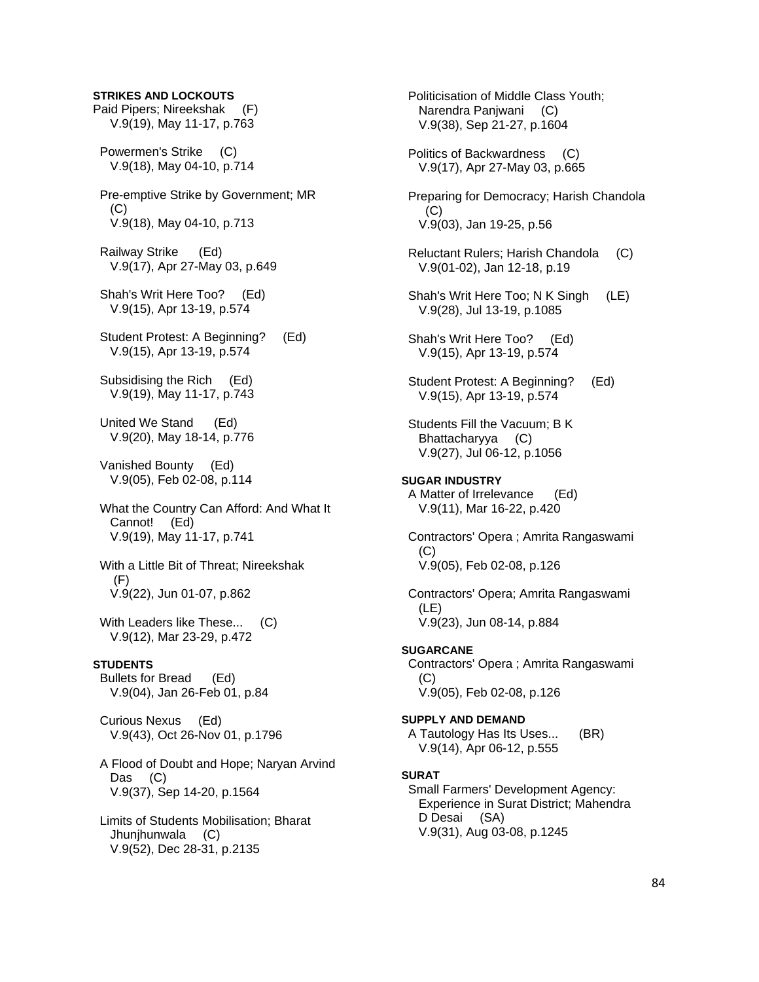### **STRIKES AND LOCKOUTS**

Paid Pipers; Nireekshak (F) V.9(19), May 11-17, p.763

 Powermen's Strike (C) V.9(18), May 04-10, p.714

 Pre-emptive Strike by Government; MR  $(C)$ V.9(18), May 04-10, p.713

 Railway Strike (Ed) V.9(17), Apr 27-May 03, p.649

- Shah's Writ Here Too? (Ed) V.9(15), Apr 13-19, p.574
- Student Protest: A Beginning? (Ed) V.9(15), Apr 13-19, p.574

 Subsidising the Rich (Ed) V.9(19), May 11-17, p.743

 United We Stand (Ed) V.9(20), May 18-14, p.776

 Vanished Bounty (Ed) V.9(05), Feb 02-08, p.114

- What the Country Can Afford: And What It Cannot! (Ed) V.9(19), May 11-17, p.741
- With a Little Bit of Threat; Nireekshak  $(F)$ V.9(22), Jun 01-07, p.862
- With Leaders like These... (C) V.9(12), Mar 23-29, p.472

#### **STUDENTS**

 Bullets for Bread (Ed) V.9(04), Jan 26-Feb 01, p.84

 Curious Nexus (Ed) V.9(43), Oct 26-Nov 01, p.1796

 A Flood of Doubt and Hope; Naryan Arvind Das (C) V.9(37), Sep 14-20, p.1564

 Limits of Students Mobilisation; Bharat Jhunjhunwala (C) V.9(52), Dec 28-31, p.2135

 Politicisation of Middle Class Youth; Narendra Panjwani (C) V.9(38), Sep 21-27, p.1604 Politics of Backwardness (C) V.9(17), Apr 27-May 03, p.665 Preparing for Democracy; Harish Chandola  $(C)$  V.9(03), Jan 19-25, p.56 Reluctant Rulers; Harish Chandola (C) V.9(01-02), Jan 12-18, p.19 Shah's Writ Here Too; N K Singh (LE) V.9(28), Jul 13-19, p.1085 Shah's Writ Here Too? (Ed) V.9(15), Apr 13-19, p.574 Student Protest: A Beginning? (Ed) V.9(15), Apr 13-19, p.574 Students Fill the Vacuum; B K Bhattacharyya (C) V.9(27), Jul 06-12, p.1056 **SUGAR INDUSTRY**  A Matter of Irrelevance (Ed) V.9(11), Mar 16-22, p.420 Contractors' Opera ; Amrita Rangaswami (C) V.9(05), Feb 02-08, p.126 Contractors' Opera; Amrita Rangaswami (LE) V.9(23), Jun 08-14, p.884 **SUGARCANE**  Contractors' Opera ; Amrita Rangaswami (C) V.9(05), Feb 02-08, p.126 **SUPPLY AND DEMAND**  A Tautology Has Its Uses... (BR) V.9(14), Apr 06-12, p.555 **SURAT**  Small Farmers' Development Agency: Experience in Surat District; Mahendra D Desai (SA)

V.9(31), Aug 03-08, p.1245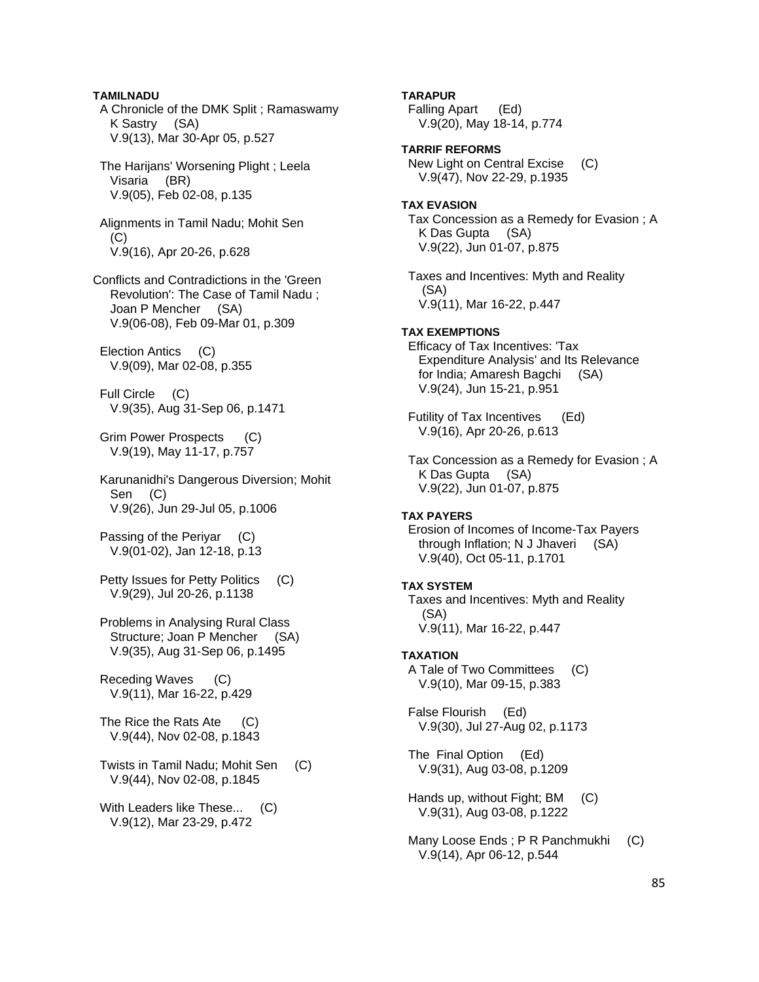**TAMILNADU**  A Chronicle of the DMK Split ; Ramaswamy K Sastry (SA) V.9(13), Mar 30-Apr 05, p.527 The Harijans' Worsening Plight ; Leela Visaria (BR) V.9(05), Feb 02-08, p.135 Alignments in Tamil Nadu; Mohit Sen (C) V.9(16), Apr 20-26, p.628 Conflicts and Contradictions in the 'Green Revolution': The Case of Tamil Nadu ; Joan P Mencher (SA) V.9(06-08), Feb 09-Mar 01, p.309 Election Antics (C) V.9(09), Mar 02-08, p.355 Full Circle (C) V.9(35), Aug 31-Sep 06, p.1471 Grim Power Prospects (C) V.9(19), May 11-17, p.757 Karunanidhi's Dangerous Diversion; Mohit Sen (C) V.9(26), Jun 29-Jul 05, p.1006 Passing of the Periyar (C) V.9(01-02), Jan 12-18, p.13 Petty Issues for Petty Politics (C) V.9(29), Jul 20-26, p.1138 Problems in Analysing Rural Class Structure; Joan P Mencher (SA) V.9(35), Aug 31-Sep 06, p.1495 Receding Waves (C) V.9(11), Mar 16-22, p.429 The Rice the Rats Ate (C) V.9(44), Nov 02-08, p.1843 Twists in Tamil Nadu; Mohit Sen (C) V.9(44), Nov 02-08, p.1845 With Leaders like These... (C) V.9(12), Mar 23-29, p.472

 Falling Apart (Ed) V.9(20), May 18-14, p.774 **TARRIF REFORMS**  New Light on Central Excise (C) V.9(47), Nov 22-29, p.1935 **TAX EVASION**  Tax Concession as a Remedy for Evasion ; A K Das Gupta (SA) V.9(22), Jun 01-07, p.875 Taxes and Incentives: Myth and Reality (SA) V.9(11), Mar 16-22, p.447 **TAX EXEMPTIONS**  Efficacy of Tax Incentives: 'Tax Expenditure Analysis' and Its Relevance for India; Amaresh Bagchi (SA) V.9(24), Jun 15-21, p.951 Futility of Tax Incentives (Ed) V.9(16), Apr 20-26, p.613 Tax Concession as a Remedy for Evasion ; A K Das Gupta (SA) V.9(22), Jun 01-07, p.875 **TAX PAYERS**  Erosion of Incomes of Income-Tax Payers through Inflation; N J Jhaveri (SA) V.9(40), Oct 05-11, p.1701 **TAX SYSTEM**  Taxes and Incentives: Myth and Reality (SA) V.9(11), Mar 16-22, p.447 **TAXATION**  A Tale of Two Committees (C) V.9(10), Mar 09-15, p.383 False Flourish (Ed) V.9(30), Jul 27-Aug 02, p.1173 The Final Option (Ed) V.9(31), Aug 03-08, p.1209 Hands up, without Fight; BM (C) V.9(31), Aug 03-08, p.1222 Many Loose Ends ; P R Panchmukhi (C) V.9(14), Apr 06-12, p.544

**TARAPUR**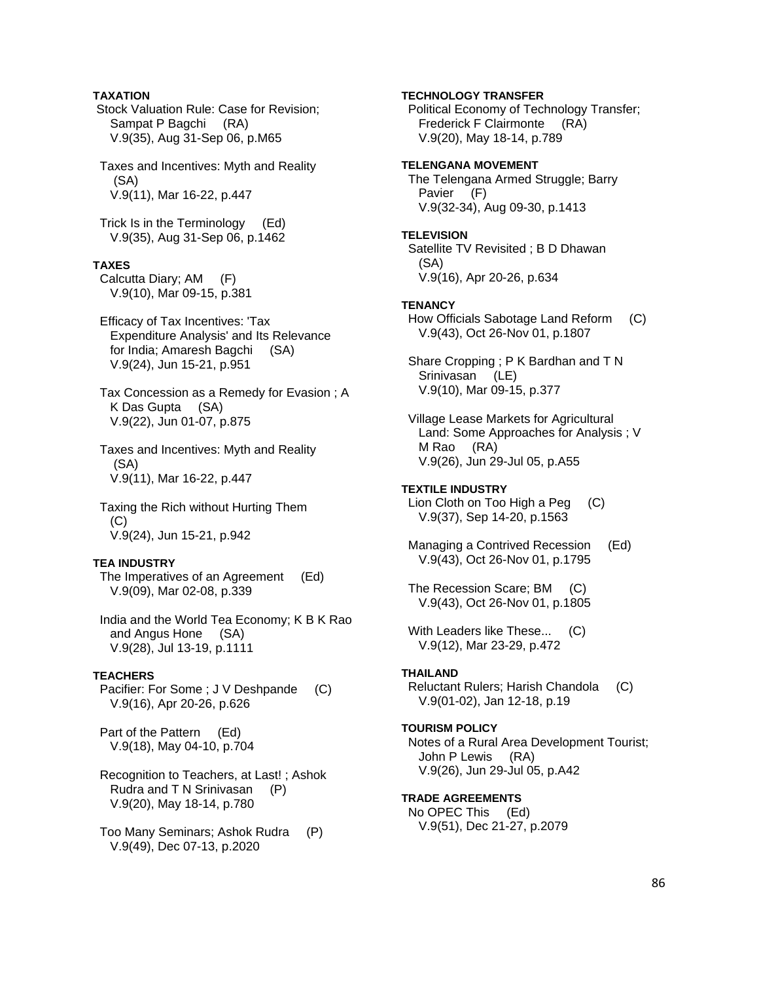# **TAXATION**

 Stock Valuation Rule: Case for Revision; Sampat P Bagchi (RA) V.9(35), Aug 31-Sep 06, p.M65

 Taxes and Incentives: Myth and Reality (SA) V.9(11), Mar 16-22, p.447

 Trick Is in the Terminology (Ed) V.9(35), Aug 31-Sep 06, p.1462

#### **TAXES**

 Calcutta Diary; AM (F) V.9(10), Mar 09-15, p.381

 Efficacy of Tax Incentives: 'Tax Expenditure Analysis' and Its Relevance for India; Amaresh Bagchi (SA) V.9(24), Jun 15-21, p.951

 Tax Concession as a Remedy for Evasion ; A K Das Gupta (SA) V.9(22), Jun 01-07, p.875

 Taxes and Incentives: Myth and Reality (SA) V.9(11), Mar 16-22, p.447

 Taxing the Rich without Hurting Them (C) V.9(24), Jun 15-21, p.942

### **TEA INDUSTRY**

 The Imperatives of an Agreement (Ed) V.9(09), Mar 02-08, p.339

 India and the World Tea Economy; K B K Rao and Angus Hone (SA) V.9(28), Jul 13-19, p.1111

#### **TEACHERS**

Pacifier: For Some ; J V Deshpande (C) V.9(16), Apr 20-26, p.626

 Part of the Pattern (Ed) V.9(18), May 04-10, p.704

 Recognition to Teachers, at Last! ; Ashok Rudra and T N Srinivasan (P) V.9(20), May 18-14, p.780

 Too Many Seminars; Ashok Rudra (P) V.9(49), Dec 07-13, p.2020

**TECHNOLOGY TRANSFER**  Political Economy of Technology Transfer; Frederick F Clairmonte (RA) V.9(20), May 18-14, p.789 **TELENGANA MOVEMENT**  The Telengana Armed Struggle; Barry Pavier (F) V.9(32-34), Aug 09-30, p.1413 **TELEVISION**  Satellite TV Revisited ; B D Dhawan (SA) V.9(16), Apr 20-26, p.634 **TENANCY**  How Officials Sabotage Land Reform (C) V.9(43), Oct 26-Nov 01, p.1807 Share Cropping ; P K Bardhan and T N Srinivasan (LE) V.9(10), Mar 09-15, p.377 Village Lease Markets for Agricultural Land: Some Approaches for Analysis ; V M Rao (RA) V.9(26), Jun 29-Jul 05, p.A55 **TEXTILE INDUSTRY**  Lion Cloth on Too High a Peg (C) V.9(37), Sep 14-20, p.1563 Managing a Contrived Recession (Ed) V.9(43), Oct 26-Nov 01, p.1795 The Recession Scare; BM (C) V.9(43), Oct 26-Nov 01, p.1805 With Leaders like These... (C) V.9(12), Mar 23-29, p.472 **THAILAND**  Reluctant Rulers; Harish Chandola (C) V.9(01-02), Jan 12-18, p.19 **TOURISM POLICY**  Notes of a Rural Area Development Tourist; John P Lewis (RA) V.9(26), Jun 29-Jul 05, p.A42 **TRADE AGREEMENTS**  No OPEC This (Ed) V.9(51), Dec 21-27, p.2079

86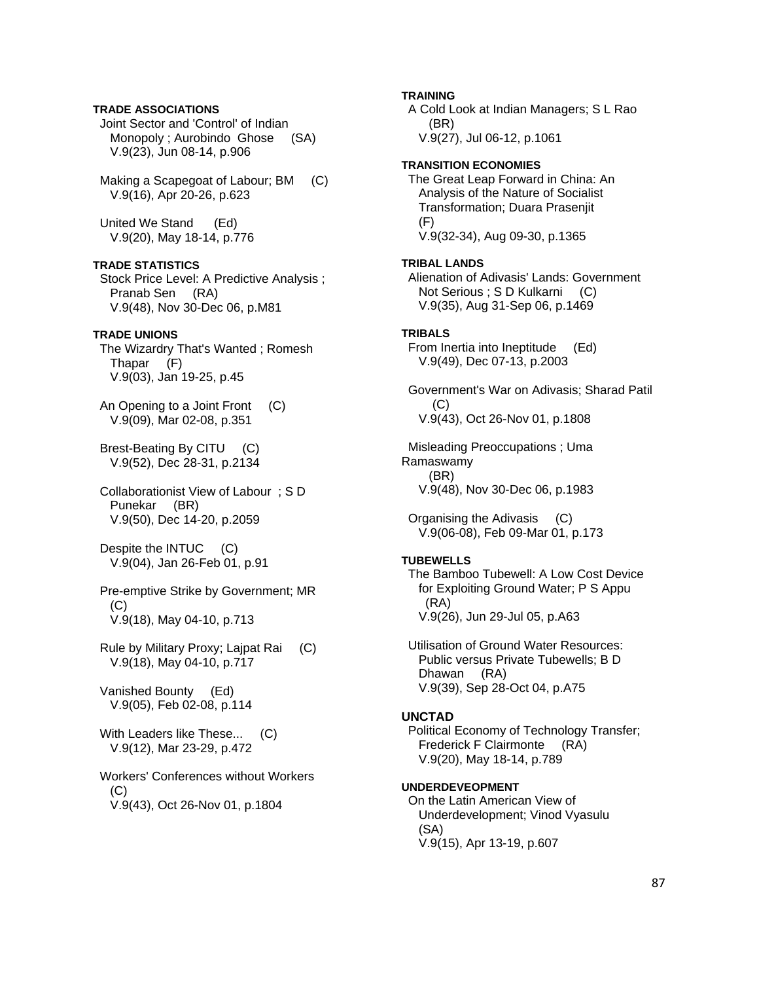# **TRADE ASSOCIATIONS**

 Joint Sector and 'Control' of Indian Monopoly ; Aurobindo Ghose (SA) V.9(23), Jun 08-14, p.906

 Making a Scapegoat of Labour; BM (C) V.9(16), Apr 20-26, p.623

 United We Stand (Ed) V.9(20), May 18-14, p.776

### **TRADE STATISTICS**

 Stock Price Level: A Predictive Analysis ; Pranab Sen (RA) V.9(48), Nov 30-Dec 06, p.M81

### **TRADE UNIONS**

 The Wizardry That's Wanted ; Romesh Thapar (F) V.9(03), Jan 19-25, p.45

 An Opening to a Joint Front (C) V.9(09), Mar 02-08, p.351

 Brest-Beating By CITU (C) V.9(52), Dec 28-31, p.2134

 Collaborationist View of Labour ; S D Punekar (BR) V.9(50), Dec 14-20, p.2059

Despite the INTUC (C) V.9(04), Jan 26-Feb 01, p.91

 Pre-emptive Strike by Government; MR (C) V.9(18), May 04-10, p.713

 Rule by Military Proxy; Lajpat Rai (C) V.9(18), May 04-10, p.717

 Vanished Bounty (Ed) V.9(05), Feb 02-08, p.114

With Leaders like These... (C) V.9(12), Mar 23-29, p.472

 Workers' Conferences without Workers  $(C)$ V.9(43), Oct 26-Nov 01, p.1804

# **TRAINING**

 A Cold Look at Indian Managers; S L Rao (BR) V.9(27), Jul 06-12, p.1061

#### **TRANSITION ECONOMIES**

 The Great Leap Forward in China: An Analysis of the Nature of Socialist Transformation; Duara Prasenjit (F) V.9(32-34), Aug 09-30, p.1365

#### **TRIBAL LANDS**

 Alienation of Adivasis' Lands: Government Not Serious ; S D Kulkarni (C) V.9(35), Aug 31-Sep 06, p.1469

### **TRIBALS**

 From Inertia into Ineptitude (Ed) V.9(49), Dec 07-13, p.2003

 Government's War on Adivasis; Sharad Patil (C) V.9(43), Oct 26-Nov 01, p.1808

 Misleading Preoccupations ; Uma Ramaswamy (BR) V.9(48), Nov 30-Dec 06, p.1983

 Organising the Adivasis (C) V.9(06-08), Feb 09-Mar 01, p.173

### **TUBEWELLS**

 The Bamboo Tubewell: A Low Cost Device for Exploiting Ground Water; P S Appu (RA) V.9(26), Jun 29-Jul 05, p.A63

 Utilisation of Ground Water Resources: Public versus Private Tubewells; B D Dhawan (RA) V.9(39), Sep 28-Oct 04, p.A75

### **UNCTAD**

 Political Economy of Technology Transfer; Frederick F Clairmonte (RA) V.9(20), May 18-14, p.789

### **UNDERDEVEOPMENT**

 On the Latin American View of Underdevelopment; Vinod Vyasulu (SA) V.9(15), Apr 13-19, p.607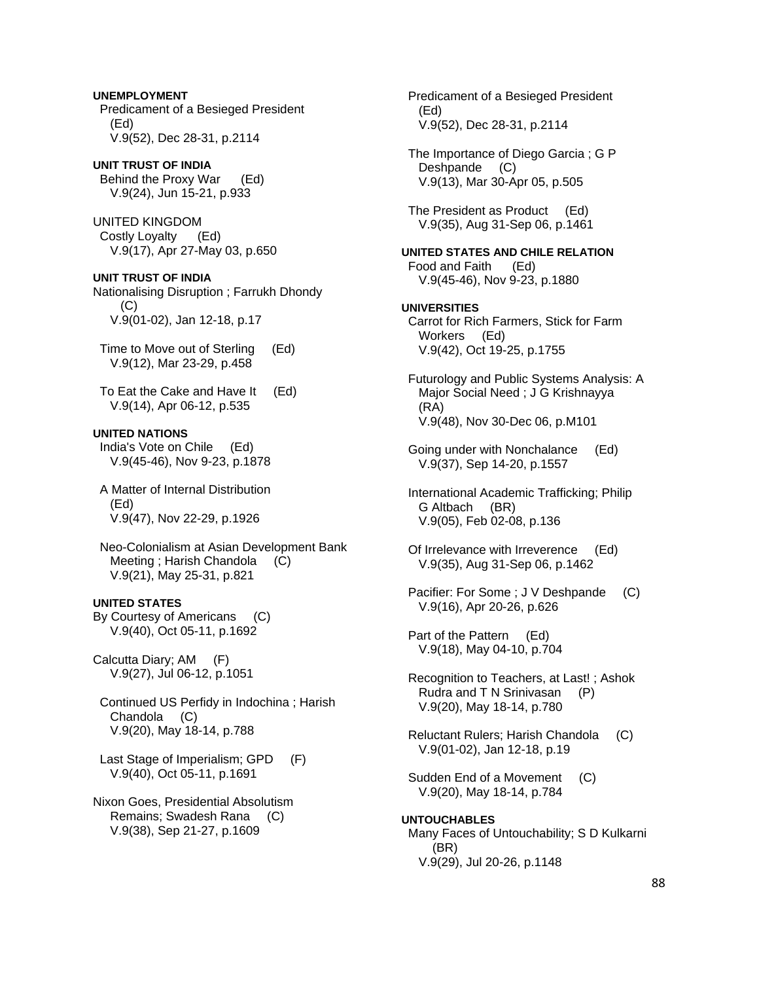**UNEMPLOYMENT**  Predicament of a Besieged President (Ed) V.9(52), Dec 28-31, p.2114

**UNIT TRUST OF INDIA**  Behind the Proxy War (Ed) V.9(24), Jun 15-21, p.933

UNITED KINGDOM Costly Loyalty (Ed) V.9(17), Apr 27-May 03, p.650

**UNIT TRUST OF INDIA** 

Nationalising Disruption ; Farrukh Dhondy (C) V.9(01-02), Jan 12-18, p.17

 Time to Move out of Sterling (Ed) V.9(12), Mar 23-29, p.458

 To Eat the Cake and Have It (Ed) V.9(14), Apr 06-12, p.535

**UNITED NATIONS**  India's Vote on Chile (Ed) V.9(45-46), Nov 9-23, p.1878

 A Matter of Internal Distribution (Ed) V.9(47), Nov 22-29, p.1926

 Neo-Colonialism at Asian Development Bank Meeting ; Harish Chandola (C) V.9(21), May 25-31, p.821

**UNITED STATES**  By Courtesy of Americans (C)

V.9(40), Oct 05-11, p.1692

Calcutta Diary; AM (F) V.9(27), Jul 06-12, p.1051

 Continued US Perfidy in Indochina ; Harish Chandola (C) V.9(20), May 18-14, p.788

 Last Stage of Imperialism; GPD (F) V.9(40), Oct 05-11, p.1691

Nixon Goes, Presidential Absolutism Remains; Swadesh Rana (C) V.9(38), Sep 21-27, p.1609

 Predicament of a Besieged President (Ed) V.9(52), Dec 28-31, p.2114 The Importance of Diego Garcia ; G P Deshpande (C) V.9(13), Mar 30-Apr 05, p.505 The President as Product (Ed) V.9(35), Aug 31-Sep 06, p.1461 **UNITED STATES AND CHILE RELATION**  Food and Faith (Ed) V.9(45-46), Nov 9-23, p.1880 **UNIVERSITIES**  Carrot for Rich Farmers, Stick for Farm Workers (Ed) V.9(42), Oct 19-25, p.1755 Futurology and Public Systems Analysis: A Major Social Need ; J G Krishnayya (RA) V.9(48), Nov 30-Dec 06, p.M101 Going under with Nonchalance (Ed) V.9(37), Sep 14-20, p.1557 International Academic Trafficking; Philip G Altbach (BR) V.9(05), Feb 02-08, p.136 Of Irrelevance with Irreverence (Ed) V.9(35), Aug 31-Sep 06, p.1462 Pacifier: For Some ; J V Deshpande (C) V.9(16), Apr 20-26, p.626 Part of the Pattern (Ed) V.9(18), May 04-10, p.704 Recognition to Teachers, at Last! ; Ashok Rudra and T N Srinivasan (P) V.9(20), May 18-14, p.780 Reluctant Rulers; Harish Chandola (C) V.9(01-02), Jan 12-18, p.19 Sudden End of a Movement (C) V.9(20), May 18-14, p.784 **UNTOUCHABLES**  Many Faces of Untouchability; S D Kulkarni (BR) V.9(29), Jul 20-26, p.1148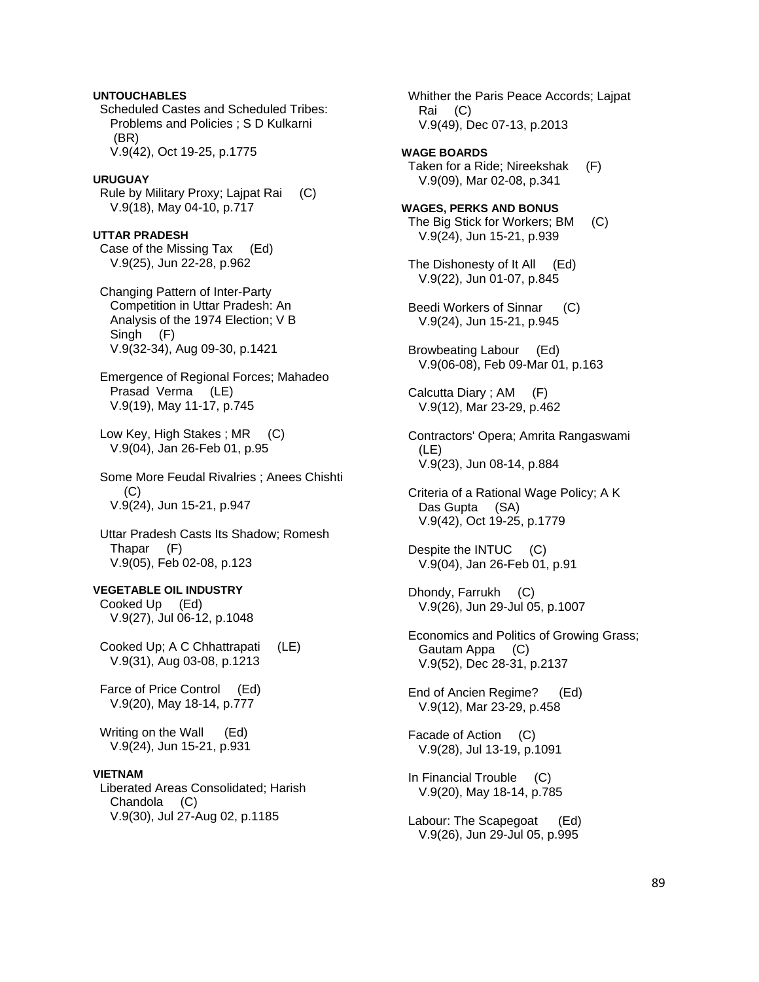# **UNTOUCHABLES**

 Scheduled Castes and Scheduled Tribes: Problems and Policies ; S D Kulkarni (BR) V.9(42), Oct 19-25, p.1775

#### **URUGUAY**

 Rule by Military Proxy; Lajpat Rai (C) V.9(18), May 04-10, p.717

**UTTAR PRADESH**  Case of the Missing Tax (Ed) V.9(25), Jun 22-28, p.962

 Changing Pattern of Inter-Party Competition in Uttar Pradesh: An Analysis of the 1974 Election; V B Singh (F) V.9(32-34), Aug 09-30, p.1421

 Emergence of Regional Forces; Mahadeo Prasad Verma (LE) V.9(19), May 11-17, p.745

Low Key, High Stakes; MR (C) V.9(04), Jan 26-Feb 01, p.95

 Some More Feudal Rivalries ; Anees Chishti (C) V.9(24), Jun 15-21, p.947

 Uttar Pradesh Casts Its Shadow; Romesh Thapar (F) V.9(05), Feb 02-08, p.123

**VEGETABLE OIL INDUSTRY**  Cooked Up (Ed) V.9(27), Jul 06-12, p.1048

 Cooked Up; A C Chhattrapati (LE) V.9(31), Aug 03-08, p.1213

 Farce of Price Control (Ed) V.9(20), May 18-14, p.777

Writing on the Wall (Ed) V.9(24), Jun 15-21, p.931

# **VIETNAM**

 Liberated Areas Consolidated; Harish Chandola (C) V.9(30), Jul 27-Aug 02, p.1185

 Rai (C) V.9(49), Dec 07-13, p.2013 **WAGE BOARDS**  Taken for a Ride; Nireekshak (F) V.9(09), Mar 02-08, p.341 **WAGES, PERKS AND BONUS**  The Big Stick for Workers; BM (C) V.9(24), Jun 15-21, p.939 The Dishonesty of It All (Ed) V.9(22), Jun 01-07, p.845 Beedi Workers of Sinnar (C) V.9(24), Jun 15-21, p.945 Browbeating Labour (Ed) V.9(06-08), Feb 09-Mar 01, p.163 Calcutta Diary ; AM (F) V.9(12), Mar 23-29, p.462 Contractors' Opera; Amrita Rangaswami (LE) V.9(23), Jun 08-14, p.884 Criteria of a Rational Wage Policy; A K Das Gupta (SA) V.9(42), Oct 19-25, p.1779 Despite the INTUC (C) V.9(04), Jan 26-Feb 01, p.91 Dhondy, Farrukh (C) V.9(26), Jun 29-Jul 05, p.1007 Economics and Politics of Growing Grass; Gautam Appa (C) V.9(52), Dec 28-31, p.2137 End of Ancien Regime? (Ed) V.9(12), Mar 23-29, p.458 Facade of Action (C) V.9(28), Jul 13-19, p.1091 In Financial Trouble (C) V.9(20), May 18-14, p.785 Labour: The Scapegoat (Ed) V.9(26), Jun 29-Jul 05, p.995

Whither the Paris Peace Accords; Lajpat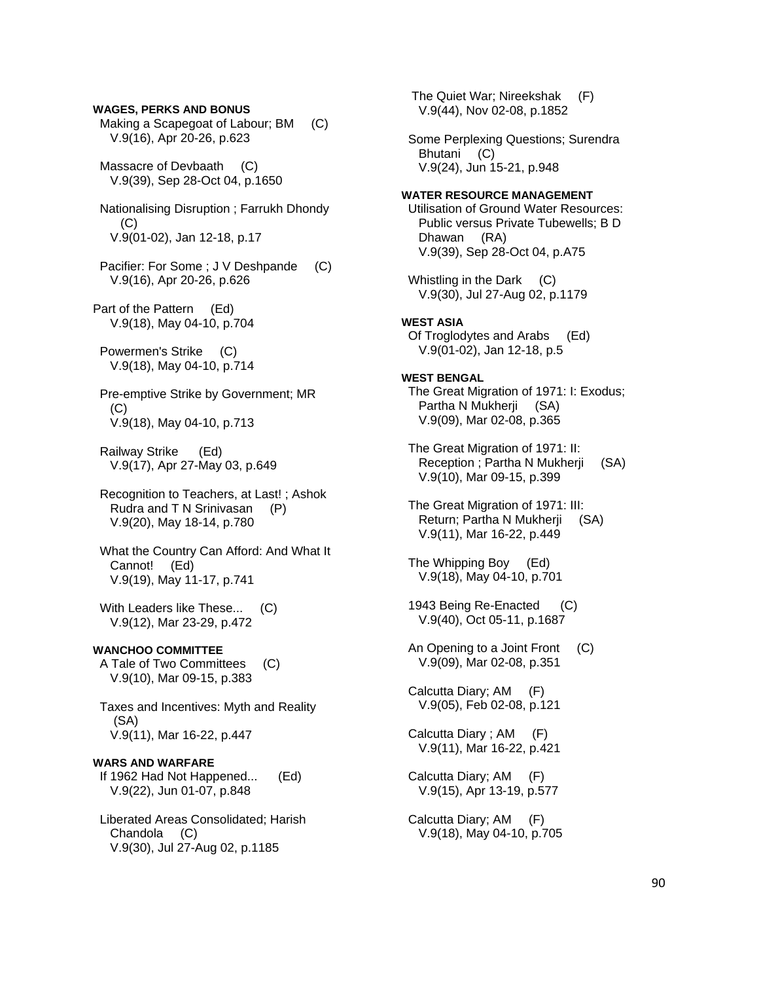**WAGES, PERKS AND BONUS**  Making a Scapegoat of Labour; BM (C) V.9(16), Apr 20-26, p.623 Massacre of Devbaath (C) V.9(39), Sep 28-Oct 04, p.1650 Nationalising Disruption ; Farrukh Dhondy (C) V.9(01-02), Jan 12-18, p.17 Pacifier: For Some ; J V Deshpande (C) V.9(16), Apr 20-26, p.626 Part of the Pattern (Ed) V.9(18), May 04-10, p.704 Powermen's Strike (C) V.9(18), May 04-10, p.714 Pre-emptive Strike by Government; MR (C) V.9(18), May 04-10, p.713 Railway Strike (Ed) V.9(17), Apr 27-May 03, p.649 Recognition to Teachers, at Last! ; Ashok Rudra and T N Srinivasan (P) V.9(20), May 18-14, p.780 What the Country Can Afford: And What It Cannot! (Ed) V.9(19), May 11-17, p.741 With Leaders like These... (C) V.9(12), Mar 23-29, p.472 **WANCHOO COMMITTEE**  A Tale of Two Committees (C) V.9(10), Mar 09-15, p.383 Taxes and Incentives: Myth and Reality (SA) V.9(11), Mar 16-22, p.447 **WARS AND WARFARE**  If 1962 Had Not Happened... (Ed) V.9(22), Jun 01-07, p.848 Liberated Areas Consolidated; Harish

 Chandola (C) V.9(30), Jul 27-Aug 02, p.1185

 The Quiet War; Nireekshak (F) V.9(44), Nov 02-08, p.1852 Some Perplexing Questions; Surendra Bhutani (C) V.9(24), Jun 15-21, p.948 **WATER RESOURCE MANAGEMENT**  Utilisation of Ground Water Resources: Public versus Private Tubewells; B D Dhawan (RA) V.9(39), Sep 28-Oct 04, p.A75 Whistling in the Dark (C) V.9(30), Jul 27-Aug 02, p.1179 **WEST ASIA**  Of Troglodytes and Arabs (Ed) V.9(01-02), Jan 12-18, p.5 **WEST BENGAL**  The Great Migration of 1971: I: Exodus; Partha N Mukherji (SA) V.9(09), Mar 02-08, p.365 The Great Migration of 1971: II: Reception ; Partha N Mukherji (SA) V.9(10), Mar 09-15, p.399 The Great Migration of 1971: III: Return; Partha N Mukherji (SA) V.9(11), Mar 16-22, p.449 The Whipping Boy (Ed) V.9(18), May 04-10, p.701 1943 Being Re-Enacted (C) V.9(40), Oct 05-11, p.1687 An Opening to a Joint Front (C) V.9(09), Mar 02-08, p.351 Calcutta Diary; AM (F) V.9(05), Feb 02-08, p.121 Calcutta Diary ; AM (F) V.9(11), Mar 16-22, p.421 Calcutta Diary; AM (F) V.9(15), Apr 13-19, p.577 Calcutta Diary; AM (F) V.9(18), May 04-10, p.705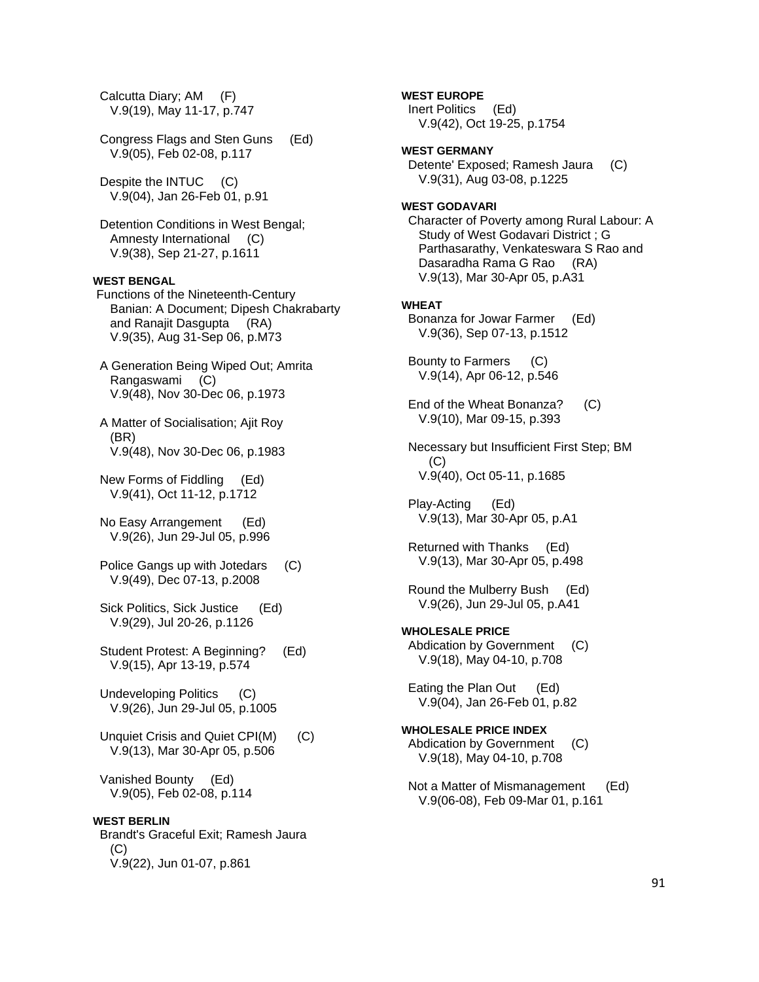Calcutta Diary; AM (F) V.9(19), May 11-17, p.747

 Congress Flags and Sten Guns (Ed) V.9(05), Feb 02-08, p.117

Despite the INTUC (C) V.9(04), Jan 26-Feb 01, p.91

 Detention Conditions in West Bengal; Amnesty International (C) V.9(38), Sep 21-27, p.1611

# **WEST BENGAL**

 Functions of the Nineteenth-Century Banian: A Document; Dipesh Chakrabarty and Ranajit Dasgupta (RA) V.9(35), Aug 31-Sep 06, p.M73

 A Generation Being Wiped Out; Amrita Rangaswami (C) V.9(48), Nov 30-Dec 06, p.1973

 A Matter of Socialisation; Ajit Roy (BR) V.9(48), Nov 30-Dec 06, p.1983

 New Forms of Fiddling (Ed) V.9(41), Oct 11-12, p.1712

 No Easy Arrangement (Ed) V.9(26), Jun 29-Jul 05, p.996

 Police Gangs up with Jotedars (C) V.9(49), Dec 07-13, p.2008

 Sick Politics, Sick Justice (Ed) V.9(29), Jul 20-26, p.1126

 Student Protest: A Beginning? (Ed) V.9(15), Apr 13-19, p.574

 Undeveloping Politics (C) V.9(26), Jun 29-Jul 05, p.1005

 Unquiet Crisis and Quiet CPI(M) (C) V.9(13), Mar 30-Apr 05, p.506

 Vanished Bounty (Ed) V.9(05), Feb 02-08, p.114

#### **WEST BERLIN**

 Brandt's Graceful Exit; Ramesh Jaura  $(C)$ V.9(22), Jun 01-07, p.861

**WEST EUROPE** 

 Inert Politics (Ed) V.9(42), Oct 19-25, p.1754

### **WEST GERMANY**

 Detente' Exposed; Ramesh Jaura (C) V.9(31), Aug 03-08, p.1225

### **WEST GODAVARI**

 Character of Poverty among Rural Labour: A Study of West Godavari District ; G Parthasarathy, Venkateswara S Rao and Dasaradha Rama G Rao (RA) V.9(13), Mar 30-Apr 05, p.A31

#### **WHEAT**

 Bonanza for Jowar Farmer (Ed) V.9(36), Sep 07-13, p.1512

 Bounty to Farmers (C) V.9(14), Apr 06-12, p.546

 End of the Wheat Bonanza? (C) V.9(10), Mar 09-15, p.393

 Necessary but Insufficient First Step; BM (C) V.9(40), Oct 05-11, p.1685

 Play-Acting (Ed) V.9(13), Mar 30-Apr 05, p.A1

 Returned with Thanks (Ed) V.9(13), Mar 30-Apr 05, p.498

 Round the Mulberry Bush (Ed) V.9(26), Jun 29-Jul 05, p.A41

**WHOLESALE PRICE**  Abdication by Government (C) V.9(18), May 04-10, p.708

 Eating the Plan Out (Ed) V.9(04), Jan 26-Feb 01, p.82

**WHOLESALE PRICE INDEX**  Abdication by Government (C) V.9(18), May 04-10, p.708

 Not a Matter of Mismanagement (Ed) V.9(06-08), Feb 09-Mar 01, p.161